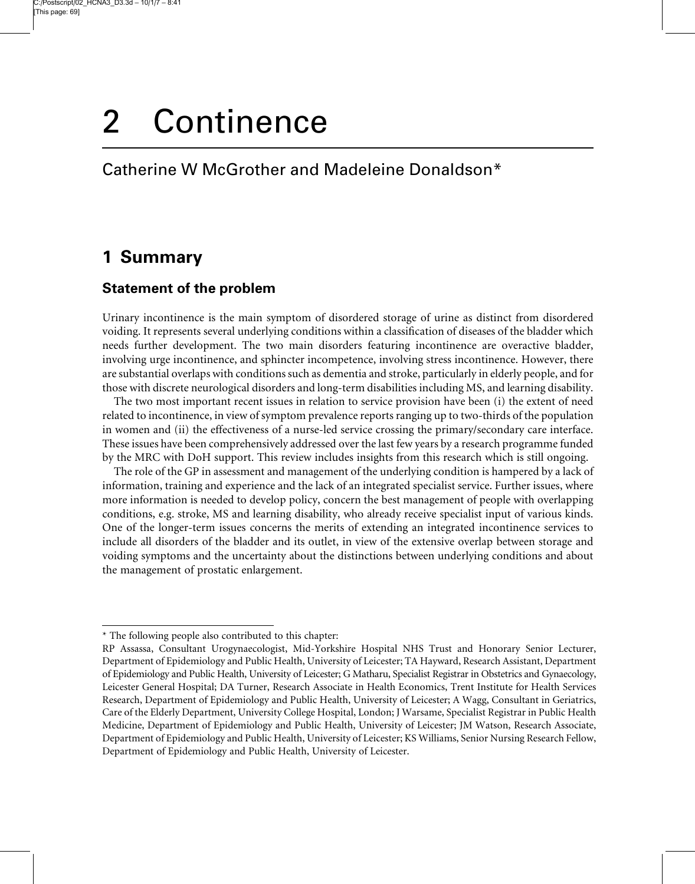Catherine W McGrother and Madeleine Donaldson\*

# 1 Summary

## Statement of the problem

Urinary incontinence is the main symptom of disordered storage of urine as distinct from disordered voiding. It represents several underlying conditions within a classification of diseases of the bladder which needs further development. The two main disorders featuring incontinence are overactive bladder, involving urge incontinence, and sphincter incompetence, involving stress incontinence. However, there are substantial overlaps with conditions such as dementia and stroke, particularly in elderly people, and for those with discrete neurological disorders and long-term disabilities including MS, and learning disability.

The two most important recent issues in relation to service provision have been (i) the extent of need related to incontinence, in view of symptom prevalence reports ranging up to two-thirds of the population in women and (ii) the effectiveness of a nurse-led service crossing the primary/secondary care interface. These issues have been comprehensively addressed over the last few years by a research programme funded by the MRC with DoH support. This review includes insights from this research which is still ongoing.

The role of the GP in assessment and management of the underlying condition is hampered by a lack of information, training and experience and the lack of an integrated specialist service. Further issues, where more information is needed to develop policy, concern the best management of people with overlapping conditions, e.g. stroke, MS and learning disability, who already receive specialist input of various kinds. One of the longer-term issues concerns the merits of extending an integrated incontinence services to include all disorders of the bladder and its outlet, in view of the extensive overlap between storage and voiding symptoms and the uncertainty about the distinctions between underlying conditions and about the management of prostatic enlargement.

<sup>\*</sup> The following people also contributed to this chapter:

RP Assassa, Consultant Urogynaecologist, Mid-Yorkshire Hospital NHS Trust and Honorary Senior Lecturer, Department of Epidemiology and Public Health, University of Leicester; TA Hayward, Research Assistant, Department of Epidemiology and Public Health, University of Leicester; G Matharu, Specialist Registrar in Obstetrics and Gynaecology, Leicester General Hospital; DA Turner, Research Associate in Health Economics, Trent Institute for Health Services Research, Department of Epidemiology and Public Health, University of Leicester; A Wagg, Consultant in Geriatrics, Care of the Elderly Department, University College Hospital, London; J Warsame, Specialist Registrar in Public Health Medicine, Department of Epidemiology and Public Health, University of Leicester; JM Watson, Research Associate, Department of Epidemiology and Public Health, University of Leicester; KSWilliams, Senior Nursing Research Fellow, Department of Epidemiology and Public Health, University of Leicester.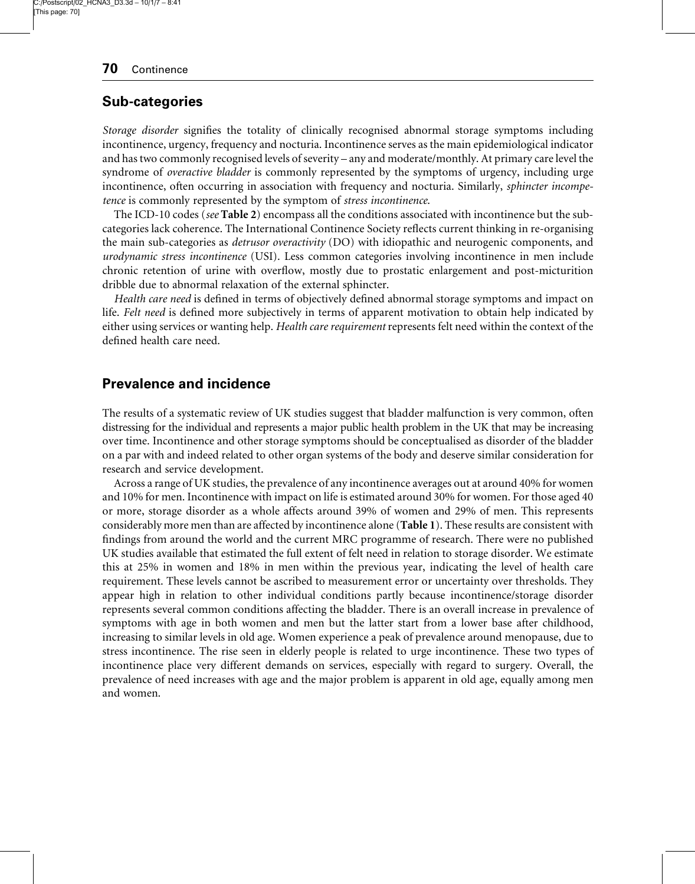## Sub-categories

Storage disorder signifies the totality of clinically recognised abnormal storage symptoms including incontinence, urgency, frequency and nocturia. Incontinence serves as the main epidemiological indicator and has two commonly recognised levels of severity – any and moderate/monthly. At primary care level the syndrome of *overactive bladder* is commonly represented by the symptoms of urgency, including urge incontinence, often occurring in association with frequency and nocturia. Similarly, *sphincter incompe*tence is commonly represented by the symptom of stress incontinence.

The ICD-10 codes (see **Table 2**) encompass all the conditions associated with incontinence but the subcategories lack coherence. The International Continence Society reflects current thinking in re-organising the main sub-categories as *detrusor overactivity* (DO) with idiopathic and neurogenic components, and urodynamic stress incontinence (USI). Less common categories involving incontinence in men include chronic retention of urine with overflow, mostly due to prostatic enlargement and post-micturition dribble due to abnormal relaxation of the external sphincter.

Health care need is defined in terms of objectively defined abnormal storage symptoms and impact on life. Felt need is defined more subjectively in terms of apparent motivation to obtain help indicated by either using services or wanting help. Health care requirement represents felt need within the context of the defined health care need.

## Prevalence and incidence

The results of a systematic review of UK studies suggest that bladder malfunction is very common, often distressing for the individual and represents a major public health problem in the UK that may be increasing over time. Incontinence and other storage symptoms should be conceptualised as disorder of the bladder on a par with and indeed related to other organ systems of the body and deserve similar consideration for research and service development.

Across a range of UK studies, the prevalence of any incontinence averages out at around 40% for women and 10% for men. Incontinence with impact on life is estimated around 30% for women. For those aged 40 or more, storage disorder as a whole affects around 39% of women and 29% of men. This represents considerably more men than are affected by incontinence alone (Table 1). These results are consistent with findings from around the world and the current MRC programme of research. There were no published UK studies available that estimated the full extent of felt need in relation to storage disorder. We estimate this at 25% in women and 18% in men within the previous year, indicating the level of health care requirement. These levels cannot be ascribed to measurement error or uncertainty over thresholds. They appear high in relation to other individual conditions partly because incontinence/storage disorder represents several common conditions affecting the bladder. There is an overall increase in prevalence of symptoms with age in both women and men but the latter start from a lower base after childhood, increasing to similar levels in old age. Women experience a peak of prevalence around menopause, due to stress incontinence. The rise seen in elderly people is related to urge incontinence. These two types of incontinence place very different demands on services, especially with regard to surgery. Overall, the prevalence of need increases with age and the major problem is apparent in old age, equally among men and women.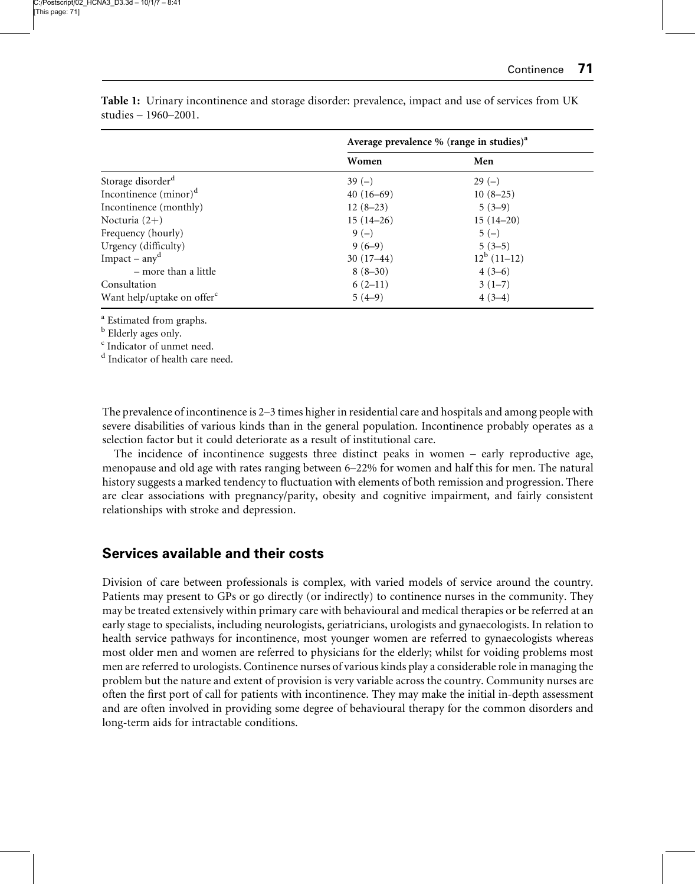|                                        | Average prevalence % (range in studies) <sup>a</sup> |                |  |
|----------------------------------------|------------------------------------------------------|----------------|--|
|                                        | Women                                                | Men            |  |
| Storage disorder <sup>d</sup>          | $39(-)$                                              | $29(-)$        |  |
| Incontinence $(minor)d$                | $40(16-69)$                                          | $10(8-25)$     |  |
| Incontinence (monthly)                 | $12(8-23)$                                           | $5(3-9)$       |  |
| Nocturia $(2+)$                        | $15(14-26)$                                          | $15(14-20)$    |  |
| Frequency (hourly)                     | $9(-)$                                               | $5(-)$         |  |
| Urgency (difficulty)                   | $9(6-9)$                                             | $5(3-5)$       |  |
| Impact – $anyd$                        | $30(17-44)$                                          | $12^b (11-12)$ |  |
| $-$ more than a little                 | $8(8-30)$                                            | $4(3-6)$       |  |
| Consultation                           | $6(2-11)$                                            | $3(1-7)$       |  |
| Want help/uptake on offer <sup>c</sup> | $5(4-9)$                                             | $4(3-4)$       |  |

Table 1: Urinary incontinence and storage disorder: prevalence, impact and use of services from UK studies – 1960–2001.

<sup>a</sup> Estimated from graphs.

<sup>b</sup> Elderly ages only.

<sup>c</sup> Indicator of unmet need.

<sup>d</sup> Indicator of health care need.

The prevalence of incontinence is 2–3 times higher in residential care and hospitals and among people with severe disabilities of various kinds than in the general population. Incontinence probably operates as a selection factor but it could deteriorate as a result of institutional care.

The incidence of incontinence suggests three distinct peaks in women – early reproductive age, menopause and old age with rates ranging between 6–22% for women and half this for men. The natural history suggests a marked tendency to fluctuation with elements of both remission and progression. There are clear associations with pregnancy/parity, obesity and cognitive impairment, and fairly consistent relationships with stroke and depression.

## Services available and their costs

Division of care between professionals is complex, with varied models of service around the country. Patients may present to GPs or go directly (or indirectly) to continence nurses in the community. They may be treated extensively within primary care with behavioural and medical therapies or be referred at an early stage to specialists, including neurologists, geriatricians, urologists and gynaecologists. In relation to health service pathways for incontinence, most younger women are referred to gynaecologists whereas most older men and women are referred to physicians for the elderly; whilst for voiding problems most men are referred to urologists. Continence nurses of various kinds play a considerable role in managing the problem but the nature and extent of provision is very variable across the country. Community nurses are often the first port of call for patients with incontinence. They may make the initial in-depth assessment and are often involved in providing some degree of behavioural therapy for the common disorders and long-term aids for intractable conditions.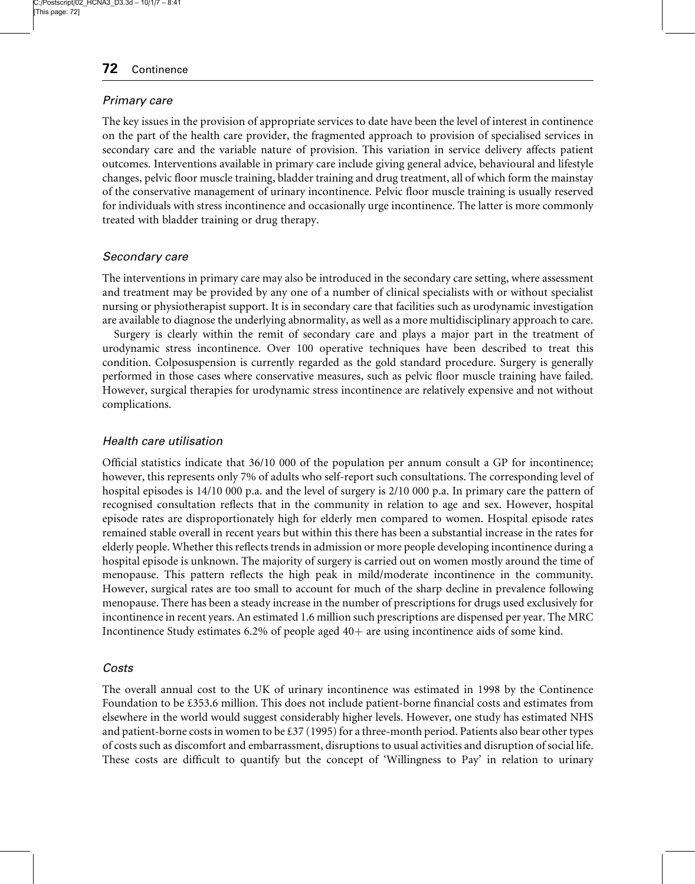## Primary care

The key issues in the provision of appropriate services to date have been the level of interest in continence on the part of the health care provider, the fragmented approach to provision of specialised services in secondary care and the variable nature of provision. This variation in service delivery affects patient outcomes. Interventions available in primary care include giving general advice, behavioural and lifestyle changes, pelvic floor muscle training, bladder training and drug treatment, all of which form the mainstay of the conservative management of urinary incontinence. Pelvic floor muscle training is usually reserved for individuals with stress incontinence and occasionally urge incontinence. The latter is more commonly treated with bladder training or drug therapy.

## Secondary care

The interventions in primary care may also be introduced in the secondary care setting, where assessment and treatment may be provided by any one of a number of clinical specialists with or without specialist nursing or physiotherapist support. It is in secondary care that facilities such as urodynamic investigation are available to diagnose the underlying abnormality, as well as a more multidisciplinary approach to care.

Surgery is clearly within the remit of secondary care and plays a major part in the treatment of urodynamic stress incontinence. Over 100 operative techniques have been described to treat this condition. Colposuspension is currently regarded as the gold standard procedure. Surgery is generally performed in those cases where conservative measures, such as pelvic floor muscle training have failed. However, surgical therapies for urodynamic stress incontinence are relatively expensive and not without complications.

## Health care utilisation

Official statistics indicate that 36/10 000 of the population per annum consult a GP for incontinence; however, this represents only 7% of adults who self-report such consultations. The corresponding level of hospital episodes is 14/10 000 p.a. and the level of surgery is 2/10 000 p.a. In primary care the pattern of recognised consultation reflects that in the community in relation to age and sex. However, hospital episode rates are disproportionately high for elderly men compared to women. Hospital episode rates remained stable overall in recent years but within this there has been a substantial increase in the rates for elderly people. Whether this reflects trends in admission or more people developing incontinence during a hospital episode is unknown. The majority of surgery is carried out on women mostly around the time of menopause. This pattern reflects the high peak in mild/moderate incontinence in the community. However, surgical rates are too small to account for much of the sharp decline in prevalence following menopause. There has been a steady increase in the number of prescriptions for drugs used exclusively for incontinence in recent years. An estimated 1.6 million such prescriptions are dispensed per year. The MRC Incontinence Study estimates 6.2% of people aged  $40+$  are using incontinence aids of some kind.

## Costs

The overall annual cost to the UK of urinary incontinence was estimated in 1998 by the Continence Foundation to be £353.6 million. This does not include patient-borne financial costs and estimates from elsewhere in the world would suggest considerably higher levels. However, one study has estimated NHS and patient-borne costs in women to be £37 (1995) for a three-month period. Patients also bear other types of costs such as discomfort and embarrassment, disruptions to usual activities and disruption of social life. These costs are difficult to quantify but the concept of 'Willingness to Pay' in relation to urinary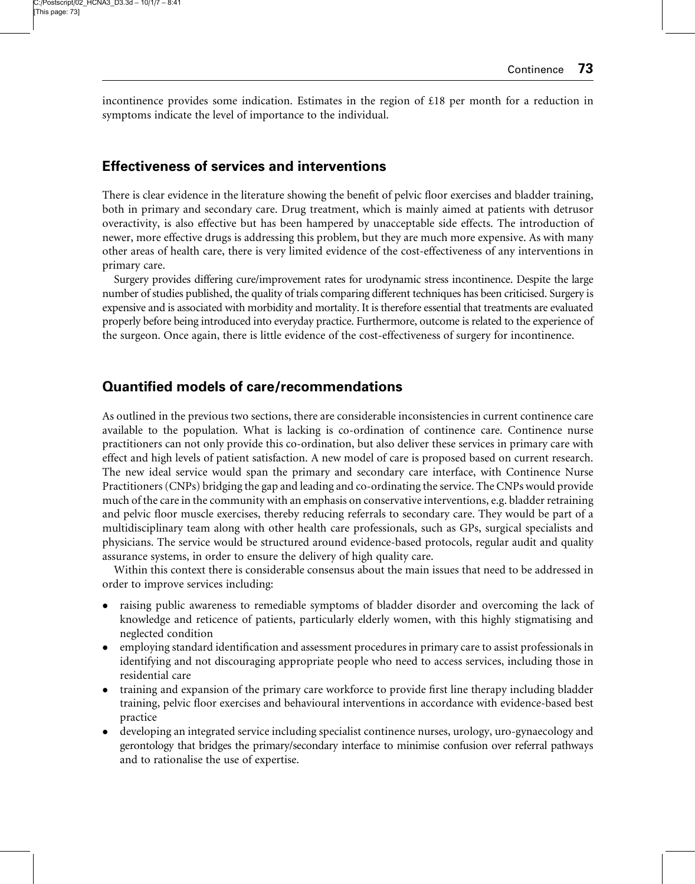incontinence provides some indication. Estimates in the region of  $£18$  per month for a reduction in symptoms indicate the level of importance to the individual.

## Effectiveness of services and interventions

There is clear evidence in the literature showing the benefit of pelvic floor exercises and bladder training, both in primary and secondary care. Drug treatment, which is mainly aimed at patients with detrusor overactivity, is also effective but has been hampered by unacceptable side effects. The introduction of newer, more effective drugs is addressing this problem, but they are much more expensive. As with many other areas of health care, there is very limited evidence of the cost-effectiveness of any interventions in primary care.

Surgery provides differing cure/improvement rates for urodynamic stress incontinence. Despite the large number of studies published, the quality of trials comparing different techniques has been criticised. Surgery is expensive and is associated with morbidity and mortality. It is therefore essential that treatments are evaluated properly before being introduced into everyday practice. Furthermore, outcome is related to the experience of the surgeon. Once again, there is little evidence of the cost-effectiveness of surgery for incontinence.

## Quantified models of care/recommendations

As outlined in the previous two sections, there are considerable inconsistencies in current continence care available to the population. What is lacking is co-ordination of continence care. Continence nurse practitioners can not only provide this co-ordination, but also deliver these services in primary care with effect and high levels of patient satisfaction. A new model of care is proposed based on current research. The new ideal service would span the primary and secondary care interface, with Continence Nurse Practitioners (CNPs) bridging the gap and leading and co-ordinating the service. The CNPs would provide much of the care in the community with an emphasis on conservative interventions, e.g. bladder retraining and pelvic floor muscle exercises, thereby reducing referrals to secondary care. They would be part of a multidisciplinary team along with other health care professionals, such as GPs, surgical specialists and physicians. The service would be structured around evidence-based protocols, regular audit and quality assurance systems, in order to ensure the delivery of high quality care.

Within this context there is considerable consensus about the main issues that need to be addressed in order to improve services including:

- raising public awareness to remediable symptoms of bladder disorder and overcoming the lack of knowledge and reticence of patients, particularly elderly women, with this highly stigmatising and neglected condition
- employing standard identification and assessment procedures in primary care to assist professionals in identifying and not discouraging appropriate people who need to access services, including those in residential care
- training and expansion of the primary care workforce to provide first line therapy including bladder training, pelvic floor exercises and behavioural interventions in accordance with evidence-based best practice
- $\bullet$  developing an integrated service including specialist continence nurses, urology, uro-gynaecology and gerontology that bridges the primary/secondary interface to minimise confusion over referral pathways and to rationalise the use of expertise.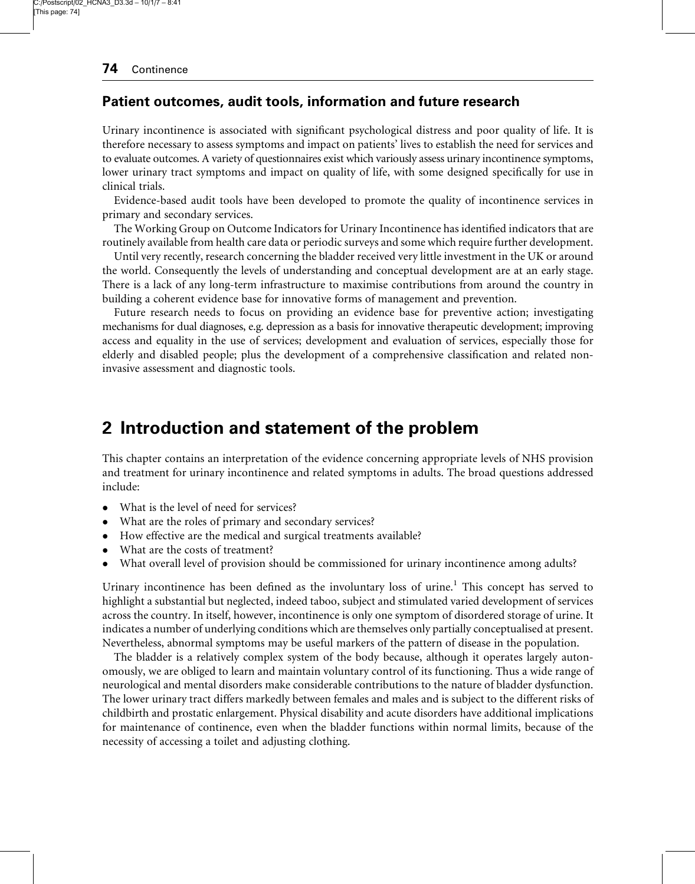## Patient outcomes, audit tools, information and future research

Urinary incontinence is associated with significant psychological distress and poor quality of life. It is therefore necessary to assess symptoms and impact on patients' lives to establish the need for services and to evaluate outcomes. A variety of questionnaires exist which variously assess urinary incontinence symptoms, lower urinary tract symptoms and impact on quality of life, with some designed specifically for use in clinical trials.

Evidence-based audit tools have been developed to promote the quality of incontinence services in primary and secondary services.

The Working Group on Outcome Indicators for Urinary Incontinence has identified indicators that are routinely available from health care data or periodic surveys and some which require further development.

Until very recently, research concerning the bladder received very little investment in the UK or around the world. Consequently the levels of understanding and conceptual development are at an early stage. There is a lack of any long-term infrastructure to maximise contributions from around the country in building a coherent evidence base for innovative forms of management and prevention.

Future research needs to focus on providing an evidence base for preventive action; investigating mechanisms for dual diagnoses, e.g. depression as a basis for innovative therapeutic development; improving access and equality in the use of services; development and evaluation of services, especially those for elderly and disabled people; plus the development of a comprehensive classification and related noninvasive assessment and diagnostic tools.

## 2 Introduction and statement of the problem

This chapter contains an interpretation of the evidence concerning appropriate levels of NHS provision and treatment for urinary incontinence and related symptoms in adults. The broad questions addressed include:

- $\bullet$ What is the level of need for services?
- $\bullet$ What are the roles of primary and secondary services?
- $\bullet$ How effective are the medical and surgical treatments available?
- $\bullet$ What are the costs of treatment?
- $\bullet$ What overall level of provision should be commissioned for urinary incontinence among adults?

Urinary incontinence has been defined as the involuntary loss of urine.<sup>1</sup> This concept has served to highlight a substantial but neglected, indeed taboo, subject and stimulated varied development of services across the country. In itself, however, incontinence is only one symptom of disordered storage of urine. It indicates a number of underlying conditions which are themselves only partially conceptualised at present. Nevertheless, abnormal symptoms may be useful markers of the pattern of disease in the population.

The bladder is a relatively complex system of the body because, although it operates largely autonomously, we are obliged to learn and maintain voluntary control of its functioning. Thus a wide range of neurological and mental disorders make considerable contributions to the nature of bladder dysfunction. The lower urinary tract differs markedly between females and males and is subject to the different risks of childbirth and prostatic enlargement. Physical disability and acute disorders have additional implications for maintenance of continence, even when the bladder functions within normal limits, because of the necessity of accessing a toilet and adjusting clothing.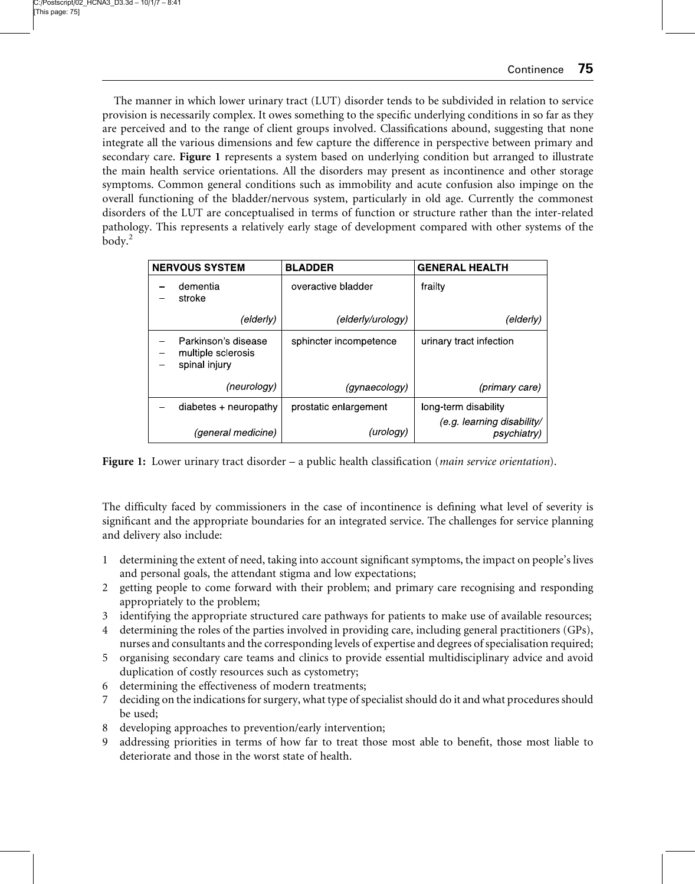The manner in which lower urinary tract (LUT) disorder tends to be subdivided in relation to service provision is necessarily complex. It owes something to the specific underlying conditions in so far as they are perceived and to the range of client groups involved. Classifications abound, suggesting that none integrate all the various dimensions and few capture the difference in perspective between primary and secondary care. Figure 1 represents a system based on underlying condition but arranged to illustrate the main health service orientations. All the disorders may present as incontinence and other storage symptoms. Common general conditions such as immobility and acute confusion also impinge on the overall functioning of the bladder/nervous system, particularly in old age. Currently the commonest disorders of the LUT are conceptualised in terms of function or structure rather than the inter-related pathology. This represents a relatively early stage of development compared with other systems of the  $body.<sup>2</sup>$ 

| <b>NERVOUS SYSTEM</b> |                                                            | <b>BLADDER</b>         | <b>GENERAL HEALTH</b>                             |
|-----------------------|------------------------------------------------------------|------------------------|---------------------------------------------------|
| dementia<br>stroke    |                                                            | overactive bladder     | frailty                                           |
|                       | (elderly)                                                  | (elderly/urology)      | (elderly)                                         |
|                       | Parkinson's disease<br>multiple sclerosis<br>spinal injury | sphincter incompetence | urinary tract infection                           |
|                       | (neurology)                                                | (gynaecology)          | (primary care)                                    |
|                       | diabetes + neuropathy                                      | prostatic enlargement  | long-term disability                              |
|                       | (general medicine)                                         | (urology)              | (e.g. learning disability/<br><i>psychiatry</i> ) |

Figure 1: Lower urinary tract disorder – a public health classification (*main service orientation*).

The difficulty faced by commissioners in the case of incontinence is defining what level of severity is significant and the appropriate boundaries for an integrated service. The challenges for service planning and delivery also include:

- 1 determining the extent of need, taking into account significant symptoms, the impact on people's lives and personal goals, the attendant stigma and low expectations;
- 2 getting people to come forward with their problem; and primary care recognising and responding appropriately to the problem;
- 3 identifying the appropriate structured care pathways for patients to make use of available resources;
- 4 determining the roles of the parties involved in providing care, including general practitioners (GPs), nurses and consultants and the corresponding levels of expertise and degrees of specialisation required;
- 5 organising secondary care teams and clinics to provide essential multidisciplinary advice and avoid duplication of costly resources such as cystometry;
- 6 determining the effectiveness of modern treatments;
- 7 deciding on the indications for surgery, what type of specialist should do it and what procedures should be used;
- 8 developing approaches to prevention/early intervention;
- 9 addressing priorities in terms of how far to treat those most able to benefit, those most liable to deteriorate and those in the worst state of health.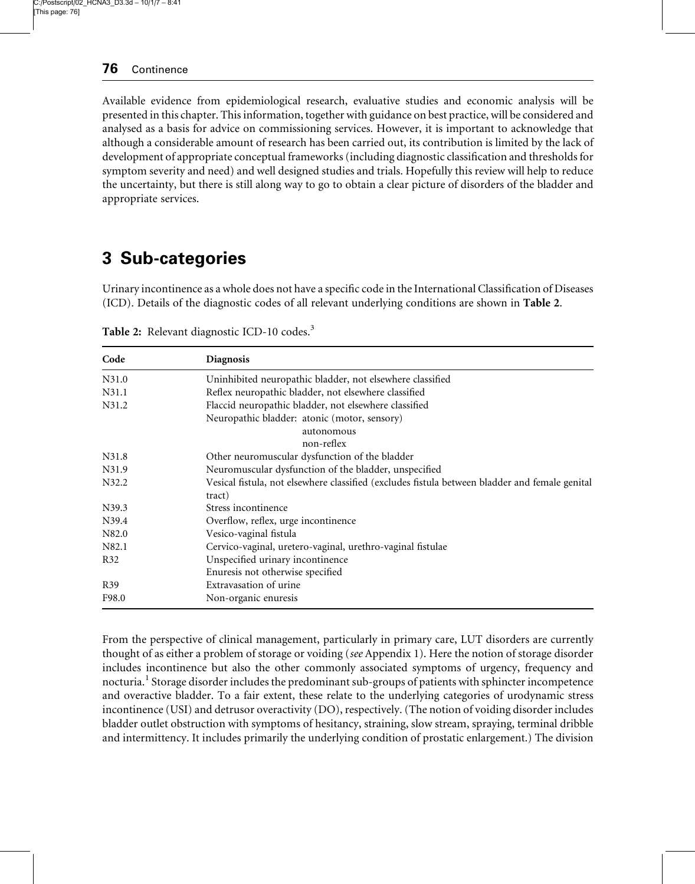Available evidence from epidemiological research, evaluative studies and economic analysis will be presented in this chapter. This information, together with guidance on best practice, will be considered and analysed as a basis for advice on commissioning services. However, it is important to acknowledge that although a considerable amount of research has been carried out, its contribution is limited by the lack of development of appropriate conceptual frameworks (including diagnostic classification and thresholds for symptom severity and need) and well designed studies and trials. Hopefully this review will help to reduce the uncertainty, but there is still along way to go to obtain a clear picture of disorders of the bladder and appropriate services.

# 3 Sub-categories

Urinary incontinence as a whole does not have a specific code in the International Classification of Diseases (ICD). Details of the diagnostic codes of all relevant underlying conditions are shown in Table 2.

| Code            | <b>Diagnosis</b>                                                                               |
|-----------------|------------------------------------------------------------------------------------------------|
| N31.0           | Uninhibited neuropathic bladder, not elsewhere classified                                      |
| N31.1           | Reflex neuropathic bladder, not elsewhere classified                                           |
| N31.2           | Flaccid neuropathic bladder, not elsewhere classified                                          |
|                 | Neuropathic bladder: atonic (motor, sensory)                                                   |
|                 | autonomous                                                                                     |
|                 | non-reflex                                                                                     |
| N31.8           | Other neuromuscular dysfunction of the bladder                                                 |
| N31.9           | Neuromuscular dysfunction of the bladder, unspecified                                          |
| N32.2           | Vesical fistula, not elsewhere classified (excludes fistula between bladder and female genital |
|                 | tract)                                                                                         |
| N39.3           | Stress incontinence                                                                            |
| N39.4           | Overflow, reflex, urge incontinence                                                            |
| N82.0           | Vesico-vaginal fistula                                                                         |
| N82.1           | Cervico-vaginal, uretero-vaginal, urethro-vaginal fistulae                                     |
| R <sub>32</sub> | Unspecified urinary incontinence                                                               |
|                 | Enuresis not otherwise specified                                                               |
| R39             | Extravasation of urine                                                                         |
| F98.0           | Non-organic enuresis                                                                           |

Table 2: Relevant diagnostic ICD-10 codes.<sup>3</sup>

From the perspective of clinical management, particularly in primary care, LUT disorders are currently thought of as either a problem of storage or voiding (see Appendix 1). Here the notion of storage disorder includes incontinence but also the other commonly associated symptoms of urgency, frequency and nocturia.<sup>1</sup> Storage disorder includes the predominant sub-groups of patients with sphincter incompetence and overactive bladder. To a fair extent, these relate to the underlying categories of urodynamic stress incontinence (USI) and detrusor overactivity (DO), respectively. (The notion of voiding disorder includes bladder outlet obstruction with symptoms of hesitancy, straining, slow stream, spraying, terminal dribble and intermittency. It includes primarily the underlying condition of prostatic enlargement.) The division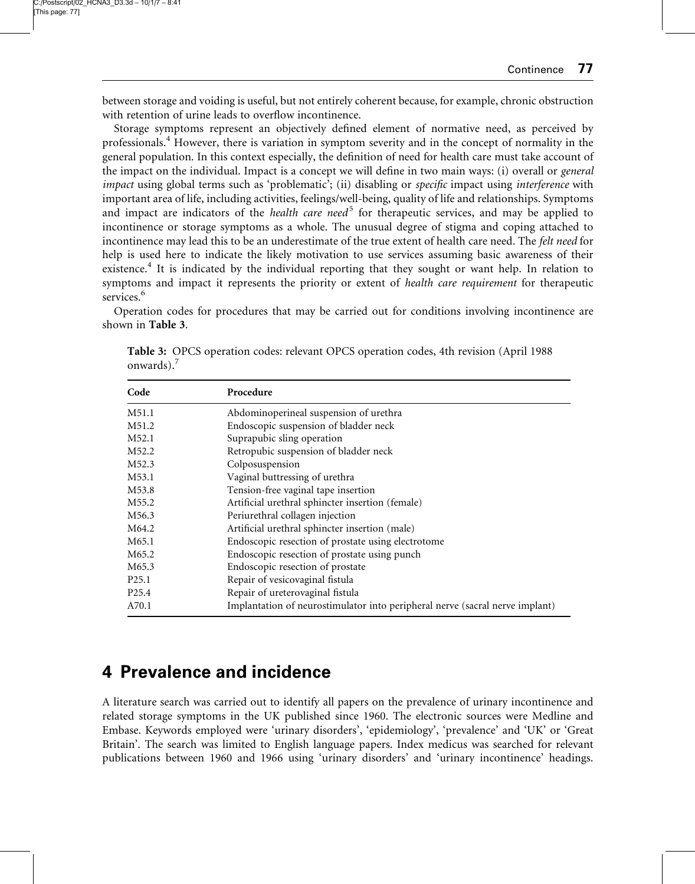between storage and voiding is useful, but not entirely coherent because, for example, chronic obstruction with retention of urine leads to overflow incontinence.

Storage symptoms represent an objectively defined element of normative need, as perceived by professionals.<sup>4</sup> However, there is variation in symptom severity and in the concept of normality in the general population. In this context especially, the definition of need for health care must take account of the impact on the individual. Impact is a concept we will define in two main ways: (i) overall or general impact using global terms such as 'problematic'; (ii) disabling or *specific* impact using *interference* with important area of life, including activities, feelings/well-being, quality of life and relationships. Symptoms and impact are indicators of the *health care need*<sup>5</sup> for therapeutic services, and may be applied to incontinence or storage symptoms as a whole. The unusual degree of stigma and coping attached to incontinence may lead this to be an underestimate of the true extent of health care need. The felt need for help is used here to indicate the likely motivation to use services assuming basic awareness of their existence.<sup>4</sup> It is indicated by the individual reporting that they sought or want help. In relation to symptoms and impact it represents the priority or extent of *health care requirement* for therapeutic services.<sup>6</sup>

Operation codes for procedures that may be carried out for conditions involving incontinence are shown in Table 3.

| Procedure                                                                    |
|------------------------------------------------------------------------------|
| Abdominoperineal suspension of urethra                                       |
| Endoscopic suspension of bladder neck                                        |
| Suprapubic sling operation                                                   |
| Retropubic suspension of bladder neck                                        |
| Colposuspension                                                              |
| Vaginal buttressing of urethra                                               |
| Tension-free vaginal tape insertion                                          |
| Artificial urethral sphincter insertion (female)                             |
| Periurethral collagen injection                                              |
| Artificial urethral sphincter insertion (male)                               |
| Endoscopic resection of prostate using electrotome                           |
| Endoscopic resection of prostate using punch                                 |
| Endoscopic resection of prostate                                             |
| Repair of vesicovaginal fistula                                              |
| Repair of ureterovaginal fistula                                             |
| Implantation of neurostimulator into peripheral nerve (sacral nerve implant) |
|                                                                              |

Table 3: OPCS operation codes: relevant OPCS operation codes, 4th revision (April 1988) onwards).<sup>7</sup>

# 4 Prevalence and incidence

A literature search was carried out to identify all papers on the prevalence of urinary incontinence and related storage symptoms in the UK published since 1960. The electronic sources were Medline and Embase. Keywords employed were 'urinary disorders', 'epidemiology', 'prevalence' and 'UK' or 'Great Britain'. The search was limited to English language papers. Index medicus was searched for relevant publications between 1960 and 1966 using 'urinary disorders' and 'urinary incontinence' headings.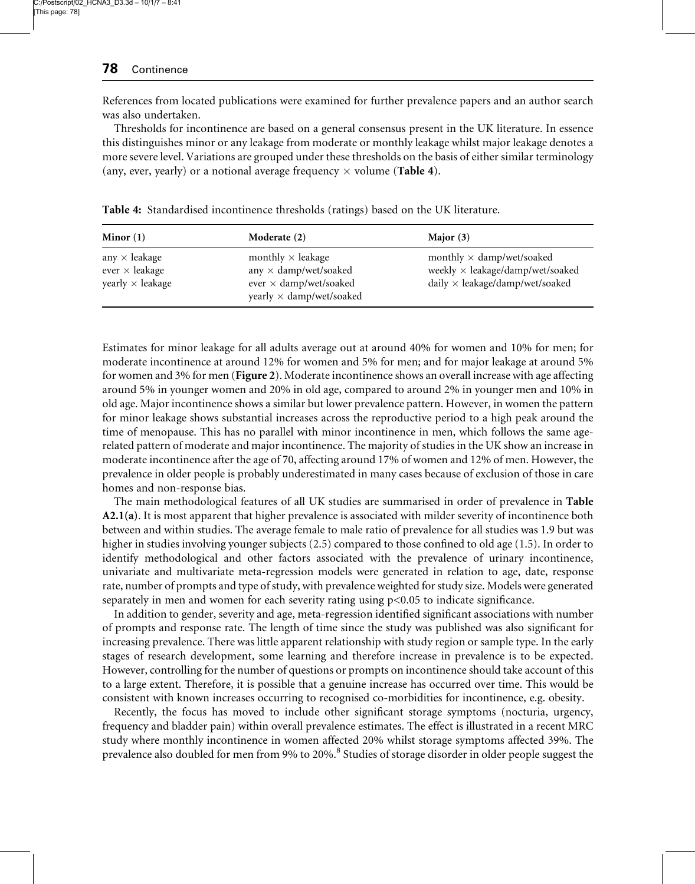References from located publications were examined for further prevalence papers and an author search was also undertaken.

Thresholds for incontinence are based on a general consensus present in the UK literature. In essence this distinguishes minor or any leakage from moderate or monthly leakage whilst major leakage denotes a more severe level. Variations are grouped under these thresholds on the basis of either similar terminology (any, ever, yearly) or a notional average frequency  $\times$  volume (Table 4).

| Minor $(1)$                                                              | Moderate (2)                                                                                                                 | Major $(3)$                                                                                                           |
|--------------------------------------------------------------------------|------------------------------------------------------------------------------------------------------------------------------|-----------------------------------------------------------------------------------------------------------------------|
| any $\times$ leakage<br>ever $\times$ leakage<br>yearly $\times$ leakage | monthly $\times$ leakage<br>any $\times$ damp/wet/soaked<br>ever $\times$ damp/wet/soaked<br>yearly $\times$ damp/wet/soaked | monthly $\times$ damp/wet/soaked<br>weekly $\times$ leakage/damp/wet/soaked<br>daily $\times$ leakage/damp/wet/soaked |

Estimates for minor leakage for all adults average out at around 40% for women and 10% for men; for moderate incontinence at around 12% for women and 5% for men; and for major leakage at around 5% for women and 3% for men (Figure 2). Moderate incontinence shows an overall increase with age affecting around 5% in younger women and 20% in old age, compared to around 2% in younger men and 10% in old age. Major incontinence shows a similar but lower prevalence pattern. However, in women the pattern for minor leakage shows substantial increases across the reproductive period to a high peak around the time of menopause. This has no parallel with minor incontinence in men, which follows the same agerelated pattern of moderate and major incontinence. The majority of studies in the UK show an increase in moderate incontinence after the age of 70, affecting around 17% of women and 12% of men. However, the prevalence in older people is probably underestimated in many cases because of exclusion of those in care homes and non-response bias.

The main methodological features of all UK studies are summarised in order of prevalence in Table A2.1(a). It is most apparent that higher prevalence is associated with milder severity of incontinence both between and within studies. The average female to male ratio of prevalence for all studies was 1.9 but was higher in studies involving younger subjects (2.5) compared to those confined to old age (1.5). In order to identify methodological and other factors associated with the prevalence of urinary incontinence, univariate and multivariate meta-regression models were generated in relation to age, date, response rate, number of prompts and type of study, with prevalence weighted for study size. Models were generated separately in men and women for each severity rating using p<0.05 to indicate significance.

In addition to gender, severity and age, meta-regression identified significant associations with number of prompts and response rate. The length of time since the study was published was also significant for increasing prevalence. There was little apparent relationship with study region or sample type. In the early stages of research development, some learning and therefore increase in prevalence is to be expected. However, controlling for the number of questions or prompts on incontinence should take account of this to a large extent. Therefore, it is possible that a genuine increase has occurred over time. This would be consistent with known increases occurring to recognised co-morbidities for incontinence, e.g. obesity.

Recently, the focus has moved to include other significant storage symptoms (nocturia, urgency, frequency and bladder pain) within overall prevalence estimates. The effect is illustrated in a recent MRC study where monthly incontinence in women affected 20% whilst storage symptoms affected 39%. The prevalence also doubled for men from 9% to 20%.<sup>8</sup> Studies of storage disorder in older people suggest the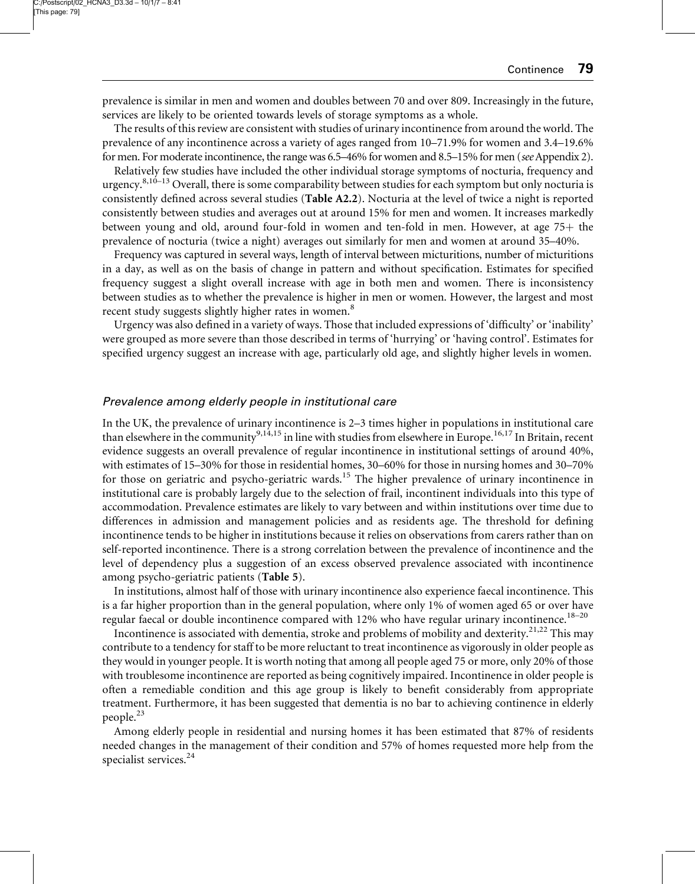prevalence is similar in men and women and doubles between 70 and over 809. Increasingly in the future, services are likely to be oriented towards levels of storage symptoms as a whole.

The results of this review are consistent with studies of urinary incontinence from around the world. The prevalence of any incontinence across a variety of ages ranged from 10–71.9% for women and 3.4–19.6% for men. For moderate incontinence, the range was 6.5–46% for women and 8.5–15% for men (see Appendix 2).

Relatively few studies have included the other individual storage symptoms of nocturia, frequency and urgency.<sup>8,10–13</sup> Overall, there is some comparability between studies for each symptom but only nocturia is consistently defined across several studies (Table A2.2). Nocturia at the level of twice a night is reported consistently between studies and averages out at around 15% for men and women. It increases markedly between young and old, around four-fold in women and ten-fold in men. However, at age  $75+$  the prevalence of nocturia (twice a night) averages out similarly for men and women at around 35–40%.

Frequency was captured in several ways, length of interval between micturitions, number of micturitions in a day, as well as on the basis of change in pattern and without specification. Estimates for specified frequency suggest a slight overall increase with age in both men and women. There is inconsistency between studies as to whether the prevalence is higher in men or women. However, the largest and most recent study suggests slightly higher rates in women.<sup>8</sup>

Urgency was also defined in a variety of ways. Those that included expressions of 'difficulty' or 'inability' were grouped as more severe than those described in terms of 'hurrying' or 'having control'. Estimates for specified urgency suggest an increase with age, particularly old age, and slightly higher levels in women.

## Prevalence among elderly people in institutional care

In the UK, the prevalence of urinary incontinence is 2–3 times higher in populations in institutional care than elsewhere in the community<sup>9,14,15</sup> in line with studies from elsewhere in Europe.<sup>16,17</sup> In Britain, recent evidence suggests an overall prevalence of regular incontinence in institutional settings of around 40%, with estimates of 15–30% for those in residential homes, 30–60% for those in nursing homes and 30–70% for those on geriatric and psycho-geriatric wards.<sup>15</sup> The higher prevalence of urinary incontinence in institutional care is probably largely due to the selection of frail, incontinent individuals into this type of accommodation. Prevalence estimates are likely to vary between and within institutions over time due to differences in admission and management policies and as residents age. The threshold for defining incontinence tends to be higher in institutions because it relies on observations from carers rather than on self-reported incontinence. There is a strong correlation between the prevalence of incontinence and the level of dependency plus a suggestion of an excess observed prevalence associated with incontinence among psycho-geriatric patients (Table 5).

In institutions, almost half of those with urinary incontinence also experience faecal incontinence. This is a far higher proportion than in the general population, where only 1% of women aged 65 or over have regular faecal or double incontinence compared with 12% who have regular urinary incontinence.<sup>18-20</sup>

Incontinence is associated with dementia, stroke and problems of mobility and dexterity.<sup>21,22</sup> This may contribute to a tendency for staff to be more reluctant to treat incontinence as vigorously in older people as they would in younger people. It is worth noting that among all people aged 75 or more, only 20% of those with troublesome incontinence are reported as being cognitively impaired. Incontinence in older people is often a remediable condition and this age group is likely to benefit considerably from appropriate treatment. Furthermore, it has been suggested that dementia is no bar to achieving continence in elderly people.<sup>23</sup>

Among elderly people in residential and nursing homes it has been estimated that 87% of residents needed changes in the management of their condition and 57% of homes requested more help from the specialist services.<sup>24</sup>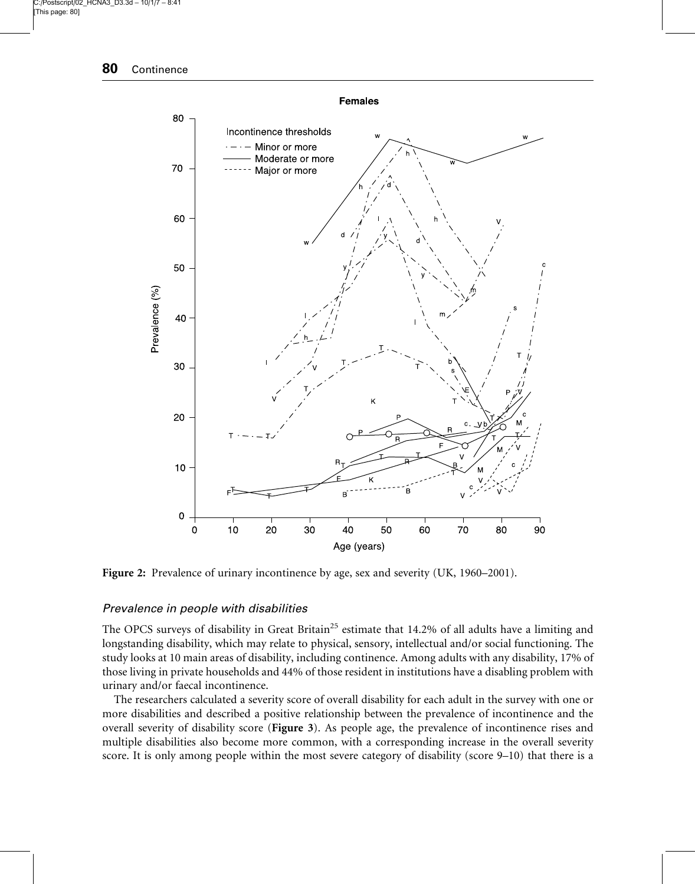

Figure 2: Prevalence of urinary incontinence by age, sex and severity (UK, 1960–2001).

## Prevalence in people with disabilities

The OPCS surveys of disability in Great Britain<sup>25</sup> estimate that 14.2% of all adults have a limiting and longstanding disability, which may relate to physical, sensory, intellectual and/or social functioning. The study looks at 10 main areas of disability, including continence. Among adults with any disability, 17% of those living in private households and 44% of those resident in institutions have a disabling problem with urinary and/or faecal incontinence.

The researchers calculated a severity score of overall disability for each adult in the survey with one or more disabilities and described a positive relationship between the prevalence of incontinence and the overall severity of disability score (Figure 3). As people age, the prevalence of incontinence rises and multiple disabilities also become more common, with a corresponding increase in the overall severity score. It is only among people within the most severe category of disability (score 9–10) that there is a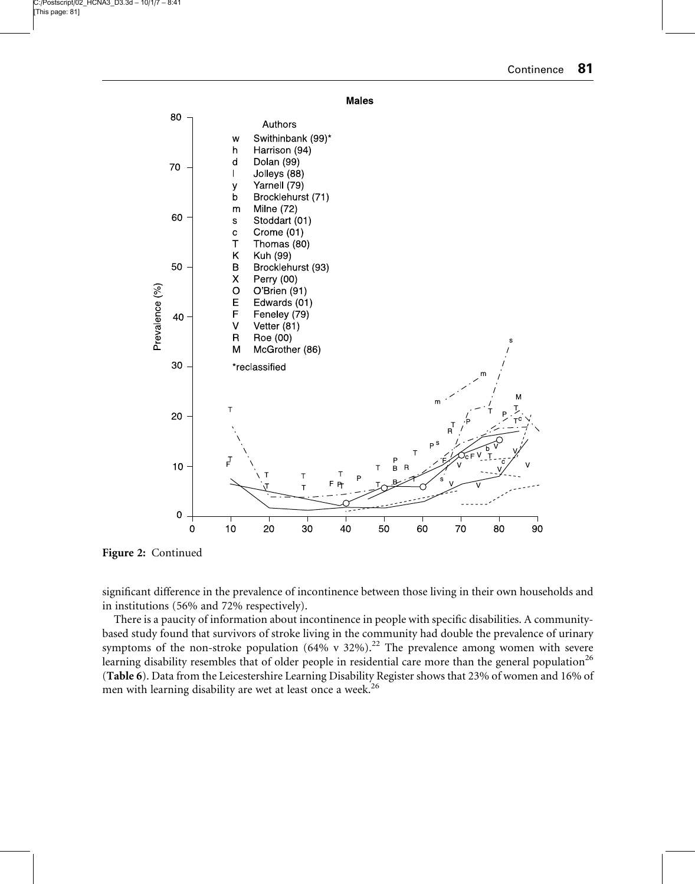

Figure 2: Continued

significant difference in the prevalence of incontinence between those living in their own households and in institutions (56% and 72% respectively).

There is a paucity of information about incontinence in people with specific disabilities. A communitybased study found that survivors of stroke living in the community had double the prevalence of urinary symptoms of the non-stroke population  $(64\% \text{ v } 32\%)$ .<sup>22</sup> The prevalence among women with severe learning disability resembles that of older people in residential care more than the general population<sup>26</sup> (Table 6). Data from the Leicestershire Learning Disability Register shows that 23% of women and 16% of men with learning disability are wet at least once a week.<sup>26</sup>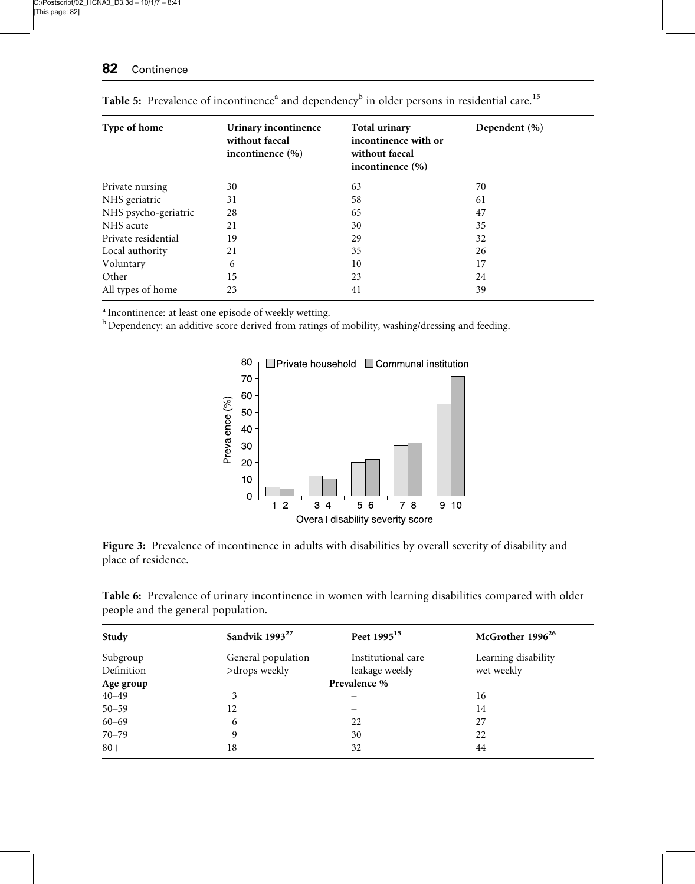| Type of home         | Urinary incontinence<br>without faecal | Total urinary<br>incontinence with or  | Dependent (%) |  |
|----------------------|----------------------------------------|----------------------------------------|---------------|--|
|                      | incontinence $(\% )$                   | without faecal<br>incontinence $(\% )$ |               |  |
| Private nursing      | 30                                     | 63                                     | 70            |  |
| NHS geriatric        | 31                                     | 58                                     | 61            |  |
| NHS psycho-geriatric | 28                                     | 65                                     | 47            |  |
| NHS acute            | 21                                     | 30                                     | 35            |  |
| Private residential  | 19                                     | 29                                     | 32            |  |
| Local authority      | 21                                     | 35                                     | 26            |  |
| Voluntary            | 6                                      | 10                                     | 17            |  |
| Other                | 15                                     | 23                                     | 24            |  |
| All types of home    | 23                                     | 41                                     | 39            |  |

Table 5: Prevalence of incontinence<sup>a</sup> and dependency<sup>b</sup> in older persons in residential care.<sup>15</sup>

<sup>a</sup> Incontinence: at least one episode of weekly wetting.

b Dependency: an additive score derived from ratings of mobility, washing/dressing and feeding.



Figure 3: Prevalence of incontinence in adults with disabilities by overall severity of disability and place of residence.

Table 6: Prevalence of urinary incontinence in women with learning disabilities compared with older people and the general population.

| Study      | Sandvik $1993^{27}$ | Peet 1995 <sup>15</sup> | McGrother 1996 <sup>26</sup> |  |  |
|------------|---------------------|-------------------------|------------------------------|--|--|
| Subgroup   | General population  | Institutional care      | Learning disability          |  |  |
| Definition | >drops weekly       | leakage weekly          | wet weekly                   |  |  |
| Age group  | Prevalence %        |                         |                              |  |  |
| $40 - 49$  | 3                   |                         | 16                           |  |  |
| $50 - 59$  | 12                  |                         | 14                           |  |  |
| $60 - 69$  | 6                   | 22                      | 27                           |  |  |
| $70 - 79$  | 9                   | 30                      | 22                           |  |  |
| $80+$      | 18                  | 32                      | 44                           |  |  |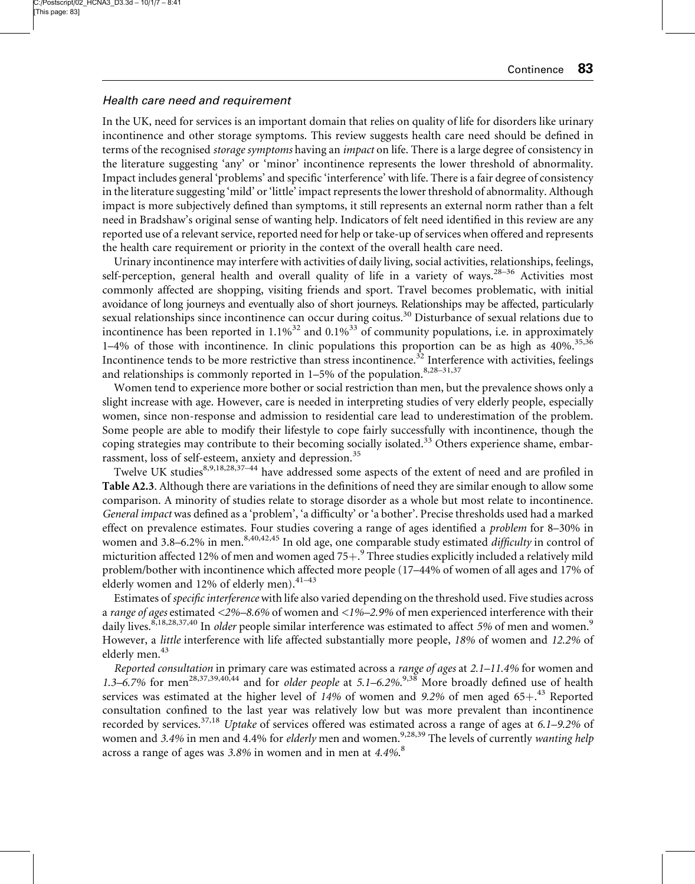## Health care need and requirement

In the UK, need for services is an important domain that relies on quality of life for disorders like urinary incontinence and other storage symptoms. This review suggests health care need should be defined in terms of the recognised storage symptoms having an impact on life. There is a large degree of consistency in the literature suggesting 'any' or 'minor' incontinence represents the lower threshold of abnormality. Impact includes general 'problems' and specific 'interference' with life. There is a fair degree of consistency in the literature suggesting 'mild' or 'little' impact represents the lower threshold of abnormality. Although impact is more subjectively defined than symptoms, it still represents an external norm rather than a felt need in Bradshaw's original sense of wanting help. Indicators of felt need identified in this review are any reported use of a relevant service, reported need for help or take-up of services when offered and represents the health care requirement or priority in the context of the overall health care need.

Urinary incontinence may interfere with activities of daily living, social activities, relationships, feelings, self-perception, general health and overall quality of life in a variety of ways.<sup>28–36</sup> Activities most commonly affected are shopping, visiting friends and sport. Travel becomes problematic, with initial avoidance of long journeys and eventually also of short journeys. Relationships may be affected, particularly sexual relationships since incontinence can occur during coitus.<sup>30</sup> Disturbance of sexual relations due to incontinence has been reported in  $1.1\%^{32}$  and  $0.1\%^{33}$  of community populations, i.e. in approximately 1–4% of those with incontinence. In clinic populations this proportion can be as high as  $40\%$ .<sup>35,36</sup> Incontinence tends to be more restrictive than stress incontinence.<sup>32</sup> Interference with activities, feelings and relationships is commonly reported in  $1-5%$  of the population.<sup>8,28-31,37</sup>

Women tend to experience more bother or social restriction than men, but the prevalence shows only a slight increase with age. However, care is needed in interpreting studies of very elderly people, especially women, since non-response and admission to residential care lead to underestimation of the problem. Some people are able to modify their lifestyle to cope fairly successfully with incontinence, though the coping strategies may contribute to their becoming socially isolated.<sup>33</sup> Others experience shame, embarrassment, loss of self-esteem, anxiety and depression.<sup>35</sup>

Twelve UK studies<sup>8,9,18,28,37-44</sup> have addressed some aspects of the extent of need and are profiled in Table A2.3. Although there are variations in the definitions of need they are similar enough to allow some comparison. A minority of studies relate to storage disorder as a whole but most relate to incontinence. General impact was defined as a 'problem', 'a difficulty' or 'a bother'. Precise thresholds used had a marked effect on prevalence estimates. Four studies covering a range of ages identified a problem for 8–30% in women and 3.8–6.2% in men.<sup>8,40,42,45</sup> In old age, one comparable study estimated *difficulty* in control of micturition affected 12% of men and women aged 75+.<sup>9</sup> Three studies explicitly included a relatively mild problem/bother with incontinence which affected more people (17–44% of women of all ages and 17% of elderly women and 12% of elderly men).<sup>41-43</sup>

Estimates of specific interference with life also varied depending on the threshold used. Five studies across a range of ages estimated <2%–8.6% of women and <1%–2.9% of men experienced interference with their daily lives.<sup>8,18,28,37,40</sup> In *older* people similar interference was estimated to affect 5% of men and women.<sup>9</sup> However, a little interference with life affected substantially more people, 18% of women and 12.2% of elderly men.<sup>43</sup>

Reported consultation in primary care was estimated across a range of ages at  $2.1-11.4%$  for women and 1.3–6.7% for men<sup>28,37,39,40,44</sup> and for *older people* at 5.1–6.2%.<sup>9,38</sup> More broadly defined use of health services was estimated at the higher level of  $14\%$  of women and 9.2% of men aged 65+.<sup>43</sup> Reported consultation confined to the last year was relatively low but was more prevalent than incontinence recorded by services.<sup>37,18</sup> Uptake of services offered was estimated across a range of ages at 6.1–9.2% of women and 3.4% in men and 4.4% for *elderly* men and women.<sup>9,28,39</sup> The levels of currently wanting help across a range of ages was 3.8% in women and in men at 4.4%.<sup>8</sup>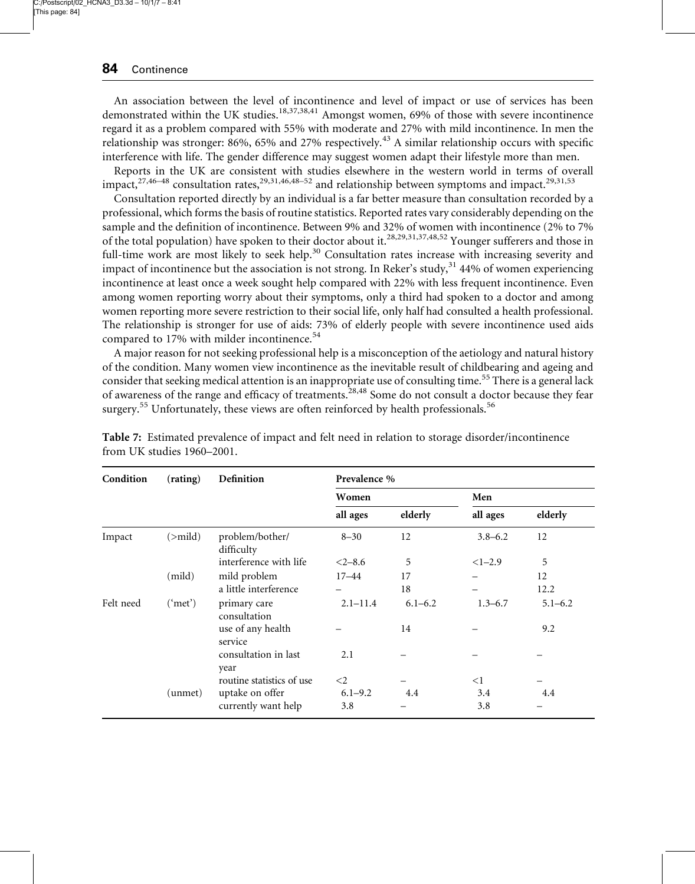An association between the level of incontinence and level of impact or use of services has been demonstrated within the UK studies.<sup>18,37,38,41</sup> Amongst women, 69% of those with severe incontinence regard it as a problem compared with 55% with moderate and 27% with mild incontinence. In men the relationship was stronger: 86%, 65% and 27% respectively.<sup>43</sup> A similar relationship occurs with specific interference with life. The gender difference may suggest women adapt their lifestyle more than men.

Reports in the UK are consistent with studies elsewhere in the western world in terms of overall impact,<sup>27,46–48</sup> consultation rates,<sup>29,31,46,48–52</sup> and relationship between symptoms and impact.<sup>29,31,53</sup>

Consultation reported directly by an individual is a far better measure than consultation recorded by a professional, which forms the basis of routine statistics. Reported rates vary considerably depending on the sample and the definition of incontinence. Between 9% and 32% of women with incontinence (2% to 7% of the total population) have spoken to their doctor about it.28,29,31,37,48,52 Younger sufferers and those in full-time work are most likely to seek help.<sup>30</sup> Consultation rates increase with increasing severity and impact of incontinence but the association is not strong. In Reker's study,  $31\frac{44}{6}$  of women experiencing incontinence at least once a week sought help compared with 22% with less frequent incontinence. Even among women reporting worry about their symptoms, only a third had spoken to a doctor and among women reporting more severe restriction to their social life, only half had consulted a health professional. The relationship is stronger for use of aids: 73% of elderly people with severe incontinence used aids compared to 17% with milder incontinence.<sup>54</sup>

A major reason for not seeking professional help is a misconception of the aetiology and natural history of the condition. Many women view incontinence as the inevitable result of childbearing and ageing and consider that seeking medical attention is an inappropriate use of consulting time.<sup>55</sup> There is a general lack of awareness of the range and efficacy of treatments.28,48 Some do not consult a doctor because they fear surgery.<sup>55</sup> Unfortunately, these views are often reinforced by health professionals.<sup>56</sup>

| Condition | (rating) | Definition                    | Prevalence % |             |             |             |  |
|-----------|----------|-------------------------------|--------------|-------------|-------------|-------------|--|
|           |          |                               | Women        |             | Men         |             |  |
|           |          |                               | all ages     | elderly     | all ages    | elderly     |  |
| Impact    | (>mild)  | problem/bother/<br>difficulty | $8 - 30$     | 12          | $3.8 - 6.2$ | 12          |  |
|           |          | interference with life        | $<2-8.6$     | 5           | $<1-2.9$    | 5           |  |
|           | (mild)   | mild problem                  | $17 - 44$    | 17          |             | 12          |  |
|           |          | a little interference         |              | 18          |             | 12.2        |  |
| Felt need | ('met')  | primary care<br>consultation  | $2.1 - 11.4$ | $6.1 - 6.2$ | $1.3 - 6.7$ | $5.1 - 6.2$ |  |
|           |          | use of any health<br>service  |              | 14          |             | 9.2         |  |
|           |          | consultation in last<br>year  | 2.1          |             |             |             |  |
|           |          | routine statistics of use     | $\leq$ 2     |             | $<$ 1       |             |  |
|           | (unmet)  | uptake on offer               | $6.1 - 9.2$  | 4.4         | 3.4         | 4.4         |  |
|           |          | currently want help           | 3.8          |             | 3.8         |             |  |

Table 7: Estimated prevalence of impact and felt need in relation to storage disorder/incontinence from UK studies 1960–2001.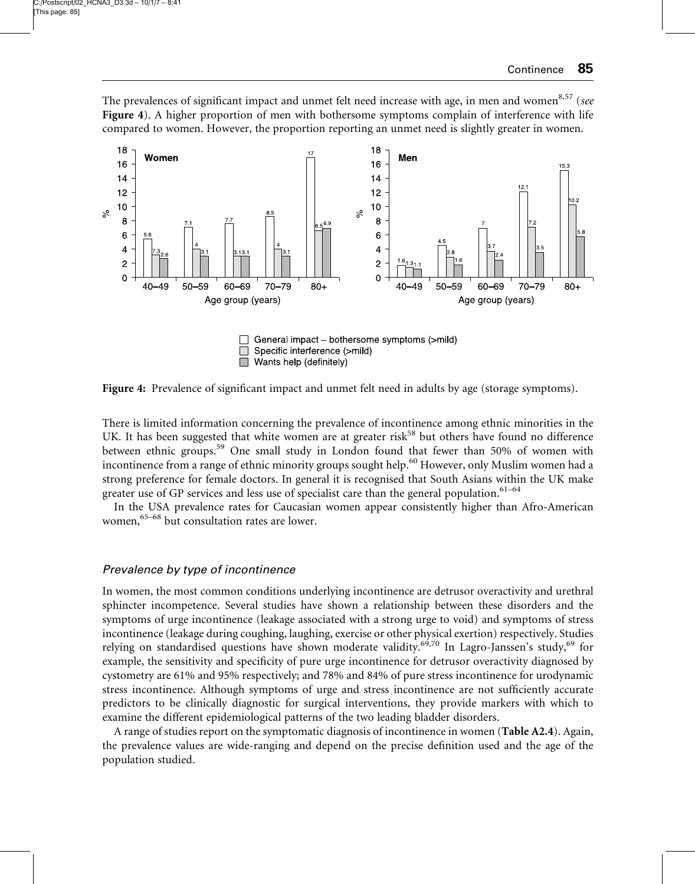The prevalences of significant impact and unmet felt need increase with age, in men and women $8.57$  (see Figure 4). A higher proportion of men with bothersome symptoms complain of interference with life compared to women. However, the proportion reporting an unmet need is slightly greater in women.



Figure 4: Prevalence of significant impact and unmet felt need in adults by age (storage symptoms).

There is limited information concerning the prevalence of incontinence among ethnic minorities in the UK. It has been suggested that white women are at greater risk<sup>58</sup> but others have found no difference between ethnic groups.<sup>59</sup> One small study in London found that fewer than 50% of women with incontinence from a range of ethnic minority groups sought help.<sup>60</sup> However, only Muslim women had a strong preference for female doctors. In general it is recognised that South Asians within the UK make greater use of GP services and less use of specialist care than the general population.  $61-64$ 

In the USA prevalence rates for Caucasian women appear consistently higher than Afro-American women,<sup>65–68</sup> but consultation rates are lower.

## Prevalence by type of incontinence

In women, the most common conditions underlying incontinence are detrusor overactivity and urethral sphincter incompetence. Several studies have shown a relationship between these disorders and the symptoms of urge incontinence (leakage associated with a strong urge to void) and symptoms of stress incontinence (leakage during coughing, laughing, exercise or other physical exertion) respectively. Studies relying on standardised questions have shown moderate validity.<sup>69,70</sup> In Lagro-Janssen's study,<sup>69</sup> for example, the sensitivity and specificity of pure urge incontinence for detrusor overactivity diagnosed by cystometry are 61% and 95% respectively; and 78% and 84% of pure stress incontinence for urodynamic stress incontinence. Although symptoms of urge and stress incontinence are not sufficiently accurate predictors to be clinically diagnostic for surgical interventions, they provide markers with which to examine the different epidemiological patterns of the two leading bladder disorders.

A range of studies report on the symptomatic diagnosis of incontinence in women (Table A2.4). Again, the prevalence values are wide-ranging and depend on the precise definition used and the age of the population studied.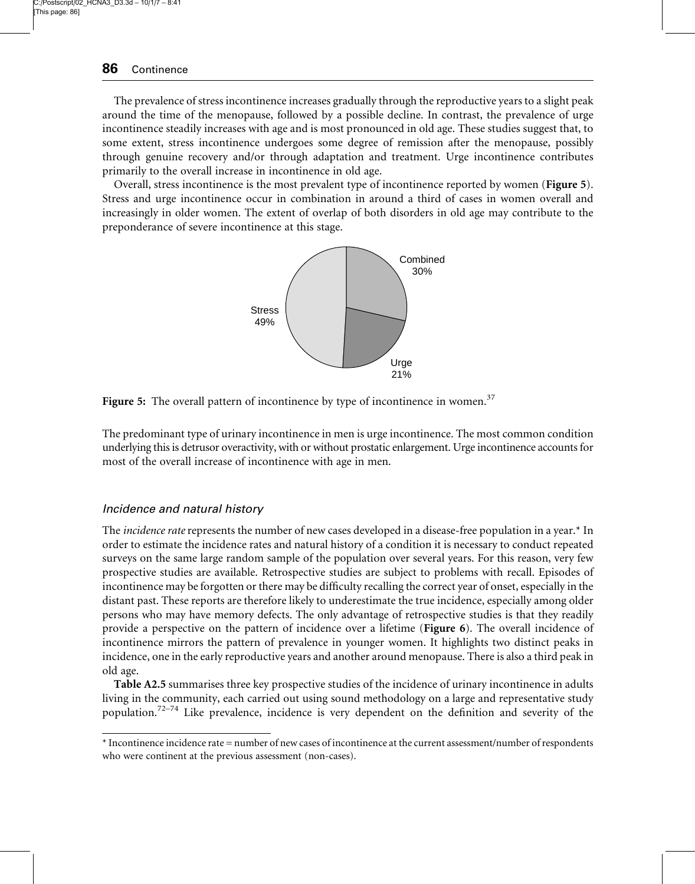The prevalence of stress incontinence increases gradually through the reproductive years to a slight peak around the time of the menopause, followed by a possible decline. In contrast, the prevalence of urge incontinence steadily increases with age and is most pronounced in old age. These studies suggest that, to some extent, stress incontinence undergoes some degree of remission after the menopause, possibly through genuine recovery and/or through adaptation and treatment. Urge incontinence contributes primarily to the overall increase in incontinence in old age.

Overall, stress incontinence is the most prevalent type of incontinence reported by women (Figure 5). Stress and urge incontinence occur in combination in around a third of cases in women overall and increasingly in older women. The extent of overlap of both disorders in old age may contribute to the preponderance of severe incontinence at this stage.



**Figure 5:** The overall pattern of incontinence by type of incontinence in women.<sup>37</sup>

The predominant type of urinary incontinence in men is urge incontinence. The most common condition underlying this is detrusor overactivity, with or without prostatic enlargement. Urge incontinence accounts for most of the overall increase of incontinence with age in men.

## Incidence and natural history

The *incidence rate* represents the number of new cases developed in a disease-free population in a year.\* In order to estimate the incidence rates and natural history of a condition it is necessary to conduct repeated surveys on the same large random sample of the population over several years. For this reason, very few prospective studies are available. Retrospective studies are subject to problems with recall. Episodes of incontinence may be forgotten or there may be difficulty recalling the correct year of onset, especially in the distant past. These reports are therefore likely to underestimate the true incidence, especially among older persons who may have memory defects. The only advantage of retrospective studies is that they readily provide a perspective on the pattern of incidence over a lifetime (Figure 6). The overall incidence of incontinence mirrors the pattern of prevalence in younger women. It highlights two distinct peaks in incidence, one in the early reproductive years and another around menopause. There is also a third peak in old age.

Table A2.5 summarises three key prospective studies of the incidence of urinary incontinence in adults living in the community, each carried out using sound methodology on a large and representative study population.72–74 Like prevalence, incidence is very dependent on the definition and severity of the

<sup>\*</sup> Incontinence incidence rate = number of new cases of incontinence at the current assessment/number of respondents who were continent at the previous assessment (non-cases).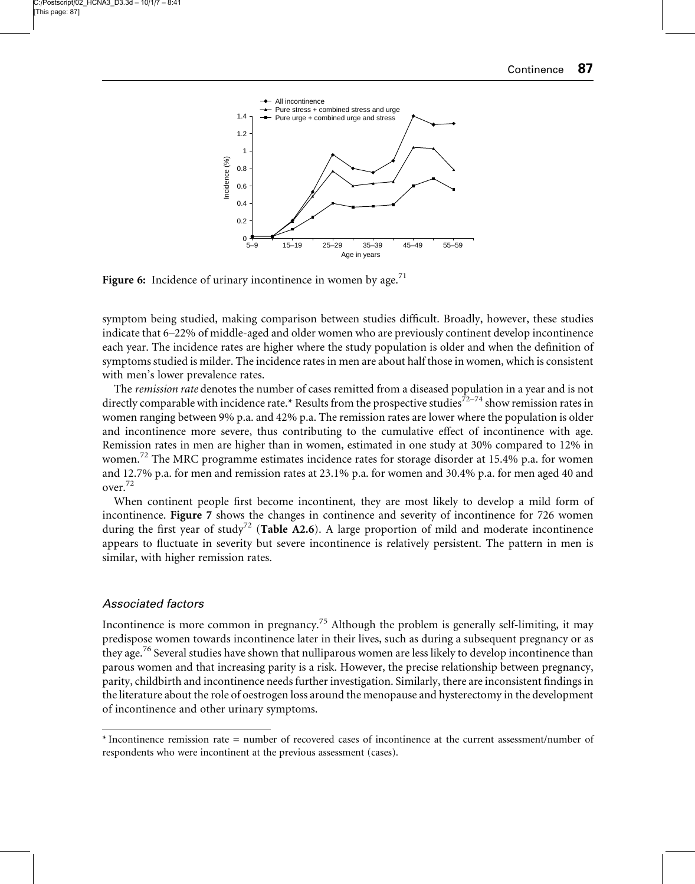

Figure 6: Incidence of urinary incontinence in women by age. $71$ 

symptom being studied, making comparison between studies difficult. Broadly, however, these studies indicate that 6–22% of middle-aged and older women who are previously continent develop incontinence each year. The incidence rates are higher where the study population is older and when the definition of symptoms studied is milder. The incidence rates in men are about half those in women, which is consistent with men's lower prevalence rates.

The *remission rate* denotes the number of cases remitted from a diseased population in a year and is not directly comparable with incidence rate.\* Results from the prospective studies<sup>72–74</sup> show remission rates in women ranging between 9% p.a. and 42% p.a. The remission rates are lower where the population is older and incontinence more severe, thus contributing to the cumulative effect of incontinence with age. Remission rates in men are higher than in women, estimated in one study at 30% compared to 12% in women.<sup>72</sup> The MRC programme estimates incidence rates for storage disorder at 15.4% p.a. for women and 12.7% p.a. for men and remission rates at 23.1% p.a. for women and 30.4% p.a. for men aged 40 and over.<sup>72</sup>

When continent people first become incontinent, they are most likely to develop a mild form of incontinence. Figure 7 shows the changes in continence and severity of incontinence for 726 women during the first year of study<sup>72</sup> (Table A2.6). A large proportion of mild and moderate incontinence appears to fluctuate in severity but severe incontinence is relatively persistent. The pattern in men is similar, with higher remission rates.

#### Associated factors

Incontinence is more common in pregnancy.<sup>75</sup> Although the problem is generally self-limiting, it may predispose women towards incontinence later in their lives, such as during a subsequent pregnancy or as they age.<sup>76</sup> Several studies have shown that nulliparous women are less likely to develop incontinence than parous women and that increasing parity is a risk. However, the precise relationship between pregnancy, parity, childbirth and incontinence needs further investigation. Similarly, there are inconsistent findings in the literature about the role of oestrogen loss around the menopause and hysterectomy in the development of incontinence and other urinary symptoms.

<sup>\*</sup> Incontinence remission rate = number of recovered cases of incontinence at the current assessment/number of respondents who were incontinent at the previous assessment (cases).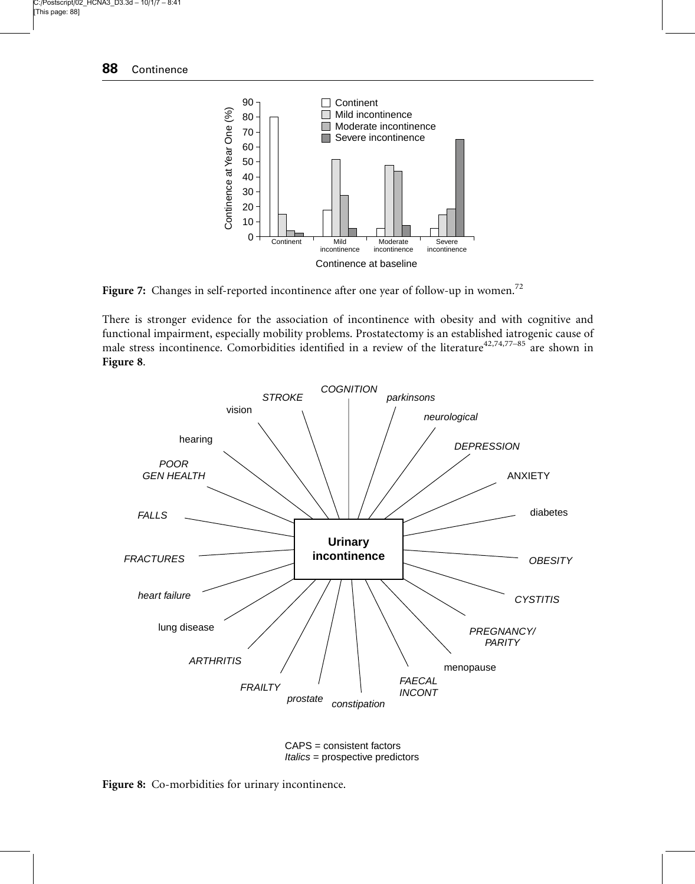

Figure 7: Changes in self-reported incontinence after one year of follow-up in women.<sup>72</sup>

There is stronger evidence for the association of incontinence with obesity and with cognitive and functional impairment, especially mobility problems. Prostatectomy is an established iatrogenic cause of male stress incontinence. Comorbidities identified in a review of the literature<sup>42,74,77–85</sup> are shown in Figure 8.



CAPS = consistent factors Italics = prospective predictors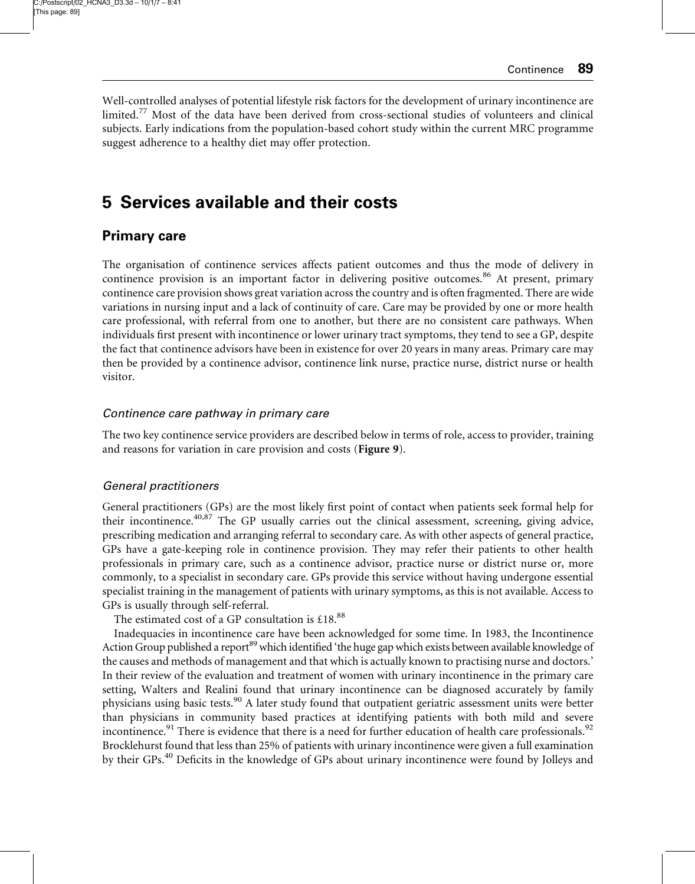Well-controlled analyses of potential lifestyle risk factors for the development of urinary incontinence are limited.<sup>77</sup> Most of the data have been derived from cross-sectional studies of volunteers and clinical subjects. Early indications from the population-based cohort study within the current MRC programme suggest adherence to a healthy diet may offer protection.

# 5 Services available and their costs

## Primary care

The organisation of continence services affects patient outcomes and thus the mode of delivery in continence provision is an important factor in delivering positive outcomes.<sup>86</sup> At present, primary continence care provision shows great variation across the country and is often fragmented. There are wide variations in nursing input and a lack of continuity of care. Care may be provided by one or more health care professional, with referral from one to another, but there are no consistent care pathways. When individuals first present with incontinence or lower urinary tract symptoms, they tend to see a GP, despite the fact that continence advisors have been in existence for over 20 years in many areas. Primary care may then be provided by a continence advisor, continence link nurse, practice nurse, district nurse or health visitor.

## Continence care pathway in primary care

The two key continence service providers are described below in terms of role, access to provider, training and reasons for variation in care provision and costs (Figure 9).

## General practitioners

General practitioners (GPs) are the most likely first point of contact when patients seek formal help for their incontinence.40,87 The GP usually carries out the clinical assessment, screening, giving advice, prescribing medication and arranging referral to secondary care. As with other aspects of general practice, GPs have a gate-keeping role in continence provision. They may refer their patients to other health professionals in primary care, such as a continence advisor, practice nurse or district nurse or, more commonly, to a specialist in secondary care. GPs provide this service without having undergone essential specialist training in the management of patients with urinary symptoms, as this is not available. Access to GPs is usually through self-referral.

The estimated cost of a GP consultation is  $£18<sup>88</sup>$ 

Inadequacies in incontinence care have been acknowledged for some time. In 1983, the Incontinence Action Group published a report<sup>89</sup> which identified 'the huge gap which exists between available knowledge of the causes and methods of management and that which is actually known to practising nurse and doctors.' In their review of the evaluation and treatment of women with urinary incontinence in the primary care setting, Walters and Realini found that urinary incontinence can be diagnosed accurately by family physicians using basic tests.<sup>90</sup> A later study found that outpatient geriatric assessment units were better than physicians in community based practices at identifying patients with both mild and severe incontinence.<sup>91</sup> There is evidence that there is a need for further education of health care professionals.<sup>92</sup> Brocklehurst found that less than 25% of patients with urinary incontinence were given a full examination by their GPs.<sup>40</sup> Deficits in the knowledge of GPs about urinary incontinence were found by Jolleys and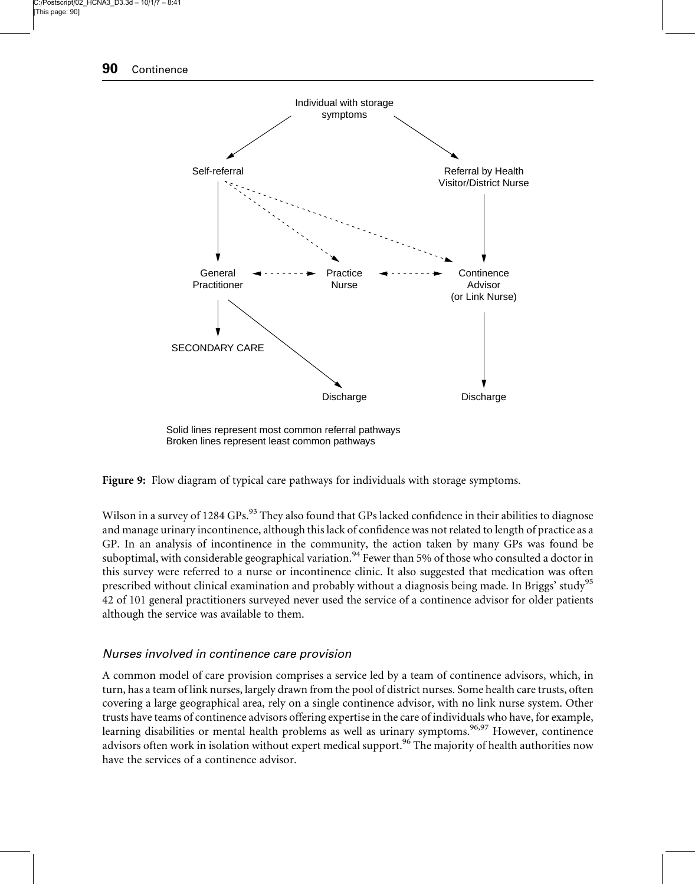

Solid lines represent most common referral pathways Broken lines represent least common pathways

Figure 9: Flow diagram of typical care pathways for individuals with storage symptoms.

Wilson in a survey of 1284 GPs.<sup>93</sup> They also found that GPs lacked confidence in their abilities to diagnose and manage urinary incontinence, although this lack of confidence was not related to length of practice as a GP. In an analysis of incontinence in the community, the action taken by many GPs was found be suboptimal, with considerable geographical variation.<sup>94</sup> Fewer than 5% of those who consulted a doctor in this survey were referred to a nurse or incontinence clinic. It also suggested that medication was often prescribed without clinical examination and probably without a diagnosis being made. In Briggs' study<sup>95</sup> 42 of 101 general practitioners surveyed never used the service of a continence advisor for older patients although the service was available to them.

## Nurses involved in continence care provision

A common model of care provision comprises a service led by a team of continence advisors, which, in turn, has a team of link nurses, largely drawn from the pool of district nurses. Some health care trusts, often covering a large geographical area, rely on a single continence advisor, with no link nurse system. Other trusts have teams of continence advisors offering expertise in the care of individuals who have, for example, learning disabilities or mental health problems as well as urinary symptoms.<sup>96,97</sup> However, continence advisors often work in isolation without expert medical support.<sup>96</sup> The majority of health authorities now have the services of a continence advisor.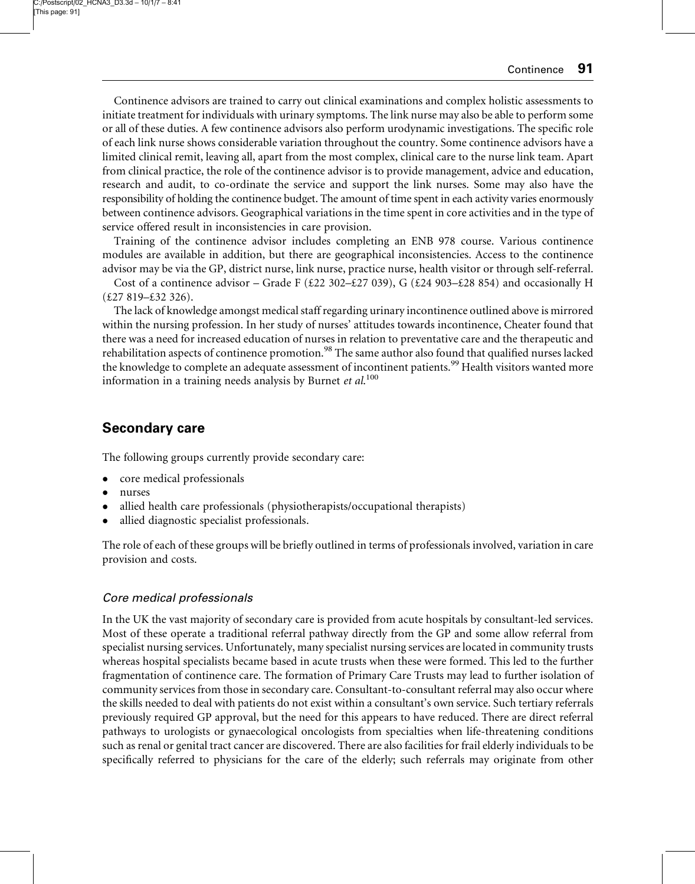Continence advisors are trained to carry out clinical examinations and complex holistic assessments to initiate treatment for individuals with urinary symptoms. The link nurse may also be able to perform some or all of these duties. A few continence advisors also perform urodynamic investigations. The specific role of each link nurse shows considerable variation throughout the country. Some continence advisors have a limited clinical remit, leaving all, apart from the most complex, clinical care to the nurse link team. Apart from clinical practice, the role of the continence advisor is to provide management, advice and education, research and audit, to co-ordinate the service and support the link nurses. Some may also have the responsibility of holding the continence budget. The amount of time spent in each activity varies enormously between continence advisors. Geographical variations in the time spent in core activities and in the type of service offered result in inconsistencies in care provision.

Training of the continence advisor includes completing an ENB 978 course. Various continence modules are available in addition, but there are geographical inconsistencies. Access to the continence advisor may be via the GP, district nurse, link nurse, practice nurse, health visitor or through self-referral.

Cost of a continence advisor – Grade F (£22 302–£27 039), G (£24 903–£28 854) and occasionally H (£27 819–£32 326).

The lack of knowledge amongst medical staff regarding urinary incontinence outlined above is mirrored within the nursing profession. In her study of nurses' attitudes towards incontinence, Cheater found that there was a need for increased education of nurses in relation to preventative care and the therapeutic and rehabilitation aspects of continence promotion.<sup>98</sup> The same author also found that qualified nurses lacked the knowledge to complete an adequate assessment of incontinent patients.<sup>99</sup> Health visitors wanted more information in a training needs analysis by Burnet et  $al.^{100}$ 

## Secondary care

The following groups currently provide secondary care:

- $\bullet$ core medical professionals
- $\bullet$ nurses
- $\bullet$ allied health care professionals (physiotherapists/occupational therapists)
- $\bullet$ allied diagnostic specialist professionals.

The role of each of these groups will be briefly outlined in terms of professionals involved, variation in care provision and costs.

## Core medical professionals

In the UK the vast majority of secondary care is provided from acute hospitals by consultant-led services. Most of these operate a traditional referral pathway directly from the GP and some allow referral from specialist nursing services. Unfortunately, many specialist nursing services are located in community trusts whereas hospital specialists became based in acute trusts when these were formed. This led to the further fragmentation of continence care. The formation of Primary Care Trusts may lead to further isolation of community services from those in secondary care. Consultant-to-consultant referral may also occur where the skills needed to deal with patients do not exist within a consultant's own service. Such tertiary referrals previously required GP approval, but the need for this appears to have reduced. There are direct referral pathways to urologists or gynaecological oncologists from specialties when life-threatening conditions such as renal or genital tract cancer are discovered. There are also facilities for frail elderly individuals to be specifically referred to physicians for the care of the elderly; such referrals may originate from other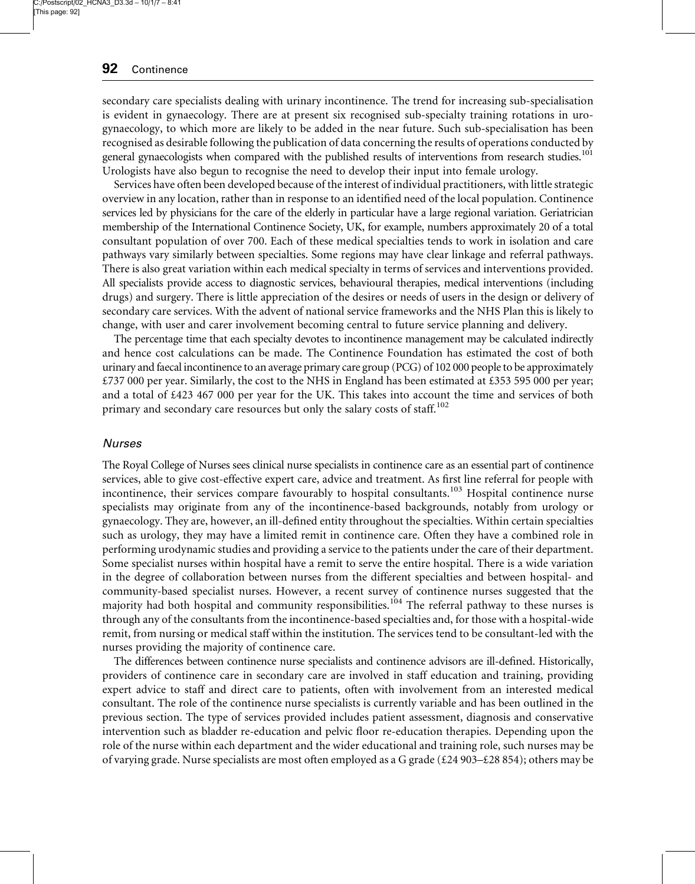secondary care specialists dealing with urinary incontinence. The trend for increasing sub-specialisation is evident in gynaecology. There are at present six recognised sub-specialty training rotations in urogynaecology, to which more are likely to be added in the near future. Such sub-specialisation has been recognised as desirable following the publication of data concerning the results of operations conducted by general gynaecologists when compared with the published results of interventions from research studies.<sup>101</sup> Urologists have also begun to recognise the need to develop their input into female urology.

Services have often been developed because of the interest of individual practitioners, with little strategic overview in any location, rather than in response to an identified need of the local population. Continence services led by physicians for the care of the elderly in particular have a large regional variation. Geriatrician membership of the International Continence Society, UK, for example, numbers approximately 20 of a total consultant population of over 700. Each of these medical specialties tends to work in isolation and care pathways vary similarly between specialties. Some regions may have clear linkage and referral pathways. There is also great variation within each medical specialty in terms of services and interventions provided. All specialists provide access to diagnostic services, behavioural therapies, medical interventions (including drugs) and surgery. There is little appreciation of the desires or needs of users in the design or delivery of secondary care services. With the advent of national service frameworks and the NHS Plan this is likely to change, with user and carer involvement becoming central to future service planning and delivery.

The percentage time that each specialty devotes to incontinence management may be calculated indirectly and hence cost calculations can be made. The Continence Foundation has estimated the cost of both urinary and faecal incontinence to an average primary care group (PCG) of 102 000 people to be approximately £737 000 per year. Similarly, the cost to the NHS in England has been estimated at £353 595 000 per year; and a total of £423 467 000 per year for the UK. This takes into account the time and services of both primary and secondary care resources but only the salary costs of staff.<sup>102</sup>

#### Nurses

The Royal College of Nurses sees clinical nurse specialists in continence care as an essential part of continence services, able to give cost-effective expert care, advice and treatment. As first line referral for people with incontinence, their services compare favourably to hospital consultants.<sup>103</sup> Hospital continence nurse specialists may originate from any of the incontinence-based backgrounds, notably from urology or gynaecology. They are, however, an ill-defined entity throughout the specialties. Within certain specialties such as urology, they may have a limited remit in continence care. Often they have a combined role in performing urodynamic studies and providing a service to the patients under the care of their department. Some specialist nurses within hospital have a remit to serve the entire hospital. There is a wide variation in the degree of collaboration between nurses from the different specialties and between hospital- and community-based specialist nurses. However, a recent survey of continence nurses suggested that the majority had both hospital and community responsibilities.<sup>104</sup> The referral pathway to these nurses is through any of the consultants from the incontinence-based specialties and, for those with a hospital-wide remit, from nursing or medical staff within the institution. The services tend to be consultant-led with the nurses providing the majority of continence care.

The differences between continence nurse specialists and continence advisors are ill-defined. Historically, providers of continence care in secondary care are involved in staff education and training, providing expert advice to staff and direct care to patients, often with involvement from an interested medical consultant. The role of the continence nurse specialists is currently variable and has been outlined in the previous section. The type of services provided includes patient assessment, diagnosis and conservative intervention such as bladder re-education and pelvic floor re-education therapies. Depending upon the role of the nurse within each department and the wider educational and training role, such nurses may be of varying grade. Nurse specialists are most often employed as a G grade (£24 903–£28 854); others may be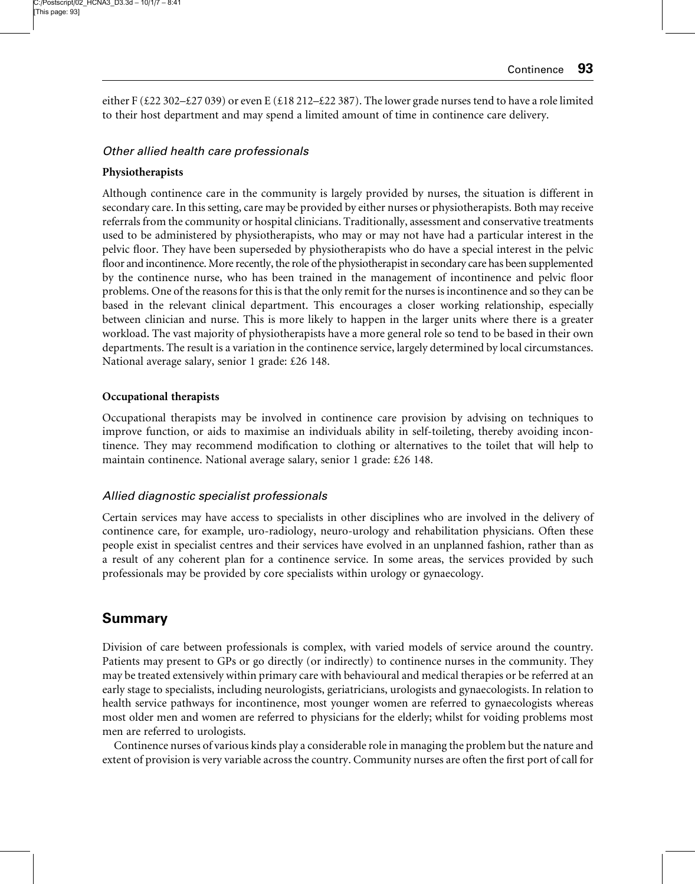either F (£22 302–£27 039) or even E (£18 212–£22 387). The lower grade nurses tend to have a role limited to their host department and may spend a limited amount of time in continence care delivery.

## Other allied health care professionals

## Physiotherapists

Although continence care in the community is largely provided by nurses, the situation is different in secondary care. In this setting, care may be provided by either nurses or physiotherapists. Both may receive referrals from the community or hospital clinicians. Traditionally, assessment and conservative treatments used to be administered by physiotherapists, who may or may not have had a particular interest in the pelvic floor. They have been superseded by physiotherapists who do have a special interest in the pelvic floor and incontinence. More recently, the role of the physiotherapist in secondary care has been supplemented by the continence nurse, who has been trained in the management of incontinence and pelvic floor problems. One of the reasons for this is that the only remit for the nurses is incontinence and so they can be based in the relevant clinical department. This encourages a closer working relationship, especially between clinician and nurse. This is more likely to happen in the larger units where there is a greater workload. The vast majority of physiotherapists have a more general role so tend to be based in their own departments. The result is a variation in the continence service, largely determined by local circumstances. National average salary, senior 1 grade: £26 148.

## Occupational therapists

Occupational therapists may be involved in continence care provision by advising on techniques to improve function, or aids to maximise an individuals ability in self-toileting, thereby avoiding incontinence. They may recommend modification to clothing or alternatives to the toilet that will help to maintain continence. National average salary, senior 1 grade: £26 148.

## Allied diagnostic specialist professionals

Certain services may have access to specialists in other disciplines who are involved in the delivery of continence care, for example, uro-radiology, neuro-urology and rehabilitation physicians. Often these people exist in specialist centres and their services have evolved in an unplanned fashion, rather than as a result of any coherent plan for a continence service. In some areas, the services provided by such professionals may be provided by core specialists within urology or gynaecology.

## Summary

Division of care between professionals is complex, with varied models of service around the country. Patients may present to GPs or go directly (or indirectly) to continence nurses in the community. They may be treated extensively within primary care with behavioural and medical therapies or be referred at an early stage to specialists, including neurologists, geriatricians, urologists and gynaecologists. In relation to health service pathways for incontinence, most younger women are referred to gynaecologists whereas most older men and women are referred to physicians for the elderly; whilst for voiding problems most men are referred to urologists.

Continence nurses of various kinds play a considerable role in managing the problem but the nature and extent of provision is very variable across the country. Community nurses are often the first port of call for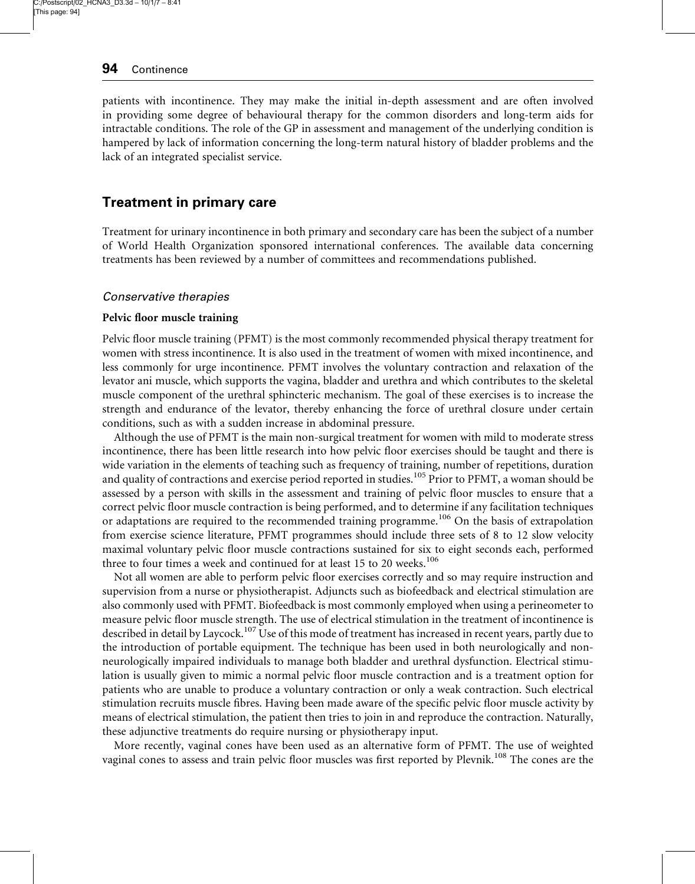patients with incontinence. They may make the initial in-depth assessment and are often involved in providing some degree of behavioural therapy for the common disorders and long-term aids for intractable conditions. The role of the GP in assessment and management of the underlying condition is hampered by lack of information concerning the long-term natural history of bladder problems and the lack of an integrated specialist service.

## Treatment in primary care

Treatment for urinary incontinence in both primary and secondary care has been the subject of a number of World Health Organization sponsored international conferences. The available data concerning treatments has been reviewed by a number of committees and recommendations published.

#### Conservative therapies

#### Pelvic floor muscle training

Pelvic floor muscle training (PFMT) is the most commonly recommended physical therapy treatment for women with stress incontinence. It is also used in the treatment of women with mixed incontinence, and less commonly for urge incontinence. PFMT involves the voluntary contraction and relaxation of the levator ani muscle, which supports the vagina, bladder and urethra and which contributes to the skeletal muscle component of the urethral sphincteric mechanism. The goal of these exercises is to increase the strength and endurance of the levator, thereby enhancing the force of urethral closure under certain conditions, such as with a sudden increase in abdominal pressure.

Although the use of PFMT is the main non-surgical treatment for women with mild to moderate stress incontinence, there has been little research into how pelvic floor exercises should be taught and there is wide variation in the elements of teaching such as frequency of training, number of repetitions, duration and quality of contractions and exercise period reported in studies.<sup>105</sup> Prior to PFMT, a woman should be assessed by a person with skills in the assessment and training of pelvic floor muscles to ensure that a correct pelvic floor muscle contraction is being performed, and to determine if any facilitation techniques or adaptations are required to the recommended training programme.<sup>106</sup> On the basis of extrapolation from exercise science literature, PFMT programmes should include three sets of 8 to 12 slow velocity maximal voluntary pelvic floor muscle contractions sustained for six to eight seconds each, performed three to four times a week and continued for at least 15 to 20 weeks.<sup>106</sup>

Not all women are able to perform pelvic floor exercises correctly and so may require instruction and supervision from a nurse or physiotherapist. Adjuncts such as biofeedback and electrical stimulation are also commonly used with PFMT. Biofeedback is most commonly employed when using a perineometer to measure pelvic floor muscle strength. The use of electrical stimulation in the treatment of incontinence is described in detail by Laycock.<sup>107</sup> Use of this mode of treatment has increased in recent years, partly due to the introduction of portable equipment. The technique has been used in both neurologically and nonneurologically impaired individuals to manage both bladder and urethral dysfunction. Electrical stimulation is usually given to mimic a normal pelvic floor muscle contraction and is a treatment option for patients who are unable to produce a voluntary contraction or only a weak contraction. Such electrical stimulation recruits muscle fibres. Having been made aware of the specific pelvic floor muscle activity by means of electrical stimulation, the patient then tries to join in and reproduce the contraction. Naturally, these adjunctive treatments do require nursing or physiotherapy input.

More recently, vaginal cones have been used as an alternative form of PFMT. The use of weighted vaginal cones to assess and train pelvic floor muscles was first reported by Plevnik.<sup>108</sup> The cones are the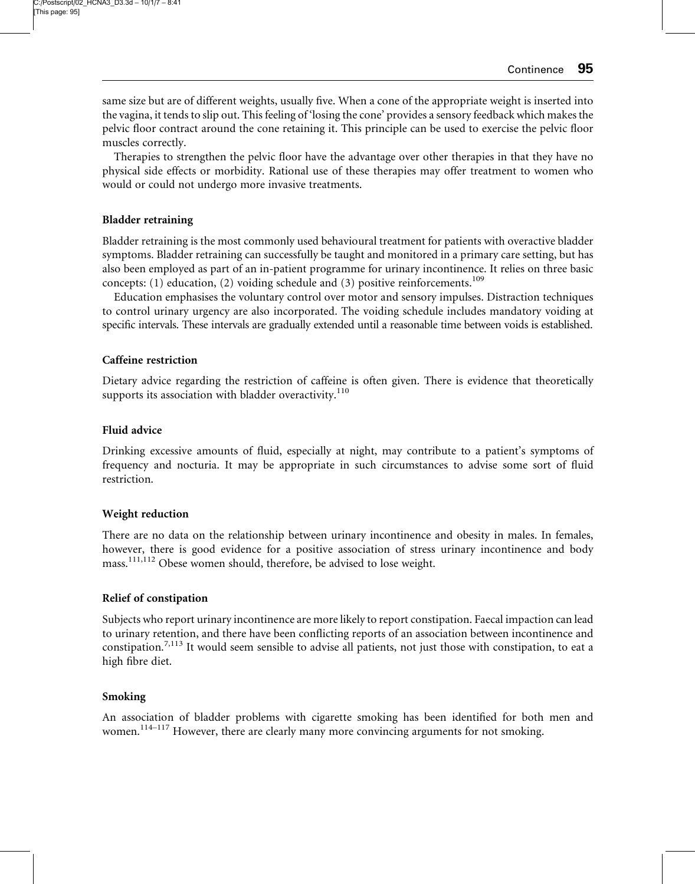same size but are of different weights, usually five. When a cone of the appropriate weight is inserted into the vagina, it tends to slip out. This feeling of 'losing the cone' provides a sensory feedback which makes the pelvic floor contract around the cone retaining it. This principle can be used to exercise the pelvic floor muscles correctly.

Therapies to strengthen the pelvic floor have the advantage over other therapies in that they have no physical side effects or morbidity. Rational use of these therapies may offer treatment to women who would or could not undergo more invasive treatments.

## Bladder retraining

Bladder retraining is the most commonly used behavioural treatment for patients with overactive bladder symptoms. Bladder retraining can successfully be taught and monitored in a primary care setting, but has also been employed as part of an in-patient programme for urinary incontinence. It relies on three basic concepts: (1) education, (2) voiding schedule and (3) positive reinforcements.<sup>109</sup>

Education emphasises the voluntary control over motor and sensory impulses. Distraction techniques to control urinary urgency are also incorporated. The voiding schedule includes mandatory voiding at specific intervals. These intervals are gradually extended until a reasonable time between voids is established.

#### Caffeine restriction

Dietary advice regarding the restriction of caffeine is often given. There is evidence that theoretically supports its association with bladder overactivity.<sup>110</sup>

#### Fluid advice

Drinking excessive amounts of fluid, especially at night, may contribute to a patient's symptoms of frequency and nocturia. It may be appropriate in such circumstances to advise some sort of fluid restriction.

## Weight reduction

There are no data on the relationship between urinary incontinence and obesity in males. In females, however, there is good evidence for a positive association of stress urinary incontinence and body mass.<sup>111,112</sup> Obese women should, therefore, be advised to lose weight.

#### Relief of constipation

Subjects who report urinary incontinence are more likely to report constipation. Faecal impaction can lead to urinary retention, and there have been conflicting reports of an association between incontinence and constipation.<sup>7,113</sup> It would seem sensible to advise all patients, not just those with constipation, to eat a high fibre diet.

#### Smoking

An association of bladder problems with cigarette smoking has been identified for both men and women.<sup>114–117</sup> However, there are clearly many more convincing arguments for not smoking.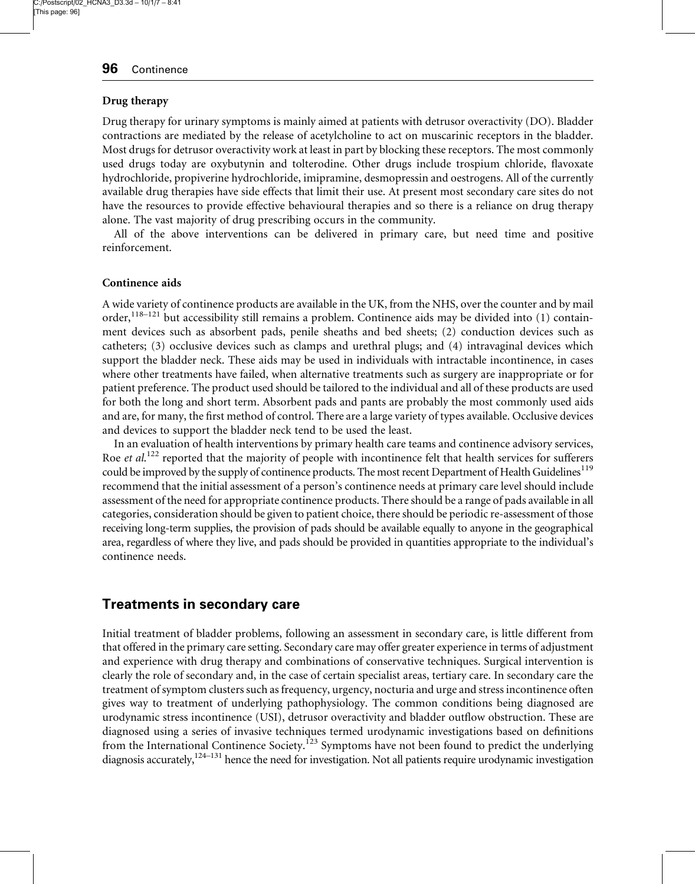#### Drug therapy

Drug therapy for urinary symptoms is mainly aimed at patients with detrusor overactivity (DO). Bladder contractions are mediated by the release of acetylcholine to act on muscarinic receptors in the bladder. Most drugs for detrusor overactivity work at least in part by blocking these receptors. The most commonly used drugs today are oxybutynin and tolterodine. Other drugs include trospium chloride, flavoxate hydrochloride, propiverine hydrochloride, imipramine, desmopressin and oestrogens. All of the currently available drug therapies have side effects that limit their use. At present most secondary care sites do not have the resources to provide effective behavioural therapies and so there is a reliance on drug therapy alone. The vast majority of drug prescribing occurs in the community.

All of the above interventions can be delivered in primary care, but need time and positive reinforcement.

## Continence aids

A wide variety of continence products are available in the UK, from the NHS, over the counter and by mail order,<sup>118–121</sup> but accessibility still remains a problem. Continence aids may be divided into (1) containment devices such as absorbent pads, penile sheaths and bed sheets; (2) conduction devices such as catheters; (3) occlusive devices such as clamps and urethral plugs; and (4) intravaginal devices which support the bladder neck. These aids may be used in individuals with intractable incontinence, in cases where other treatments have failed, when alternative treatments such as surgery are inappropriate or for patient preference. The product used should be tailored to the individual and all of these products are used for both the long and short term. Absorbent pads and pants are probably the most commonly used aids and are, for many, the first method of control. There are a large variety of types available. Occlusive devices and devices to support the bladder neck tend to be used the least.

In an evaluation of health interventions by primary health care teams and continence advisory services, Roe et al.<sup>122</sup> reported that the majority of people with incontinence felt that health services for sufferers could be improved by the supply of continence products. The most recent Department of Health Guidelines<sup>119</sup> recommend that the initial assessment of a person's continence needs at primary care level should include assessment of the need for appropriate continence products. There should be a range of pads available in all categories, consideration should be given to patient choice, there should be periodic re-assessment of those receiving long-term supplies, the provision of pads should be available equally to anyone in the geographical area, regardless of where they live, and pads should be provided in quantities appropriate to the individual's continence needs.

## Treatments in secondary care

Initial treatment of bladder problems, following an assessment in secondary care, is little different from that offered in the primary care setting. Secondary care may offer greater experience in terms of adjustment and experience with drug therapy and combinations of conservative techniques. Surgical intervention is clearly the role of secondary and, in the case of certain specialist areas, tertiary care. In secondary care the treatment of symptom clusters such as frequency, urgency, nocturia and urge and stress incontinence often gives way to treatment of underlying pathophysiology. The common conditions being diagnosed are urodynamic stress incontinence (USI), detrusor overactivity and bladder outflow obstruction. These are diagnosed using a series of invasive techniques termed urodynamic investigations based on definitions from the International Continence Society.<sup>123</sup> Symptoms have not been found to predict the underlying diagnosis accurately,<sup>124–131</sup> hence the need for investigation. Not all patients require urodynamic investigation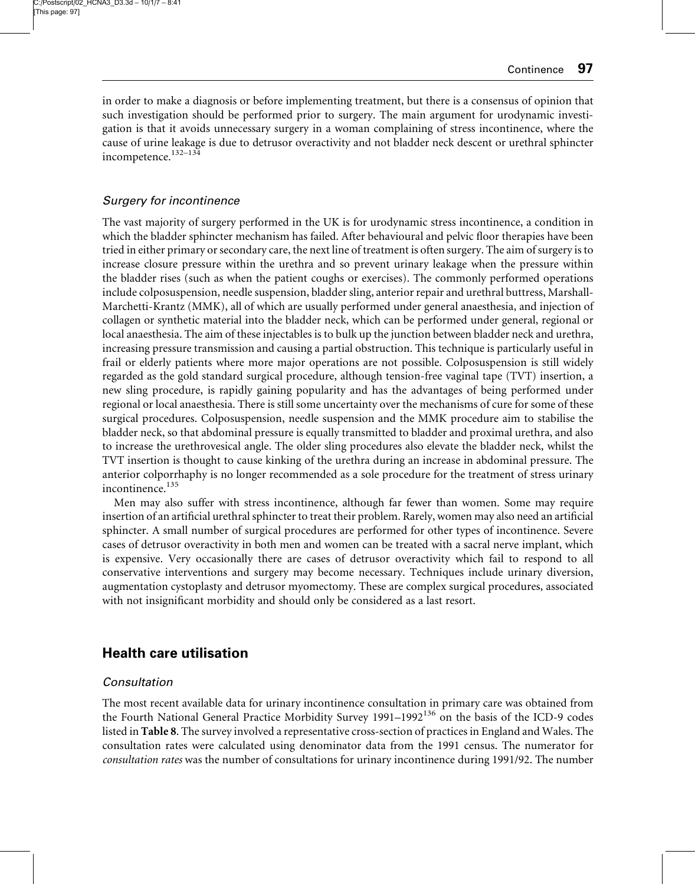in order to make a diagnosis or before implementing treatment, but there is a consensus of opinion that such investigation should be performed prior to surgery. The main argument for urodynamic investigation is that it avoids unnecessary surgery in a woman complaining of stress incontinence, where the cause of urine leakage is due to detrusor overactivity and not bladder neck descent or urethral sphincter incompetence.<sup>132-134</sup>

## Surgery for incontinence

The vast majority of surgery performed in the UK is for urodynamic stress incontinence, a condition in which the bladder sphincter mechanism has failed. After behavioural and pelvic floor therapies have been tried in either primary or secondary care, the next line of treatment is often surgery. The aim of surgery is to increase closure pressure within the urethra and so prevent urinary leakage when the pressure within the bladder rises (such as when the patient coughs or exercises). The commonly performed operations include colposuspension, needle suspension, bladder sling, anterior repair and urethral buttress, Marshall-Marchetti-Krantz (MMK), all of which are usually performed under general anaesthesia, and injection of collagen or synthetic material into the bladder neck, which can be performed under general, regional or local anaesthesia. The aim of these injectables is to bulk up the junction between bladder neck and urethra, increasing pressure transmission and causing a partial obstruction. This technique is particularly useful in frail or elderly patients where more major operations are not possible. Colposuspension is still widely regarded as the gold standard surgical procedure, although tension-free vaginal tape (TVT) insertion, a new sling procedure, is rapidly gaining popularity and has the advantages of being performed under regional or local anaesthesia. There is still some uncertainty over the mechanisms of cure for some of these surgical procedures. Colposuspension, needle suspension and the MMK procedure aim to stabilise the bladder neck, so that abdominal pressure is equally transmitted to bladder and proximal urethra, and also to increase the urethrovesical angle. The older sling procedures also elevate the bladder neck, whilst the TVT insertion is thought to cause kinking of the urethra during an increase in abdominal pressure. The anterior colporrhaphy is no longer recommended as a sole procedure for the treatment of stress urinary incontinence.<sup>135</sup>

Men may also suffer with stress incontinence, although far fewer than women. Some may require insertion of an artificial urethral sphincter to treat their problem. Rarely, women may also need an artificial sphincter. A small number of surgical procedures are performed for other types of incontinence. Severe cases of detrusor overactivity in both men and women can be treated with a sacral nerve implant, which is expensive. Very occasionally there are cases of detrusor overactivity which fail to respond to all conservative interventions and surgery may become necessary. Techniques include urinary diversion, augmentation cystoplasty and detrusor myomectomy. These are complex surgical procedures, associated with not insignificant morbidity and should only be considered as a last resort.

## Health care utilisation

## Consultation

The most recent available data for urinary incontinence consultation in primary care was obtained from the Fourth National General Practice Morbidity Survey 1991–1992<sup>136</sup> on the basis of the ICD-9 codes listed in Table 8. The survey involved a representative cross-section of practices in England and Wales. The consultation rates were calculated using denominator data from the 1991 census. The numerator for consultation rates was the number of consultations for urinary incontinence during 1991/92. The number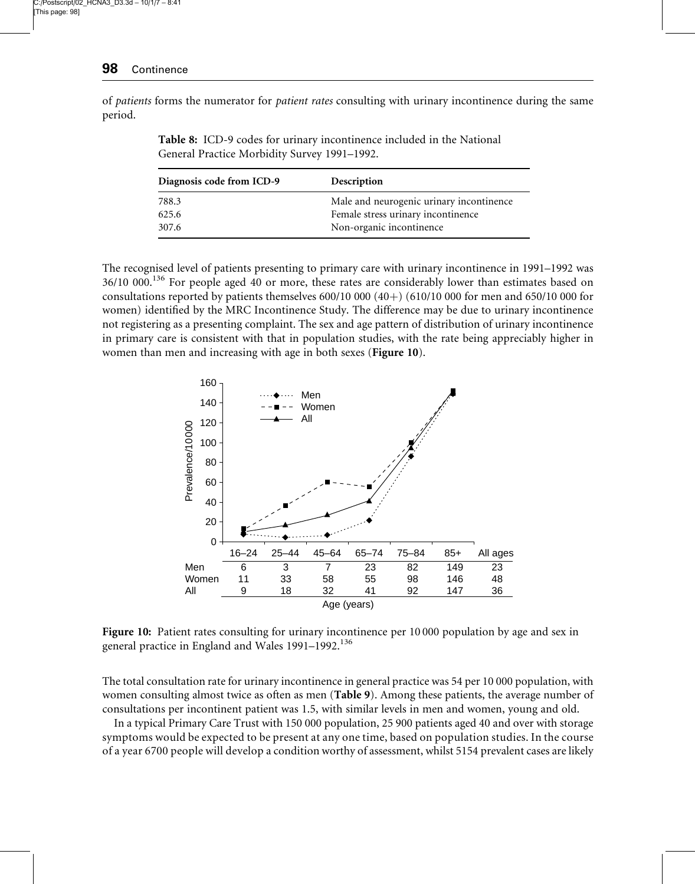of patients forms the numerator for *patient rates* consulting with urinary incontinence during the same period.

> Table 8: ICD-9 codes for urinary incontinence included in the National General Practice Morbidity Survey 1991–1992.

| Diagnosis code from ICD-9 | Description                              |
|---------------------------|------------------------------------------|
| 788.3                     | Male and neurogenic urinary incontinence |
| 625.6                     | Female stress urinary incontinence       |
| 307.6                     | Non-organic incontinence                 |

The recognised level of patients presenting to primary care with urinary incontinence in 1991–1992 was 36/10 000.<sup>136</sup> For people aged 40 or more, these rates are considerably lower than estimates based on consultations reported by patients themselves  $600/10\ 000\ (40+)$   $(610/10\ 000\ for\ men\ and\ 650/10\ 000\ for\$ women) identified by the MRC Incontinence Study. The difference may be due to urinary incontinence not registering as a presenting complaint. The sex and age pattern of distribution of urinary incontinence in primary care is consistent with that in population studies, with the rate being appreciably higher in women than men and increasing with age in both sexes (Figure 10).



Figure 10: Patient rates consulting for urinary incontinence per 10 000 population by age and sex in general practice in England and Wales 1991-1992.<sup>136</sup>

The total consultation rate for urinary incontinence in general practice was 54 per 10 000 population, with women consulting almost twice as often as men (Table 9). Among these patients, the average number of consultations per incontinent patient was 1.5, with similar levels in men and women, young and old.

In a typical Primary Care Trust with 150 000 population, 25 900 patients aged 40 and over with storage symptoms would be expected to be present at any one time, based on population studies. In the course of a year 6700 people will develop a condition worthy of assessment, whilst 5154 prevalent cases are likely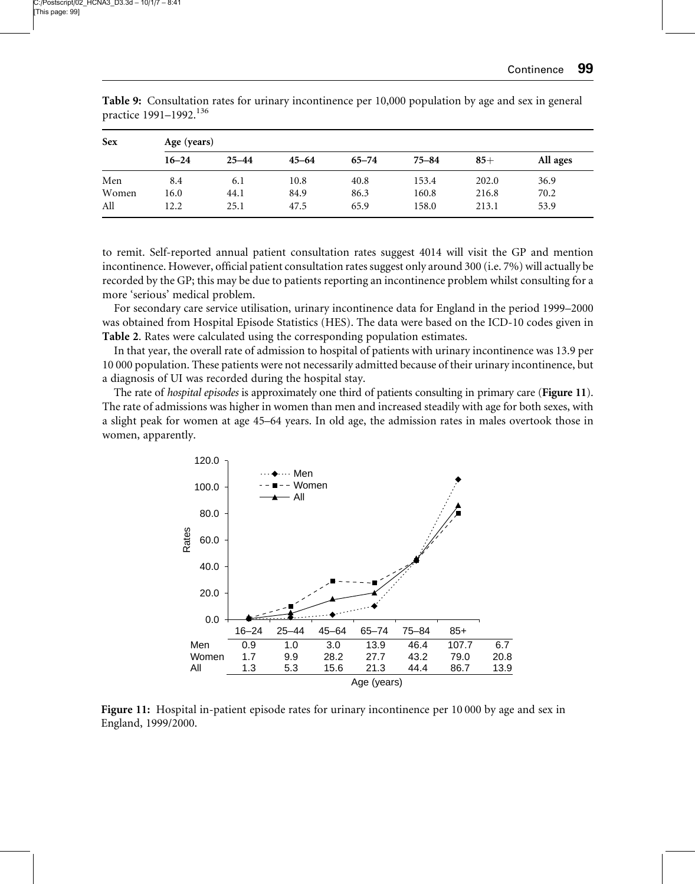| <b>Sex</b> | Age (years) |           |           |           |           |       |          |  |
|------------|-------------|-----------|-----------|-----------|-----------|-------|----------|--|
|            | $16 - 24$   | $25 - 44$ | $45 - 64$ | $65 - 74$ | $75 - 84$ | $85+$ | All ages |  |
| Men        | 8.4         | 6.1       | 10.8      | 40.8      | 153.4     | 202.0 | 36.9     |  |
| Women      | 16.0        | 44.1      | 84.9      | 86.3      | 160.8     | 216.8 | 70.2     |  |
| All        | 12.2        | 25.1      | 47.5      | 65.9      | 158.0     | 213.1 | 53.9     |  |

Table 9: Consultation rates for urinary incontinence per 10,000 population by age and sex in general practice 1991-1992.<sup>136</sup>

to remit. Self-reported annual patient consultation rates suggest 4014 will visit the GP and mention incontinence. However, official patient consultation rates suggest only around 300 (i.e. 7%) will actually be recorded by the GP; this may be due to patients reporting an incontinence problem whilst consulting for a more 'serious' medical problem.

For secondary care service utilisation, urinary incontinence data for England in the period 1999–2000 was obtained from Hospital Episode Statistics (HES). The data were based on the ICD-10 codes given in Table 2. Rates were calculated using the corresponding population estimates.

In that year, the overall rate of admission to hospital of patients with urinary incontinence was 13.9 per 10 000 population. These patients were not necessarily admitted because of their urinary incontinence, but a diagnosis of UI was recorded during the hospital stay.

The rate of *hospital episodes* is approximately one third of patients consulting in primary care (Figure 11). The rate of admissions was higher in women than men and increased steadily with age for both sexes, with a slight peak for women at age 45–64 years. In old age, the admission rates in males overtook those in women, apparently.



Figure 11: Hospital in-patient episode rates for urinary incontinence per 10 000 by age and sex in England, 1999/2000.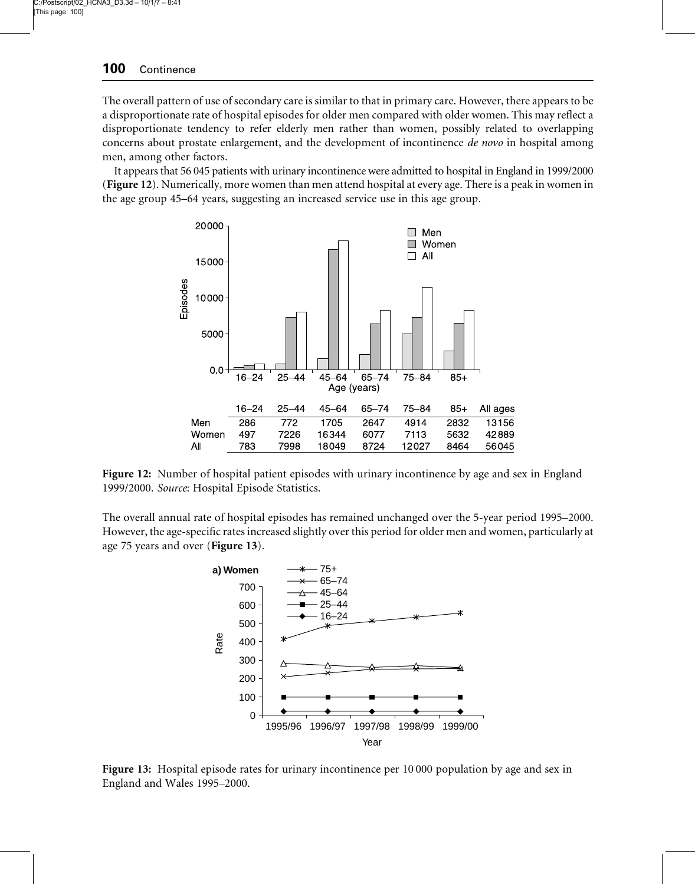The overall pattern of use of secondary care is similar to that in primary care. However, there appears to be a disproportionate rate of hospital episodes for older men compared with older women. This may reflect a disproportionate tendency to refer elderly men rather than women, possibly related to overlapping concerns about prostate enlargement, and the development of incontinence *de novo* in hospital among men, among other factors.

It appears that 56 045 patients with urinary incontinence were admitted to hospital in England in 1999/2000 (Figure 12). Numerically, more women than men attend hospital at every age. There is a peak in women in the age group 45–64 years, suggesting an increased service use in this age group.



Figure 12: Number of hospital patient episodes with urinary incontinence by age and sex in England 1999/2000. Source: Hospital Episode Statistics.

The overall annual rate of hospital episodes has remained unchanged over the 5-year period 1995–2000. However, the age-specific rates increased slightly over this period for older men and women, particularly at age 75 years and over (Figure 13).



Figure 13: Hospital episode rates for urinary incontinence per 10 000 population by age and sex in England and Wales 1995–2000.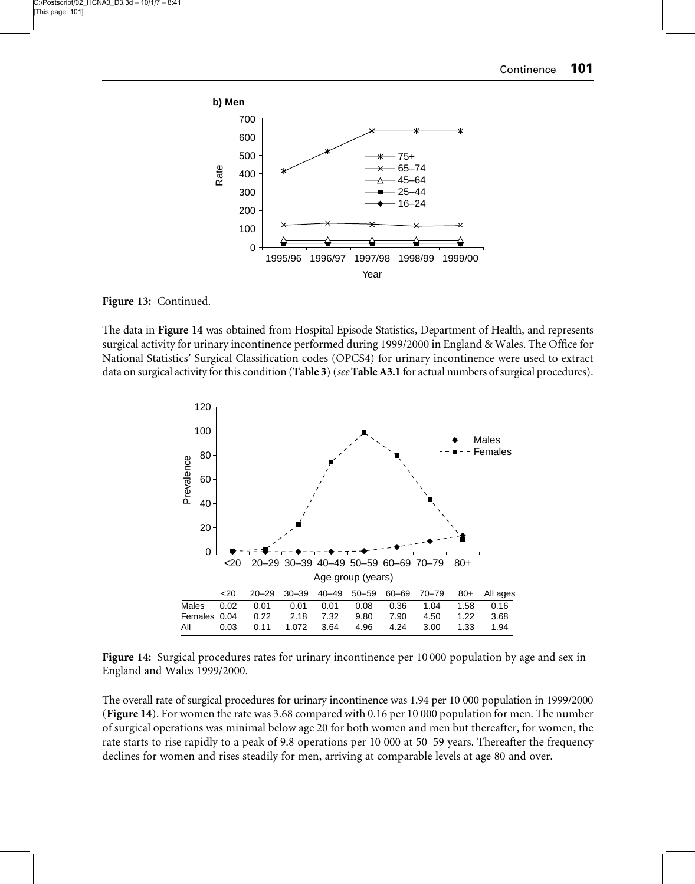

Figure 13: Continued.

The data in Figure 14 was obtained from Hospital Episode Statistics, Department of Health, and represents surgical activity for urinary incontinence performed during 1999/2000 in England & Wales. The Office for National Statistics' Surgical Classification codes (OPCS4) for urinary incontinence were used to extract data on surgical activity for this condition (Table 3) (see Table A3.1 for actual numbers of surgical procedures).



Figure 14: Surgical procedures rates for urinary incontinence per 10 000 population by age and sex in England and Wales 1999/2000.

The overall rate of surgical procedures for urinary incontinence was 1.94 per 10 000 population in 1999/2000 (Figure 14). For women the rate was 3.68 compared with 0.16 per 10 000 population for men. The number of surgical operations was minimal below age 20 for both women and men but thereafter, for women, the rate starts to rise rapidly to a peak of 9.8 operations per 10 000 at 50–59 years. Thereafter the frequency declines for women and rises steadily for men, arriving at comparable levels at age 80 and over.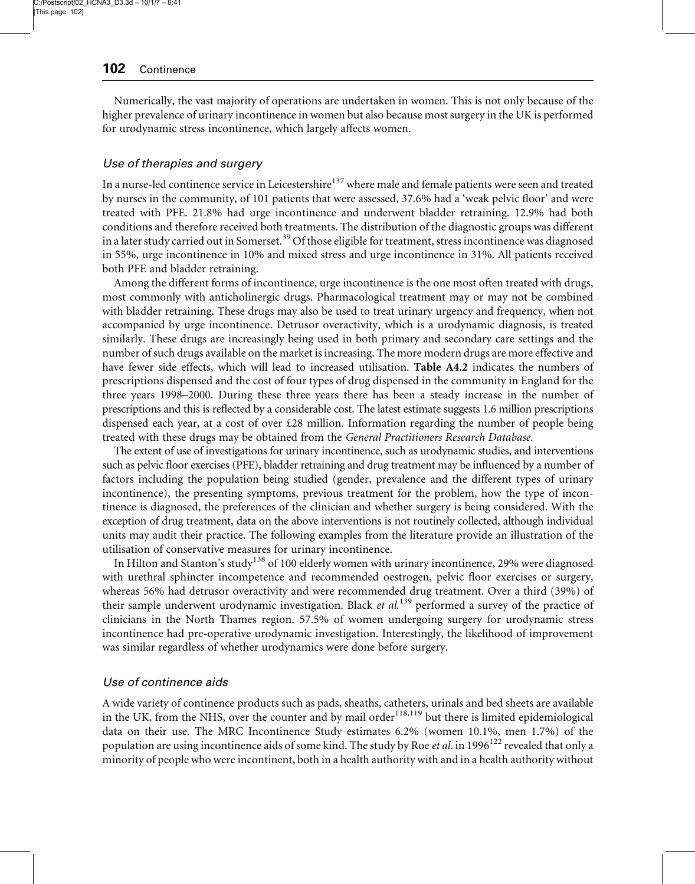Numerically, the vast majority of operations are undertaken in women. This is not only because of the higher prevalence of urinary incontinence in women but also because most surgery in the UK is performed for urodynamic stress incontinence, which largely affects women.

## Use of therapies and surgery

In a nurse-led continence service in Leicestershire<sup>137</sup> where male and female patients were seen and treated by nurses in the community, of 101 patients that were assessed, 37.6% had a 'weak pelvic floor' and were treated with PFE. 21.8% had urge incontinence and underwent bladder retraining. 12.9% had both conditions and therefore received both treatments. The distribution of the diagnostic groups was different in a later study carried out in Somerset.<sup>39</sup> Of those eligible for treatment, stress incontinence was diagnosed in 55%, urge incontinence in 10% and mixed stress and urge incontinence in 31%. All patients received both PFE and bladder retraining.

Among the different forms of incontinence, urge incontinence is the one most often treated with drugs, most commonly with anticholinergic drugs. Pharmacological treatment may or may not be combined with bladder retraining. These drugs may also be used to treat urinary urgency and frequency, when not accompanied by urge incontinence. Detrusor overactivity, which is a urodynamic diagnosis, is treated similarly. These drugs are increasingly being used in both primary and secondary care settings and the number of such drugs available on the market is increasing. The more modern drugs are more effective and have fewer side effects, which will lead to increased utilisation. Table A4.2 indicates the numbers of prescriptions dispensed and the cost of four types of drug dispensed in the community in England for the three years 1998–2000. During these three years there has been a steady increase in the number of prescriptions and this is reflected by a considerable cost. The latest estimate suggests 1.6 million prescriptions dispensed each year, at a cost of over £28 million. Information regarding the number of people being treated with these drugs may be obtained from the General Practitioners Research Database.

The extent of use of investigations for urinary incontinence, such as urodynamic studies, and interventions such as pelvic floor exercises (PFE), bladder retraining and drug treatment may be influenced by a number of factors including the population being studied (gender, prevalence and the different types of urinary incontinence), the presenting symptoms, previous treatment for the problem, how the type of incontinence is diagnosed, the preferences of the clinician and whether surgery is being considered. With the exception of drug treatment, data on the above interventions is not routinely collected, although individual units may audit their practice. The following examples from the literature provide an illustration of the utilisation of conservative measures for urinary incontinence.

In Hilton and Stanton's study<sup>138</sup> of 100 elderly women with urinary incontinence, 29% were diagnosed with urethral sphincter incompetence and recommended oestrogen, pelvic floor exercises or surgery, whereas 56% had detrusor overactivity and were recommended drug treatment. Over a third (39%) of their sample underwent urodynamic investigation. Black et al.<sup>139</sup> performed a survey of the practice of clinicians in the North Thames region. 57.5% of women undergoing surgery for urodynamic stress incontinence had pre-operative urodynamic investigation. Interestingly, the likelihood of improvement was similar regardless of whether urodynamics were done before surgery.

#### Use of continence aids

A wide variety of continence products such as pads, sheaths, catheters, urinals and bed sheets are available in the UK, from the NHS, over the counter and by mail order $^{118,119}$  but there is limited epidemiological data on their use. The MRC Incontinence Study estimates 6.2% (women 10.1%, men 1.7%) of the population are using incontinence aids of some kind. The study by Roe et al. in 1996<sup>122</sup> revealed that only a minority of people who were incontinent, both in a health authority with and in a health authority without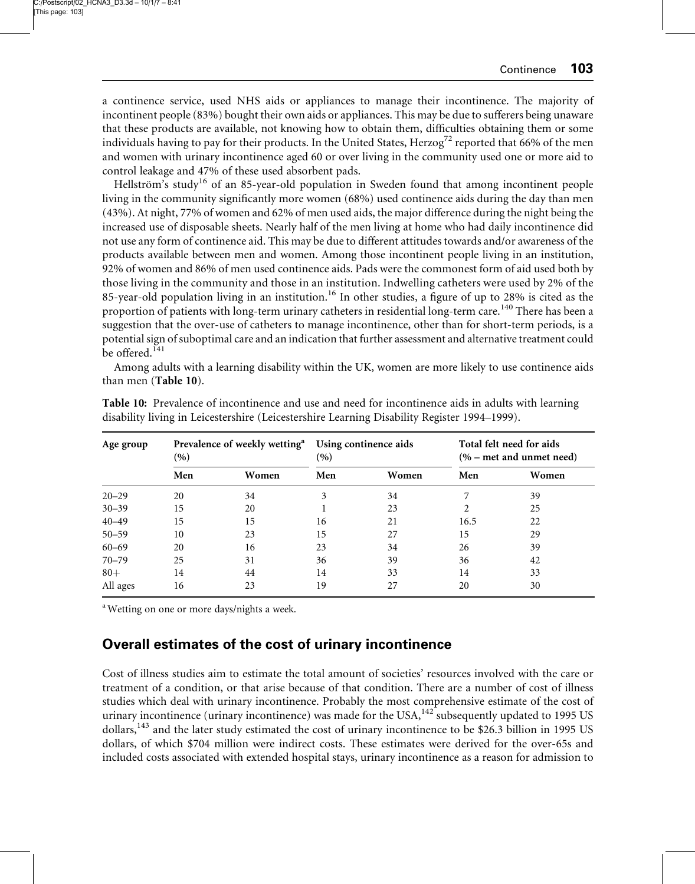a continence service, used NHS aids or appliances to manage their incontinence. The majority of incontinent people (83%) bought their own aids or appliances. This may be due to sufferers being unaware that these products are available, not knowing how to obtain them, difficulties obtaining them or some individuals having to pay for their products. In the United States, Herzog<sup>72</sup> reported that 66% of the men and women with urinary incontinence aged 60 or over living in the community used one or more aid to control leakage and 47% of these used absorbent pads.

Hellström's study<sup>16</sup> of an 85-year-old population in Sweden found that among incontinent people living in the community significantly more women (68%) used continence aids during the day than men (43%). At night, 77% of women and 62% of men used aids, the major difference during the night being the increased use of disposable sheets. Nearly half of the men living at home who had daily incontinence did not use any form of continence aid. This may be due to different attitudes towards and/or awareness of the products available between men and women. Among those incontinent people living in an institution, 92% of women and 86% of men used continence aids. Pads were the commonest form of aid used both by those living in the community and those in an institution. Indwelling catheters were used by 2% of the 85-year-old population living in an institution.<sup>16</sup> In other studies, a figure of up to 28% is cited as the proportion of patients with long-term urinary catheters in residential long-term care.<sup>140</sup> There has been a suggestion that the over-use of catheters to manage incontinence, other than for short-term periods, is a potential sign of suboptimal care and an indication that further assessment and alternative treatment could be offered.<sup>141</sup>

Among adults with a learning disability within the UK, women are more likely to use continence aids than men (Table 10).

| Age group | Prevalence of weekly wetting <sup>a</sup><br>(%) |       | Using continence aids<br>(%) |       | Total felt need for aids<br>(% – met and unmet need) |       |
|-----------|--------------------------------------------------|-------|------------------------------|-------|------------------------------------------------------|-------|
|           | Men                                              | Women | Men                          | Women | Men                                                  | Women |
| $20 - 29$ | 20                                               | 34    | 3                            | 34    | 7                                                    | 39    |
| $30 - 39$ | 15                                               | 20    |                              | 23    | 2                                                    | 25    |
| $40 - 49$ | 15                                               | 15    | 16                           | 21    | 16.5                                                 | 22    |
| $50 - 59$ | 10                                               | 23    | 15                           | 27    | 15                                                   | 29    |
| $60 - 69$ | 20                                               | 16    | 23                           | 34    | 26                                                   | 39    |
| $70 - 79$ | 25                                               | 31    | 36                           | 39    | 36                                                   | 42    |
| $80+$     | 14                                               | 44    | 14                           | 33    | 14                                                   | 33    |
| All ages  | 16                                               | 23    | 19                           | 27    | 20                                                   | 30    |

Table 10: Prevalence of incontinence and use and need for incontinence aids in adults with learning disability living in Leicestershire (Leicestershire Learning Disability Register 1994–1999).

<sup>a</sup> Wetting on one or more days/nights a week.

## Overall estimates of the cost of urinary incontinence

Cost of illness studies aim to estimate the total amount of societies' resources involved with the care or treatment of a condition, or that arise because of that condition. There are a number of cost of illness studies which deal with urinary incontinence. Probably the most comprehensive estimate of the cost of urinary incontinence (urinary incontinence) was made for the  $USA<sub>142</sub>$  subsequently updated to 1995 US dollars,<sup>143</sup> and the later study estimated the cost of urinary incontinence to be \$26.3 billion in 1995 US dollars, of which \$704 million were indirect costs. These estimates were derived for the over-65s and included costs associated with extended hospital stays, urinary incontinence as a reason for admission to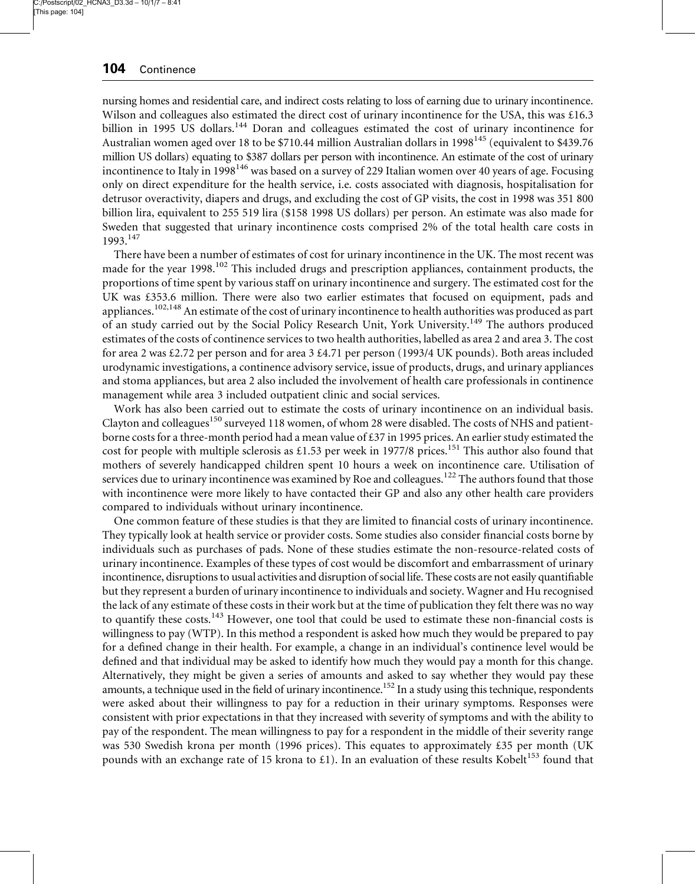nursing homes and residential care, and indirect costs relating to loss of earning due to urinary incontinence. Wilson and colleagues also estimated the direct cost of urinary incontinence for the USA, this was £16.3 billion in 1995 US dollars.<sup>144</sup> Doran and colleagues estimated the cost of urinary incontinence for Australian women aged over 18 to be \$710.44 million Australian dollars in 1998<sup>145</sup> (equivalent to \$439.76) million US dollars) equating to \$387 dollars per person with incontinence. An estimate of the cost of urinary incontinence to Italy in 1998<sup>146</sup> was based on a survey of 229 Italian women over 40 years of age. Focusing only on direct expenditure for the health service, i.e. costs associated with diagnosis, hospitalisation for detrusor overactivity, diapers and drugs, and excluding the cost of GP visits, the cost in 1998 was 351 800 billion lira, equivalent to 255 519 lira (\$158 1998 US dollars) per person. An estimate was also made for Sweden that suggested that urinary incontinence costs comprised 2% of the total health care costs in 1993.<sup>147</sup>

There have been a number of estimates of cost for urinary incontinence in the UK. The most recent was made for the year 1998.<sup>102</sup> This included drugs and prescription appliances, containment products, the proportions of time spent by various staff on urinary incontinence and surgery. The estimated cost for the UK was £353.6 million. There were also two earlier estimates that focused on equipment, pads and appliances.<sup>102,148</sup> An estimate of the cost of urinary incontinence to health authorities was produced as part of an study carried out by the Social Policy Research Unit, York University.<sup>149</sup> The authors produced estimates of the costs of continence services to two health authorities, labelled as area 2 and area 3. The cost for area 2 was £2.72 per person and for area 3 £4.71 per person (1993/4 UK pounds). Both areas included urodynamic investigations, a continence advisory service, issue of products, drugs, and urinary appliances and stoma appliances, but area 2 also included the involvement of health care professionals in continence management while area 3 included outpatient clinic and social services.

Work has also been carried out to estimate the costs of urinary incontinence on an individual basis. Clayton and colleagues<sup>150</sup> surveyed 118 women, of whom 28 were disabled. The costs of NHS and patientborne costs for a three-month period had a mean value of £37 in 1995 prices. An earlier study estimated the cost for people with multiple sclerosis as £1.53 per week in 1977/8 prices.<sup>151</sup> This author also found that mothers of severely handicapped children spent 10 hours a week on incontinence care. Utilisation of services due to urinary incontinence was examined by Roe and colleagues.<sup>122</sup> The authors found that those with incontinence were more likely to have contacted their GP and also any other health care providers compared to individuals without urinary incontinence.

One common feature of these studies is that they are limited to financial costs of urinary incontinence. They typically look at health service or provider costs. Some studies also consider financial costs borne by individuals such as purchases of pads. None of these studies estimate the non-resource-related costs of urinary incontinence. Examples of these types of cost would be discomfort and embarrassment of urinary incontinence, disruptions to usual activities and disruption of social life. These costs are not easily quantifiable but they represent a burden of urinary incontinence to individuals and society. Wagner and Hu recognised the lack of any estimate of these costs in their work but at the time of publication they felt there was no way to quantify these costs.<sup>143</sup> However, one tool that could be used to estimate these non-financial costs is willingness to pay (WTP). In this method a respondent is asked how much they would be prepared to pay for a defined change in their health. For example, a change in an individual's continence level would be defined and that individual may be asked to identify how much they would pay a month for this change. Alternatively, they might be given a series of amounts and asked to say whether they would pay these amounts, a technique used in the field of urinary incontinence.152 In a study using this technique, respondents were asked about their willingness to pay for a reduction in their urinary symptoms. Responses were consistent with prior expectations in that they increased with severity of symptoms and with the ability to pay of the respondent. The mean willingness to pay for a respondent in the middle of their severity range was 530 Swedish krona per month (1996 prices). This equates to approximately £35 per month (UK pounds with an exchange rate of 15 krona to £1). In an evaluation of these results Kobelt<sup>153</sup> found that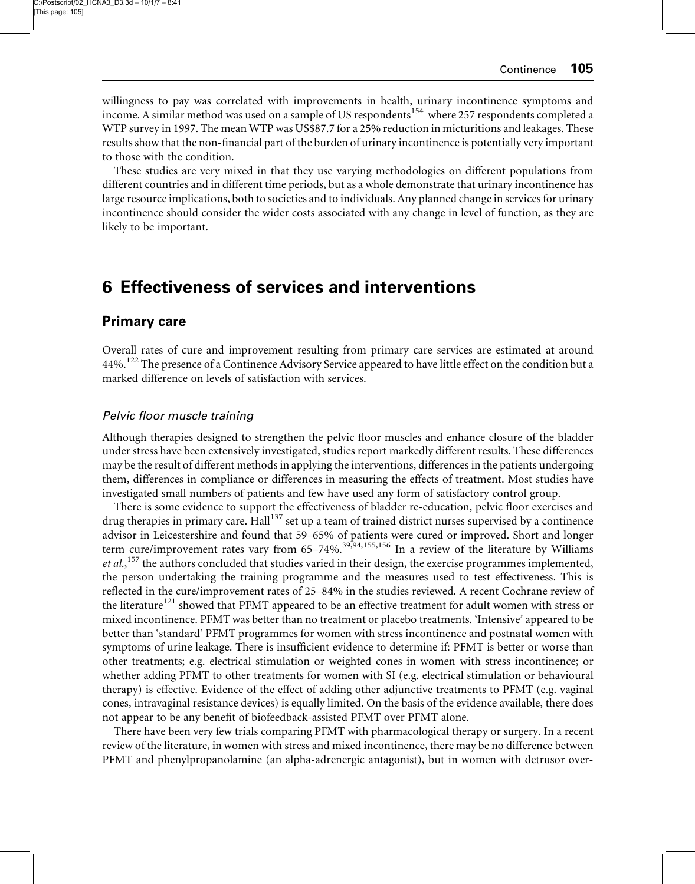willingness to pay was correlated with improvements in health, urinary incontinence symptoms and income. A similar method was used on a sample of US respondents<sup>154</sup> where 257 respondents completed a WTP survey in 1997. The mean WTP was US\$87.7 for a 25% reduction in micturitions and leakages. These results show that the non-financial part of the burden of urinary incontinence is potentially very important to those with the condition.

These studies are very mixed in that they use varying methodologies on different populations from different countries and in different time periods, but as a whole demonstrate that urinary incontinence has large resource implications, both to societies and to individuals. Any planned change in services for urinary incontinence should consider the wider costs associated with any change in level of function, as they are likely to be important.

# 6 Effectiveness of services and interventions

### Primary care

Overall rates of cure and improvement resulting from primary care services are estimated at around 44%.<sup>122</sup> The presence of a Continence Advisory Service appeared to have little effect on the condition but a marked difference on levels of satisfaction with services.

### Pelvic floor muscle training

Although therapies designed to strengthen the pelvic floor muscles and enhance closure of the bladder under stress have been extensively investigated, studies report markedly different results. These differences may be the result of different methods in applying the interventions, differences in the patients undergoing them, differences in compliance or differences in measuring the effects of treatment. Most studies have investigated small numbers of patients and few have used any form of satisfactory control group.

There is some evidence to support the effectiveness of bladder re-education, pelvic floor exercises and drug therapies in primary care. Hall<sup>137</sup> set up a team of trained district nurses supervised by a continence advisor in Leicestershire and found that 59–65% of patients were cured or improved. Short and longer term cure/improvement rates vary from 65–74%.<sup>39,94,155,156</sup> In a review of the literature by Williams et al.,<sup>157</sup> the authors concluded that studies varied in their design, the exercise programmes implemented, the person undertaking the training programme and the measures used to test effectiveness. This is reflected in the cure/improvement rates of 25–84% in the studies reviewed. A recent Cochrane review of the literature<sup>121</sup> showed that PFMT appeared to be an effective treatment for adult women with stress or mixed incontinence. PFMT was better than no treatment or placebo treatments. 'Intensive' appeared to be better than 'standard' PFMT programmes for women with stress incontinence and postnatal women with symptoms of urine leakage. There is insufficient evidence to determine if: PFMT is better or worse than other treatments; e.g. electrical stimulation or weighted cones in women with stress incontinence; or whether adding PFMT to other treatments for women with SI (e.g. electrical stimulation or behavioural therapy) is effective. Evidence of the effect of adding other adjunctive treatments to PFMT (e.g. vaginal cones, intravaginal resistance devices) is equally limited. On the basis of the evidence available, there does not appear to be any benefit of biofeedback-assisted PFMT over PFMT alone.

There have been very few trials comparing PFMT with pharmacological therapy or surgery. In a recent review of the literature, in women with stress and mixed incontinence, there may be no difference between PFMT and phenylpropanolamine (an alpha-adrenergic antagonist), but in women with detrusor over-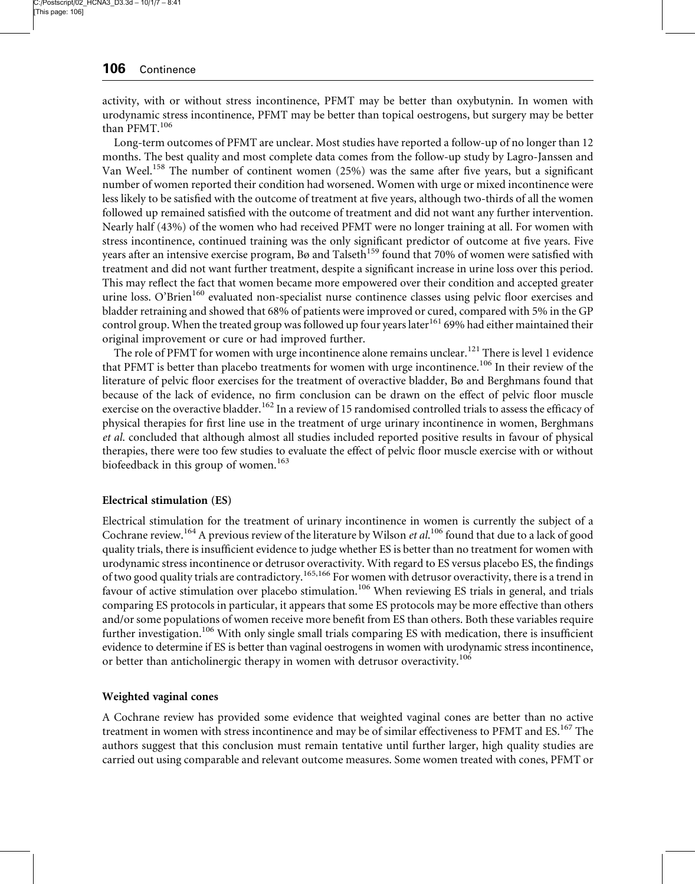activity, with or without stress incontinence, PFMT may be better than oxybutynin. In women with urodynamic stress incontinence, PFMT may be better than topical oestrogens, but surgery may be better than PFMT.<sup>106</sup>

Long-term outcomes of PFMT are unclear. Most studies have reported a follow-up of no longer than 12 months. The best quality and most complete data comes from the follow-up study by Lagro-Janssen and Van Weel.<sup>158</sup> The number of continent women (25%) was the same after five years, but a significant number of women reported their condition had worsened. Women with urge or mixed incontinence were less likely to be satisfied with the outcome of treatment at five years, although two-thirds of all the women followed up remained satisfied with the outcome of treatment and did not want any further intervention. Nearly half (43%) of the women who had received PFMT were no longer training at all. For women with stress incontinence, continued training was the only significant predictor of outcome at five years. Five years after an intensive exercise program, Bø and Talseth<sup>159</sup> found that 70% of women were satisfied with treatment and did not want further treatment, despite a significant increase in urine loss over this period. This may reflect the fact that women became more empowered over their condition and accepted greater urine loss. O'Brien<sup>160</sup> evaluated non-specialist nurse continence classes using pelvic floor exercises and bladder retraining and showed that 68% of patients were improved or cured, compared with 5% in the GP control group. When the treated group was followed up four years later<sup>161</sup> 69% had either maintained their original improvement or cure or had improved further.

The role of PFMT for women with urge incontinence alone remains unclear.<sup>121</sup> There is level 1 evidence that PFMT is better than placebo treatments for women with urge incontinence.<sup>106</sup> In their review of the literature of pelvic floor exercises for the treatment of overactive bladder, Bø and Berghmans found that because of the lack of evidence, no firm conclusion can be drawn on the effect of pelvic floor muscle exercise on the overactive bladder.<sup>162</sup> In a review of 15 randomised controlled trials to assess the efficacy of physical therapies for first line use in the treatment of urge urinary incontinence in women, Berghmans et al. concluded that although almost all studies included reported positive results in favour of physical therapies, there were too few studies to evaluate the effect of pelvic floor muscle exercise with or without biofeedback in this group of women.<sup>163</sup>

#### Electrical stimulation (ES)

Electrical stimulation for the treatment of urinary incontinence in women is currently the subject of a Cochrane review.<sup>164</sup> A previous review of the literature by Wilson et al.<sup>106</sup> found that due to a lack of good quality trials, there is insufficient evidence to judge whether ES is better than no treatment for women with urodynamic stress incontinence or detrusor overactivity. With regard to ESversus placebo ES, the findings of two good quality trials are contradictory.165,166 For women with detrusor overactivity, there is a trend in favour of active stimulation over placebo stimulation.<sup>106</sup> When reviewing ES trials in general, and trials comparing ES protocols in particular, it appears that some ES protocols may be more effective than others and/or some populations of women receive more benefit from ES than others. Both these variables require further investigation.<sup>106</sup> With only single small trials comparing ES with medication, there is insufficient evidence to determine if ES is better than vaginal oestrogens in women with urodynamic stress incontinence, or better than anticholinergic therapy in women with detrusor overactivity.<sup>106</sup>

#### Weighted vaginal cones

A Cochrane review has provided some evidence that weighted vaginal cones are better than no active treatment in women with stress incontinence and may be of similar effectiveness to PFMT and ES.<sup>167</sup> The authors suggest that this conclusion must remain tentative until further larger, high quality studies are carried out using comparable and relevant outcome measures. Some women treated with cones, PFMT or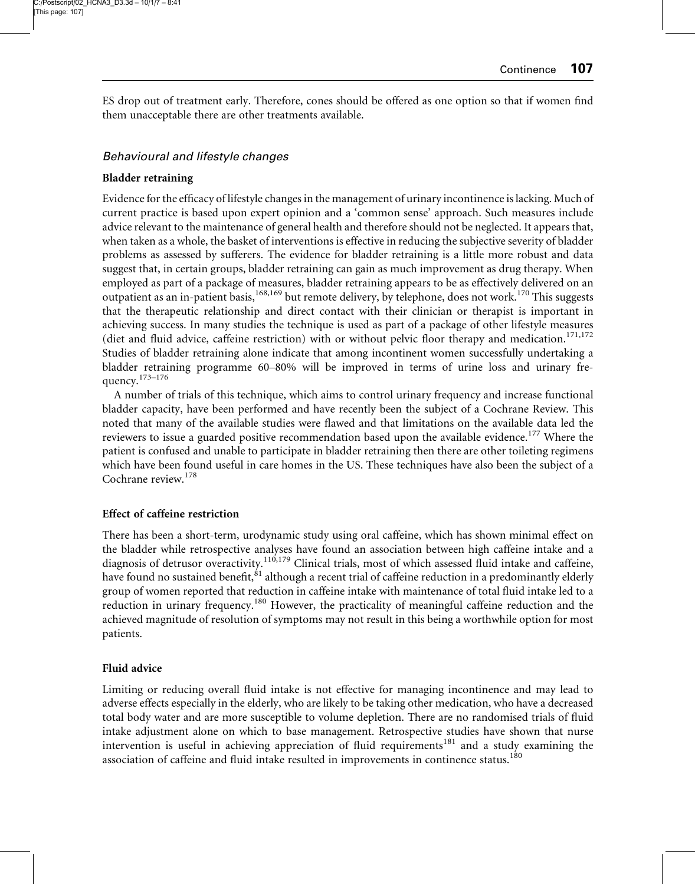ES drop out of treatment early. Therefore, cones should be offered as one option so that if women find them unacceptable there are other treatments available.

#### Behavioural and lifestyle changes

#### Bladder retraining

Evidence for the efficacy of lifestyle changes in the management of urinary incontinence is lacking. Much of current practice is based upon expert opinion and a 'common sense' approach. Such measures include advice relevant to the maintenance of general health and therefore should not be neglected. It appears that, when taken as a whole, the basket of interventions is effective in reducing the subjective severity of bladder problems as assessed by sufferers. The evidence for bladder retraining is a little more robust and data suggest that, in certain groups, bladder retraining can gain as much improvement as drug therapy. When employed as part of a package of measures, bladder retraining appears to be as effectively delivered on an outpatient as an in-patient basis,<sup>168,169</sup> but remote delivery, by telephone, does not work.<sup>170</sup> This suggests that the therapeutic relationship and direct contact with their clinician or therapist is important in achieving success. In many studies the technique is used as part of a package of other lifestyle measures (diet and fluid advice, caffeine restriction) with or without pelvic floor therapy and medication.<sup>171,172</sup> Studies of bladder retraining alone indicate that among incontinent women successfully undertaking a bladder retraining programme 60–80% will be improved in terms of urine loss and urinary frequency.173–176

A number of trials of this technique, which aims to control urinary frequency and increase functional bladder capacity, have been performed and have recently been the subject of a Cochrane Review. This noted that many of the available studies were flawed and that limitations on the available data led the reviewers to issue a guarded positive recommendation based upon the available evidence.<sup>177</sup> Where the patient is confused and unable to participate in bladder retraining then there are other toileting regimens which have been found useful in care homes in the US. These techniques have also been the subject of a Cochrane review.<sup>178</sup>

#### Effect of caffeine restriction

There has been a short-term, urodynamic study using oral caffeine, which has shown minimal effect on the bladder while retrospective analyses have found an association between high caffeine intake and a diagnosis of detrusor overactivity.<sup>110,179</sup> Clinical trials, most of which assessed fluid intake and caffeine, have found no sustained benefit,<sup>81</sup> although a recent trial of caffeine reduction in a predominantly elderly group of women reported that reduction in caffeine intake with maintenance of total fluid intake led to a reduction in urinary frequency.<sup>180</sup> However, the practicality of meaningful caffeine reduction and the achieved magnitude of resolution of symptoms may not result in this being a worthwhile option for most patients.

#### Fluid advice

Limiting or reducing overall fluid intake is not effective for managing incontinence and may lead to adverse effects especially in the elderly, who are likely to be taking other medication, who have a decreased total body water and are more susceptible to volume depletion. There are no randomised trials of fluid intake adjustment alone on which to base management. Retrospective studies have shown that nurse intervention is useful in achieving appreciation of fluid requirements<sup>181</sup> and a study examining the association of caffeine and fluid intake resulted in improvements in continence status.<sup>180</sup>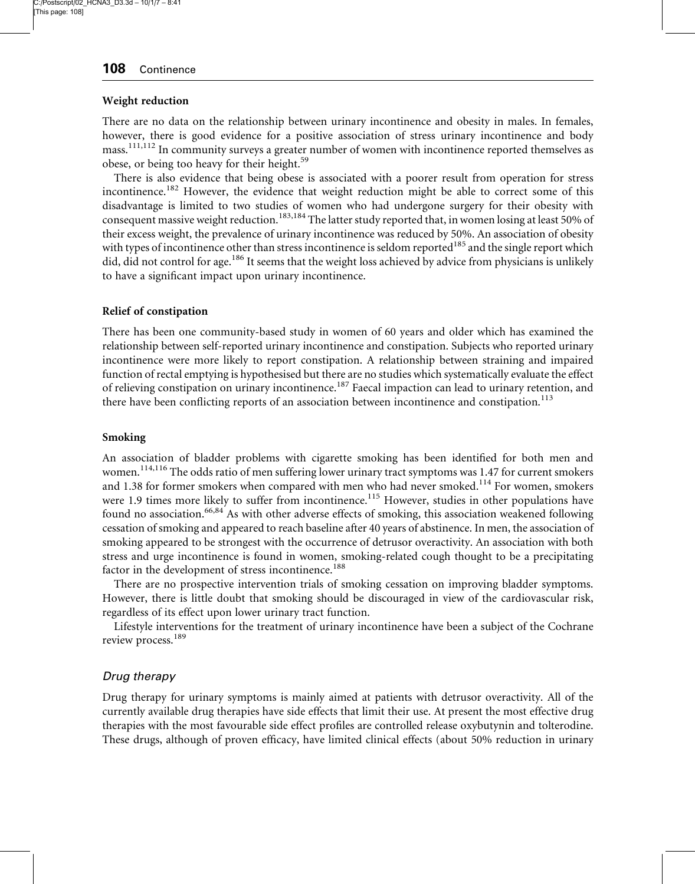### Weight reduction

There are no data on the relationship between urinary incontinence and obesity in males. In females, however, there is good evidence for a positive association of stress urinary incontinence and body mass.<sup>111,112</sup> In community surveys a greater number of women with incontinence reported themselves as obese, or being too heavy for their height.<sup>59</sup>

There is also evidence that being obese is associated with a poorer result from operation for stress incontinence.<sup>182</sup> However, the evidence that weight reduction might be able to correct some of this disadvantage is limited to two studies of women who had undergone surgery for their obesity with consequent massive weight reduction.<sup>183,184</sup> The latter study reported that, in women losing at least 50% of their excess weight, the prevalence of urinary incontinence was reduced by 50%. An association of obesity with types of incontinence other than stress incontinence is seldom reported<sup>185</sup> and the single report which did, did not control for age.<sup>186</sup> It seems that the weight loss achieved by advice from physicians is unlikely to have a significant impact upon urinary incontinence.

#### Relief of constipation

There has been one community-based study in women of 60 years and older which has examined the relationship between self-reported urinary incontinence and constipation. Subjects who reported urinary incontinence were more likely to report constipation. A relationship between straining and impaired function of rectal emptying is hypothesised but there are no studies which systematically evaluate the effect of relieving constipation on urinary incontinence.<sup>187</sup> Faecal impaction can lead to urinary retention, and there have been conflicting reports of an association between incontinence and constipation.<sup>113</sup>

#### Smoking

An association of bladder problems with cigarette smoking has been identified for both men and women.<sup>114,116</sup> The odds ratio of men suffering lower urinary tract symptoms was 1.47 for current smokers and 1.38 for former smokers when compared with men who had never smoked.<sup>114</sup> For women, smokers were 1.9 times more likely to suffer from incontinence.<sup>115</sup> However, studies in other populations have found no association.<sup>66,84</sup> As with other adverse effects of smoking, this association weakened following cessation of smoking and appeared to reach baseline after 40 years of abstinence. In men, the association of smoking appeared to be strongest with the occurrence of detrusor overactivity. An association with both stress and urge incontinence is found in women, smoking-related cough thought to be a precipitating factor in the development of stress incontinence.<sup>188</sup>

There are no prospective intervention trials of smoking cessation on improving bladder symptoms. However, there is little doubt that smoking should be discouraged in view of the cardiovascular risk, regardless of its effect upon lower urinary tract function.

Lifestyle interventions for the treatment of urinary incontinence have been a subject of the Cochrane review process.<sup>189</sup>

#### Drug therapy

Drug therapy for urinary symptoms is mainly aimed at patients with detrusor overactivity. All of the currently available drug therapies have side effects that limit their use. At present the most effective drug therapies with the most favourable side effect profiles are controlled release oxybutynin and tolterodine. These drugs, although of proven efficacy, have limited clinical effects (about 50% reduction in urinary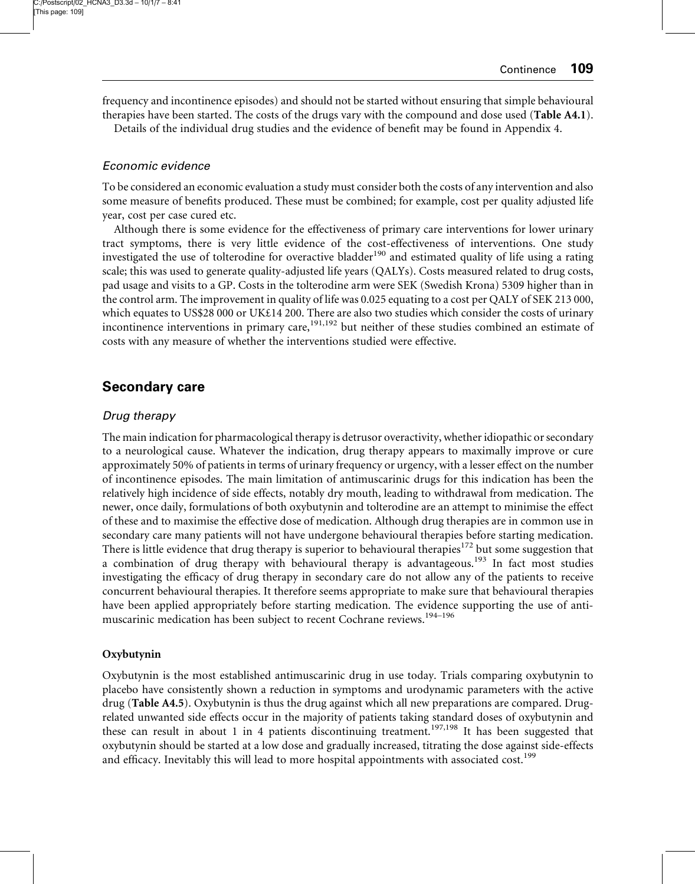frequency and incontinence episodes) and should not be started without ensuring that simple behavioural therapies have been started. The costs of the drugs vary with the compound and dose used (Table A4.1).

Details of the individual drug studies and the evidence of benefit may be found in Appendix 4.

#### Economic evidence

To be considered an economic evaluation a study must consider both the costs of any intervention and also some measure of benefits produced. These must be combined; for example, cost per quality adjusted life year, cost per case cured etc.

Although there is some evidence for the effectiveness of primary care interventions for lower urinary tract symptoms, there is very little evidence of the cost-effectiveness of interventions. One study investigated the use of tolterodine for overactive bladder<sup>190</sup> and estimated quality of life using a rating scale; this was used to generate quality-adjusted life years (QALYs). Costs measured related to drug costs, pad usage and visits to a GP. Costs in the tolterodine arm were SEK (Swedish Krona) 5309 higher than in the control arm. The improvement in quality of life was 0.025 equating to a cost per QALY of SEK 213 000, which equates to US\$28 000 or UK£14 200. There are also two studies which consider the costs of urinary incontinence interventions in primary care, $191,192$  but neither of these studies combined an estimate of costs with any measure of whether the interventions studied were effective.

# Secondary care

#### Drug therapy

The main indication for pharmacological therapy is detrusor overactivity, whether idiopathic or secondary to a neurological cause. Whatever the indication, drug therapy appears to maximally improve or cure approximately 50% of patients in terms of urinary frequency or urgency, with a lesser effect on the number of incontinence episodes. The main limitation of antimuscarinic drugs for this indication has been the relatively high incidence of side effects, notably dry mouth, leading to withdrawal from medication. The newer, once daily, formulations of both oxybutynin and tolterodine are an attempt to minimise the effect of these and to maximise the effective dose of medication. Although drug therapies are in common use in secondary care many patients will not have undergone behavioural therapies before starting medication. There is little evidence that drug therapy is superior to behavioural therapies $172$  but some suggestion that a combination of drug therapy with behavioural therapy is advantageous.<sup>193</sup> In fact most studies investigating the efficacy of drug therapy in secondary care do not allow any of the patients to receive concurrent behavioural therapies. It therefore seems appropriate to make sure that behavioural therapies have been applied appropriately before starting medication. The evidence supporting the use of antimuscarinic medication has been subject to recent Cochrane reviews.<sup>194-196</sup>

#### Oxybutynin

Oxybutynin is the most established antimuscarinic drug in use today. Trials comparing oxybutynin to placebo have consistently shown a reduction in symptoms and urodynamic parameters with the active drug (Table A4.5). Oxybutynin is thus the drug against which all new preparations are compared. Drugrelated unwanted side effects occur in the majority of patients taking standard doses of oxybutynin and these can result in about 1 in 4 patients discontinuing treatment.<sup>197,198</sup> It has been suggested that oxybutynin should be started at a low dose and gradually increased, titrating the dose against side-effects and efficacy. Inevitably this will lead to more hospital appointments with associated cost.<sup>199</sup>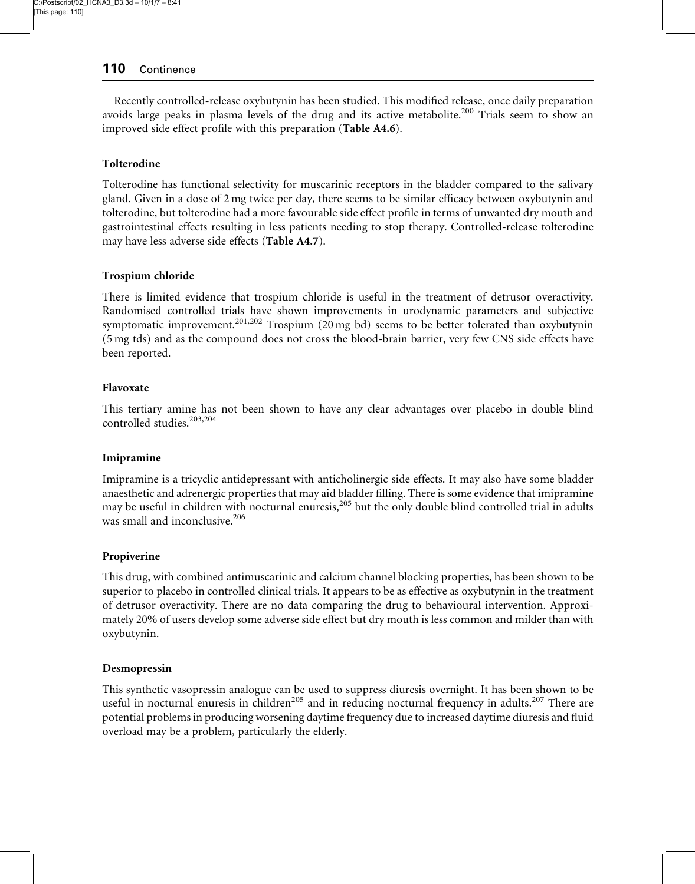Recently controlled-release oxybutynin has been studied. This modified release, once daily preparation avoids large peaks in plasma levels of the drug and its active metabolite.<sup>200</sup> Trials seem to show an improved side effect profile with this preparation (Table A4.6).

#### Tolterodine

Tolterodine has functional selectivity for muscarinic receptors in the bladder compared to the salivary gland. Given in a dose of 2 mg twice per day, there seems to be similar efficacy between oxybutynin and tolterodine, but tolterodine had a more favourable side effect profile in terms of unwanted dry mouth and gastrointestinal effects resulting in less patients needing to stop therapy. Controlled-release tolterodine may have less adverse side effects (Table A4.7).

#### Trospium chloride

There is limited evidence that trospium chloride is useful in the treatment of detrusor overactivity. Randomised controlled trials have shown improvements in urodynamic parameters and subjective symptomatic improvement.<sup>201,202</sup> Trospium (20 mg bd) seems to be better tolerated than oxybutynin (5 mg tds) and as the compound does not cross the blood-brain barrier, very few CNS side effects have been reported.

#### Flavoxate

This tertiary amine has not been shown to have any clear advantages over placebo in double blind controlled studies.<sup>203,204</sup>

#### Imipramine

Imipramine is a tricyclic antidepressant with anticholinergic side effects. It may also have some bladder anaesthetic and adrenergic properties that may aid bladder filling. There is some evidence that imipramine may be useful in children with nocturnal enuresis,<sup>205</sup> but the only double blind controlled trial in adults was small and inconclusive.<sup>206</sup>

#### Propiverine

This drug, with combined antimuscarinic and calcium channel blocking properties, has been shown to be superior to placebo in controlled clinical trials. It appears to be as effective as oxybutynin in the treatment of detrusor overactivity. There are no data comparing the drug to behavioural intervention. Approximately 20% of users develop some adverse side effect but dry mouth is less common and milder than with oxybutynin.

#### Desmopressin

This synthetic vasopressin analogue can be used to suppress diuresis overnight. It has been shown to be useful in nocturnal enuresis in children<sup>205</sup> and in reducing nocturnal frequency in adults.<sup>207</sup> There are potential problems in producing worsening daytime frequency due to increased daytime diuresis and fluid overload may be a problem, particularly the elderly.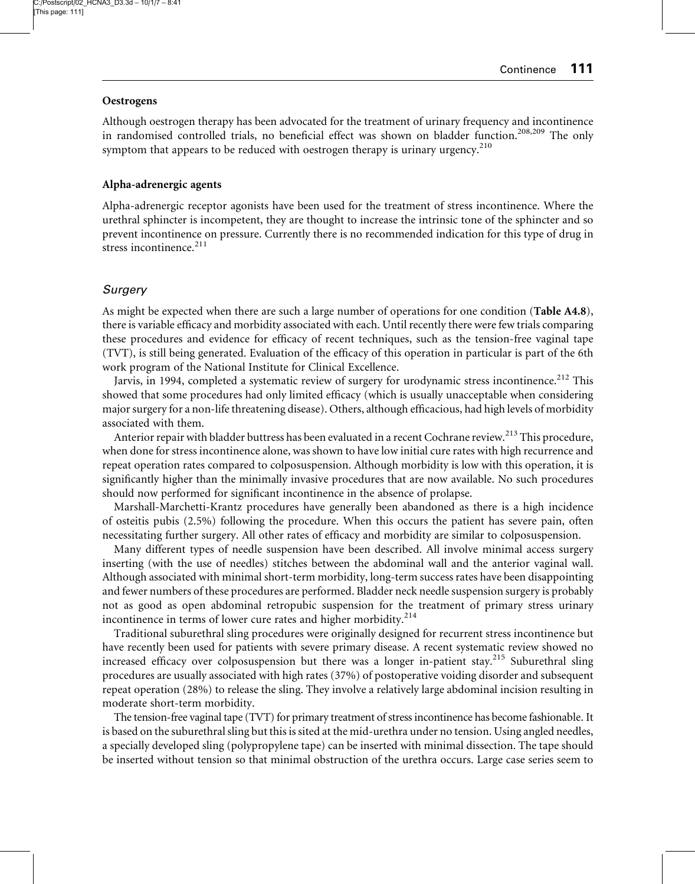#### **Oestrogens**

Although oestrogen therapy has been advocated for the treatment of urinary frequency and incontinence in randomised controlled trials, no beneficial effect was shown on bladder function.<sup>208,209</sup> The only symptom that appears to be reduced with oestrogen therapy is urinary urgency.<sup>210</sup>

#### Alpha-adrenergic agents

Alpha-adrenergic receptor agonists have been used for the treatment of stress incontinence. Where the urethral sphincter is incompetent, they are thought to increase the intrinsic tone of the sphincter and so prevent incontinence on pressure. Currently there is no recommended indication for this type of drug in stress incontinence.<sup>211</sup>

#### **Surgery**

As might be expected when there are such a large number of operations for one condition (Table A4.8), there is variable efficacy and morbidity associated with each. Until recently there were few trials comparing these procedures and evidence for efficacy of recent techniques, such as the tension-free vaginal tape (TVT), is still being generated. Evaluation of the efficacy of this operation in particular is part of the 6th work program of the National Institute for Clinical Excellence.

Jarvis, in 1994, completed a systematic review of surgery for urodynamic stress incontinence.<sup>212</sup> This showed that some procedures had only limited efficacy (which is usually unacceptable when considering major surgery for a non-life threatening disease). Others, although efficacious, had high levels of morbidity associated with them.

Anterior repair with bladder buttress has been evaluated in a recent Cochrane review.<sup>213</sup> This procedure, when done for stress incontinence alone, was shown to have low initial cure rates with high recurrence and repeat operation rates compared to colposuspension. Although morbidity is low with this operation, it is significantly higher than the minimally invasive procedures that are now available. No such procedures should now performed for significant incontinence in the absence of prolapse.

Marshall-Marchetti-Krantz procedures have generally been abandoned as there is a high incidence of osteitis pubis (2.5%) following the procedure. When this occurs the patient has severe pain, often necessitating further surgery. All other rates of efficacy and morbidity are similar to colposuspension.

Many different types of needle suspension have been described. All involve minimal access surgery inserting (with the use of needles) stitches between the abdominal wall and the anterior vaginal wall. Although associated with minimal short-term morbidity, long-term success rates have been disappointing and fewer numbers of these procedures are performed. Bladder neck needle suspension surgery is probably not as good as open abdominal retropubic suspension for the treatment of primary stress urinary incontinence in terms of lower cure rates and higher morbidity.<sup>214</sup>

Traditional suburethral sling procedures were originally designed for recurrent stress incontinence but have recently been used for patients with severe primary disease. A recent systematic review showed no increased efficacy over colposuspension but there was a longer in-patient stay.<sup>215</sup> Suburethral sling procedures are usually associated with high rates (37%) of postoperative voiding disorder and subsequent repeat operation (28%) to release the sling. They involve a relatively large abdominal incision resulting in moderate short-term morbidity.

The tension-free vaginal tape (TVT) for primary treatment of stress incontinence has become fashionable. It is based on the suburethral sling but this is sited at the mid-urethra under no tension. Using angled needles, a specially developed sling (polypropylene tape) can be inserted with minimal dissection. The tape should be inserted without tension so that minimal obstruction of the urethra occurs. Large case series seem to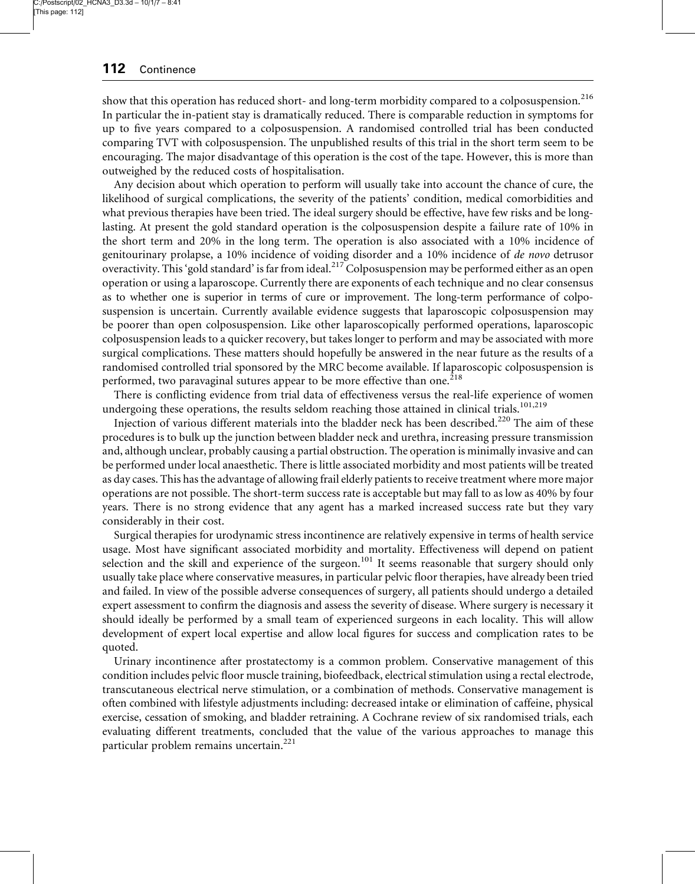show that this operation has reduced short- and long-term morbidity compared to a colposuspension.<sup>216</sup> In particular the in-patient stay is dramatically reduced. There is comparable reduction in symptoms for up to five years compared to a colposuspension. A randomised controlled trial has been conducted comparing TVT with colposuspension. The unpublished results of this trial in the short term seem to be encouraging. The major disadvantage of this operation is the cost of the tape. However, this is more than outweighed by the reduced costs of hospitalisation.

Any decision about which operation to perform will usually take into account the chance of cure, the likelihood of surgical complications, the severity of the patients' condition, medical comorbidities and what previous therapies have been tried. The ideal surgery should be effective, have few risks and be longlasting. At present the gold standard operation is the colposuspension despite a failure rate of 10% in the short term and 20% in the long term. The operation is also associated with a 10% incidence of genitourinary prolapse, a 10% incidence of voiding disorder and a 10% incidence of de novo detrusor overactivity. This 'gold standard' is far from ideal.<sup>217</sup> Colposuspension may be performed either as an open operation or using a laparoscope. Currently there are exponents of each technique and no clear consensus as to whether one is superior in terms of cure or improvement. The long-term performance of colposuspension is uncertain. Currently available evidence suggests that laparoscopic colposuspension may be poorer than open colposuspension. Like other laparoscopically performed operations, laparoscopic colposuspension leads to a quicker recovery, but takes longer to perform and may be associated with more surgical complications. These matters should hopefully be answered in the near future as the results of a randomised controlled trial sponsored by the MRC become available. If laparoscopic colposuspension is performed, two paravaginal sutures appear to be more effective than one.<sup>218</sup>

There is conflicting evidence from trial data of effectiveness versus the real-life experience of women undergoing these operations, the results seldom reaching those attained in clinical trials.<sup>101,219</sup>

Injection of various different materials into the bladder neck has been described.<sup>220</sup> The aim of these procedures is to bulk up the junction between bladder neck and urethra, increasing pressure transmission and, although unclear, probably causing a partial obstruction. The operation is minimally invasive and can be performed under local anaesthetic. There is little associated morbidity and most patients will be treated as day cases. This has the advantage of allowing frail elderly patients to receive treatment where more major operations are not possible. The short-term success rate is acceptable but may fall to as low as 40% by four years. There is no strong evidence that any agent has a marked increased success rate but they vary considerably in their cost.

Surgical therapies for urodynamic stress incontinence are relatively expensive in terms of health service usage. Most have significant associated morbidity and mortality. Effectiveness will depend on patient selection and the skill and experience of the surgeon.<sup>101</sup> It seems reasonable that surgery should only usually take place where conservative measures, in particular pelvic floor therapies, have already been tried and failed. In view of the possible adverse consequences of surgery, all patients should undergo a detailed expert assessment to confirm the diagnosis and assess the severity of disease. Where surgery is necessary it should ideally be performed by a small team of experienced surgeons in each locality. This will allow development of expert local expertise and allow local figures for success and complication rates to be quoted.

Urinary incontinence after prostatectomy is a common problem. Conservative management of this condition includes pelvic floor muscle training, biofeedback, electrical stimulation using a rectal electrode, transcutaneous electrical nerve stimulation, or a combination of methods. Conservative management is often combined with lifestyle adjustments including: decreased intake or elimination of caffeine, physical exercise, cessation of smoking, and bladder retraining. A Cochrane review of six randomised trials, each evaluating different treatments, concluded that the value of the various approaches to manage this particular problem remains uncertain.<sup>221</sup>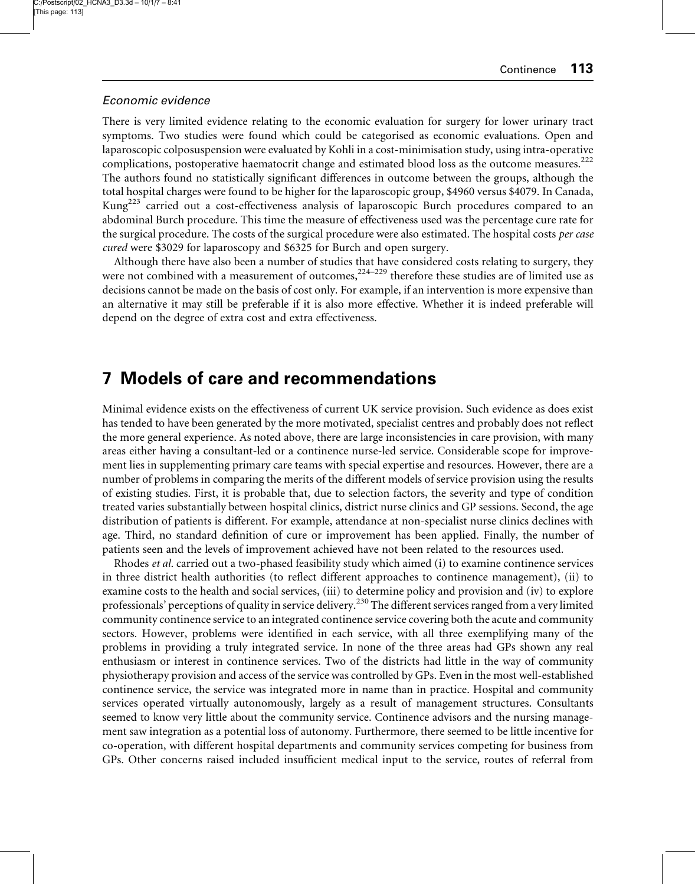### Economic evidence

There is very limited evidence relating to the economic evaluation for surgery for lower urinary tract symptoms. Two studies were found which could be categorised as economic evaluations. Open and laparoscopic colposuspension were evaluated by Kohli in a cost-minimisation study, using intra-operative complications, postoperative haematocrit change and estimated blood loss as the outcome measures.<sup>222</sup> The authors found no statistically significant differences in outcome between the groups, although the total hospital charges were found to be higher for the laparoscopic group, \$4960 versus \$4079. In Canada, Kung<sup>223</sup> carried out a cost-effectiveness analysis of laparoscopic Burch procedures compared to an abdominal Burch procedure. This time the measure of effectiveness used was the percentage cure rate for the surgical procedure. The costs of the surgical procedure were also estimated. The hospital costs per case cured were \$3029 for laparoscopy and \$6325 for Burch and open surgery.

Although there have also been a number of studies that have considered costs relating to surgery, they were not combined with a measurement of outcomes,  $224-229$  therefore these studies are of limited use as decisions cannot be made on the basis of cost only. For example, if an intervention is more expensive than an alternative it may still be preferable if it is also more effective. Whether it is indeed preferable will depend on the degree of extra cost and extra effectiveness.

# 7 Models of care and recommendations

Minimal evidence exists on the effectiveness of current UK service provision. Such evidence as does exist has tended to have been generated by the more motivated, specialist centres and probably does not reflect the more general experience. As noted above, there are large inconsistencies in care provision, with many areas either having a consultant-led or a continence nurse-led service. Considerable scope for improvement lies in supplementing primary care teams with special expertise and resources. However, there are a number of problems in comparing the merits of the different models of service provision using the results of existing studies. First, it is probable that, due to selection factors, the severity and type of condition treated varies substantially between hospital clinics, district nurse clinics and GP sessions. Second, the age distribution of patients is different. For example, attendance at non-specialist nurse clinics declines with age. Third, no standard definition of cure or improvement has been applied. Finally, the number of patients seen and the levels of improvement achieved have not been related to the resources used.

Rhodes et al. carried out a two-phased feasibility study which aimed (i) to examine continence services in three district health authorities (to reflect different approaches to continence management), (ii) to examine costs to the health and social services, (iii) to determine policy and provision and (iv) to explore professionals' perceptions of quality in service delivery.<sup>230</sup> The different services ranged from a very limited community continence service to an integrated continence service covering both the acute and community sectors. However, problems were identified in each service, with all three exemplifying many of the problems in providing a truly integrated service. In none of the three areas had GPs shown any real enthusiasm or interest in continence services. Two of the districts had little in the way of community physiotherapy provision and access of the service was controlled by GPs. Even in the most well-established continence service, the service was integrated more in name than in practice. Hospital and community services operated virtually autonomously, largely as a result of management structures. Consultants seemed to know very little about the community service. Continence advisors and the nursing management saw integration as a potential loss of autonomy. Furthermore, there seemed to be little incentive for co-operation, with different hospital departments and community services competing for business from GPs. Other concerns raised included insufficient medical input to the service, routes of referral from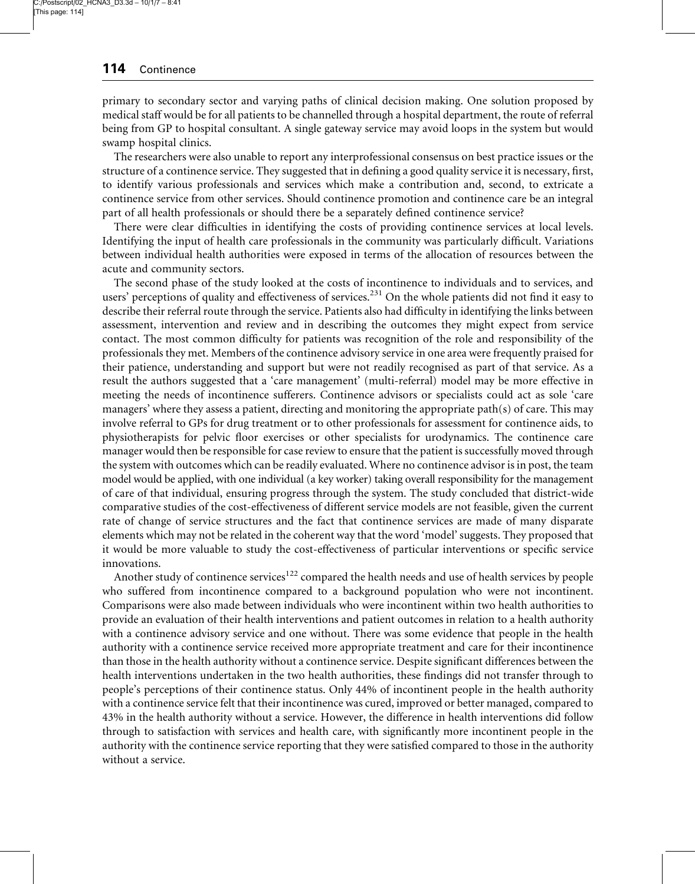primary to secondary sector and varying paths of clinical decision making. One solution proposed by medical staff would be for all patients to be channelled through a hospital department, the route of referral being from GP to hospital consultant. A single gateway service may avoid loops in the system but would swamp hospital clinics.

The researchers were also unable to report any interprofessional consensus on best practice issues or the structure of a continence service. They suggested that in defining a good quality service it is necessary, first, to identify various professionals and services which make a contribution and, second, to extricate a continence service from other services. Should continence promotion and continence care be an integral part of all health professionals or should there be a separately defined continence service?

There were clear difficulties in identifying the costs of providing continence services at local levels. Identifying the input of health care professionals in the community was particularly difficult. Variations between individual health authorities were exposed in terms of the allocation of resources between the acute and community sectors.

The second phase of the study looked at the costs of incontinence to individuals and to services, and users' perceptions of quality and effectiveness of services.<sup>231</sup> On the whole patients did not find it easy to describe their referral route through the service. Patients also had difficulty in identifying the links between assessment, intervention and review and in describing the outcomes they might expect from service contact. The most common difficulty for patients was recognition of the role and responsibility of the professionals they met. Members of the continence advisory service in one area were frequently praised for their patience, understanding and support but were not readily recognised as part of that service. As a result the authors suggested that a 'care management' (multi-referral) model may be more effective in meeting the needs of incontinence sufferers. Continence advisors or specialists could act as sole 'care managers' where they assess a patient, directing and monitoring the appropriate path(s) of care. This may involve referral to GPs for drug treatment or to other professionals for assessment for continence aids, to physiotherapists for pelvic floor exercises or other specialists for urodynamics. The continence care manager would then be responsible for case review to ensure that the patient is successfully moved through the system with outcomes which can be readily evaluated. Where no continence advisor is in post, the team model would be applied, with one individual (a key worker) taking overall responsibility for the management of care of that individual, ensuring progress through the system. The study concluded that district-wide comparative studies of the cost-effectiveness of different service models are not feasible, given the current rate of change of service structures and the fact that continence services are made of many disparate elements which may not be related in the coherent way that the word 'model' suggests. They proposed that it would be more valuable to study the cost-effectiveness of particular interventions or specific service innovations.

Another study of continence services<sup>122</sup> compared the health needs and use of health services by people who suffered from incontinence compared to a background population who were not incontinent. Comparisons were also made between individuals who were incontinent within two health authorities to provide an evaluation of their health interventions and patient outcomes in relation to a health authority with a continence advisory service and one without. There was some evidence that people in the health authority with a continence service received more appropriate treatment and care for their incontinence than those in the health authority without a continence service. Despite significant differences between the health interventions undertaken in the two health authorities, these findings did not transfer through to people's perceptions of their continence status. Only 44% of incontinent people in the health authority with a continence service felt that their incontinence was cured, improved or better managed, compared to 43% in the health authority without a service. However, the difference in health interventions did follow through to satisfaction with services and health care, with significantly more incontinent people in the authority with the continence service reporting that they were satisfied compared to those in the authority without a service.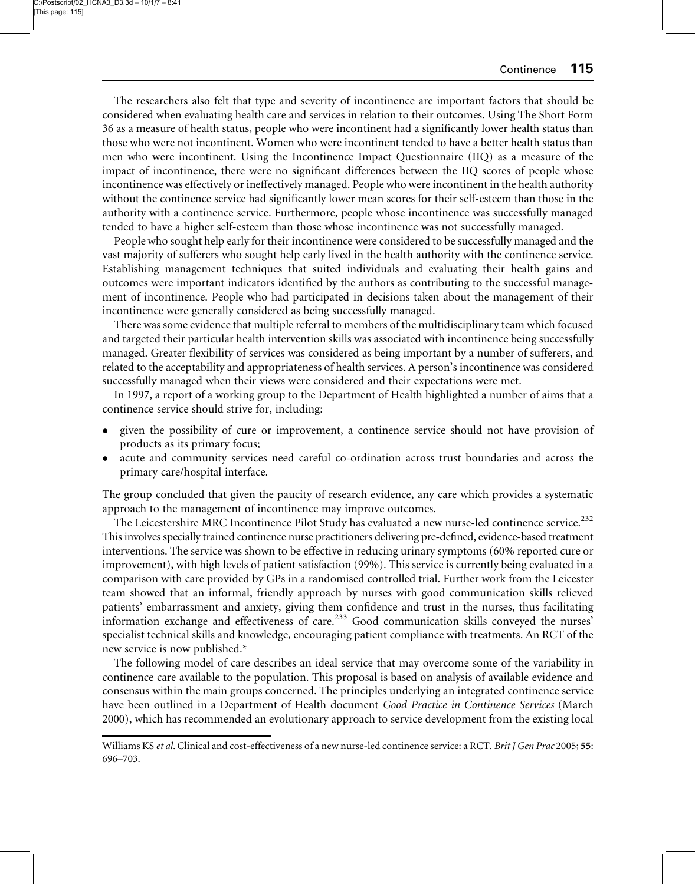The researchers also felt that type and severity of incontinence are important factors that should be considered when evaluating health care and services in relation to their outcomes. Using The Short Form 36 as a measure of health status, people who were incontinent had a significantly lower health status than those who were not incontinent. Women who were incontinent tended to have a better health status than men who were incontinent. Using the Incontinence Impact Questionnaire (IIQ) as a measure of the impact of incontinence, there were no significant differences between the IIQ scores of people whose incontinence was effectively or ineffectively managed. People who were incontinent in the health authority without the continence service had significantly lower mean scores for their self-esteem than those in the authority with a continence service. Furthermore, people whose incontinence was successfully managed tended to have a higher self-esteem than those whose incontinence was not successfully managed.

People who sought help early for their incontinence were considered to be successfully managed and the vast majority of sufferers who sought help early lived in the health authority with the continence service. Establishing management techniques that suited individuals and evaluating their health gains and outcomes were important indicators identified by the authors as contributing to the successful management of incontinence. People who had participated in decisions taken about the management of their incontinence were generally considered as being successfully managed.

There was some evidence that multiple referral to members of the multidisciplinary team which focused and targeted their particular health intervention skills was associated with incontinence being successfully managed. Greater flexibility of services was considered as being important by a number of sufferers, and related to the acceptability and appropriateness of health services. A person's incontinence was considered successfully managed when their views were considered and their expectations were met.

In 1997, a report of a working group to the Department of Health highlighted a number of aims that a continence service should strive for, including:

- $\bullet$  given the possibility of cure or improvement, a continence service should not have provision of products as its primary focus;
- $\bullet$  acute and community services need careful co-ordination across trust boundaries and across the primary care/hospital interface.

The group concluded that given the paucity of research evidence, any care which provides a systematic approach to the management of incontinence may improve outcomes.

The Leicestershire MRC Incontinence Pilot Study has evaluated a new nurse-led continence service.<sup>232</sup> This involves specially trained continence nurse practitioners delivering pre-defined, evidence-based treatment interventions. The service was shown to be effective in reducing urinary symptoms (60% reported cure or improvement), with high levels of patient satisfaction (99%). This service is currently being evaluated in a comparison with care provided by GPs in a randomised controlled trial. Further work from the Leicester team showed that an informal, friendly approach by nurses with good communication skills relieved patients' embarrassment and anxiety, giving them confidence and trust in the nurses, thus facilitating information exchange and effectiveness of care.<sup>233</sup> Good communication skills conveyed the nurses' specialist technical skills and knowledge, encouraging patient compliance with treatments. An RCT of the new service is now published.\*

The following model of care describes an ideal service that may overcome some of the variability in continence care available to the population. This proposal is based on analysis of available evidence and consensus within the main groups concerned. The principles underlying an integrated continence service have been outlined in a Department of Health document Good Practice in Continence Services (March 2000), which has recommended an evolutionary approach to service development from the existing local

Williams KS et al. Clinical and cost-effectiveness of a new nurse-led continence service: a RCT. Brit J Gen Prac 2005; 55: 696–703.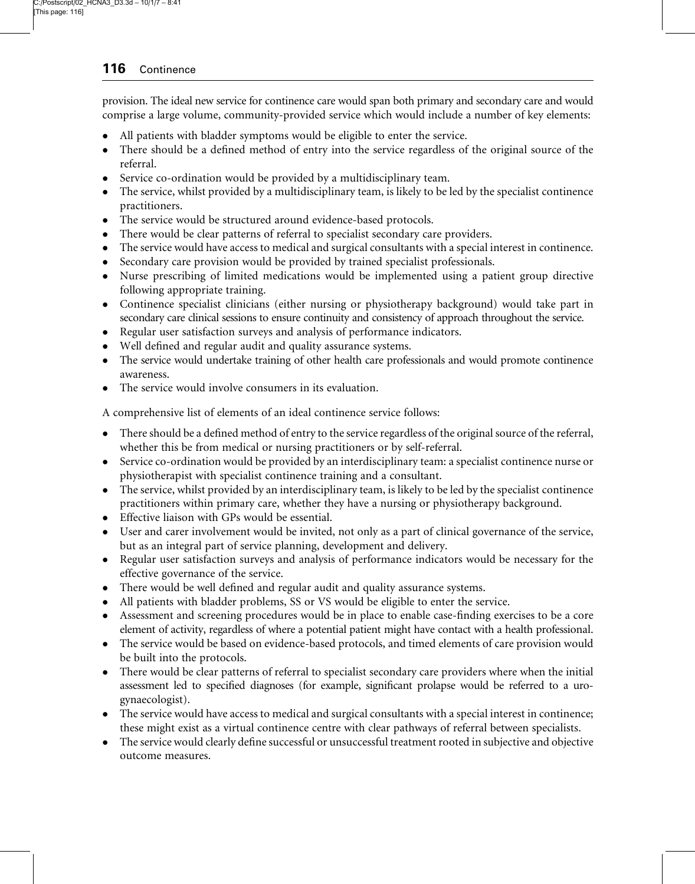provision. The ideal new service for continence care would span both primary and secondary care and would comprise a large volume, community-provided service which would include a number of key elements:

- $\bullet$ All patients with bladder symptoms would be eligible to enter the service.
- $\bullet$  There should be a defined method of entry into the service regardless of the original source of the referral.
- $\bullet$ Service co-ordination would be provided by a multidisciplinary team.
- $\bullet$  The service, whilst provided by a multidisciplinary team, is likely to be led by the specialist continence practitioners.
- The service would be structured around evidence-based protocols.
- There would be clear patterns of referral to specialist secondary care providers.
- The service would have access to medical and surgical consultants with a special interest in continence.
- $\bullet$ Secondary care provision would be provided by trained specialist professionals.
- Nurse prescribing of limited medications would be implemented using a patient group directive following appropriate training.
- Continence specialist clinicians (either nursing or physiotherapy background) would take part in secondary care clinical sessions to ensure continuity and consistency of approach throughout the service.
- Regular user satisfaction surveys and analysis of performance indicators.
- Well defined and regular audit and quality assurance systems.
- The service would undertake training of other health care professionals and would promote continence awareness.
- $\bullet$ The service would involve consumers in its evaluation.

A comprehensive list of elements of an ideal continence service follows:

- $\bullet$  There should be a defined method of entry to the service regardless of the original source of the referral, whether this be from medical or nursing practitioners or by self-referral.
- Service co-ordination would be provided by an interdisciplinary team: a specialist continence nurse or physiotherapist with specialist continence training and a consultant.
- The service, whilst provided by an interdisciplinary team, is likely to be led by the specialist continence practitioners within primary care, whether they have a nursing or physiotherapy background.
- Effective liaison with GPs would be essential.
- User and carer involvement would be invited, not only as a part of clinical governance of the service, but as an integral part of service planning, development and delivery.
- Regular user satisfaction surveys and analysis of performance indicators would be necessary for the effective governance of the service.
- There would be well defined and regular audit and quality assurance systems.
- All patients with bladder problems, SS or VS would be eligible to enter the service.
- Assessment and screening procedures would be in place to enable case-finding exercises to be a core element of activity, regardless of where a potential patient might have contact with a health professional.
- The service would be based on evidence-based protocols, and timed elements of care provision would be built into the protocols.
- There would be clear patterns of referral to specialist secondary care providers where when the initial assessment led to specified diagnoses (for example, significant prolapse would be referred to a urogynaecologist).
- The service would have access to medical and surgical consultants with a special interest in continence; these might exist as a virtual continence centre with clear pathways of referral between specialists.
- The service would clearly define successful or unsuccessful treatment rooted in subjective and objective outcome measures.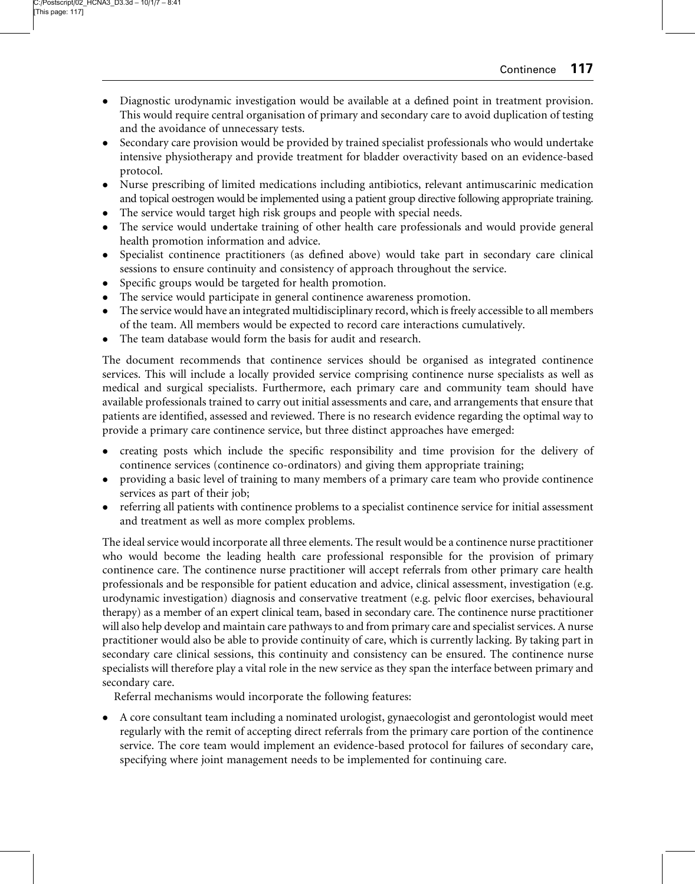- Diagnostic urodynamic investigation would be available at a defined point in treatment provision. This would require central organisation of primary and secondary care to avoid duplication of testing and the avoidance of unnecessary tests.
- $\bullet$  Secondary care provision would be provided by trained specialist professionals who would undertake intensive physiotherapy and provide treatment for bladder overactivity based on an evidence-based protocol.
- Nurse prescribing of limited medications including antibiotics, relevant antimuscarinic medication and topical oestrogen would be implemented using a patient group directive following appropriate training.
- The service would target high risk groups and people with special needs.
- The service would undertake training of other health care professionals and would provide general health promotion information and advice.
- $\bullet$  Specialist continence practitioners (as defined above) would take part in secondary care clinical sessions to ensure continuity and consistency of approach throughout the service.
- $\bullet$ Specific groups would be targeted for health promotion.
- The service would participate in general continence awareness promotion.
- $\bullet$  The service would have an integrated multidisciplinary record, which is freely accessible to all members of the team. All members would be expected to record care interactions cumulatively.
- $\bullet$ The team database would form the basis for audit and research.

The document recommends that continence services should be organised as integrated continence services. This will include a locally provided service comprising continence nurse specialists as well as medical and surgical specialists. Furthermore, each primary care and community team should have available professionals trained to carry out initial assessments and care, and arrangements that ensure that patients are identified, assessed and reviewed. There is no research evidence regarding the optimal way to provide a primary care continence service, but three distinct approaches have emerged:

- $\bullet$  creating posts which include the specific responsibility and time provision for the delivery of continence services (continence co-ordinators) and giving them appropriate training;
- $\bullet$  providing a basic level of training to many members of a primary care team who provide continence services as part of their job;
- $\bullet$  referring all patients with continence problems to a specialist continence service for initial assessment and treatment as well as more complex problems.

The ideal service would incorporate all three elements. The result would be a continence nurse practitioner who would become the leading health care professional responsible for the provision of primary continence care. The continence nurse practitioner will accept referrals from other primary care health professionals and be responsible for patient education and advice, clinical assessment, investigation (e.g. urodynamic investigation) diagnosis and conservative treatment (e.g. pelvic floor exercises, behavioural therapy) as a member of an expert clinical team, based in secondary care. The continence nurse practitioner will also help develop and maintain care pathways to and from primary care and specialist services. A nurse practitioner would also be able to provide continuity of care, which is currently lacking. By taking part in secondary care clinical sessions, this continuity and consistency can be ensured. The continence nurse specialists will therefore play a vital role in the new service as they span the interface between primary and secondary care.

Referral mechanisms would incorporate the following features:

 $\bullet$  A core consultant team including a nominated urologist, gynaecologist and gerontologist would meet regularly with the remit of accepting direct referrals from the primary care portion of the continence service. The core team would implement an evidence-based protocol for failures of secondary care, specifying where joint management needs to be implemented for continuing care.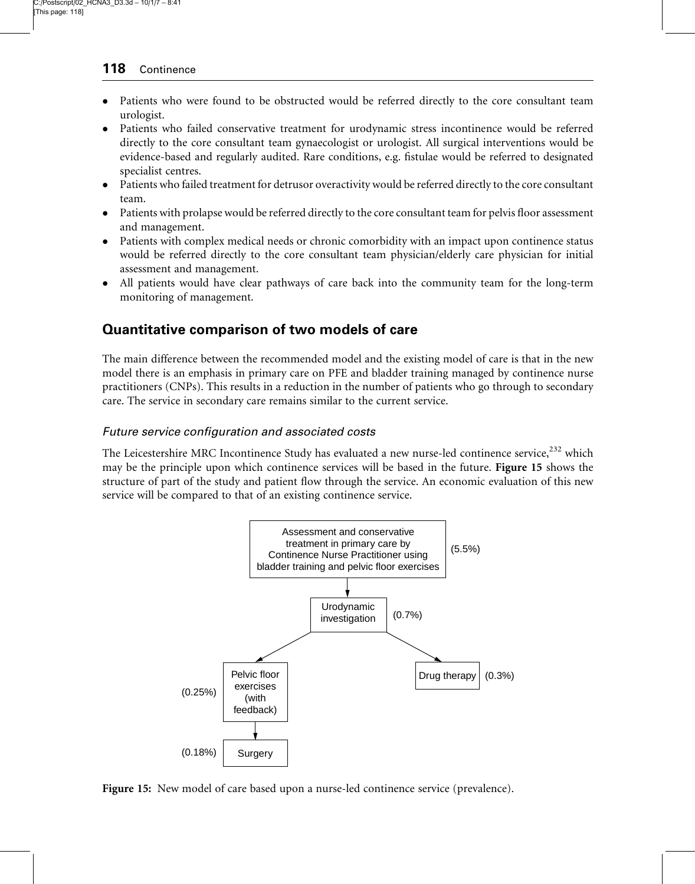- Patients who were found to be obstructed would be referred directly to the core consultant team urologist.
- Patients who failed conservative treatment for urodynamic stress incontinence would be referred directly to the core consultant team gynaecologist or urologist. All surgical interventions would be evidence-based and regularly audited. Rare conditions, e.g. fistulae would be referred to designated specialist centres.
- $\bullet$  Patients who failed treatment for detrusor overactivity would be referred directly to the core consultant team.
- Patients with prolapse would be referred directly to the core consultant team for pelvis floor assessment and management.
- Patients with complex medical needs or chronic comorbidity with an impact upon continence status would be referred directly to the core consultant team physician/elderly care physician for initial assessment and management.
- All patients would have clear pathways of care back into the community team for the long-term monitoring of management.

# Quantitative comparison of two models of care

The main difference between the recommended model and the existing model of care is that in the new model there is an emphasis in primary care on PFE and bladder training managed by continence nurse practitioners (CNPs). This results in a reduction in the number of patients who go through to secondary care. The service in secondary care remains similar to the current service.

# Future service configuration and associated costs

The Leicestershire MRC Incontinence Study has evaluated a new nurse-led continence service,<sup>232</sup> which may be the principle upon which continence services will be based in the future. Figure 15 shows the structure of part of the study and patient flow through the service. An economic evaluation of this new service will be compared to that of an existing continence service.



Figure 15: New model of care based upon a nurse-led continence service (prevalence).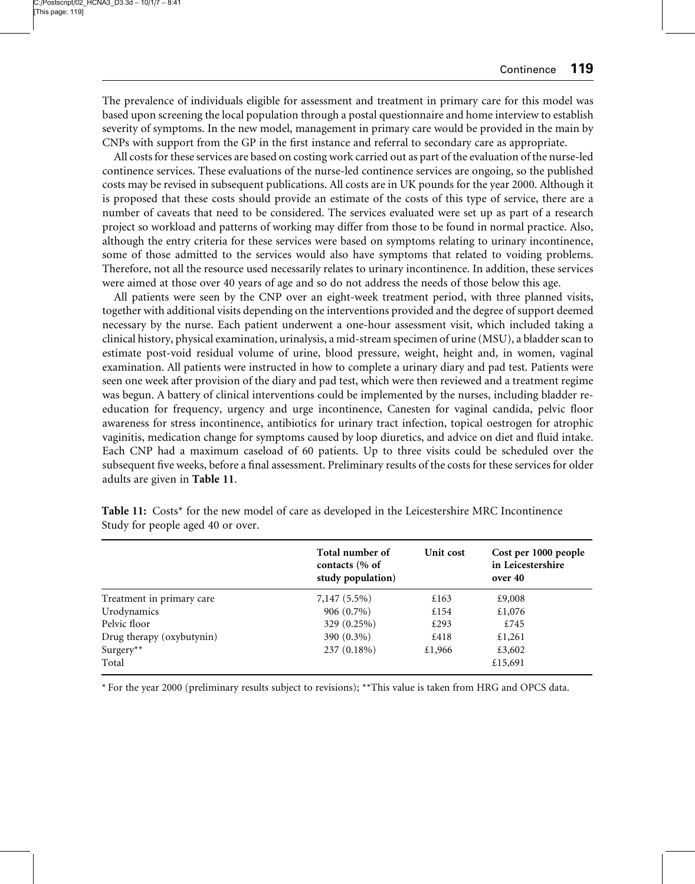The prevalence of individuals eligible for assessment and treatment in primary care for this model was based upon screening the local population through a postal questionnaire and home interview to establish severity of symptoms. In the new model, management in primary care would be provided in the main by CNPs with support from the GP in the first instance and referral to secondary care as appropriate.

All costs for these services are based on costing work carried out as part of the evaluation of the nurse-led continence services. These evaluations of the nurse-led continence services are ongoing, so the published costs may be revised in subsequent publications. All costs are in UK pounds for the year 2000. Although it is proposed that these costs should provide an estimate of the costs of this type of service, there are a number of caveats that need to be considered. The services evaluated were set up as part of a research project so workload and patterns of working may differ from those to be found in normal practice. Also, although the entry criteria for these services were based on symptoms relating to urinary incontinence, some of those admitted to the services would also have symptoms that related to voiding problems. Therefore, not all the resource used necessarily relates to urinary incontinence. In addition, these services were aimed at those over 40 years of age and so do not address the needs of those below this age.

All patients were seen by the CNP over an eight-week treatment period, with three planned visits, together with additional visits depending on the interventions provided and the degree of support deemed necessary by the nurse. Each patient underwent a one-hour assessment visit, which included taking a clinical history, physical examination, urinalysis, a mid-stream specimen of urine (MSU), a bladder scan to estimate post-void residual volume of urine, blood pressure, weight, height and, in women, vaginal examination. All patients were instructed in how to complete a urinary diary and pad test. Patients were seen one week after provision of the diary and pad test, which were then reviewed and a treatment regime was begun. A battery of clinical interventions could be implemented by the nurses, including bladder reeducation for frequency, urgency and urge incontinence, Canesten for vaginal candida, pelvic floor awareness for stress incontinence, antibiotics for urinary tract infection, topical oestrogen for atrophic vaginitis, medication change for symptoms caused by loop diuretics, and advice on diet and fluid intake. Each CNP had a maximum caseload of 60 patients. Up to three visits could be scheduled over the subsequent five weeks, before a final assessment. Preliminary results of the costs for these services for older adults are given in Table 11.

|                           | Total number of<br>contacts (% of<br>study population) | Unit cost | Cost per 1000 people<br>in Leicestershire<br>over 40 |
|---------------------------|--------------------------------------------------------|-----------|------------------------------------------------------|
| Treatment in primary care | 7,147 (5.5%)                                           | £163      | £9,008                                               |
| Urodynamics               | $906(0.7\%)$                                           | £154      | £1,076                                               |
| Pelvic floor              | 329 (0.25%)                                            | £293      | £745                                                 |
| Drug therapy (oxybutynin) | 390 (0.3%)                                             | £418      | £1,261                                               |
| Surgery**                 | $237(0.18\%)$                                          | £1,966    | £3,602                                               |
| Total                     |                                                        |           | £15,691                                              |

Table 11: Costs\* for the new model of care as developed in the Leicestershire MRC Incontinence Study for people aged 40 or over.

\* For the year 2000 (preliminary results subject to revisions); \*\*This value is taken from HRG and OPCSdata.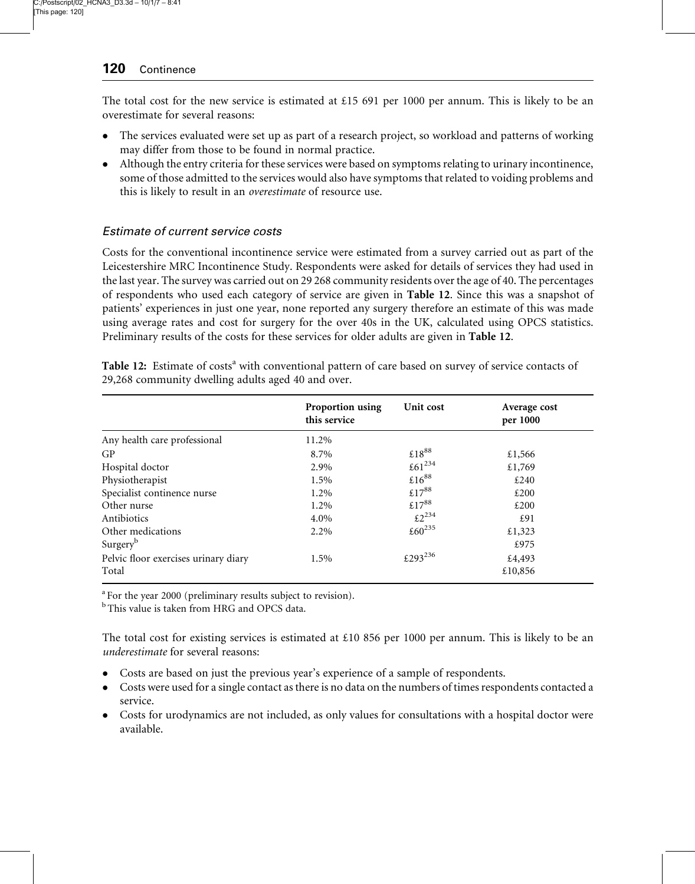The total cost for the new service is estimated at £15 691 per 1000 per annum. This is likely to be an overestimate for several reasons:

- The services evaluated were set up as part of a research project, so workload and patterns of working may differ from those to be found in normal practice.
- Although the entry criteria for these services were based on symptoms relating to urinary incontinence, some of those admitted to the services would also have symptoms that related to voiding problems and this is likely to result in an overestimate of resource use.

### Estimate of current service costs

Costs for the conventional incontinence service were estimated from a survey carried out as part of the Leicestershire MRC Incontinence Study. Respondents were asked for details of services they had used in the last year. The survey was carried out on 29 268 community residents over the age of 40. The percentages of respondents who used each category of service are given in Table 12. Since this was a snapshot of patients' experiences in just one year, none reported any surgery therefore an estimate of this was made using average rates and cost for surgery for the over 40s in the UK, calculated using OPCS statistics. Preliminary results of the costs for these services for older adults are given in Table 12.

|  |  | Table 12: Estimate of costs <sup>a</sup> with conventional pattern of care based on survey of service contacts of |  |  |  |  |
|--|--|-------------------------------------------------------------------------------------------------------------------|--|--|--|--|
|  |  | 29,268 community dwelling adults aged 40 and over.                                                                |  |  |  |  |

|                                      | <b>Proportion using</b><br>this service | Unit cost          | Average cost<br>per 1000 |
|--------------------------------------|-----------------------------------------|--------------------|--------------------------|
| Any health care professional         | 11.2%                                   |                    |                          |
| GP                                   | 8.7%                                    | £18 <sup>88</sup>  | £1,566                   |
| Hospital doctor                      | 2.9%                                    | £61 <sup>234</sup> | £1,769                   |
| Physiotherapist                      | 1.5%                                    | $$16^{88}$         | £240                     |
| Specialist continence nurse          | 1.2%                                    | £17 $88$           | £200                     |
| Other nurse                          | 1.2%                                    | £17 <sup>88</sup>  | £200                     |
| Antibiotics                          | 4.0%                                    | $f 2^{234}$        | £91                      |
| Other medications                    | 2.2%                                    | £60 $^{235}$       | £1,323                   |
| Surgery <sup>b</sup>                 |                                         |                    | £975                     |
| Pelvic floor exercises urinary diary | 1.5%                                    | £293 $^{236}$      | £4,493                   |
| Total                                |                                         |                    | £10,856                  |

<sup>a</sup> For the year 2000 (preliminary results subject to revision).

<sup>b</sup> This value is taken from HRG and OPCS data.

The total cost for existing services is estimated at £10 856 per 1000 per annum. This is likely to be an underestimate for several reasons:

- $\bullet$ Costs are based on just the previous year's experience of a sample of respondents.
- Costs were used for a single contact as there is no data on the numbers of times respondents contacted a service.
- Costs for urodynamics are not included, as only values for consultations with a hospital doctor were available.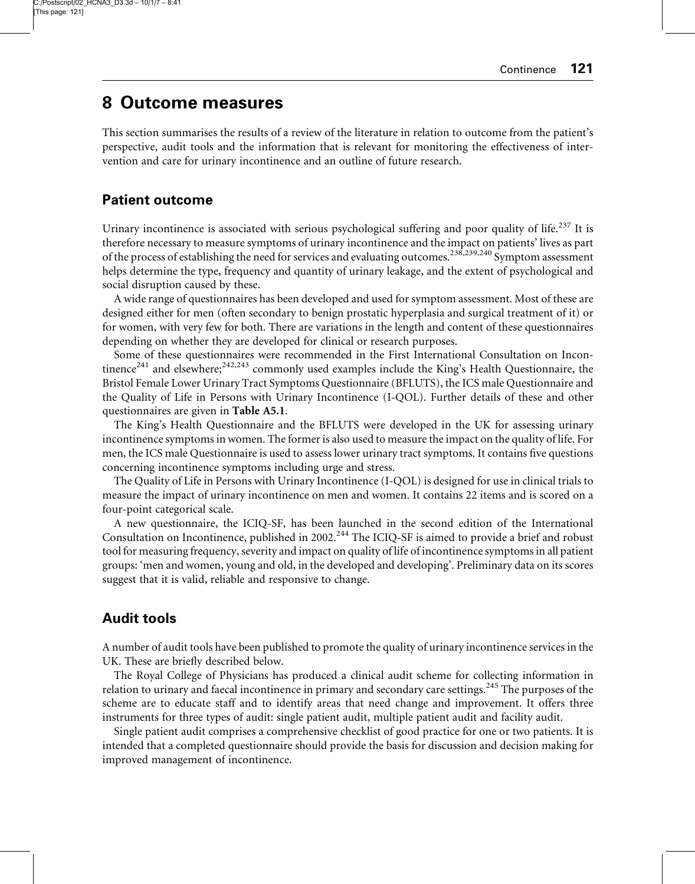# 8 Outcome measures

This section summarises the results of a review of the literature in relation to outcome from the patient's perspective, audit tools and the information that is relevant for monitoring the effectiveness of intervention and care for urinary incontinence and an outline of future research.

# Patient outcome

Urinary incontinence is associated with serious psychological suffering and poor quality of life.<sup>237</sup> It is therefore necessary to measure symptoms of urinary incontinence and the impact on patients' lives as part of the process of establishing the need for services and evaluating outcomes.<sup>238,239,240</sup> Symptom assessment helps determine the type, frequency and quantity of urinary leakage, and the extent of psychological and social disruption caused by these.

A wide range of questionnaires has been developed and used for symptom assessment. Most of these are designed either for men (often secondary to benign prostatic hyperplasia and surgical treatment of it) or for women, with very few for both. There are variations in the length and content of these questionnaires depending on whether they are developed for clinical or research purposes.

Some of these questionnaires were recommended in the First International Consultation on Incontinence<sup>241</sup> and elsewhere;<sup>242,243</sup> commonly used examples include the King's Health Questionnaire, the Bristol Female Lower Urinary Tract Symptoms Questionnaire (BFLUTS), the ICS male Questionnaire and the Quality of Life in Persons with Urinary Incontinence (I-QOL). Further details of these and other questionnaires are given in Table A5.1.

The King's Health Questionnaire and the BFLUTSwere developed in the UK for assessing urinary incontinence symptoms in women. The former is also used to measure the impact on the quality of life. For men, the ICSmale Questionnaire is used to assess lower urinary tract symptoms. It contains five questions concerning incontinence symptoms including urge and stress.

The Quality of Life in Persons with Urinary Incontinence (I-QOL) is designed for use in clinical trials to measure the impact of urinary incontinence on men and women. It contains 22 items and is scored on a four-point categorical scale.

A new questionnaire, the ICIQ-SF, has been launched in the second edition of the International Consultation on Incontinence, published in 2002.<sup>244</sup> The ICIQ-SF is aimed to provide a brief and robust tool for measuring frequency, severity and impact on quality of life of incontinence symptoms in all patient groups: 'men and women, young and old, in the developed and developing'. Preliminary data on its scores suggest that it is valid, reliable and responsive to change.

# Audit tools

A number of audit tools have been published to promote the quality of urinary incontinence services in the UK. These are briefly described below.

The Royal College of Physicians has produced a clinical audit scheme for collecting information in relation to urinary and faecal incontinence in primary and secondary care settings.<sup>245</sup> The purposes of the scheme are to educate staff and to identify areas that need change and improvement. It offers three instruments for three types of audit: single patient audit, multiple patient audit and facility audit.

Single patient audit comprises a comprehensive checklist of good practice for one or two patients. It is intended that a completed questionnaire should provide the basis for discussion and decision making for improved management of incontinence.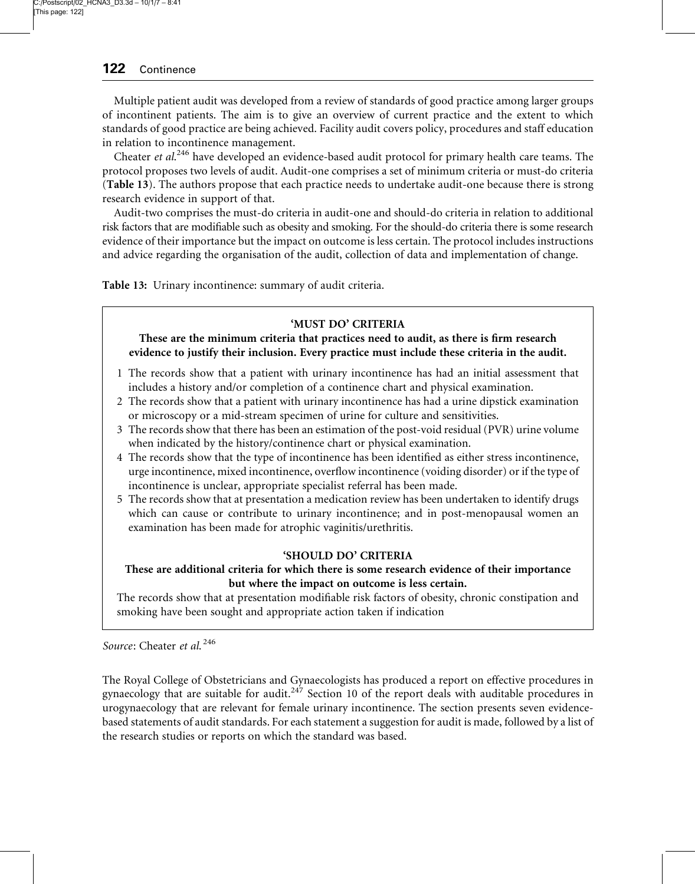Multiple patient audit was developed from a review of standards of good practice among larger groups of incontinent patients. The aim is to give an overview of current practice and the extent to which standards of good practice are being achieved. Facility audit covers policy, procedures and staff education in relation to incontinence management.

Cheater et al.<sup>246</sup> have developed an evidence-based audit protocol for primary health care teams. The protocol proposes two levels of audit. Audit-one comprises a set of minimum criteria or must-do criteria (Table 13). The authors propose that each practice needs to undertake audit-one because there is strong research evidence in support of that.

Audit-two comprises the must-do criteria in audit-one and should-do criteria in relation to additional risk factors that are modifiable such as obesity and smoking. For the should-do criteria there is some research evidence of their importance but the impact on outcome is less certain. The protocol includes instructions and advice regarding the organisation of the audit, collection of data and implementation of change.

Table 13: Urinary incontinence: summary of audit criteria.

#### 'MUST DO' CRITERIA

These are the minimum criteria that practices need to audit, as there is firm research evidence to justify their inclusion. Every practice must include these criteria in the audit.

- 1 The records show that a patient with urinary incontinence has had an initial assessment that includes a history and/or completion of a continence chart and physical examination.
- 2 The records show that a patient with urinary incontinence has had a urine dipstick examination or microscopy or a mid-stream specimen of urine for culture and sensitivities.
- 3 The records show that there has been an estimation of the post-void residual (PVR) urine volume when indicated by the history/continence chart or physical examination.
- 4 The records show that the type of incontinence has been identified as either stress incontinence, urge incontinence, mixed incontinence, overflow incontinence (voiding disorder) or if the type of incontinence is unclear, appropriate specialist referral has been made.
- 5 The records show that at presentation a medication review has been undertaken to identify drugs which can cause or contribute to urinary incontinence; and in post-menopausal women an examination has been made for atrophic vaginitis/urethritis.

#### 'SHOULD DO' CRITERIA

#### These are additional criteria for which there is some research evidence of their importance but where the impact on outcome is less certain.

The records show that at presentation modifiable risk factors of obesity, chronic constipation and smoking have been sought and appropriate action taken if indication

Source: Cheater et al.<sup>246</sup>

The Royal College of Obstetricians and Gynaecologists has produced a report on effective procedures in gynaecology that are suitable for audit.<sup>247</sup> Section 10 of the report deals with auditable procedures in urogynaecology that are relevant for female urinary incontinence. The section presents seven evidencebased statements of audit standards. For each statement a suggestion for audit is made, followed by a list of the research studies or reports on which the standard was based.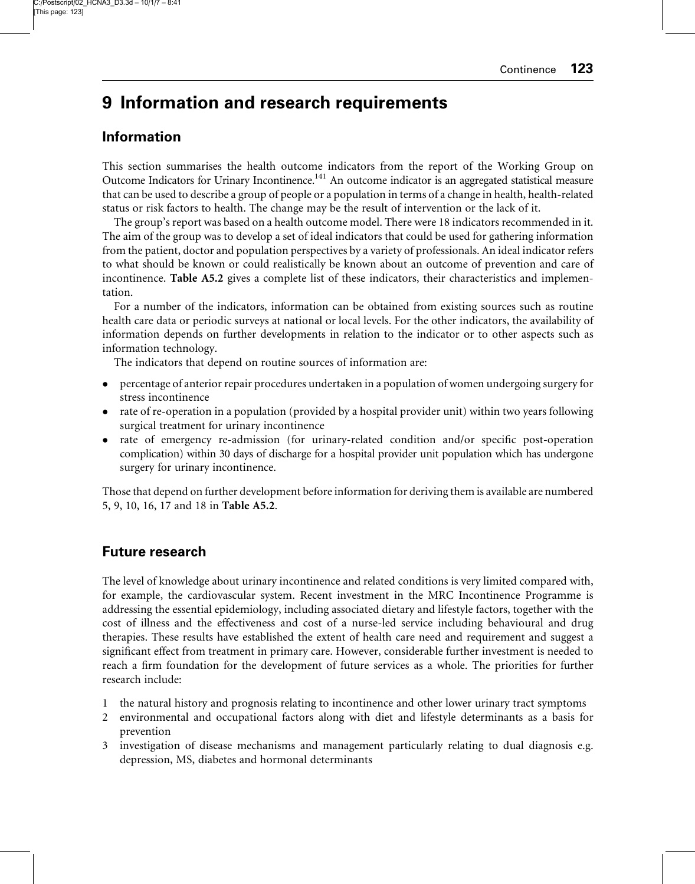# 9 Information and research requirements

# Information

This section summarises the health outcome indicators from the report of the Working Group on Outcome Indicators for Urinary Incontinence.<sup>141</sup> An outcome indicator is an aggregated statistical measure that can be used to describe a group of people or a population in terms of a change in health, health-related status or risk factors to health. The change may be the result of intervention or the lack of it.

The group's report was based on a health outcome model. There were 18 indicators recommended in it. The aim of the group was to develop a set of ideal indicators that could be used for gathering information from the patient, doctor and population perspectives by a variety of professionals. An ideal indicator refers to what should be known or could realistically be known about an outcome of prevention and care of incontinence. Table A5.2 gives a complete list of these indicators, their characteristics and implementation.

For a number of the indicators, information can be obtained from existing sources such as routine health care data or periodic surveys at national or local levels. For the other indicators, the availability of information depends on further developments in relation to the indicator or to other aspects such as information technology.

The indicators that depend on routine sources of information are:

- $\bullet$  percentage of anterior repair procedures undertaken in a population of women undergoing surgery for stress incontinence
- rate of re-operation in a population (provided by a hospital provider unit) within two years following surgical treatment for urinary incontinence
- $\bullet$  rate of emergency re-admission (for urinary-related condition and/or specific post-operation complication) within 30 days of discharge for a hospital provider unit population which has undergone surgery for urinary incontinence.

Those that depend on further development before information for deriving them is available are numbered 5, 9, 10, 16, 17 and 18 in Table A5.2.

# Future research

The level of knowledge about urinary incontinence and related conditions is very limited compared with, for example, the cardiovascular system. Recent investment in the MRC Incontinence Programme is addressing the essential epidemiology, including associated dietary and lifestyle factors, together with the cost of illness and the effectiveness and cost of a nurse-led service including behavioural and drug therapies. These results have established the extent of health care need and requirement and suggest a significant effect from treatment in primary care. However, considerable further investment is needed to reach a firm foundation for the development of future services as a whole. The priorities for further research include:

- 1 the natural history and prognosis relating to incontinence and other lower urinary tract symptoms
- 2 environmental and occupational factors along with diet and lifestyle determinants as a basis for prevention
- 3 investigation of disease mechanisms and management particularly relating to dual diagnosis e.g. depression, MS, diabetes and hormonal determinants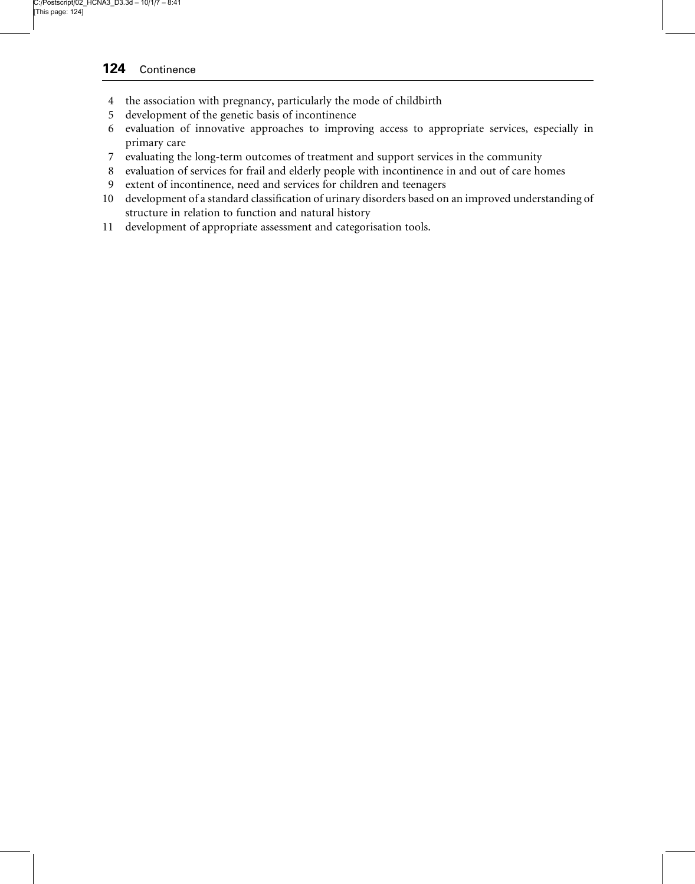- 4 the association with pregnancy, particularly the mode of childbirth
- 5 development of the genetic basis of incontinence
- 6 evaluation of innovative approaches to improving access to appropriate services, especially in primary care
- 7 evaluating the long-term outcomes of treatment and support services in the community
- 8 evaluation of services for frail and elderly people with incontinence in and out of care homes
- 9 extent of incontinence, need and services for children and teenagers
- 10 development of a standard classification of urinary disorders based on an improved understanding of structure in relation to function and natural history
- 11 development of appropriate assessment and categorisation tools.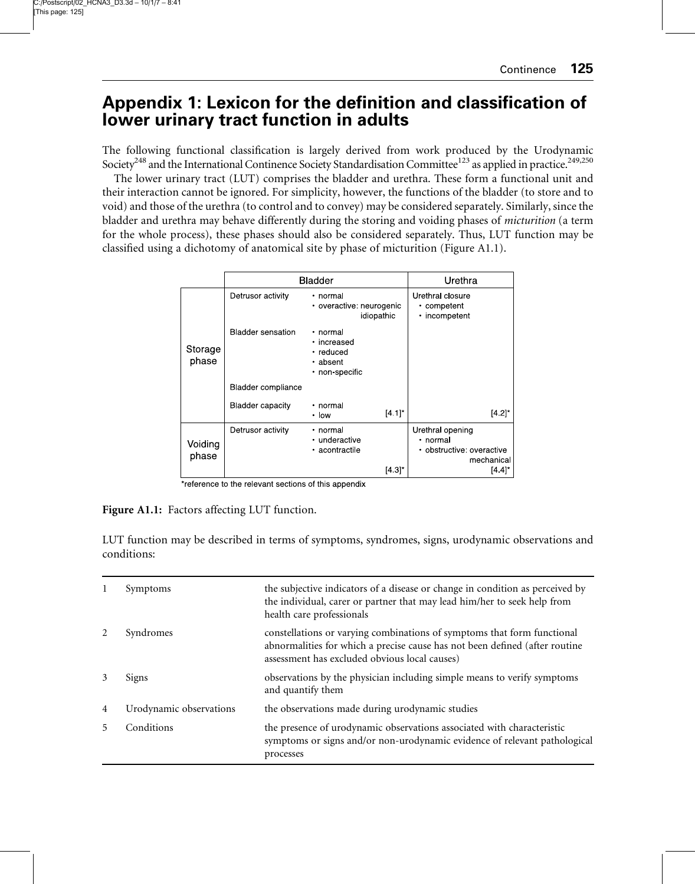# Appendix 1: Lexicon for the definition and classification of lower urinary tract function in adults

The following functional classification is largely derived from work produced by the Urodynamic Society<sup>248</sup> and the International Continence Society Standardisation Committee<sup>123</sup> as applied in practice.<sup>249,250</sup>

The lower urinary tract (LUT) comprises the bladder and urethra. These form a functional unit and their interaction cannot be ignored. For simplicity, however, the functions of the bladder (to store and to void) and those of the urethra (to control and to convey) may be considered separately. Similarly, since the bladder and urethra may behave differently during the storing and voiding phases of micturition (a term for the whole process), these phases should also be considered separately. Thus, LUT function may be classified using a dichotomy of anatomical site by phase of micturition (Figure A1.1).

|                  |                          | <b>Bladder</b>                                                     |            | Urethra                                                                           |
|------------------|--------------------------|--------------------------------------------------------------------|------------|-----------------------------------------------------------------------------------|
|                  | Detrusor activity        | $\cdot$ normal<br>• overactive: neurogenic                         | idiopathic | Urethral closure<br>• competent<br>· incompetent                                  |
| Storage<br>phase | <b>Bladder sensation</b> | • normal<br>· increased<br>• reduced<br>• absent<br>• non-specific |            |                                                                                   |
|                  | Bladder compliance       |                                                                    |            |                                                                                   |
|                  | <b>Bladder capacity</b>  | • normal<br>$\cdot$ low                                            | $[4 1]$ *  | [4 2]*                                                                            |
| Voiding<br>phase | Detrusor activity        | • normal<br>• underactive<br>· acontractile                        | [4 3]*     | Urethral opening<br>• normal<br>· obstructive: overactive<br>mechanical<br>[4.4]* |

\*reference to the relevant sections of this appendix

Figure A1.1: Factors affecting LUT function.

LUT function may be described in terms of symptoms, syndromes, signs, urodynamic observations and conditions:

|   | Symptoms                | the subjective indicators of a disease or change in condition as perceived by<br>the individual, carer or partner that may lead him/her to seek help from<br>health care professionals                  |
|---|-------------------------|---------------------------------------------------------------------------------------------------------------------------------------------------------------------------------------------------------|
| 2 | Syndromes               | constellations or varying combinations of symptoms that form functional<br>abnormalities for which a precise cause has not been defined (after routine<br>assessment has excluded obvious local causes) |
| 3 | Signs                   | observations by the physician including simple means to verify symptoms<br>and quantify them                                                                                                            |
| 4 | Urodynamic observations | the observations made during urodynamic studies                                                                                                                                                         |
| 5 | Conditions              | the presence of urodynamic observations associated with characteristic<br>symptoms or signs and/or non-urodynamic evidence of relevant pathological<br>processes                                        |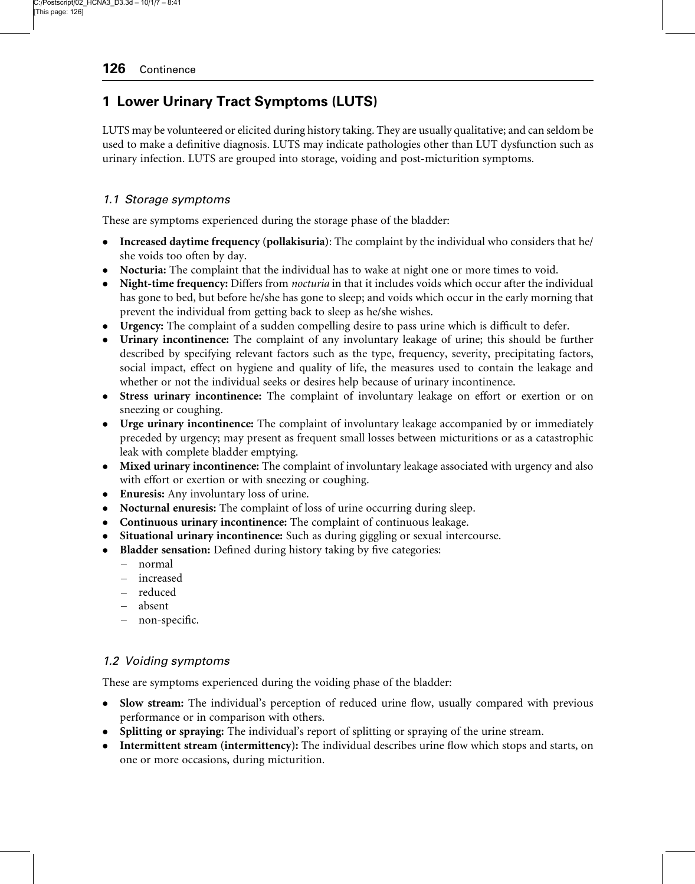# 1 Lower Urinary Tract Symptoms (LUTS)

LUTS may be volunteered or elicited during history taking. They are usually qualitative; and can seldom be used to make a definitive diagnosis. LUTSmay indicate pathologies other than LUT dysfunction such as urinary infection. LUTS are grouped into storage, voiding and post-micturition symptoms.

# 1.1 Storage symptoms

These are symptoms experienced during the storage phase of the bladder:

- Increased daytime frequency (pollakisuria): The complaint by the individual who considers that he/ she voids too often by day.
- Nocturia: The complaint that the individual has to wake at night one or more times to void.
- Night-time frequency: Differs from *nocturia* in that it includes voids which occur after the individual has gone to bed, but before he/she has gone to sleep; and voids which occur in the early morning that prevent the individual from getting back to sleep as he/she wishes.
- Urgency: The complaint of a sudden compelling desire to pass urine which is difficult to defer.
- Urinary incontinence: The complaint of any involuntary leakage of urine; this should be further described by specifying relevant factors such as the type, frequency, severity, precipitating factors, social impact, effect on hygiene and quality of life, the measures used to contain the leakage and whether or not the individual seeks or desires help because of urinary incontinence.
- $\bullet$  Stress urinary incontinence: The complaint of involuntary leakage on effort or exertion or on sneezing or coughing.
- Urge urinary incontinence: The complaint of involuntary leakage accompanied by or immediately preceded by urgency; may present as frequent small losses between micturitions or as a catastrophic leak with complete bladder emptying.
- Mixed urinary incontinence: The complaint of involuntary leakage associated with urgency and also with effort or exertion or with sneezing or coughing.
- Enuresis: Any involuntary loss of urine.
- Nocturnal enuresis: The complaint of loss of urine occurring during sleep.
- Continuous urinary incontinence: The complaint of continuous leakage.
- $\bullet$ Situational urinary incontinence: Such as during giggling or sexual intercourse.
- Bladder sensation: Defined during history taking by five categories:
	- normal
	- increased
	- reduced
	- absent
	- non-specific.

# 1.2 Voiding symptoms

These are symptoms experienced during the voiding phase of the bladder:

- $\bullet$  Slow stream: The individual's perception of reduced urine flow, usually compared with previous performance or in comparison with others.
- Splitting or spraying: The individual's report of splitting or spraying of the urine stream.
- $\bullet$  Intermittent stream (intermittency): The individual describes urine flow which stops and starts, on one or more occasions, during micturition.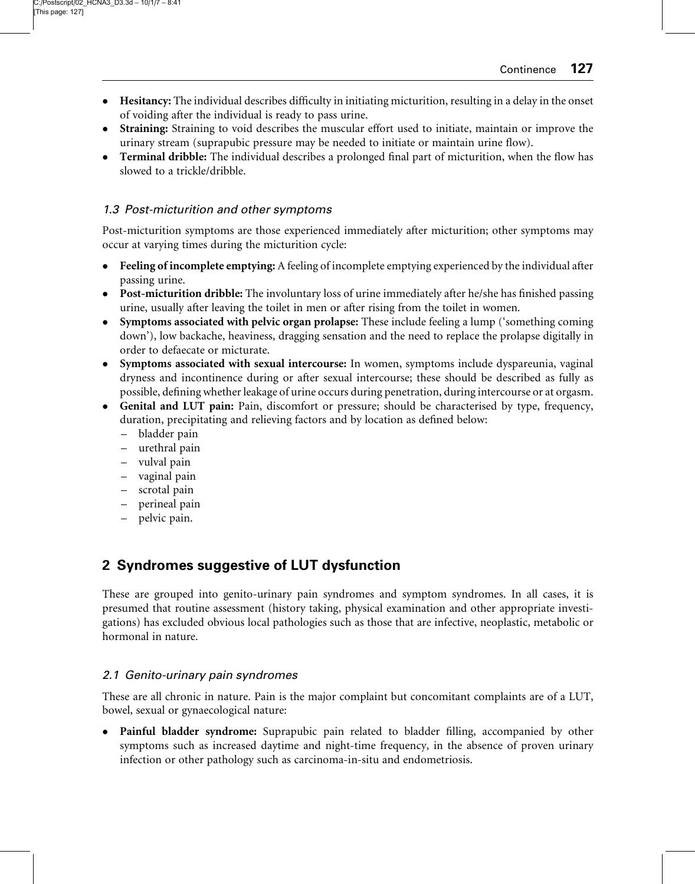- **Hesitancy:** The individual describes difficulty in initiating micturition, resulting in a delay in the onset of voiding after the individual is ready to pass urine.
- Straining: Straining to void describes the muscular effort used to initiate, maintain or improve the urinary stream (suprapubic pressure may be needed to initiate or maintain urine flow).
- **Terminal dribble:** The individual describes a prolonged final part of micturition, when the flow has slowed to a trickle/dribble.

# 1.3 Post-micturition and other symptoms

Post-micturition symptoms are those experienced immediately after micturition; other symptoms may occur at varying times during the micturition cycle:

- $\bullet$  Feeling of incomplete emptying: A feeling of incomplete emptying experienced by the individual after passing urine.
- Post-micturition dribble: The involuntary loss of urine immediately after he/she has finished passing urine, usually after leaving the toilet in men or after rising from the toilet in women.
- Symptoms associated with pelvic organ prolapse: These include feeling a lump ('something coming down'), low backache, heaviness, dragging sensation and the need to replace the prolapse digitally in order to defaecate or micturate.
- Symptoms associated with sexual intercourse: In women, symptoms include dyspareunia, vaginal dryness and incontinence during or after sexual intercourse; these should be described as fully as possible, defining whether leakage of urine occurs during penetration, during intercourse or at orgasm.
- Genital and LUT pain: Pain, discomfort or pressure; should be characterised by type, frequency, duration, precipitating and relieving factors and by location as defined below:
	- bladder pain
	- urethral pain
	- vulval pain
	- vaginal pain
	- scrotal pain
	- perineal pain
	- pelvic pain.

# 2 Syndromes suggestive of LUT dysfunction

These are grouped into genito-urinary pain syndromes and symptom syndromes. In all cases, it is presumed that routine assessment (history taking, physical examination and other appropriate investigations) has excluded obvious local pathologies such as those that are infective, neoplastic, metabolic or hormonal in nature.

# 2.1 Genito-urinary pain syndromes

These are all chronic in nature. Pain is the major complaint but concomitant complaints are of a LUT, bowel, sexual or gynaecological nature:

- Painful bladder syndrome: Suprapubic pain related to bladder filling, accompanied by other symptoms such as increased daytime and night-time frequency, in the absence of proven urinary infection or other pathology such as carcinoma-in-situ and endometriosis.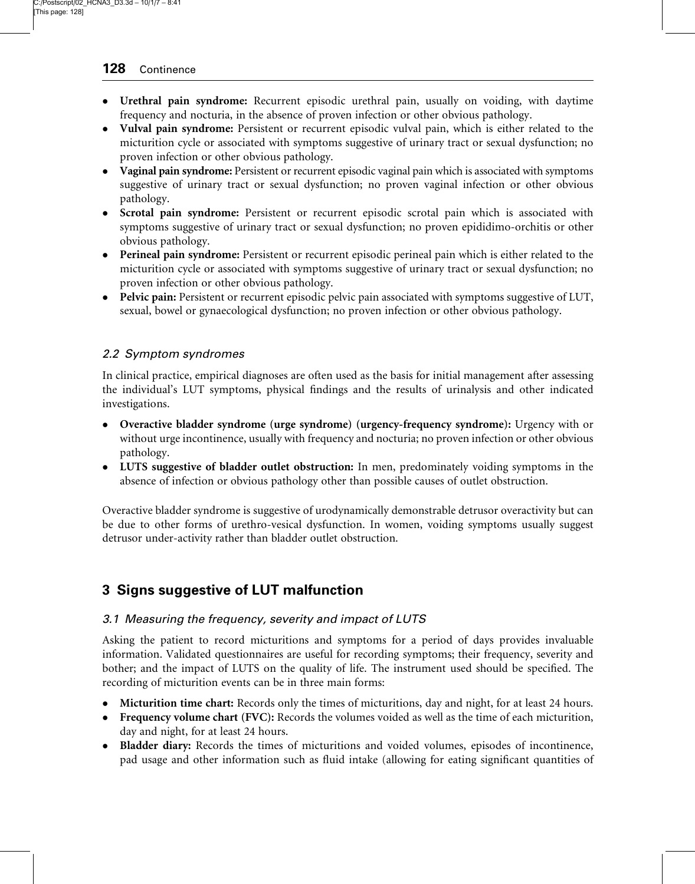- Urethral pain syndrome: Recurrent episodic urethral pain, usually on voiding, with daytime frequency and nocturia, in the absence of proven infection or other obvious pathology.
- Vulval pain syndrome: Persistent or recurrent episodic vulval pain, which is either related to the micturition cycle or associated with symptoms suggestive of urinary tract or sexual dysfunction; no proven infection or other obvious pathology.
- Vaginal pain syndrome: Persistent or recurrent episodic vaginal pain which is associated with symptoms suggestive of urinary tract or sexual dysfunction; no proven vaginal infection or other obvious pathology.
- Scrotal pain syndrome: Persistent or recurrent episodic scrotal pain which is associated with symptoms suggestive of urinary tract or sexual dysfunction; no proven epididimo-orchitis or other obvious pathology.
- Perineal pain syndrome: Persistent or recurrent episodic perineal pain which is either related to the micturition cycle or associated with symptoms suggestive of urinary tract or sexual dysfunction; no proven infection or other obvious pathology.
- Pelvic pain: Persistent or recurrent episodic pelvic pain associated with symptoms suggestive of LUT, sexual, bowel or gynaecological dysfunction; no proven infection or other obvious pathology.

### 2.2 Symptom syndromes

In clinical practice, empirical diagnoses are often used as the basis for initial management after assessing the individual's LUT symptoms, physical findings and the results of urinalysis and other indicated investigations.

- $\bullet$  Overactive bladder syndrome (urge syndrome) (urgency-frequency syndrome): Urgency with or without urge incontinence, usually with frequency and nocturia; no proven infection or other obvious pathology.
- LUTS suggestive of bladder outlet obstruction: In men, predominately voiding symptoms in the absence of infection or obvious pathology other than possible causes of outlet obstruction.

Overactive bladder syndrome is suggestive of urodynamically demonstrable detrusor overactivity but can be due to other forms of urethro-vesical dysfunction. In women, voiding symptoms usually suggest detrusor under-activity rather than bladder outlet obstruction.

# 3 Signs suggestive of LUT malfunction

# 3.1 Measuring the frequency, severity and impact of LUTS

Asking the patient to record micturitions and symptoms for a period of days provides invaluable information. Validated questionnaires are useful for recording symptoms; their frequency, severity and bother; and the impact of LUTS on the quality of life. The instrument used should be specified. The recording of micturition events can be in three main forms:

- $\bullet$ Micturition time chart: Records only the times of micturitions, day and night, for at least 24 hours.
- $\bullet$  Frequency volume chart (FVC): Records the volumes voided as well as the time of each micturition, day and night, for at least 24 hours.
- Bladder diary: Records the times of micturitions and voided volumes, episodes of incontinence, pad usage and other information such as fluid intake (allowing for eating significant quantities of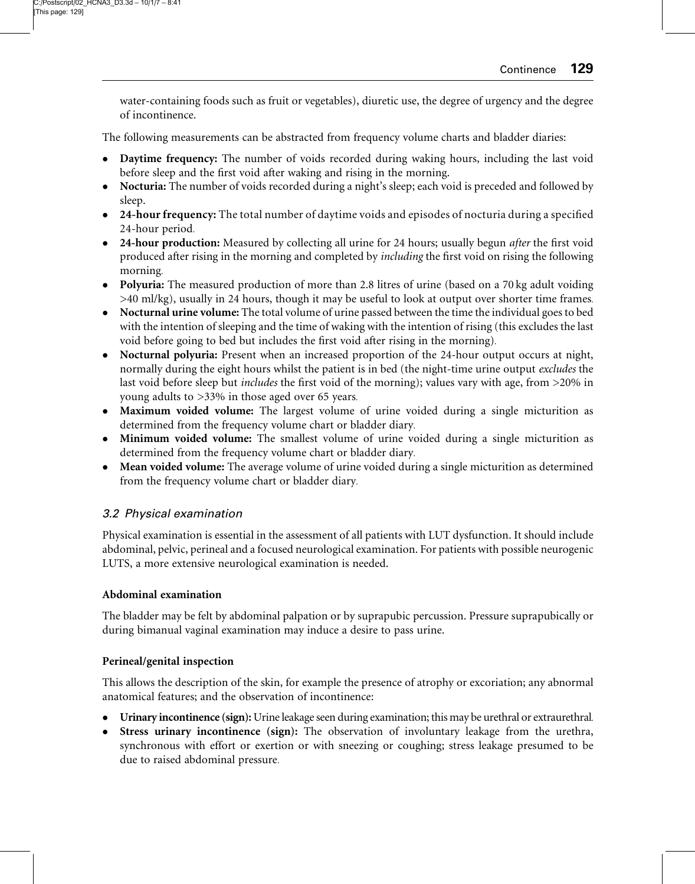water-containing foods such as fruit or vegetables), diuretic use, the degree of urgency and the degree of incontinence.

The following measurements can be abstracted from frequency volume charts and bladder diaries:

- Daytime frequency: The number of voids recorded during waking hours, including the last void before sleep and the first void after waking and rising in the morning.
- $\bullet$  Nocturia: The number of voids recorded during a night's sleep; each void is preceded and followed by sleep.
- 24-hour frequency: The total number of daytime voids and episodes of nocturia during a specified 24-hour period.
- 24-hour production: Measured by collecting all urine for 24 hours; usually begun *after* the first void produced after rising in the morning and completed by including the first void on rising the following morning.
- Polyuria: The measured production of more than 2.8 litres of urine (based on a 70 kg adult voiding >40 ml/kg), usually in 24 hours, though it may be useful to look at output over shorter time frames.
- Nocturnal urine volume: The total volume of urine passed between the time the individual goes to bed with the intention of sleeping and the time of waking with the intention of rising (this excludes the last void before going to bed but includes the first void after rising in the morning).
- Nocturnal polyuria: Present when an increased proportion of the 24-hour output occurs at night, normally during the eight hours whilst the patient is in bed (the night-time urine output excludes the last void before sleep but *includes* the first void of the morning); values vary with age, from  $>20\%$  in young adults to >33% in those aged over 65 years.
- Maximum voided volume: The largest volume of urine voided during a single micturition as determined from the frequency volume chart or bladder diary.
- Minimum voided volume: The smallest volume of urine voided during a single micturition as determined from the frequency volume chart or bladder diary.
- Mean voided volume: The average volume of urine voided during a single micturition as determined from the frequency volume chart or bladder diary.

# 3.2 Physical examination

Physical examination is essential in the assessment of all patients with LUT dysfunction. It should include abdominal, pelvic, perineal and a focused neurological examination. For patients with possible neurogenic LUTS, a more extensive neurological examination is needed.

# Abdominal examination

The bladder may be felt by abdominal palpation or by suprapubic percussion. Pressure suprapubically or during bimanual vaginal examination may induce a desire to pass urine.

# Perineal/genital inspection

This allows the description of the skin, for example the presence of atrophy or excoriation; any abnormal anatomical features; and the observation of incontinence:

- $\bullet$ Urinary incontinence (sign): Urine leakage seen during examination; this may be urethral or extraurethral.
- $\bullet$  Stress urinary incontinence (sign): The observation of involuntary leakage from the urethra, synchronous with effort or exertion or with sneezing or coughing; stress leakage presumed to be due to raised abdominal pressure.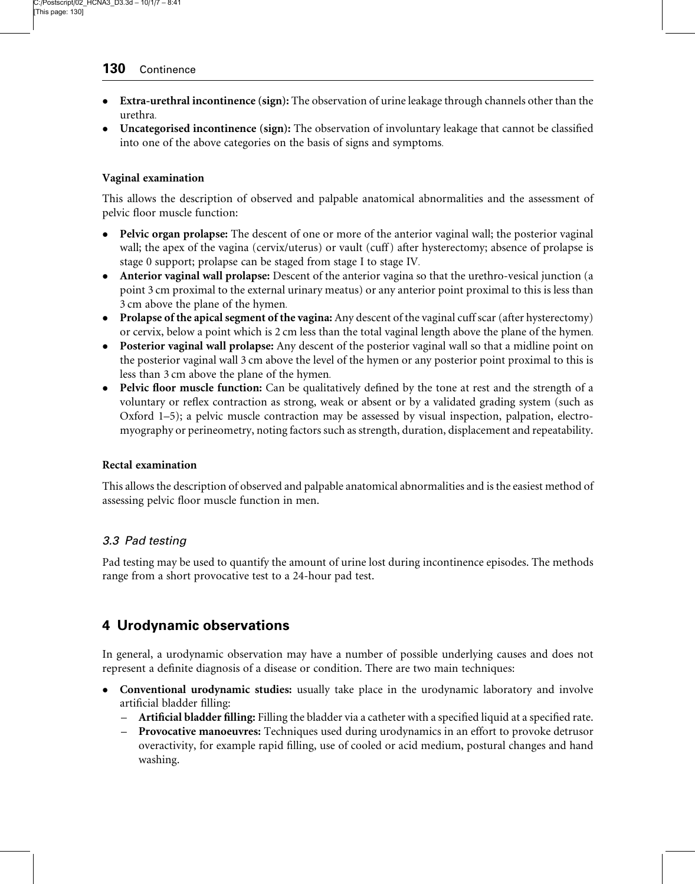- Extra-urethral incontinence (sign): The observation of urine leakage through channels other than the urethra.
- Uncategorised incontinence (sign): The observation of involuntary leakage that cannot be classified into one of the above categories on the basis of signs and symptoms.

### Vaginal examination

This allows the description of observed and palpable anatomical abnormalities and the assessment of pelvic floor muscle function:

- $\bullet$  Pelvic organ prolapse: The descent of one or more of the anterior vaginal wall; the posterior vaginal wall; the apex of the vagina (cervix/uterus) or vault (cuff) after hysterectomy; absence of prolapse is stage 0 support; prolapse can be staged from stage I to stage IV.
- Anterior vaginal wall prolapse: Descent of the anterior vagina so that the urethro-vesical junction (a point 3 cm proximal to the external urinary meatus) or any anterior point proximal to this is less than 3 cm above the plane of the hymen.
- Prolapse of the apical segment of the vagina: Any descent of the vaginal cuff scar (after hysterectomy) or cervix, below a point which is 2 cm less than the total vaginal length above the plane of the hymen.
- Posterior vaginal wall prolapse: Any descent of the posterior vaginal wall so that a midline point on the posterior vaginal wall 3 cm above the level of the hymen or any posterior point proximal to this is less than 3 cm above the plane of the hymen.
- Pelvic floor muscle function: Can be qualitatively defined by the tone at rest and the strength of a voluntary or reflex contraction as strong, weak or absent or by a validated grading system (such as Oxford 1–5); a pelvic muscle contraction may be assessed by visual inspection, palpation, electromyography or perineometry, noting factors such as strength, duration, displacement and repeatability.

#### Rectal examination

This allows the description of observed and palpable anatomical abnormalities and is the easiest method of assessing pelvic floor muscle function in men.

# 3.3 Pad testing

Pad testing may be used to quantify the amount of urine lost during incontinence episodes. The methods range from a short provocative test to a 24-hour pad test.

# 4 Urodynamic observations

In general, a urodynamic observation may have a number of possible underlying causes and does not represent a definite diagnosis of a disease or condition. There are two main techniques:

- Conventional urodynamic studies: usually take place in the urodynamic laboratory and involve artificial bladder filling:
	- Artificial bladder filling: Filling the bladder via a catheter with a specified liquid at a specified rate.
	- Provocative manoeuvres: Techniques used during urodynamics in an effort to provoke detrusor overactivity, for example rapid filling, use of cooled or acid medium, postural changes and hand washing.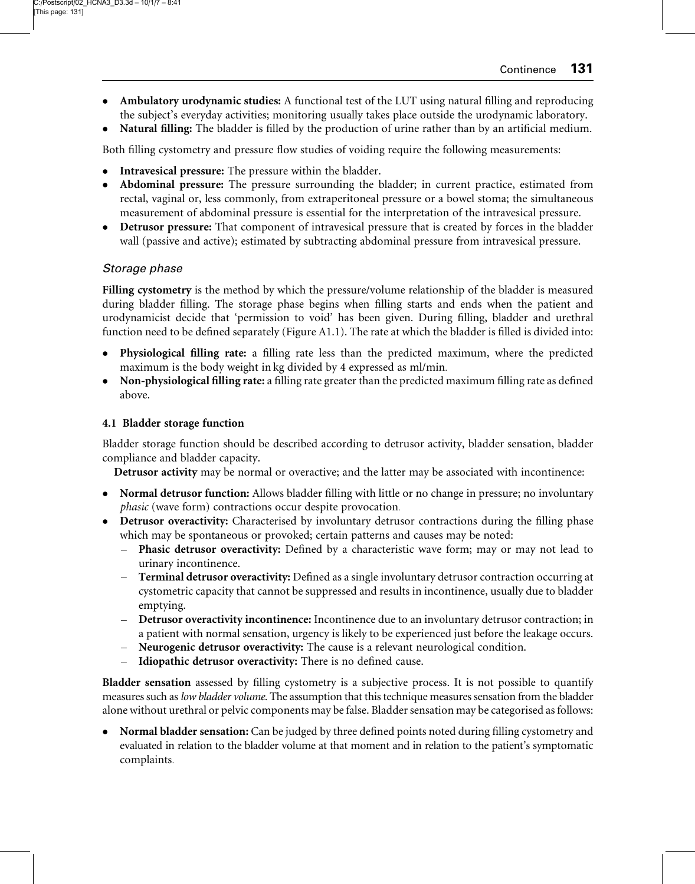- Ambulatory urodynamic studies: A functional test of the LUT using natural filling and reproducing the subject's everyday activities; monitoring usually takes place outside the urodynamic laboratory.
- $\bullet$ Natural filling: The bladder is filled by the production of urine rather than by an artificial medium.

Both filling cystometry and pressure flow studies of voiding require the following measurements:

- $\bullet$ Intravesical pressure: The pressure within the bladder.
- $\bullet$  Abdominal pressure: The pressure surrounding the bladder; in current practice, estimated from rectal, vaginal or, less commonly, from extraperitoneal pressure or a bowel stoma; the simultaneous measurement of abdominal pressure is essential for the interpretation of the intravesical pressure.
- Detrusor pressure: That component of intravesical pressure that is created by forces in the bladder wall (passive and active); estimated by subtracting abdominal pressure from intravesical pressure.

### Storage phase

Filling cystometry is the method by which the pressure/volume relationship of the bladder is measured during bladder filling. The storage phase begins when filling starts and ends when the patient and urodynamicist decide that 'permission to void' has been given. During filling, bladder and urethral function need to be defined separately (Figure A1.1). The rate at which the bladder is filled is divided into:

- $\bullet$  Physiological filling rate: a filling rate less than the predicted maximum, where the predicted maximum is the body weight in kg divided by 4 expressed as ml/min.
- $\bullet$  Non-physiological filling rate: a filling rate greater than the predicted maximum filling rate as defined above.

#### 4.1 Bladder storage function

Bladder storage function should be described according to detrusor activity, bladder sensation, bladder compliance and bladder capacity.

Detrusor activity may be normal or overactive; and the latter may be associated with incontinence:

- $\bullet$  Normal detrusor function: Allows bladder filling with little or no change in pressure; no involuntary phasic (wave form) contractions occur despite provocation.
- Detrusor overactivity: Characterised by involuntary detrusor contractions during the filling phase which may be spontaneous or provoked; certain patterns and causes may be noted:
	- Phasic detrusor overactivity: Defined by a characteristic wave form; may or may not lead to urinary incontinence.
	- Terminal detrusor overactivity: Defined as a single involuntary detrusor contraction occurring at cystometric capacity that cannot be suppressed and results in incontinence, usually due to bladder emptying.
	- Detrusor overactivity incontinence: Incontinence due to an involuntary detrusor contraction; in a patient with normal sensation, urgency is likely to be experienced just before the leakage occurs.
	- Neurogenic detrusor overactivity: The cause is a relevant neurological condition.
	- Idiopathic detrusor overactivity: There is no defined cause.

Bladder sensation assessed by filling cystometry is a subjective process. It is not possible to quantify measures such as low bladder volume. The assumption that this technique measures sensation from the bladder alone without urethral or pelvic components may be false. Bladder sensation may be categorised as follows:

 $\bullet$  Normal bladder sensation: Can be judged by three defined points noted during filling cystometry and evaluated in relation to the bladder volume at that moment and in relation to the patient's symptomatic complaints.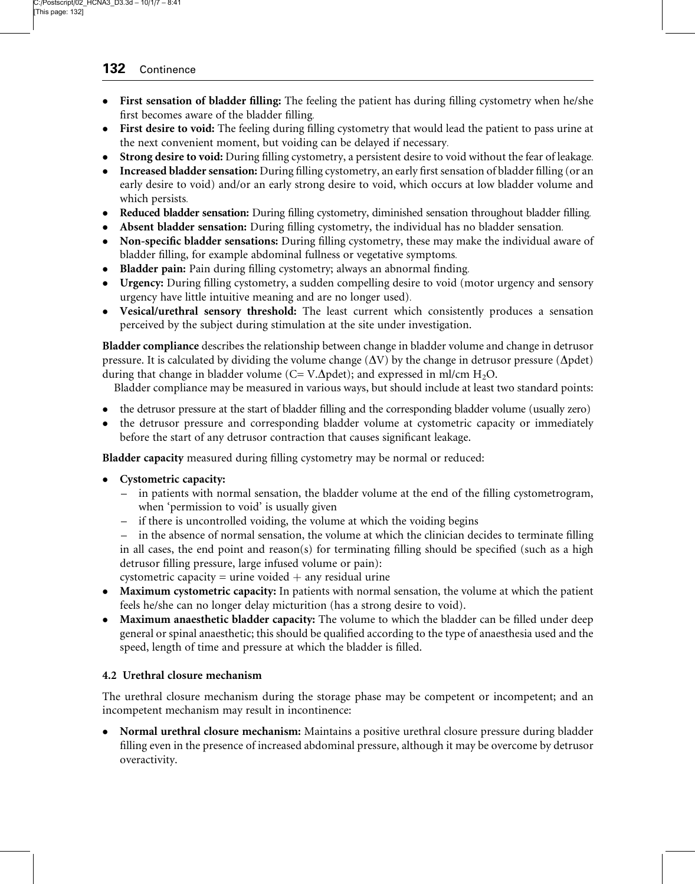- First sensation of bladder filling: The feeling the patient has during filling cystometry when he/she first becomes aware of the bladder filling.
- First desire to void: The feeling during filling cystometry that would lead the patient to pass urine at the next convenient moment, but voiding can be delayed if necessary.
- **Strong desire to void:** During filling cystometry, a persistent desire to void without the fear of leakage.
- Increased bladder sensation: During filling cystometry, an early first sensation of bladder filling (or an early desire to void) and/or an early strong desire to void, which occurs at low bladder volume and which persists.
- Reduced bladder sensation: During filling cystometry, diminished sensation throughout bladder filling.
- Absent bladder sensation: During filling cystometry, the individual has no bladder sensation.
- Non-specific bladder sensations: During filling cystometry, these may make the individual aware of bladder filling, for example abdominal fullness or vegetative symptoms.
- Bladder pain: Pain during filling cystometry; always an abnormal finding.
- Urgency: During filling cystometry, a sudden compelling desire to void (motor urgency and sensory urgency have little intuitive meaning and are no longer used).
- Vesical/urethral sensory threshold: The least current which consistently produces a sensation perceived by the subject during stimulation at the site under investigation.

Bladder compliance describes the relationship between change in bladder volume and change in detrusor pressure. It is calculated by dividing the volume change  $(\Delta V)$  by the change in detrusor pressure ( $\Delta$ pdet) during that change in bladder volume (C= V. $\Delta$ pdet); and expressed in ml/cm H<sub>2</sub>O.

Bladder compliance may be measured in various ways, but should include at least two standard points:

- the detrusor pressure at the start of bladder filling and the corresponding bladder volume (usually zero)
- $\bullet$  the detrusor pressure and corresponding bladder volume at cystometric capacity or immediately before the start of any detrusor contraction that causes significant leakage.

Bladder capacity measured during filling cystometry may be normal or reduced:

#### $\bullet$ Cystometric capacity:

- in patients with normal sensation, the bladder volume at the end of the filling cystometrogram, when 'permission to void' is usually given
- if there is uncontrolled voiding, the volume at which the voiding begins
- in the absence of normal sensation, the volume at which the clinician decides to terminate filling

in all cases, the end point and reason(s) for terminating filling should be specified (such as a high detrusor filling pressure, large infused volume or pain):

cystometric capacity = urine voided  $+$  any residual urine

- Maximum cystometric capacity: In patients with normal sensation, the volume at which the patient feels he/she can no longer delay micturition (has a strong desire to void).
- Maximum anaesthetic bladder capacity: The volume to which the bladder can be filled under deep general or spinal anaesthetic; this should be qualified according to the type of anaesthesia used and the speed, length of time and pressure at which the bladder is filled.

# 4.2 Urethral closure mechanism

The urethral closure mechanism during the storage phase may be competent or incompetent; and an incompetent mechanism may result in incontinence:

- Normal urethral closure mechanism: Maintains a positive urethral closure pressure during bladder filling even in the presence of increased abdominal pressure, although it may be overcome by detrusor overactivity.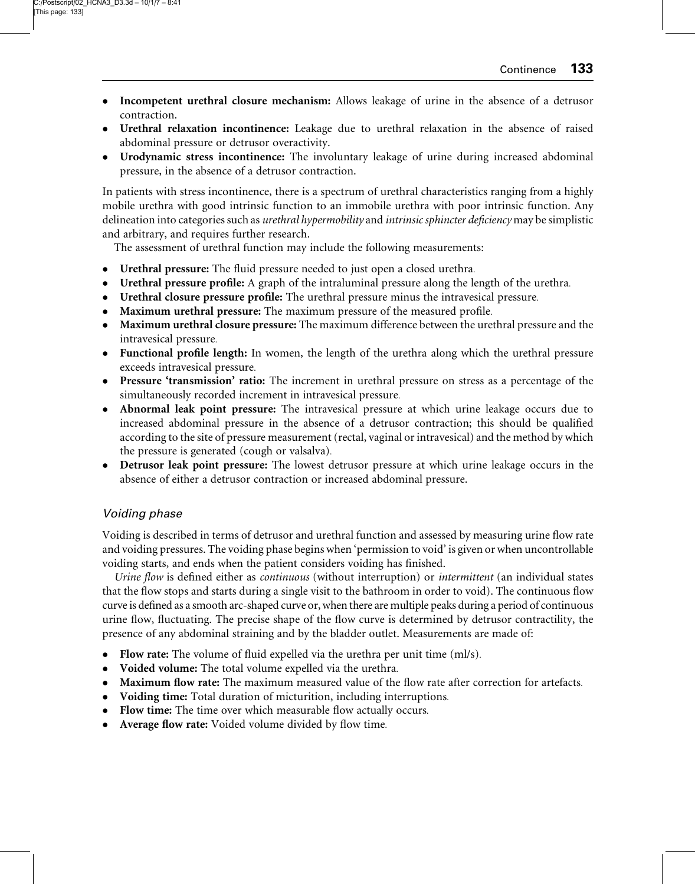- Incompetent urethral closure mechanism: Allows leakage of urine in the absence of a detrusor contraction.
- Urethral relaxation incontinence: Leakage due to urethral relaxation in the absence of raised abdominal pressure or detrusor overactivity.
- Urodynamic stress incontinence: The involuntary leakage of urine during increased abdominal pressure, in the absence of a detrusor contraction.

In patients with stress incontinence, there is a spectrum of urethral characteristics ranging from a highly mobile urethra with good intrinsic function to an immobile urethra with poor intrinsic function. Any delineation into categories such as *urethral hypermobility* and *intrinsic sphincter deficiency* may be simplistic and arbitrary, and requires further research.

The assessment of urethral function may include the following measurements:

- $\bullet$ Urethral pressure: The fluid pressure needed to just open a closed urethra.
- $\bullet$ Urethral pressure profile: A graph of the intraluminal pressure along the length of the urethra.
- $\bullet$ Urethral closure pressure profile: The urethral pressure minus the intravesical pressure.
- $\bullet$ Maximum urethral pressure: The maximum pressure of the measured profile.
- $\bullet$  Maximum urethral closure pressure: The maximum difference between the urethral pressure and the intravesical pressure.
- Functional profile length: In women, the length of the urethra along which the urethral pressure exceeds intravesical pressure.
- Pressure 'transmission' ratio: The increment in urethral pressure on stress as a percentage of the simultaneously recorded increment in intravesical pressure.
- Abnormal leak point pressure: The intravesical pressure at which urine leakage occurs due to increased abdominal pressure in the absence of a detrusor contraction; this should be qualified according to the site of pressure measurement (rectal, vaginal or intravesical) and the method by which the pressure is generated (cough or valsalva).
- $\bullet$  Detrusor leak point pressure: The lowest detrusor pressure at which urine leakage occurs in the absence of either a detrusor contraction or increased abdominal pressure.

#### Voiding phase

Voiding is described in terms of detrusor and urethral function and assessed by measuring urine flow rate and voiding pressures. The voiding phase begins when 'permission to void' is given or when uncontrollable voiding starts, and ends when the patient considers voiding has finished.

Urine flow is defined either as *continuous* (without interruption) or *intermittent* (an individual states that the flow stops and starts during a single visit to the bathroom in order to void). The continuous flow curve is defined as a smooth arc-shaped curve or, when there are multiple peaks during a period of continuous urine flow, fluctuating. The precise shape of the flow curve is determined by detrusor contractility, the presence of any abdominal straining and by the bladder outlet. Measurements are made of:

- $\bullet$ Flow rate: The volume of fluid expelled via the urethra per unit time (ml/s).
- $\bullet$ Voided volume: The total volume expelled via the urethra.
- Maximum flow rate: The maximum measured value of the flow rate after correction for artefacts.
- Voiding time: Total duration of micturition, including interruptions.
- Flow time: The time over which measurable flow actually occurs.
- $\bullet$ Average flow rate: Voided volume divided by flow time.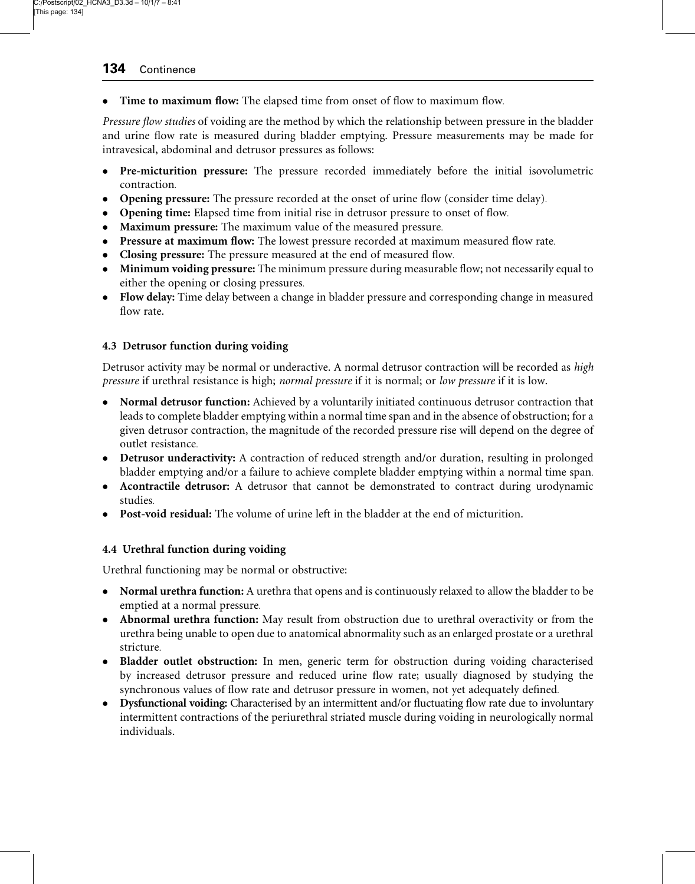• Time to maximum flow: The elapsed time from onset of flow to maximum flow.

Pressure flow studies of voiding are the method by which the relationship between pressure in the bladder and urine flow rate is measured during bladder emptying. Pressure measurements may be made for intravesical, abdominal and detrusor pressures as follows:

- $\bullet$  Pre-micturition pressure: The pressure recorded immediately before the initial isovolumetric contraction.
- $\bullet$ Opening pressure: The pressure recorded at the onset of urine flow (consider time delay).
- Opening time: Elapsed time from initial rise in detrusor pressure to onset of flow.
- Maximum pressure: The maximum value of the measured pressure.
- Pressure at maximum flow: The lowest pressure recorded at maximum measured flow rate.
- Closing pressure: The pressure measured at the end of measured flow.
- Minimum voiding pressure: The minimum pressure during measurable flow; not necessarily equal to either the opening or closing pressures.
- Flow delay: Time delay between a change in bladder pressure and corresponding change in measured flow rate.

#### 4.3 Detrusor function during voiding

Detrusor activity may be normal or underactive. A normal detrusor contraction will be recorded as high pressure if urethral resistance is high; normal pressure if it is normal; or low pressure if it is low.

- $\bullet$  Normal detrusor function: Achieved by a voluntarily initiated continuous detrusor contraction that leads to complete bladder emptying within a normal time span and in the absence of obstruction; for a given detrusor contraction, the magnitude of the recorded pressure rise will depend on the degree of outlet resistance.
- Detrusor underactivity: A contraction of reduced strength and/or duration, resulting in prolonged bladder emptying and/or a failure to achieve complete bladder emptying within a normal time span.
- Acontractile detrusor: A detrusor that cannot be demonstrated to contract during urodynamic studies.
- $\bullet$ Post-void residual: The volume of urine left in the bladder at the end of micturition.

#### 4.4 Urethral function during voiding

Urethral functioning may be normal or obstructive:

- Normal urethra function: A urethra that opens and is continuously relaxed to allow the bladder to be emptied at a normal pressure.
- Abnormal urethra function: May result from obstruction due to urethral overactivity or from the urethra being unable to open due to anatomical abnormality such as an enlarged prostate or a urethral stricture.
- Bladder outlet obstruction: In men, generic term for obstruction during voiding characterised by increased detrusor pressure and reduced urine flow rate; usually diagnosed by studying the synchronous values of flow rate and detrusor pressure in women, not yet adequately defined.
- Dysfunctional voiding: Characterised by an intermittent and/or fluctuating flow rate due to involuntary intermittent contractions of the periurethral striated muscle during voiding in neurologically normal individuals.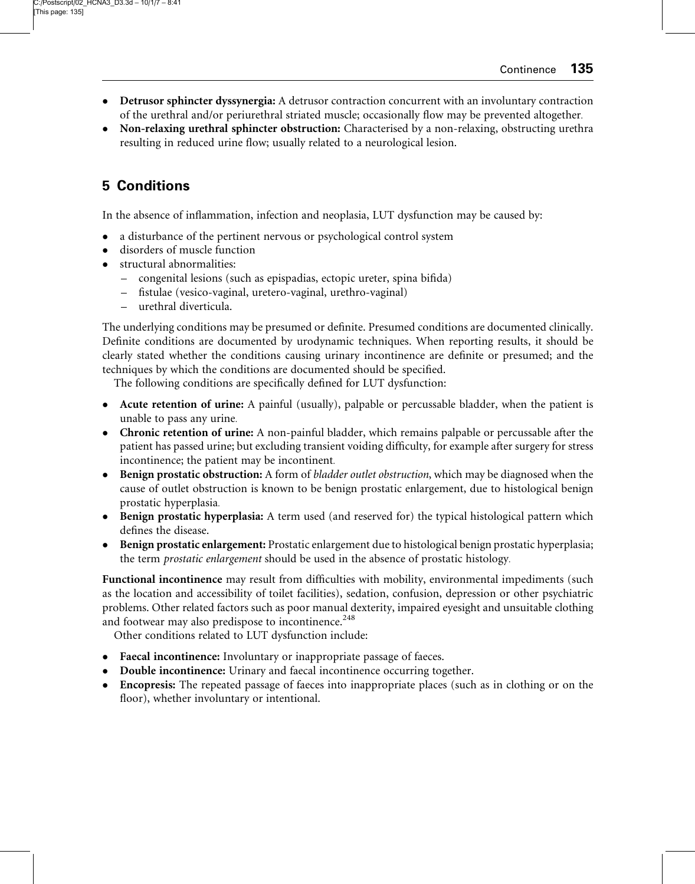- **Detrusor sphincter dyssynergia:** A detrusor contraction concurrent with an involuntary contraction of the urethral and/or periurethral striated muscle; occasionally flow may be prevented altogether.
- Non-relaxing urethral sphincter obstruction: Characterised by a non-relaxing, obstructing urethra resulting in reduced urine flow; usually related to a neurological lesion.

# 5 Conditions

In the absence of inflammation, infection and neoplasia, LUT dysfunction may be caused by:

- $\bullet$ a disturbance of the pertinent nervous or psychological control system
- $\bullet$ disorders of muscle function
- $\bullet$  structural abnormalities:
	- congenital lesions (such as epispadias, ectopic ureter, spina bifida)
	- fistulae (vesico-vaginal, uretero-vaginal, urethro-vaginal)
	- urethral diverticula.

The underlying conditions may be presumed or definite. Presumed conditions are documented clinically. Definite conditions are documented by urodynamic techniques. When reporting results, it should be clearly stated whether the conditions causing urinary incontinence are definite or presumed; and the techniques by which the conditions are documented should be specified.

The following conditions are specifically defined for LUT dysfunction:

- Acute retention of urine: A painful (usually), palpable or percussable bladder, when the patient is unable to pass any urine.
- Chronic retention of urine: A non-painful bladder, which remains palpable or percussable after the patient has passed urine; but excluding transient voiding difficulty, for example after surgery for stress incontinence; the patient may be incontinent.
- **Benign prostatic obstruction:** A form of *bladder outlet obstruction*, which may be diagnosed when the cause of outlet obstruction is known to be benign prostatic enlargement, due to histological benign prostatic hyperplasia.
- Benign prostatic hyperplasia: A term used (and reserved for) the typical histological pattern which defines the disease.
- **Benign prostatic enlargement:** Prostatic enlargement due to histological benign prostatic hyperplasia; the term prostatic enlargement should be used in the absence of prostatic histology.

Functional incontinence may result from difficulties with mobility, environmental impediments (such as the location and accessibility of toilet facilities), sedation, confusion, depression or other psychiatric problems. Other related factors such as poor manual dexterity, impaired eyesight and unsuitable clothing and footwear may also predispose to incontinence.<sup>248</sup>

Other conditions related to LUT dysfunction include:

- $\bullet$ Faecal incontinence: Involuntary or inappropriate passage of faeces.
- $\bullet$ Double incontinence: Urinary and faecal incontinence occurring together.
- $\bullet$  Encopresis: The repeated passage of faeces into inappropriate places (such as in clothing or on the floor), whether involuntary or intentional.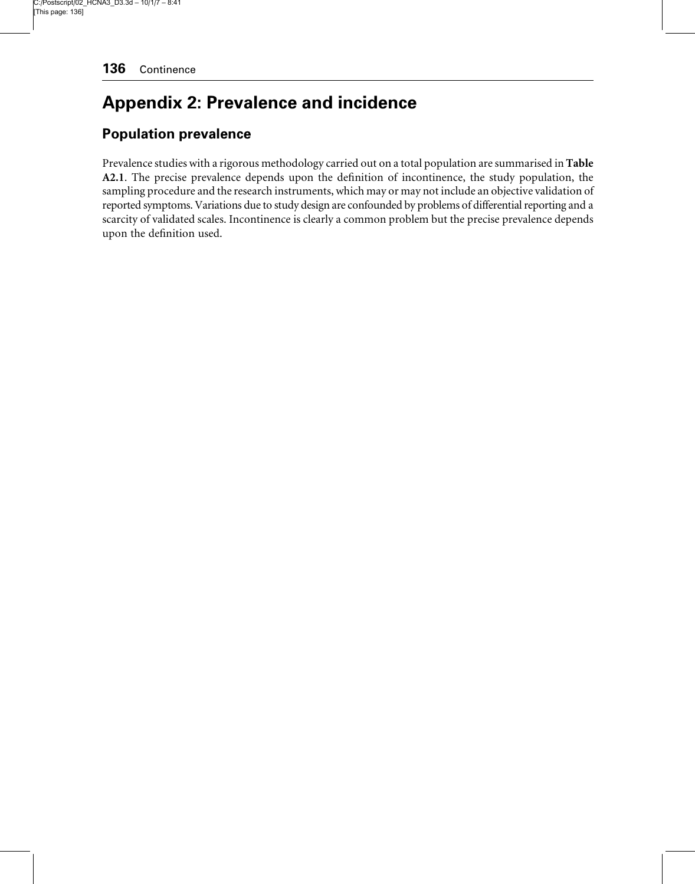# Appendix 2: Prevalence and incidence

# Population prevalence

Prevalence studies with a rigorous methodology carried out on a total population are summarised in Table A2.1. The precise prevalence depends upon the definition of incontinence, the study population, the sampling procedure and the research instruments, which may or may not include an objective validation of reported symptoms. Variations due to study design are confounded by problems of differential reporting and a scarcity of validated scales. Incontinence is clearly a common problem but the precise prevalence depends upon the definition used.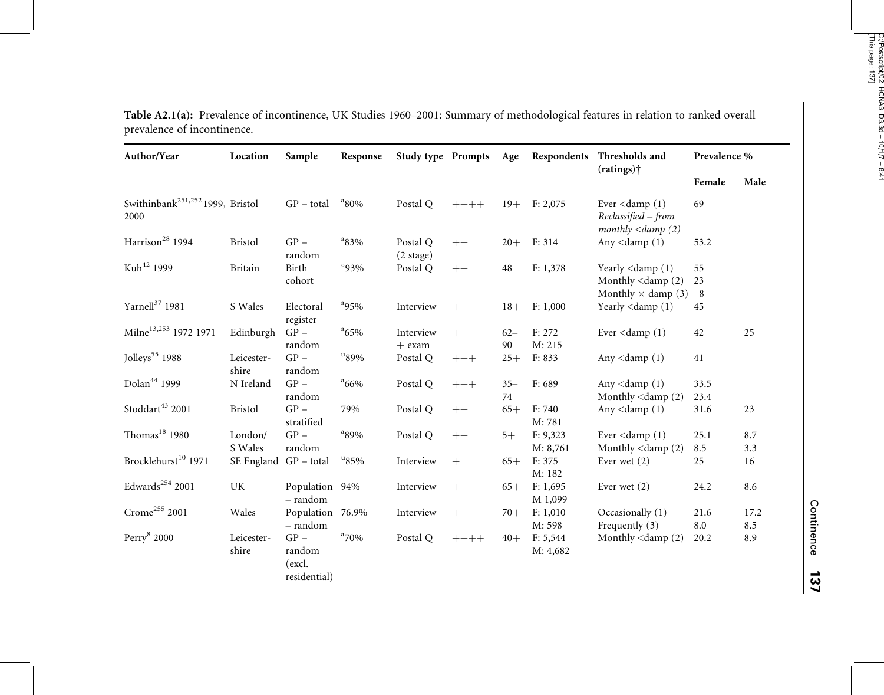| Author/Year                                          | Location              | Sample                                     | Response       | Study type Prompts    |         | Age          |                      | Respondents Thresholds and<br>(ratings) †                                                      | Prevalence %      |             |
|------------------------------------------------------|-----------------------|--------------------------------------------|----------------|-----------------------|---------|--------------|----------------------|------------------------------------------------------------------------------------------------|-------------------|-------------|
|                                                      |                       |                                            |                |                       |         |              |                      |                                                                                                | Female            | Male        |
| Swithinbank <sup>251,252</sup> 1999, Bristol<br>2000 |                       | $GP - total$                               | $80\%$         | Postal Q              | $+++++$ | $19+$        | F: 2,075             | Ever $\langle$ damp $(1)$<br>Reclassified – from<br>$monthly <$ damp (2)                       | 69                |             |
| Harrison <sup>28</sup> 1994                          | <b>Bristol</b>        | ${\rm GP}$ $-$<br>random                   | $83\%$         | Postal Q<br>(2 stage) | $++$    | $20+$        | F: 314               | Any $\langle$ damp $(1)$                                                                       | 53.2              |             |
| Kuh <sup>42</sup> 1999                               | Britain               | Birth<br>cohort                            | $^{\circ}93\%$ | Postal Q              | $++$    | 48           | F: 1,378             | Yearly $\langle$ damp $(1)$<br>Monthly $\langle$ damp $(2)$<br>Monthly $\times$ damp (3)       | 55<br>23<br>8     |             |
| Yarnell <sup>37</sup> 1981                           | S Wales               | Electoral<br>register                      | 495%           | Interview             | $++$    | $18+$        | F: 1,000             | Yearly $\langle$ damp $(1)$                                                                    | 45                |             |
| Milne <sup>13,253</sup> 1972 1971                    | Edinburgh             | $GP -$<br>random                           | $a_{65\%}$     | Interview<br>$+$ exam | $++$    | $62 -$<br>90 | F: 272<br>M: 215     | Ever $\langle$ damp $(1)$                                                                      | 42                | 25          |
| Jolleys <sup>55</sup> 1988                           | Leicester-<br>shire   | $GP -$<br>random                           | $\rm ^{u}89\%$ | Postal Q              | $+++$   | $25+$        | F: 833               | Any $\langle$ damp $(1)$                                                                       | 41                |             |
| Dolan <sup>44</sup> 1999                             | N Ireland             | $GP -$<br>random                           | $^{a}66\%$     | Postal Q              | $+++$   | $35 -$<br>74 | F: 689               | Any $\langle$ damp $(1)$<br>Monthly <damp (2)<="" td=""><td>33.5<br/>23.4</td><td></td></damp> | 33.5<br>23.4      |             |
| Stoddart <sup>43</sup> 2001                          | <b>Bristol</b>        | $GP -$<br>stratified                       | 79%            | Postal Q              | $++$    | $65+$        | F: 740<br>M: 781     | Any $\langle$ damp $(1)$                                                                       | 31.6              | 23          |
| Thomas <sup>18</sup> 1980                            | London/<br>S Wales    | $GP -$<br>random                           | 89%            | Postal Q              | $++$    | $5+$         | F: 9,323<br>M: 8,761 | Ever $\langle$ damp $(1)$<br>Monthly $\langle$ damp $(2)$                                      | 25.1<br>8.5       | 8.7<br>3.3  |
| Brocklehurst <sup>10</sup> 1971                      | SE England GP - total |                                            | $"85\%$        | Interview             | $^{+}$  | $65+$        | F: 375<br>M: 182     | Ever wet $(2)$                                                                                 | 25                | 16          |
| Edwards <sup>254</sup> 2001                          | UK                    | Population 94%<br>- random                 |                | Interview             | $++$    | $65+$        | F: 1,695<br>M 1,099  | Ever wet $(2)$                                                                                 | 24.2              | 8.6         |
| Crome <sup>255</sup> 2001                            | Wales                 | Population 76.9%<br>- random               |                | Interview             | $^{+}$  | $70+$        | F: 1,010<br>M: 598   | Occasionally (1)<br>Frequently (3)                                                             | 21.6<br>$\rm 8.0$ | 17.2<br>8.5 |
| Perry <sup>8</sup> 2000                              | Leicester-<br>shire   | $GP -$<br>random<br>(excl.<br>residential) | $a_{70\%}$     | Postal Q              | $+++++$ | $40+$        | F: 5,544<br>M: 4,682 | Monthly $\langle$ damp $(2)$                                                                   | 20.2              | 8.9         |

Table A2.1(a): Prevalence of incontinence, UK Studies 1960–2001: Summary of methodological features in relation to ranked overall prevalence of incontinence.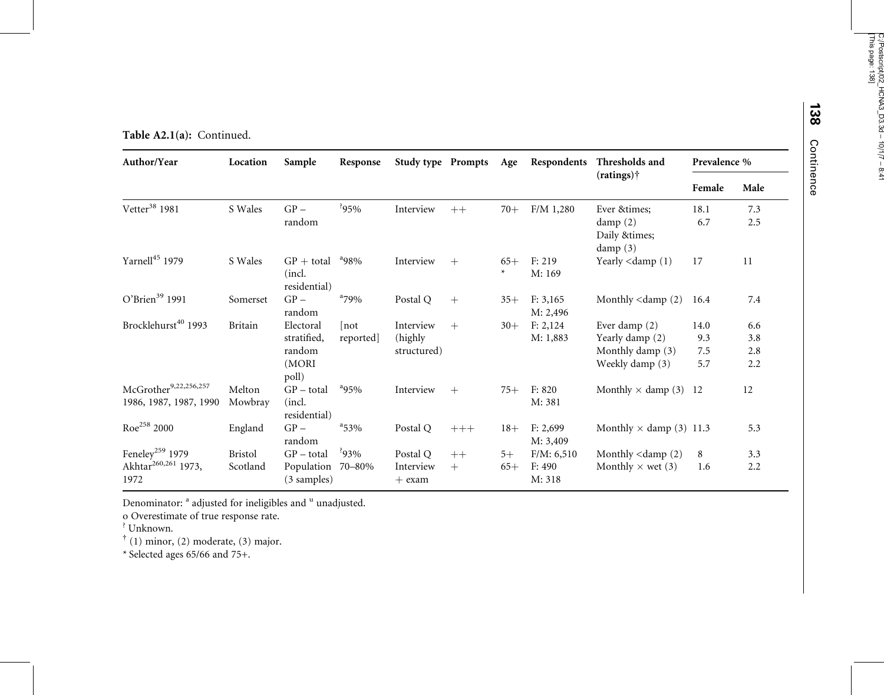138

Table A2.1(a): Continued.

| Author/Year                                     | Location          | Sample                                  | Response   | Study type Prompts    |         | Age             | Respondents          | Thresholds and                                            | Prevalence % |            |
|-------------------------------------------------|-------------------|-----------------------------------------|------------|-----------------------|---------|-----------------|----------------------|-----------------------------------------------------------|--------------|------------|
|                                                 |                   |                                         |            |                       |         |                 |                      | (ratings) †                                               | Female       | Male       |
| Vetter <sup>38</sup> 1981                       | S Wales           | $GP -$<br>random                        | $395\%$    | Interview             | $^{++}$ | $70+$           | $F/M$ 1,280          | Ever ×<br>damp(2)<br>Daily ×<br>damp $(3)$                | 18.1<br>6.7  | 7.3<br>2.5 |
| Yarnell <sup>45</sup> 1979                      | S Wales           | $GP + total$<br>(incl.)<br>residential) | $498\%$    | Interview             | $^{+}$  | $65+$<br>$\ast$ | F: 219<br>M: 169     | Yearly $\langle$ damp $(1)$                               | 17           | 11         |
| O'Brien <sup>39</sup> 1991                      | Somerset          | $GP -$<br>random                        | $a_{79\%}$ | Postal Q              | $^{+}$  | $35+$           | F: 3,165<br>M: 2,496 | Monthly $\langle$ damp (2)                                | 16.4         | 7.4        |
| Brocklehurst <sup>40</sup> 1993                 | <b>Britain</b>    | Electoral                               | [not]      | Interview             | $^{+}$  | $30+$           | F: 2,124             | Ever damp $(2)$                                           | 14.0         | 6.6        |
|                                                 |                   | stratified,                             | reported   | (highly               |         |                 | M: 1,883             | Yearly damp (2)                                           | 9.3          | 3.8        |
|                                                 |                   | random                                  |            | structured)           |         |                 |                      | Monthly damp (3)                                          | 7.5          | 2.8        |
|                                                 |                   | (MORI<br>poll)                          |            |                       |         |                 |                      | Weekly damp (3)                                           | 5.7          | 2.2        |
| McGrother9,22,256,257<br>1986, 1987, 1987, 1990 | Melton<br>Mowbray | $GP - total$<br>(incl.<br>residential)  | 495%       | Interview             | $^{+}$  | $75+$           | F: 820<br>M: 381     | Monthly $\times$ damp (3) 12                              |              | 12         |
| Roe <sup>258</sup> 2000                         | England           | $GP -$<br>random                        | $a_{53\%}$ | Postal Q              | $+++$   | $18+$           | F: 2,699<br>M: 3,409 | Monthly $\times$ damp (3) 11.3                            |              | 5.3        |
| Feneley <sup>259</sup> 1979                     | <b>Bristol</b>    | $GP - total$                            | $393\%$    | Postal O              | $++$    | $5+$            | F/M: 6,510           | Monthly <damp (2)<="" td=""><td>8</td><td>3.3</td></damp> | 8            | 3.3        |
| Akhtar <sup>260,261</sup> 1973,<br>1972         | Scotland          | Population<br>(3 samples)               | 70-80%     | Interview<br>$+$ exam | $^{+}$  | $65+$           | F: 490<br>M: 318     | Monthly $\times$ wet (3)                                  | 1.6          | 2.2        |

Denominator: <sup>a</sup> adjusted for ineligibles and <sup>u</sup> unadjusted.

<sup>o</sup> Overestimate of true response rate.

? Unknown.

 $(1)$  minor, (2) moderate, (3) major.<br>\* Selected ages 65/66 and 75+.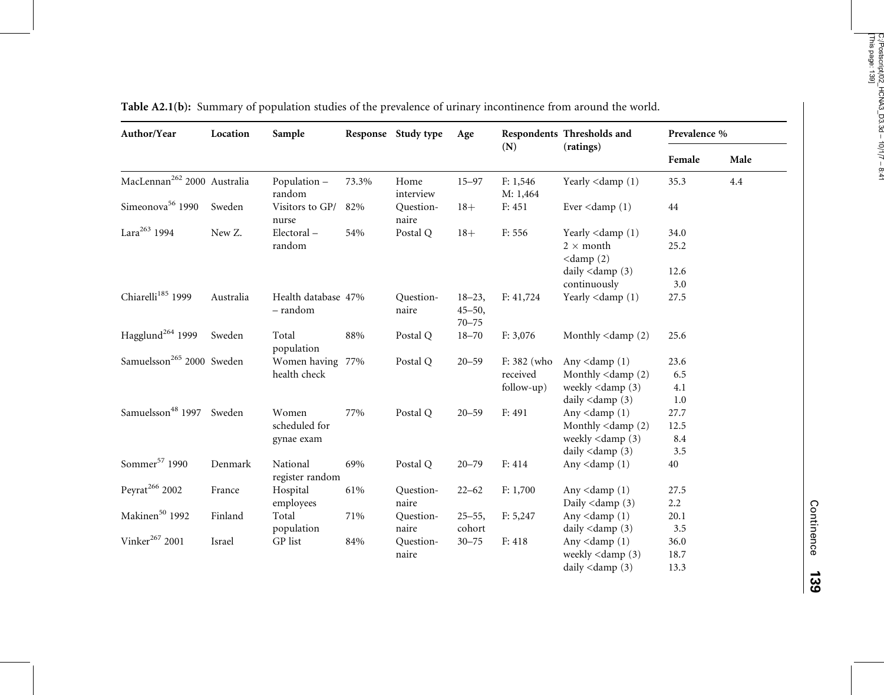| Author/Year                             | Location  | Sample                          |       | Response Study type | Age                                  |                      | Respondents Thresholds and                               | Prevalence % |      |  |
|-----------------------------------------|-----------|---------------------------------|-------|---------------------|--------------------------------------|----------------------|----------------------------------------------------------|--------------|------|--|
|                                         |           |                                 |       |                     |                                      | (N)                  | (ratings)                                                | Female       | Male |  |
| MacLennan <sup>262</sup> 2000 Australia |           | Population -<br>random          | 73.3% | Home<br>interview   | $15 - 97$                            | F: 1,546<br>M: 1,464 | Yearly $\langle$ damp $(1)$                              | 35.3         | 4.4  |  |
| Simeonova <sup>56</sup> 1990            | Sweden    | Visitors to GP/<br>nurse        | 82%   | Question-<br>naire  | $18+$                                | F: 451               | Ever $\langle$ damp $(1)$                                | 44           |      |  |
| Lara <sup>263</sup> 1994                | New Z.    | Electoral-                      | 54%   | Postal Q            | $18+$                                | F: 556               | Yearly <damp (1)<="" td=""><td>34.0</td><td></td></damp> | 34.0         |      |  |
|                                         |           | random                          |       |                     |                                      |                      | $2 \times$ month<br>$\langle \text{damp}(2) \rangle$     | 25.2         |      |  |
|                                         |           |                                 |       |                     |                                      |                      | daily <damp (3)<="" td=""><td>12.6</td><td></td></damp>  | 12.6         |      |  |
|                                         |           |                                 |       |                     |                                      |                      | continuously                                             | 3.0          |      |  |
| Chiarelli <sup>185</sup> 1999           | Australia | Health database 47%<br>- random |       | Question-<br>naire  | $18 - 23$<br>$45 - 50,$<br>$70 - 75$ | F: 41,724            | Yearly <damp (1)<="" td=""><td>27.5</td><td></td></damp> | 27.5         |      |  |
| Hagglund <sup>264</sup> 1999            | Sweden    | Total<br>population             | 88%   | Postal Q            | $18 - 70$                            | F: 3,076             | Monthly $\langle$ damp $(2)$                             | 25.6         |      |  |
| Samuelsson <sup>265</sup> 2000 Sweden   |           | Women having 77%                |       | Postal Q            | $20 - 59$                            | $F: 382$ (who        | Any $\langle$ damp $(1)$                                 | 23.6         |      |  |
|                                         |           | health check                    |       |                     |                                      | received             | Monthly <damp (2)<="" td=""><td>6.5</td><td></td></damp> | 6.5          |      |  |
|                                         |           |                                 |       |                     |                                      | follow-up)           | weekly <damp (3)<="" td=""><td>4.1</td><td></td></damp>  | 4.1          |      |  |
|                                         |           |                                 |       |                     |                                      |                      | daily $\langle$ damp $(3)$                               | 1.0          |      |  |
| Samuelsson <sup>48</sup> 1997 Sweden    |           | Women                           | 77%   | Postal Q            | $20 - 59$                            | F: 491               | Any $\langle$ damp $(1)$                                 | 27.7         |      |  |
|                                         |           | scheduled for                   |       |                     |                                      |                      | Monthly $\langle$ damp $(2)$                             | 12.5         |      |  |
|                                         |           | gynae exam                      |       |                     |                                      |                      | weekly <damp (3)<="" td=""><td>8.4</td><td></td></damp>  | 8.4          |      |  |
|                                         |           |                                 |       |                     |                                      |                      | daily $\langle$ damp $(3)$                               | 3.5          |      |  |
| Sommer <sup>57</sup> 1990               | Denmark   | National<br>register random     | 69%   | Postal Q            | $20 - 79$                            | F: 414               | Any $\langle$ damp $(1)$                                 | 40           |      |  |
| Peyrat <sup>266</sup> 2002              | France    | Hospital                        | 61%   | Question-           | $22 - 62$                            | F: 1,700             | Any $\langle$ damp $(1)$                                 | 27.5         |      |  |
|                                         |           | employees                       |       | naire               |                                      |                      | Daily <damp (3)<="" td=""><td>2.2</td><td></td></damp>   | 2.2          |      |  |
| Makinen <sup>50</sup> 1992              | Finland   | Total                           | 71%   | Question-           | $25 - 55$ ,                          | F: 5,247             | Any $\langle$ damp $(1)$                                 | 20.1         |      |  |
|                                         |           | population                      |       | naire               | cohort                               |                      | daily <damp (3)<="" td=""><td>3.5</td><td></td></damp>   | 3.5          |      |  |
| Vinker <sup>267</sup> 2001              | Israel    | GP list                         | 84%   | Question-           | $30 - 75$                            | F: 418               | Any <damp (1)<="" td=""><td>36.0</td><td></td></damp>    | 36.0         |      |  |
|                                         |           |                                 |       | naire               |                                      |                      | weekly <damp (3)<="" td=""><td>18.7</td><td></td></damp> | 18.7         |      |  |
|                                         |           |                                 |       |                     |                                      |                      | daily <damp (3)<="" td=""><td>13.3</td><td></td></damp>  | 13.3         |      |  |

Table A2.1(b): Summary of population studies of the prevalence of urinary incontinence from around the world.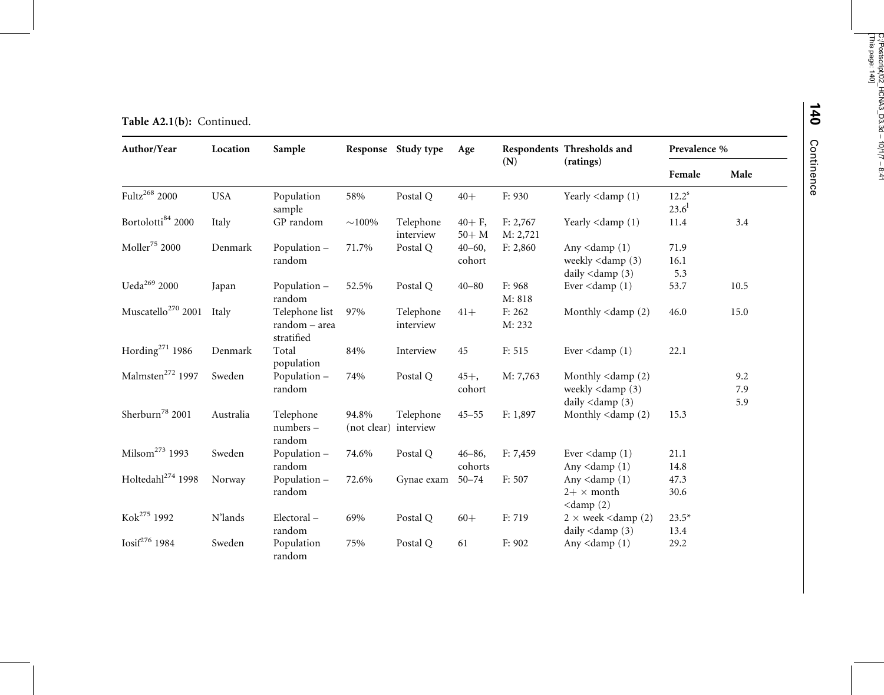| Author/Year                    | Location   | Sample                                        |                      | Response Study type    | Age                   | (N)                  | Respondents Thresholds and<br>(ratings)                                                                               | Prevalence %         |                   |  |
|--------------------------------|------------|-----------------------------------------------|----------------------|------------------------|-----------------------|----------------------|-----------------------------------------------------------------------------------------------------------------------|----------------------|-------------------|--|
|                                |            |                                               |                      |                        |                       |                      |                                                                                                                       | Female               | Male              |  |
| Fultz <sup>268</sup> 2000      | <b>USA</b> | Population<br>sample                          | 58%                  | Postal Q               | $40+$                 | F: 930               | Yearly $\langle$ damp $(1)$                                                                                           | $12.2^s$<br>$23.6^1$ |                   |  |
| Bortolotti <sup>84</sup> 2000  | Italy      | GP random                                     | $\sim$ 100%          | Telephone<br>interview | $40 + F$ ,<br>$50+M$  | F: 2,767<br>M: 2,721 | Yearly $\langle$ damp $(1)$                                                                                           | 11.4                 | 3.4               |  |
| Moller <sup>75</sup> 2000      | Denmark    | Population -<br>random                        | 71.7%                | Postal Q               | $40 - 60,$<br>cohort  | F: 2,860             | Any $\langle$ damp $(1)$<br>weekly $\langle$ damp $(3)$<br>daily $\langle$ damp $(3)$                                 | 71.9<br>16.1<br>5.3  |                   |  |
| Ueda <sup>269</sup> 2000       | Japan      | Population -<br>random                        | 52.5%                | Postal Q               | $40 - 80$             | F: 968<br>M: 818     | Ever $\langle$ damp $(1)$                                                                                             | 53.7                 | 10.5              |  |
| Muscatello <sup>270</sup> 2001 | Italy      | Telephone list<br>random - area<br>stratified | 97%                  | Telephone<br>interview | $41+$                 | F: 262<br>M: 232     | Monthly $\langle$ damp $(2)$                                                                                          | 46.0                 | 15.0              |  |
| Hording <sup>271</sup> 1986    | Denmark    | Total<br>population                           | 84%                  | Interview              | 45                    | F: 515               | Ever $\langle$ damp $(1)$                                                                                             | 22.1                 |                   |  |
| Malmsten <sup>272</sup> 1997   | Sweden     | Population -<br>random                        | 74%                  | Postal Q               | $45 +$ ,<br>cohort    | M: 7,763             | Monthly <damp (2)<br="">weekly <damp (3)<br="">daily <math>\langle</math> damp<math>(3)</math></damp></damp>          |                      | 9.2<br>7.9<br>5.9 |  |
| Sherburn <sup>78</sup> 2001    | Australia  | Telephone<br>$numbers -$<br>random            | 94.8%<br>(not clear) | Telephone<br>interview | $45 - 55$             | F: 1,897             | Monthly <damp (2)<="" td=""><td>15.3</td><td></td></damp>                                                             | 15.3                 |                   |  |
| Milsom <sup>273</sup> 1993     | Sweden     | Population -<br>random                        | 74.6%                | Postal Q               | $46 - 86,$<br>cohorts | F: 7,459             | Ever $\langle$ damp $(1)$<br>Any $\langle$ damp $(1)$                                                                 | 21.1<br>14.8         |                   |  |
| Holtedahl <sup>274</sup> 1998  | Norway     | Population -<br>random                        | 72.6%                | Gynae exam             | $50 - 74$             | F: 507               | Any $\langle$ damp $(1)$<br>$2+ \times$ month<br>$\langle \text{damp}(2) \rangle$                                     | 47.3<br>30.6         |                   |  |
| Kok <sup>275</sup> 1992        | N'lands    | Electoral-<br>random                          | 69%                  | Postal Q               | $60+$                 | F: 719               | $2 \times$ week <damp (2)<br="">daily <damp (3)<="" td=""><td><math>23.5*</math><br/>13.4</td><td></td></damp></damp> | $23.5*$<br>13.4      |                   |  |
| Iosif $276$ 1984               | Sweden     | Population<br>random                          | 75%                  | Postal O               | 61                    | F: 902               | Any $\langle$ damp $(1)$                                                                                              | 29.2                 |                   |  |

140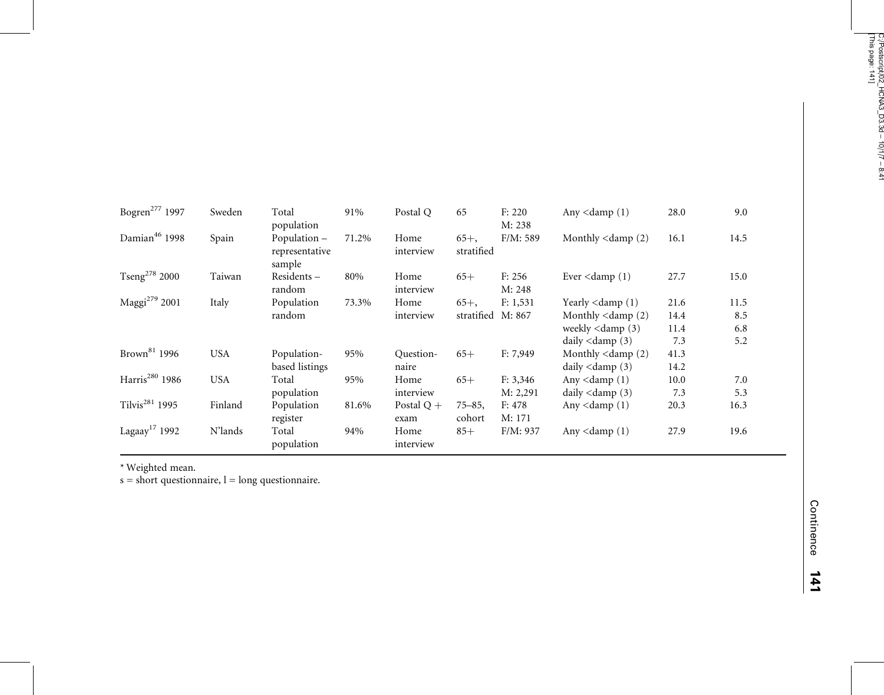| Bogren <sup>277</sup> 1997 | Sweden     | Total<br>population                      | 91%   | Postal O             | 65                    | F: 220<br>M: 238 | Any $\langle$ damp $(1)$     | 28.0 | 9.0  |
|----------------------------|------------|------------------------------------------|-------|----------------------|-----------------------|------------------|------------------------------|------|------|
| Damian <sup>46</sup> 1998  | Spain      | Population -<br>representative<br>sample | 71.2% | Home<br>interview    | $65+,$<br>stratified  | F/M: 589         | Monthly $\langle$ damp $(2)$ | 16.1 | 14.5 |
| Tseng <sup>278</sup> 2000  | Taiwan     | Residents-<br>random                     | 80%   | Home<br>interview    | $65+$                 | F: 256<br>M: 248 | Ever $\langle$ damp $(1)$    | 27.7 | 15.0 |
| $\rm Maggi^{279}$ 2001     | Italy      | Population                               | 73.3% | Home                 | $65+,$                | F: 1,531         | Yearly $\langle$ damp $(1)$  | 21.6 | 11.5 |
|                            |            | random                                   |       | interview            | stratified M: 867     |                  | Monthly $\langle$ damp $(2)$ | 14.4 | 8.5  |
|                            |            |                                          |       |                      |                       |                  | weekly $\langle$ damp $(3)$  | 11.4 | 6.8  |
|                            |            |                                          |       |                      |                       |                  | daily $\langle$ damp $(3)$   | 7.3  | 5.2  |
| Brown <sup>81</sup> 1996   | <b>USA</b> | Population-                              | 95%   | Ouestion-            | $65+$                 | F: 7,949         | Monthly $\langle$ damp $(2)$ | 41.3 |      |
|                            |            | based listings                           |       | naire                |                       |                  | daily $\langle$ damp $(3)$   | 14.2 |      |
| Harris <sup>280</sup> 1986 | <b>USA</b> | Total                                    | 95%   | Home                 | $65+$                 | F: 3,346         | Any $\langle$ damp $(1)$     | 10.0 | 7.0  |
|                            |            | population                               |       | interview            |                       | M: 2,291         | daily $\langle$ damp $(3)$   | 7.3  | 5.3  |
| Tilvis <sup>281</sup> 1995 | Finland    | Population<br>register                   | 81.6% | Postal $Q +$<br>exam | $75 - 85$ ,<br>cohort | F: 478<br>M: 171 | Any $\langle$ damp $(1)$     | 20.3 | 16.3 |
| Lagaay <sup>17</sup> 1992  | N'lands    | Total<br>population                      | 94%   | Home<br>interview    | $85+$                 | F/M: 937         | Any $\langle$ damp $(1)$     | 27.9 | 19.6 |

\* Weighted mean.

<sup>s</sup> <sup>=</sup> short questionnaire, l <sup>=</sup> long questionnaire.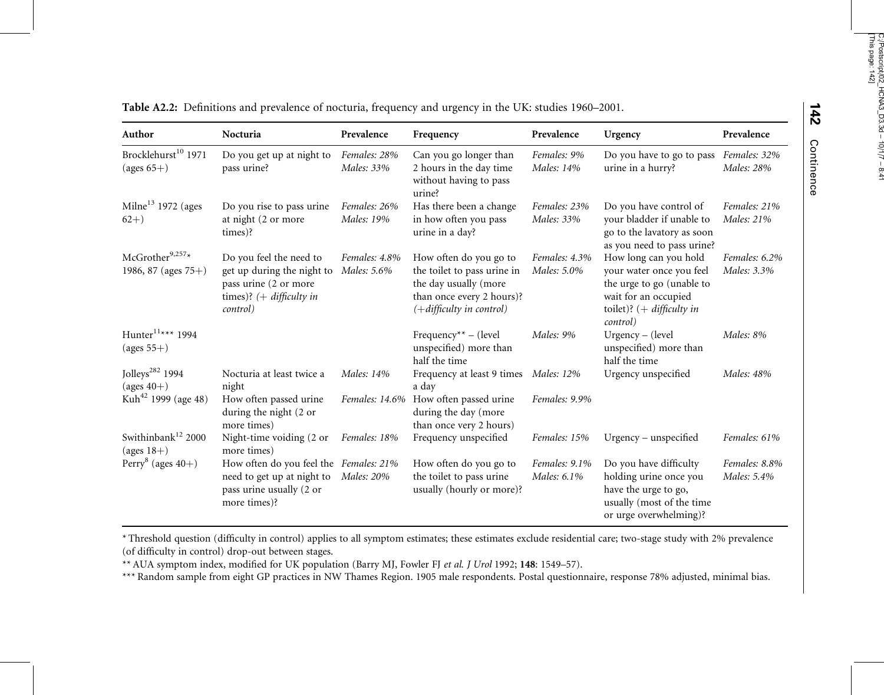| Author                                                   | Nocturia                                                                                                                 | Prevalence                   | Frequency                                                                                                                                 | Prevalence                   | Urgency                                                                                                                                           | Prevalence                   |
|----------------------------------------------------------|--------------------------------------------------------------------------------------------------------------------------|------------------------------|-------------------------------------------------------------------------------------------------------------------------------------------|------------------------------|---------------------------------------------------------------------------------------------------------------------------------------------------|------------------------------|
| Brocklehurst <sup>10</sup> 1971<br>$(\text{ages } 65+)$  | Do you get up at night to<br>pass urine?                                                                                 | Females: 28%<br>Males: 33%   | Can you go longer than<br>2 hours in the day time<br>without having to pass<br>urine?                                                     | Females: 9%<br>Males: 14%    | Do you have to go to pass<br>urine in a hurry?                                                                                                    | Females: 32%<br>Males: 28%   |
| Milne <sup>13</sup> 1972 (ages<br>$62+)$                 | Do you rise to pass urine<br>at night (2 or more<br>times)?                                                              | Females: 26%<br>Males: 19%   | Has there been a change<br>in how often you pass<br>urine in a day?                                                                       | Females: 23%<br>Males: 33%   | Do you have control of<br>your bladder if unable to<br>go to the lavatory as soon<br>as you need to pass urine?                                   | Females: 21%<br>Males: 21%   |
| McGrother9,257*<br>1986, 87 (ages $75+$ )                | Do you feel the need to<br>get up during the night to<br>pass urine (2 or more<br>times)? $(+$ difficulty in<br>control) | Females: 4.8%<br>Males: 5.6% | How often do you go to<br>the toilet to pass urine in<br>the day usually (more<br>than once every 2 hours)?<br>$(+difficulty in control)$ | Females: 4.3%<br>Males: 5.0% | How long can you hold<br>your water once you feel<br>the urge to go (unable to<br>wait for an occupied<br>toilet)? $(+$ difficulty in<br>control) | Females: 6.2%<br>Males: 3.3% |
| Hunter <sup>11***</sup> 1994<br>$\frac{1}{2}$ (ages 55+) |                                                                                                                          |                              | Frequency** – (level<br>unspecified) more than<br>half the time                                                                           | Males: 9%                    | Urgency - (level<br>unspecified) more than<br>half the time                                                                                       | Males: 8%                    |
| Jolleys <sup>282</sup> 1994<br>$(\text{ages }40+)$       | Nocturia at least twice a<br>night                                                                                       | Males: 14%                   | Frequency at least 9 times Males: 12%<br>a day                                                                                            |                              | Urgency unspecified                                                                                                                               | Males: 48%                   |
| Kuh <sup>42</sup> 1999 (age 48)                          | How often passed urine<br>during the night (2 or<br>more times)                                                          | Females: 14.6%               | How often passed urine<br>during the day (more<br>than once very 2 hours)                                                                 | Females: 9.9%                |                                                                                                                                                   |                              |
| Swithinbank <sup>12</sup> 2000<br>$(\text{ages } 18+)$   | Night-time voiding (2 or<br>more times)                                                                                  | Females: 18%                 | Frequency unspecified                                                                                                                     | Females: 15%                 | Urgency - unspecified                                                                                                                             | Females: 61%                 |
| Perry <sup>8</sup> (ages $40+)$                          | How often do you feel the Females: 21%<br>need to get up at night to<br>pass urine usually (2 or<br>more times)?         | <i>Males: 20%</i>            | How often do you go to<br>the toilet to pass urine<br>usually (hourly or more)?                                                           | Females: 9.1%<br>Males: 6.1% | Do you have difficulty<br>holding urine once you<br>have the urge to go,<br>usually (most of the time<br>or urge overwhelming)?                   | Females: 8.8%<br>Males: 5.4% |

\* Threshold question (difficulty in control) applies to all symptom estimates; these estimates exclude residential care; two-stage study with 2% prevalence (of difficulty in control) drop-out between stages.

\*\* AUA symptom index, modified for UK population (Barry MJ, Fowler FJ et al. J Urol 1992; <sup>148</sup>: 1549–57).

\*\*\* Random sample from eight GP practices in NW Thames Region. <sup>1905</sup> male respondents. Postal questionnaire, response 78% adjusted, minimal bias.

142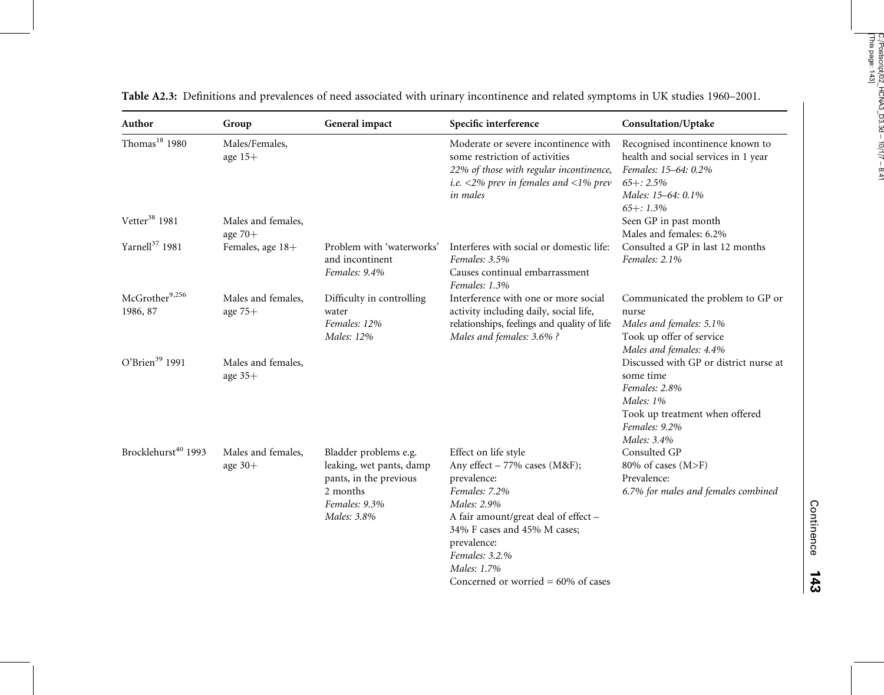| Author                                                 | Group                                             | General impact                                                                                                          | Specific interference                                                                                                                                                                                                                                                    | Consultation/Uptake                                                                                                                                                              |
|--------------------------------------------------------|---------------------------------------------------|-------------------------------------------------------------------------------------------------------------------------|--------------------------------------------------------------------------------------------------------------------------------------------------------------------------------------------------------------------------------------------------------------------------|----------------------------------------------------------------------------------------------------------------------------------------------------------------------------------|
| Thomas <sup>18</sup> 1980<br>Vetter <sup>38</sup> 1981 | Males/Females,<br>age $15+$<br>Males and females, |                                                                                                                         | Moderate or severe incontinence with<br>some restriction of activities<br>22% of those with regular incontinence,<br><i>i.e.</i> $\langle 2\%$ prev in females and $\langle 1\%$ prev<br><i>in males</i>                                                                 | Recognised incontinence known to<br>health and social services in 1 year<br>Females: 15-64: 0.2%<br>$65 + 2.5%$<br>Males: 15-64: 0.1%<br>$65 + : 1.3\%$<br>Seen GP in past month |
|                                                        | age $70+$                                         |                                                                                                                         |                                                                                                                                                                                                                                                                          | Males and females: 6.2%                                                                                                                                                          |
| Yarnell $37$ 1981                                      | Females, age 18+                                  | Problem with 'waterworks'<br>and incontinent<br>Females: 9.4%                                                           | Interferes with social or domestic life:<br>Females: 3.5%<br>Causes continual embarrassment<br>Females: 1.3%                                                                                                                                                             | Consulted a GP in last 12 months<br>Females: 2.1%                                                                                                                                |
| McGrother9,256<br>1986, 87                             | Males and females,<br>age $75+$                   | Difficulty in controlling<br>water<br>Females: 12%<br>Males: 12%                                                        | Interference with one or more social<br>activity including daily, social life,<br>relationships, feelings and quality of life<br>Males and females: 3.6% ?                                                                                                               | Communicated the problem to GP or<br>nurse<br>Males and females: 5.1%<br>Took up offer of service<br>Males and females: 4.4%                                                     |
| O'Brien <sup>39</sup> 1991                             | Males and females,<br>age $35+$                   |                                                                                                                         |                                                                                                                                                                                                                                                                          | Discussed with GP or district nurse at<br>some time<br>Females: 2.8%<br>Males: 1%<br>Took up treatment when offered<br>Females: 9.2%<br>Males: 3.4%                              |
| Brocklehurst <sup>40</sup> 1993                        | Males and females,<br>age $30+$                   | Bladder problems e.g.<br>leaking, wet pants, damp<br>pants, in the previous<br>2 months<br>Females: 9.3%<br>Males: 3.8% | Effect on life style<br>Any effect $-77\%$ cases (M&F);<br>prevalence:<br>Females: 7.2%<br>Males: 2.9%<br>A fair amount/great deal of effect -<br>34% F cases and 45% M cases;<br>prevalence:<br>Females: 3.2.%<br>Males: 1.7%<br>Concerned or worried $= 60\%$ of cases | Consulted GP<br>80% of cases $(M>F)$<br>Prevalence:<br>6.7% for males and females combined                                                                                       |

Table A2.3: Definitions and prevalences of need associated with urinary incontinence and related symptoms in UK studies 1960–2001.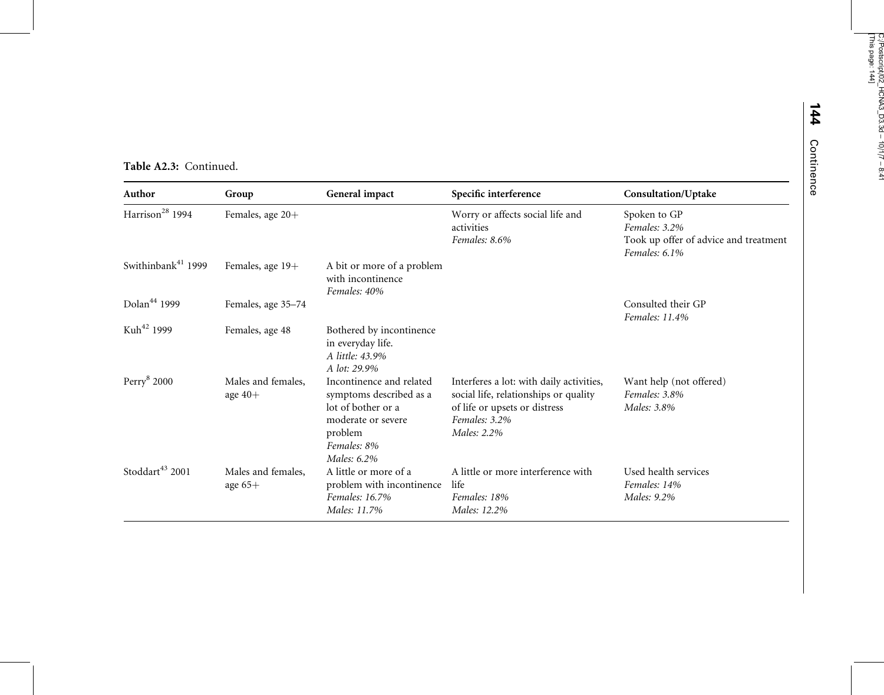# 144

| Author                         | Group                           | General impact                                                                                                                           | Specific interference                                                                                                                              | <b>Consultation/Uptake</b>                                                              |
|--------------------------------|---------------------------------|------------------------------------------------------------------------------------------------------------------------------------------|----------------------------------------------------------------------------------------------------------------------------------------------------|-----------------------------------------------------------------------------------------|
| Harrison <sup>28</sup> 1994    | Females, age 20+                |                                                                                                                                          | Worry or affects social life and<br>activities<br>Females: 8.6%                                                                                    | Spoken to GP<br>Females: 3.2%<br>Took up offer of advice and treatment<br>Females: 6.1% |
| Swithinbank <sup>41</sup> 1999 | Females, age 19+                | A bit or more of a problem<br>with incontinence<br>Females: 40%                                                                          |                                                                                                                                                    |                                                                                         |
| Dolan <sup>44</sup> 1999       | Females, age 35-74              |                                                                                                                                          |                                                                                                                                                    | Consulted their GP<br>Females: 11.4%                                                    |
| Kuh <sup>42</sup> 1999         | Females, age 48                 | Bothered by incontinence<br>in everyday life.<br>A little: 43.9%<br>A lot: 29.9%                                                         |                                                                                                                                                    |                                                                                         |
| Perry <sup>8</sup> 2000        | Males and females,<br>age $40+$ | Incontinence and related<br>symptoms described as a<br>lot of bother or a<br>moderate or severe<br>problem<br>Females: 8%<br>Males: 6.2% | Interferes a lot: with daily activities,<br>social life, relationships or quality<br>of life or upsets or distress<br>Females: 3.2%<br>Males: 2.2% | Want help (not offered)<br>Females: 3.8%<br>Males: 3.8%                                 |
| Stoddart <sup>43</sup> 2001    | Males and females,<br>age $65+$ | A little or more of a<br>problem with incontinence<br>Females: 16.7%<br>Males: 11.7%                                                     | A little or more interference with<br>life<br>Females: 18%<br>Males: 12.2%                                                                         | Used health services<br>Females: 14%<br>Males: 9.2%                                     |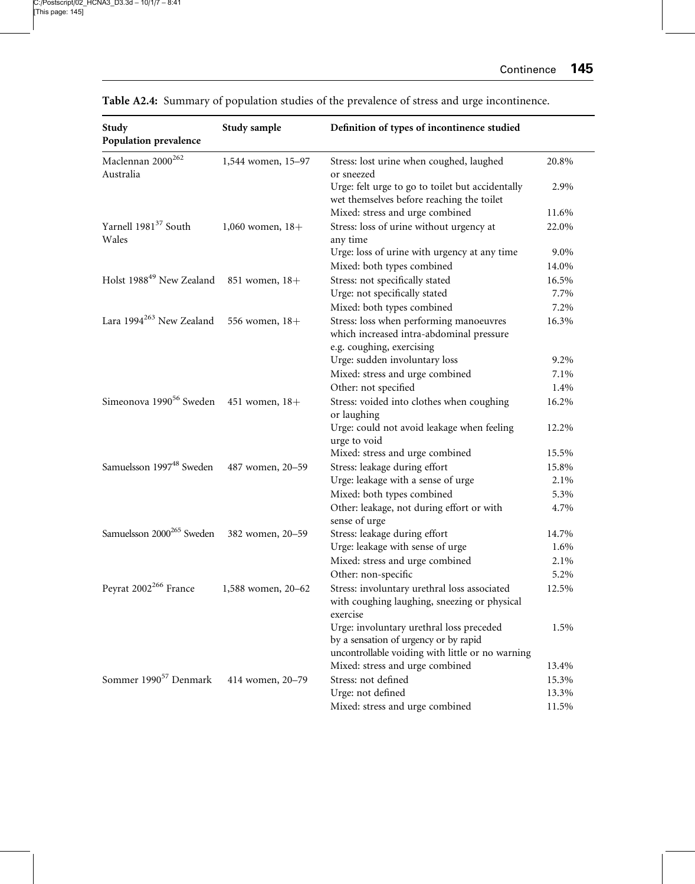| Study<br>Population prevalence             | Study sample       | Definition of types of incontinence studied                                                                                           |       |
|--------------------------------------------|--------------------|---------------------------------------------------------------------------------------------------------------------------------------|-------|
| Maclennan 2000 <sup>262</sup><br>Australia | 1,544 women, 15-97 | Stress: lost urine when coughed, laughed<br>or sneezed                                                                                | 20.8% |
|                                            |                    | Urge: felt urge to go to toilet but accidentally<br>wet themselves before reaching the toilet                                         | 2.9%  |
|                                            |                    | Mixed: stress and urge combined                                                                                                       | 11.6% |
| Yarnell 1981 <sup>37</sup> South<br>Wales  | 1,060 women, $18+$ | Stress: loss of urine without urgency at<br>any time                                                                                  | 22.0% |
|                                            |                    | Urge: loss of urine with urgency at any time                                                                                          | 9.0%  |
|                                            |                    | Mixed: both types combined                                                                                                            | 14.0% |
| Holst 1988 <sup>49</sup> New Zealand       | 851 women, 18+     | Stress: not specifically stated                                                                                                       | 16.5% |
|                                            |                    | Urge: not specifically stated                                                                                                         | 7.7%  |
|                                            |                    | Mixed: both types combined                                                                                                            | 7.2%  |
| Lara 1994 <sup>263</sup> New Zealand       | 556 women, 18+     | Stress: loss when performing manoeuvres<br>which increased intra-abdominal pressure<br>e.g. coughing, exercising                      | 16.3% |
|                                            |                    | Urge: sudden involuntary loss                                                                                                         | 9.2%  |
|                                            |                    | Mixed: stress and urge combined                                                                                                       | 7.1%  |
|                                            |                    | Other: not specified                                                                                                                  | 1.4%  |
| Simeonova 1990 <sup>56</sup> Sweden        | 451 women, 18+     | Stress: voided into clothes when coughing<br>or laughing                                                                              | 16.2% |
|                                            |                    | Urge: could not avoid leakage when feeling<br>urge to void                                                                            | 12.2% |
|                                            |                    | Mixed: stress and urge combined                                                                                                       | 15.5% |
| Samuelsson 1997 <sup>48</sup> Sweden       | 487 women, 20-59   | Stress: leakage during effort                                                                                                         | 15.8% |
|                                            |                    | Urge: leakage with a sense of urge                                                                                                    | 2.1%  |
|                                            |                    | Mixed: both types combined                                                                                                            | 5.3%  |
|                                            |                    | Other: leakage, not during effort or with<br>sense of urge                                                                            | 4.7%  |
| Samuelsson 2000 <sup>265</sup> Sweden      | 382 women, 20-59   | Stress: leakage during effort                                                                                                         | 14.7% |
|                                            |                    | Urge: leakage with sense of urge                                                                                                      | 1.6%  |
|                                            |                    | Mixed: stress and urge combined                                                                                                       | 2.1%  |
|                                            |                    | Other: non-specific                                                                                                                   | 5.2%  |
| Peyrat 2002 <sup>266</sup> France          | 1,588 women, 20-62 | Stress: involuntary urethral loss associated<br>with coughing laughing, sneezing or physical<br>exercise                              | 12.5% |
|                                            |                    | Urge: involuntary urethral loss preceded<br>by a sensation of urgency or by rapid<br>uncontrollable voiding with little or no warning | 1.5%  |
|                                            |                    | Mixed: stress and urge combined                                                                                                       | 13.4% |
| Sommer 1990 <sup>57</sup> Denmark          | 414 women, 20-79   | Stress: not defined                                                                                                                   | 15.3% |
|                                            |                    | Urge: not defined                                                                                                                     | 13.3% |
|                                            |                    | Mixed: stress and urge combined                                                                                                       | 11.5% |

Table A2.4: Summary of population studies of the prevalence of stress and urge incontinence.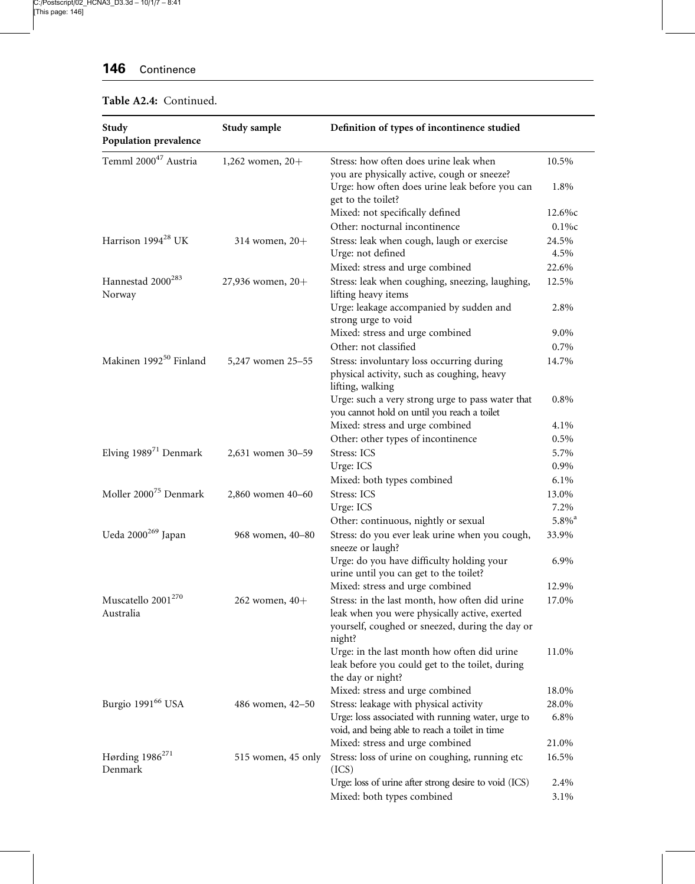#### Table A2.4: Continued.

| Study<br>Population prevalence              | Study sample       | Definition of types of incontinence studied                                                                         |                      |
|---------------------------------------------|--------------------|---------------------------------------------------------------------------------------------------------------------|----------------------|
| Temml 2000 <sup>47</sup> Austria            | 1,262 women, 20+   | Stress: how often does urine leak when<br>you are physically active, cough or sneeze?                               | 10.5%                |
|                                             |                    | Urge: how often does urine leak before you can<br>get to the toilet?                                                | 1.8%                 |
|                                             |                    | Mixed: not specifically defined                                                                                     | $12.6\%c$            |
|                                             |                    | Other: nocturnal incontinence                                                                                       | $0.1\%c$             |
| Harrison 1994 <sup>28</sup> UK              | 314 women, 20+     | Stress: leak when cough, laugh or exercise                                                                          | 24.5%                |
|                                             |                    | Urge: not defined                                                                                                   | 4.5%                 |
|                                             |                    | Mixed: stress and urge combined                                                                                     | 22.6%                |
| Hannestad 2000 <sup>283</sup><br>Norway     | 27,936 women, 20+  | Stress: leak when coughing, sneezing, laughing,<br>lifting heavy items                                              | 12.5%                |
|                                             |                    | Urge: leakage accompanied by sudden and<br>strong urge to void                                                      | 2.8%                 |
|                                             |                    | Mixed: stress and urge combined                                                                                     | 9.0%                 |
|                                             |                    | Other: not classified                                                                                               | 0.7%                 |
| Makinen 1992 <sup>50</sup> Finland          | 5,247 women 25-55  | Stress: involuntary loss occurring during<br>physical activity, such as coughing, heavy<br>lifting, walking         | 14.7%                |
|                                             |                    | Urge: such a very strong urge to pass water that<br>you cannot hold on until you reach a toilet                     | 0.8%                 |
|                                             |                    | Mixed: stress and urge combined                                                                                     | 4.1%                 |
|                                             |                    | Other: other types of incontinence                                                                                  | 0.5%                 |
| Elving 1989 <sup>71</sup> Denmark           | 2,631 women 30-59  | Stress: ICS                                                                                                         | 5.7%                 |
|                                             |                    | Urge: ICS                                                                                                           | 0.9%                 |
|                                             |                    | Mixed: both types combined                                                                                          | 6.1%                 |
| Moller 2000 <sup>75</sup> Denmark           | 2,860 women 40-60  | Stress: ICS                                                                                                         | 13.0%                |
|                                             |                    | Urge: ICS                                                                                                           | 7.2%                 |
|                                             |                    | Other: continuous, nightly or sexual                                                                                | $5.8\%$ <sup>a</sup> |
| Ueda 2000 <sup>269</sup> Japan              | 968 women, 40-80   | Stress: do you ever leak urine when you cough,<br>sneeze or laugh?                                                  | 33.9%                |
|                                             |                    | Urge: do you have difficulty holding your                                                                           | 6.9%                 |
|                                             |                    | urine until you can get to the toilet?                                                                              |                      |
|                                             |                    | Mixed: stress and urge combined                                                                                     | 12.9%                |
| Muscatello 2001 <sup>270</sup><br>Australia | 262 women, 40+     | Stress: in the last month, how often did urine                                                                      | 17.0%                |
|                                             |                    | leak when you were physically active, exerted<br>yourself, coughed or sneezed, during the day or<br>night?          |                      |
|                                             |                    | Urge: in the last month how often did urine<br>leak before you could get to the toilet, during<br>the day or night? | 11.0%                |
|                                             |                    | Mixed: stress and urge combined                                                                                     | 18.0%                |
| Burgio 1991 <sup>66</sup> USA               | 486 women, 42-50   | Stress: leakage with physical activity                                                                              | 28.0%                |
|                                             |                    | Urge: loss associated with running water, urge to<br>void, and being able to reach a toilet in time                 | 6.8%                 |
|                                             |                    | Mixed: stress and urge combined                                                                                     | 21.0%                |
| Hørding $1986^{271}$<br>Denmark             | 515 women, 45 only | Stress: loss of urine on coughing, running etc<br>(ICS)                                                             | 16.5%                |
|                                             |                    | Urge: loss of urine after strong desire to void (ICS)                                                               | 2.4%                 |
|                                             |                    | Mixed: both types combined                                                                                          | 3.1%                 |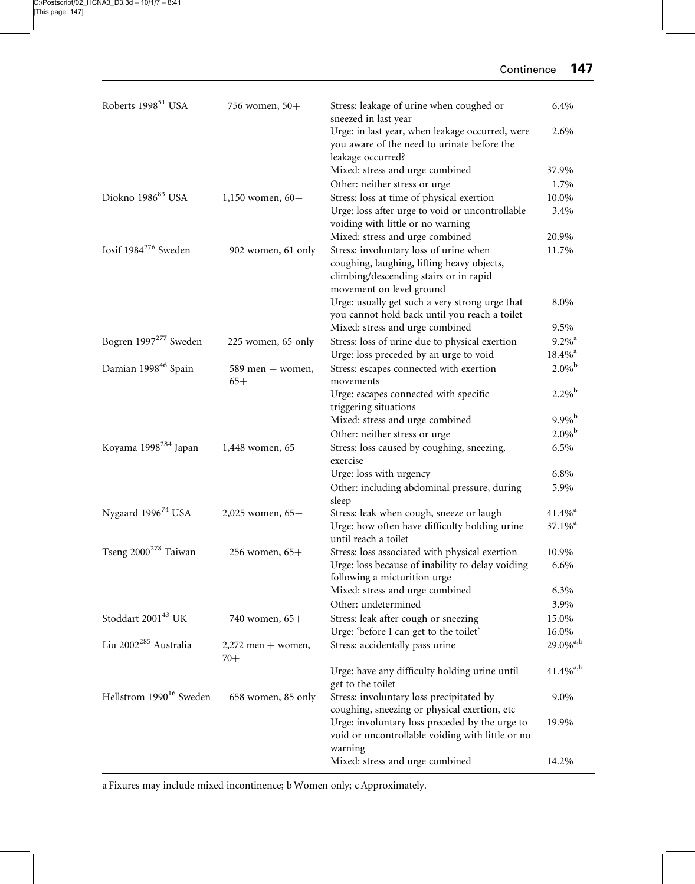| Roberts 1998 <sup>51</sup> USA      | 756 women, 50+                | Stress: leakage of urine when coughed or                                                                         | 6.4%                    |
|-------------------------------------|-------------------------------|------------------------------------------------------------------------------------------------------------------|-------------------------|
|                                     |                               | sneezed in last year<br>Urge: in last year, when leakage occurred, were                                          | 2.6%                    |
|                                     |                               | you aware of the need to urinate before the<br>leakage occurred?                                                 |                         |
|                                     |                               | Mixed: stress and urge combined                                                                                  | 37.9%                   |
|                                     |                               | Other: neither stress or urge                                                                                    | 1.7%                    |
| Diokno 1986 <sup>83</sup> USA       | 1,150 women, 60+              | Stress: loss at time of physical exertion                                                                        | 10.0%                   |
|                                     |                               | Urge: loss after urge to void or uncontrollable                                                                  | 3.4%                    |
|                                     |                               | voiding with little or no warning<br>Mixed: stress and urge combined                                             | 20.9%                   |
| Iosif 1984 <sup>276</sup> Sweden    | 902 women, 61 only            | Stress: involuntary loss of urine when                                                                           | 11.7%                   |
|                                     |                               | coughing, laughing, lifting heavy objects,<br>climbing/descending stairs or in rapid<br>movement on level ground |                         |
|                                     |                               | Urge: usually get such a very strong urge that<br>you cannot hold back until you reach a toilet                  | 8.0%                    |
|                                     |                               | Mixed: stress and urge combined                                                                                  | 9.5%                    |
| Bogren 1997 <sup>277</sup> Sweden   | 225 women, 65 only            | Stress: loss of urine due to physical exertion                                                                   | $9.2\%$ <sup>a</sup>    |
|                                     |                               | Urge: loss preceded by an urge to void                                                                           | $18.4\%$ <sup>a</sup>   |
| Damian 1998 <sup>46</sup> Spain     | 589 men + women,<br>$65+$     | Stress: escapes connected with exertion<br>movements                                                             | $2.0\%$ <sup>b</sup>    |
|                                     |                               | Urge: escapes connected with specific<br>triggering situations                                                   | $2.2\%$ <sup>b</sup>    |
|                                     |                               | Mixed: stress and urge combined                                                                                  | $9.9\%$ <sup>b</sup>    |
|                                     |                               | Other: neither stress or urge                                                                                    | $2.0\%$ <sup>b</sup>    |
| Koyama 1998 <sup>284</sup> Japan    | 1,448 women, 65+              | Stress: loss caused by coughing, sneezing,<br>exercise                                                           | 6.5%                    |
|                                     |                               | Urge: loss with urgency                                                                                          | 6.8%                    |
|                                     |                               | Other: including abdominal pressure, during<br>sleep                                                             | 5.9%                    |
| Nygaard 1996 <sup>74</sup> USA      | 2,025 women, 65+              | Stress: leak when cough, sneeze or laugh                                                                         | $41.4\%$ <sup>a</sup>   |
|                                     |                               | Urge: how often have difficulty holding urine<br>until reach a toilet                                            | $37.1\%$ <sup>a</sup>   |
| Tseng 2000 <sup>278</sup> Taiwan    | 256 women, $65+$              | Stress: loss associated with physical exertion<br>Urge: loss because of inability to delay voiding               | 10.9%<br>6.6%           |
|                                     |                               | following a micturition urge                                                                                     |                         |
|                                     |                               | Mixed: stress and urge combined                                                                                  | 6.3%                    |
| Stoddart $2001^{43}$ UK             |                               | Other: undetermined<br>Stress: leak after cough or sneezing                                                      | 3.9%                    |
|                                     | 740 women, 65+                | Urge: 'before I can get to the toilet'                                                                           | 15.0%<br>16.0%          |
| Liu 2002 <sup>285</sup> Australia   | $2,272$ men + women,<br>$70+$ | Stress: accidentally pass urine                                                                                  | $29.0\%$ <sup>a,b</sup> |
|                                     |                               | Urge: have any difficulty holding urine until<br>get to the toilet                                               | $41.4\%$ <sup>a,b</sup> |
| Hellstrom 1990 <sup>16</sup> Sweden | 658 women, 85 only            | Stress: involuntary loss precipitated by<br>coughing, sneezing or physical exertion, etc                         | 9.0%                    |
|                                     |                               | Urge: involuntary loss preceded by the urge to<br>void or uncontrollable voiding with little or no<br>warning    | 19.9%                   |
|                                     |                               | Mixed: stress and urge combined                                                                                  | 14.2%                   |

a Fixures may include mixed incontinence; b Women only; c Approximately.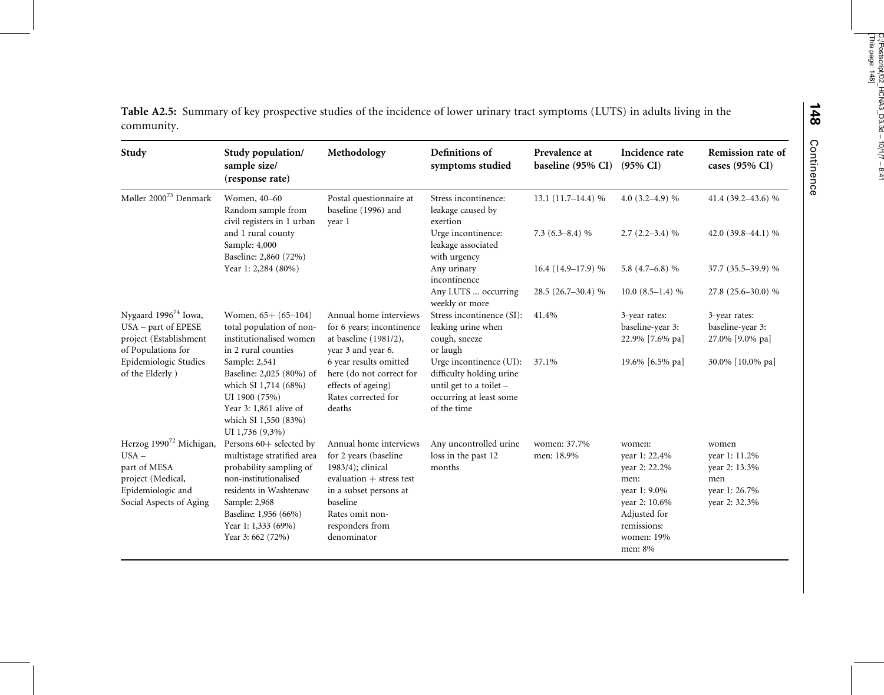| 148<br>Continence<br>of | [This page: 148]<br>C:/Postscript/02_HCNA3_D3.3d - 10/1/7 - 8:41 |
|-------------------------|------------------------------------------------------------------|
|                         |                                                                  |

| Study                                                                                                                               | Study population/<br>sample size/<br>(response rate)                                                                                                                                                                      | Methodology                                                                                                                                                                                 | Definitions of<br>symptoms studied                                                                                       | Prevalence at<br>baseline (95% CI) | Incidence rate<br>$(95\% \text{ CI})$                                                                                                     | Remission rate of<br>cases (95% CI)                                              |
|-------------------------------------------------------------------------------------------------------------------------------------|---------------------------------------------------------------------------------------------------------------------------------------------------------------------------------------------------------------------------|---------------------------------------------------------------------------------------------------------------------------------------------------------------------------------------------|--------------------------------------------------------------------------------------------------------------------------|------------------------------------|-------------------------------------------------------------------------------------------------------------------------------------------|----------------------------------------------------------------------------------|
| Møller 2000 <sup>73</sup> Denmark                                                                                                   | Women, 40-60<br>Random sample from<br>civil registers in 1 urban                                                                                                                                                          | Postal questionnaire at<br>baseline (1996) and<br>year 1                                                                                                                                    | Stress incontinence:<br>leakage caused by<br>exertion                                                                    | $13.1(11.7-14.4)$ %                | 4.0 $(3.2-4.9)$ %                                                                                                                         | 41.4 (39.2-43.6) %                                                               |
|                                                                                                                                     | and 1 rural county<br>Sample: 4,000<br>Baseline: 2,860 (72%)                                                                                                                                                              |                                                                                                                                                                                             | Urge incontinence:<br>leakage associated<br>with urgency                                                                 | $7.3(6.3 - 8.4)$ %                 | $2.7(2.2-3.4)$ %                                                                                                                          | 42.0 (39.8-44.1) %                                                               |
|                                                                                                                                     | Year 1: 2,284 (80%)                                                                                                                                                                                                       |                                                                                                                                                                                             | Any urinary<br>incontinence                                                                                              | $16.4(14.9-17.9)$ %                | 5.8 $(4.7-6.8)$ %                                                                                                                         | 37.7 (35.5-39.9) %                                                               |
|                                                                                                                                     |                                                                                                                                                                                                                           |                                                                                                                                                                                             | Any LUTS  occurring<br>weekly or more                                                                                    | $28.5(26.7-30.4)$ %                | 10.0 (8.5–1.4) %                                                                                                                          | 27.8 (25.6–30.0) %                                                               |
| Nygaard 1996 <sup>74</sup> Iowa,<br>USA - part of EPESE<br>project (Establishment<br>of Populations for                             | Women, $65+ (65-104)$<br>total population of non-<br>institutionalised women<br>in 2 rural counties                                                                                                                       | Annual home interviews<br>for 6 years; incontinence<br>at baseline (1981/2),<br>year 3 and year 6.                                                                                          | Stress incontinence (SI):<br>leaking urine when<br>cough, sneeze<br>or laugh                                             | 41.4%                              | 3-year rates:<br>baseline-year 3:<br>22.9% [7.6% pa]                                                                                      | 3-year rates:<br>baseline-year 3:<br>27.0% [9.0% pa]                             |
| Epidemiologic Studies<br>of the Elderly )                                                                                           | Sample: 2,541<br>Baseline: 2,025 (80%) of<br>which SI 1,714 (68%)<br>UI 1900 (75%)<br>Year 3: 1,861 alive of<br>which SI 1,550 (83%)<br>UI 1,736 (9,3%)                                                                   | 6 year results omitted<br>here (do not correct for<br>effects of ageing)<br>Rates corrected for<br>deaths                                                                                   | Urge incontinence (UI):<br>difficulty holding urine<br>until get to a toilet -<br>occurring at least some<br>of the time | 37.1%                              | 19.6% [6.5% pa]                                                                                                                           | 30.0% [10.0% pa]                                                                 |
| Herzog 1990 <sup>72</sup> Michigan,<br>$USA -$<br>part of MESA<br>project (Medical,<br>Epidemiologic and<br>Social Aspects of Aging | Persons 60+ selected by<br>multistage stratified area<br>probability sampling of<br>non-institutionalised<br>residents in Washtenaw<br>Sample: 2,968<br>Baseline: 1,956 (66%)<br>Year 1: 1,333 (69%)<br>Year 3: 662 (72%) | Annual home interviews<br>for 2 years (baseline<br>1983/4); clinical<br>evaluation + stress test<br>in a subset persons at<br>baseline<br>Rates omit non-<br>responders from<br>denominator | Any uncontrolled urine<br>loss in the past 12<br>months                                                                  | women: 37.7%<br>men: 18.9%         | women:<br>year 1: 22.4%<br>year 2: 22.2%<br>men:<br>year 1: 9.0%<br>year 2: 10.6%<br>Adjusted for<br>remissions:<br>women: 19%<br>men: 8% | women<br>year 1: 11.2%<br>year 2: 13.3%<br>men<br>year 1: 26.7%<br>year 2: 32.3% |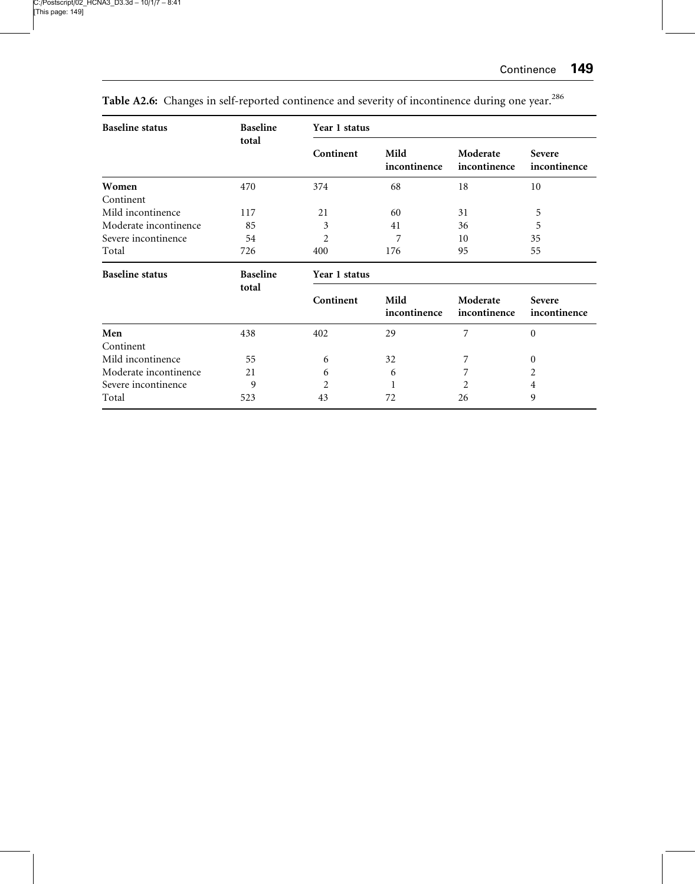| <b>Baseline status</b> | <b>Baseline</b><br>total | Year 1 status                                                                                                       |                      |                          |                               |  |  |  |
|------------------------|--------------------------|---------------------------------------------------------------------------------------------------------------------|----------------------|--------------------------|-------------------------------|--|--|--|
|                        |                          | Continent                                                                                                           | Mild<br>incontinence | Moderate<br>incontinence | <b>Severe</b><br>incontinence |  |  |  |
| Women<br>Continent     | 470                      | 374                                                                                                                 | 68                   | 18                       | 10                            |  |  |  |
| Mild incontinence      | 117                      | 21<br>60<br>85<br>3<br>54<br>$\overline{c}$<br>726<br>400<br><b>Baseline</b><br>Year 1 status<br>total<br>Continent |                      | 31                       | 5                             |  |  |  |
| Moderate incontinence  |                          |                                                                                                                     | 41                   | 36                       | 5                             |  |  |  |
| Severe incontinence    |                          |                                                                                                                     | 7<br>10              |                          |                               |  |  |  |
| Total                  |                          |                                                                                                                     | 176                  | 95                       | 55                            |  |  |  |
| <b>Baseline status</b> |                          |                                                                                                                     |                      |                          |                               |  |  |  |
|                        |                          |                                                                                                                     | Mild<br>incontinence | Moderate<br>incontinence | <b>Severe</b><br>incontinence |  |  |  |
| Men                    | 438                      | 402                                                                                                                 | 29                   | 7                        | $\Omega$                      |  |  |  |
| Continent              |                          |                                                                                                                     |                      |                          |                               |  |  |  |
| Mild incontinence      | 55                       | 6                                                                                                                   | 32                   | 7                        | $\Omega$                      |  |  |  |
| Moderate incontinence  | 21                       | 6                                                                                                                   | 6                    | 7                        | 2                             |  |  |  |
| Severe incontinence    | 9                        | 2                                                                                                                   | 1                    | 2                        | 4                             |  |  |  |
| Total                  | 523                      | 43                                                                                                                  | 72                   | 26                       | 9                             |  |  |  |

## Table A2.6: Changes in self-reported continence and severity of incontinence during one year.<sup>286</sup>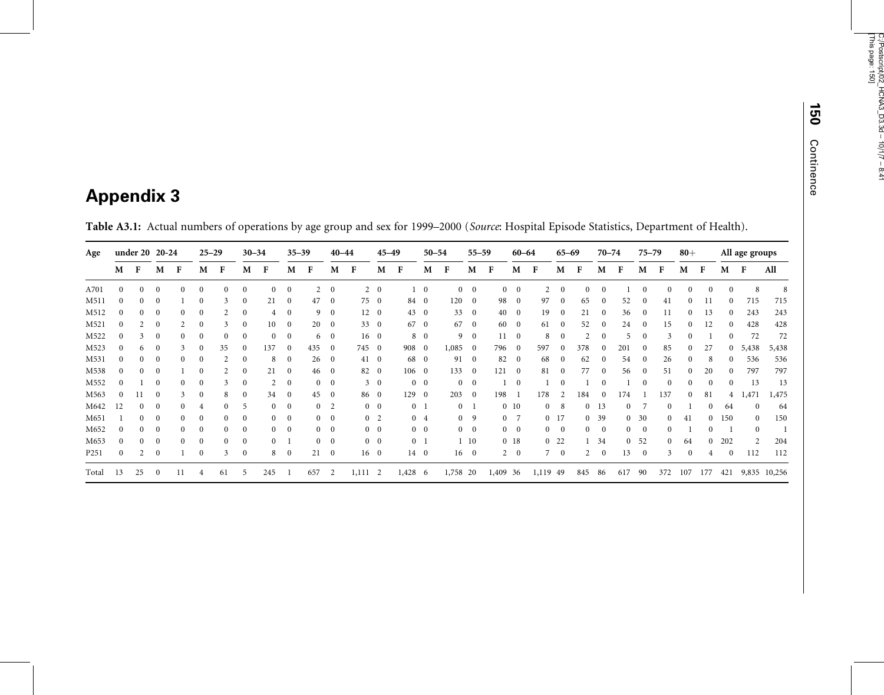## 150

## $\left\langle \text{Appendix 3}\right\rangle$

| Age              |                | under 20 20-24 |                |              | $25 - 29$    |              | $30 - 34$    |                | $35 - 39$      |          | $40 - 44$      |              | $45 - 49$      |                |                | $50 - 54$      | $55 - 59$      |                | 60-64                   |                | $65 - 69$       |                | $70 - 74$       |              | $75 - 79$      |              | $80+$        |              |              | All age groups |        |
|------------------|----------------|----------------|----------------|--------------|--------------|--------------|--------------|----------------|----------------|----------|----------------|--------------|----------------|----------------|----------------|----------------|----------------|----------------|-------------------------|----------------|-----------------|----------------|-----------------|--------------|----------------|--------------|--------------|--------------|--------------|----------------|--------|
|                  | M              | $\mathbf{F}$   | M              | F            | М            | F            | M            | F              | М              | F        | M              | F            | M              | F              | M              | F              | M              | F              | M                       | $\mathbf{F}$   | M               | F              | M               | F            | м              | F            | M            | F            | M            | - F            | All    |
| A701             | $\Omega$       | $\Omega$       |                | $\Omega$     |              |              | $\Omega$     | $\Omega$       | $\Omega$       | 2        | $\mathbf{0}$   |              | $2 \quad 0$    |                | $\overline{0}$ | $\Omega$       | $\overline{0}$ | $\overline{0}$ | $\Omega$                |                | $\theta$        | $\Omega$       |                 |              |                |              |              | $\Omega$     | $\Omega$     | 8              |        |
| M511             | $\mathbf{0}$   | $\mathbf{0}$   | $\Omega$       |              | $\mathbf{0}$ | 3            | $\mathbf{0}$ | 21             | $\overline{0}$ | 47       | $\mathbf{0}$   | 75           | $\overline{0}$ | 84 0           |                | 120            | $\overline{0}$ | 98             | $\overline{0}$          | 97             | $\overline{0}$  | 65             | $\mathbf{0}$    | 52           |                | 41           |              | 11           | $\Omega$     | 715            | 715    |
| M512             | $\Omega$       | $\Omega$       | $\Omega$       | $\mathbf{0}$ | $\mathbf{0}$ |              | $\mathbf{0}$ | 4              | $\overline{0}$ | 9        | $\bf{0}$       | $12 \quad 0$ |                | 43 0           |                | 33             | $\overline{0}$ |                | 40 0                    | 19             | $\overline{0}$  | 21             | $\Omega$        | 36           | $\Omega$       | 11           | $\mathbf{0}$ | 13           | $\Omega$     | 243            | 243    |
| M521             | $\mathbf{0}$   |                | $\mathbf{0}$   | 2            | $\mathbf{0}$ | 3            | $\mathbf{0}$ | 10             | $\overline{0}$ | 20       | $\overline{0}$ | $33 \quad 0$ |                | 67 0           |                | 67             | $\overline{0}$ |                | 60 0                    | 61             | $\overline{0}$  | 52             | $\mathbf{0}$    | 24           | $\mathbf{0}$   | 15           | $\mathbf{0}$ | 12           | $\mathbf{0}$ | 428            | 428    |
| M522             | $\mathbf{0}$   | 3              | $\Omega$       | $\mathbf{0}$ | $\mathbf{0}$ | $\Omega$     | $\mathbf{0}$ | $\mathbf{0}$   | $\overline{0}$ | 6        | $\overline{0}$ | $16 \quad 0$ |                |                | 8 0            | 9              | $\overline{0}$ |                | $11 \quad 0$            | 8              | $\overline{0}$  |                | $\mathbf{0}$    | 5            |                | 3            |              |              | $\Omega$     | 72             | 72     |
| M523             | $\Omega$       | 6              | $\Omega$       | 3            | $\mathbf{0}$ | 35           | $\mathbf{0}$ | 137            | $\mathbf{0}$   | 435      | $\mathbf{0}$   | 745 0        |                | 908 0          |                | 1,085          | $\overline{0}$ | 796            | $\overline{\mathbf{0}}$ | 597            | $\Omega$        | 378            | $\mathbf{0}$    | 201          |                | 85           | $\mathbf{0}$ | 27           | $\mathbf{0}$ | 5,438          | 5,438  |
| M531             | $\Omega$       | $\mathbf{0}$   | $\Omega$       | $\mathbf{0}$ |              |              | $\mathbf{0}$ | 8              | $\overline{0}$ | 26       | $\overline{0}$ | 41 0         |                | 68 0           |                | 91             | $\overline{0}$ | 82             | $\mathbf{0}$            | 68             | $\mathbf{0}$    | 62             |                 | 54           |                | 26           | $\Omega$     | 8            |              | 536            | 536    |
| M538             | $\Omega$       | $\Omega$       | $\Omega$       |              | $\mathbf{0}$ | 2            | $\mathbf{0}$ | 21             | $\overline{0}$ | 46       | $\overline{0}$ | 82 0         |                | 106 0          |                | 133            | $\overline{0}$ | 121 0          |                         | 81             | $\overline{0}$  | 77             | $\mathbf{0}$    | 56           |                | 51           | $\Omega$     | 20           | $\Omega$     | 797            | 797    |
| M552             | $\Omega$       |                | $\Omega$       | $\mathbf{0}$ | $\mathbf{0}$ | 3            | $\mathbf{0}$ | 2              | $\overline{0}$ | $\Omega$ | $\overline{0}$ |              | $3 \quad 0$    |                | $0\quad 0$     | $\overline{0}$ | $\overline{0}$ |                | $\mathbf{0}$            |                | $\Omega$        |                | $\Omega$        |              |                | $\mathbf{0}$ | $\bf{0}$     | $\mathbf{0}$ | $\Omega$     | 13             | 13     |
| M563             | $\Omega$       | 11             | $\overline{0}$ | 3            | $\mathbf{0}$ | 8            | $\mathbf{0}$ | 34             | $\overline{0}$ | 45       | $\overline{0}$ | 86 0         |                | 129            | $\overline{0}$ | 203            | $\mathbf{0}$   | 198            |                         | 178            |                 | 184            | $\mathbf{0}$    | 174          |                | 137          | $\mathbf{0}$ | 81           |              | 4 1,471        | 1,475  |
| M642             | 12             | $\mathbf{0}$   | $\Omega$       | $\mathbf{0}$ | 4            | $\mathbf{0}$ | 5            | $\overline{0}$ | $\overline{0}$ | $\Omega$ | 2              |              | $0\quad 0$     |                | 0 <sub>1</sub> | $\overline{0}$ | - 1            |                | 0 <sub>10</sub>         | $\overline{0}$ | 8               |                | 0 <sub>13</sub> | $\theta$     |                | 0            |              | $\Omega$     | 64           | $\mathbf{0}$   | 64     |
| M651             |                | $\mathbf{0}$   | $\overline{0}$ | $\mathbf{0}$ | $\mathbf{0}$ | $\mathbf{0}$ | $\mathbf{0}$ | $\Omega$       | $\overline{0}$ |          | $0\quad 0$     |              | $0\quad 2$     |                | $0\quad 4$     |                | $0 \quad 9$    |                | 0 <sub>7</sub>          |                | 0 <sub>17</sub> | $\overline{0}$ | 39              |              | 0, 30          | 0            | 41           | $\mathbf{0}$ | 150          | $\mathbf{0}$   | 150    |
| M652             |                | $\Omega$       | $\Omega$       | $\mathbf{0}$ | $\mathbf{0}$ | $\mathbf{0}$ | $\mathbf{0}$ | $\Omega$       | $\overline{0}$ |          | $0\quad 0$     |              | $0\quad 0$     |                | $0\quad 0$     |                | $0\quad 0$     |                | $0\quad 0$              | $\overline{0}$ | $\overline{0}$  | $\overline{0}$ | $\overline{0}$  | $\mathbf{0}$ | $\overline{0}$ | 0            |              | 0            |              | $\mathbf{0}$   |        |
| M653             | $\Omega$       | $\Omega$       | $\Omega$       | $\Omega$     | $\mathbf{0}$ | $\Omega$     | $\mathbf{0}$ | $\Omega$       |                | $\Omega$ | $\overline{0}$ |              | $0\quad 0$     | 0 <sub>1</sub> |                |                | 1 10           |                | 0 <sub>18</sub>         |                | $0\quad 22$     |                | 34              | $\mathbf{0}$ | 52             | 0            | 64           | $\Omega$     | 202          | $\overline{c}$ | 204    |
| P <sub>251</sub> | $\overline{0}$ | 2              | $\mathbf{0}$   |              | $\mathbf{0}$ | 3            | $\mathbf{0}$ | 8              | $\overline{0}$ | 21       | $\overline{0}$ |              | 16 0           | 14 0           |                | 16             | $\overline{0}$ |                | $2 \quad 0$             | 7              | $\mathbf{0}$    | 2              | $\mathbf{0}$    | 13           | $\mathbf{0}$   | 3            | $\mathbf{0}$ | 4            | $\mathbf{0}$ | 112            | 112    |
| Total            | 13             | 25             | $\Omega$       | 11           | 4            | 61           | 5            | 245            |                | 657      |                | 1,111        | 2              | 1,428          | -6             | 1,758 20       |                | 1,409          | 36                      | 1,119 49       |                 | 845            | 86              | 617          | 90             | 372          | 107          | 177          | 421          | 9,835          | 10,256 |

Table A3.1: Actual numbers of operations by age group and sex for 1999–2000 (*Source*: Hospital Episode Statistics, Department of Health).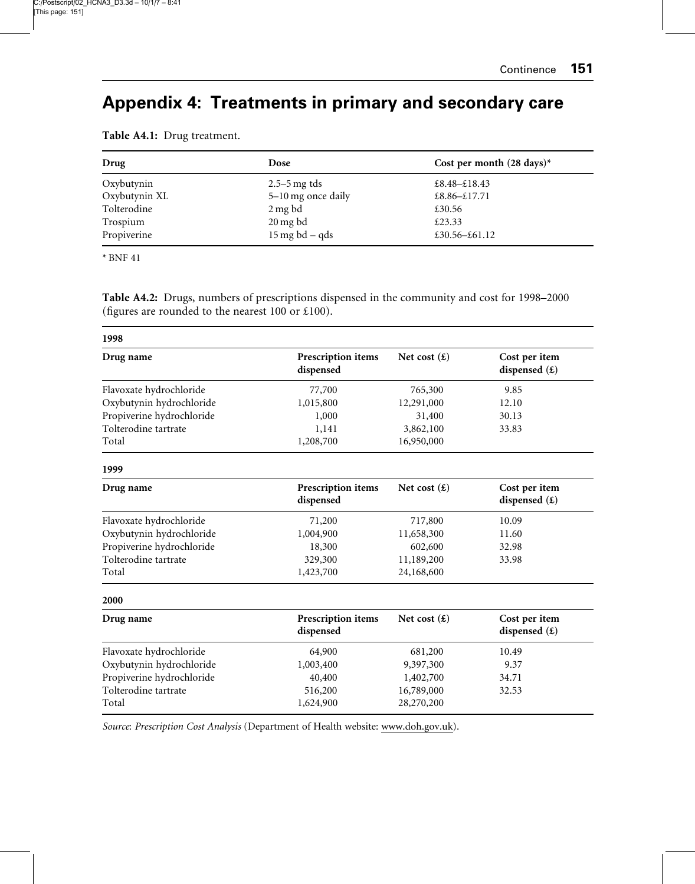### Appendix 4: Treatments in primary and secondary care

| Drug          | Dose                       | Cost per month (28 days) $*$ |
|---------------|----------------------------|------------------------------|
| Oxybutynin    | $2.5 - 5$ mg tds           | £8.48–£18.43                 |
| Oxybutynin XL | 5–10 mg once daily         | £8.86-£17.71                 |
| Tolterodine   | 2 mg bd                    | £30.56                       |
| Trospium      | $20 \,\mathrm{mg}$ bd      | £23.33                       |
| Propiverine   | $15 \text{ mg}$ bd $-$ qds | £30.56–£61.12                |

Table A4.1: Drug treatment.

\* BNF 41

Table A4.2: Drugs, numbers of prescriptions dispensed in the community and cost for 1998–2000 (figures are rounded to the nearest 100 or £100).

| 1998                      |                                 |                               |                                                 |
|---------------------------|---------------------------------|-------------------------------|-------------------------------------------------|
| Drug name                 | Prescription items<br>dispensed | Net cost $(\mathbf{\pounds})$ | Cost per item<br>dispensed $(\mathbf{\pounds})$ |
| Flavoxate hydrochloride   | 77,700                          | 765,300                       | 9.85                                            |
| Oxybutynin hydrochloride  | 1,015,800                       | 12,291,000                    | 12.10                                           |
| Propiverine hydrochloride | 1,000                           | 31,400                        | 30.13                                           |
| Tolterodine tartrate      | 1,141                           | 3,862,100                     | 33.83                                           |
| Total                     | 1,208,700                       | 16,950,000                    |                                                 |
| 1999                      |                                 |                               |                                                 |
| Drug name                 | Prescription items<br>dispensed | Net cost $(\mathbf{\pounds})$ | Cost per item<br>dispensed $(\mathbf{\pounds})$ |
| Flavoxate hydrochloride   | 71,200                          | 717,800                       | 10.09                                           |
| Oxybutynin hydrochloride  | 1,004,900                       | 11,658,300                    | 11.60                                           |
| Propiverine hydrochloride | 18,300                          | 602,600                       | 32.98                                           |
| Tolterodine tartrate      | 329,300                         | 11,189,200                    | 33.98                                           |
| Total                     | 1,423,700                       | 24,168,600                    |                                                 |
| 2000                      |                                 |                               |                                                 |
| Drug name                 | Prescription items<br>dispensed | Net cost $(\mathbf{\pounds})$ | Cost per item<br>dispensed $(E)$                |
| Flavoxate hydrochloride   | 64,900                          | 681,200                       | 10.49                                           |
| Oxybutynin hydrochloride  | 1,003,400                       | 9,397,300                     | 9.37                                            |
| Propiverine hydrochloride | 40,400                          | 1,402,700                     | 34.71                                           |
| Tolterodine tartrate      | 516,200                         | 16,789,000                    | 32.53                                           |
| Total                     | 1,624,900                       | 28,270,200                    |                                                 |

Source: Prescription Cost Analysis (Department of Health website: www.doh.gov.uk).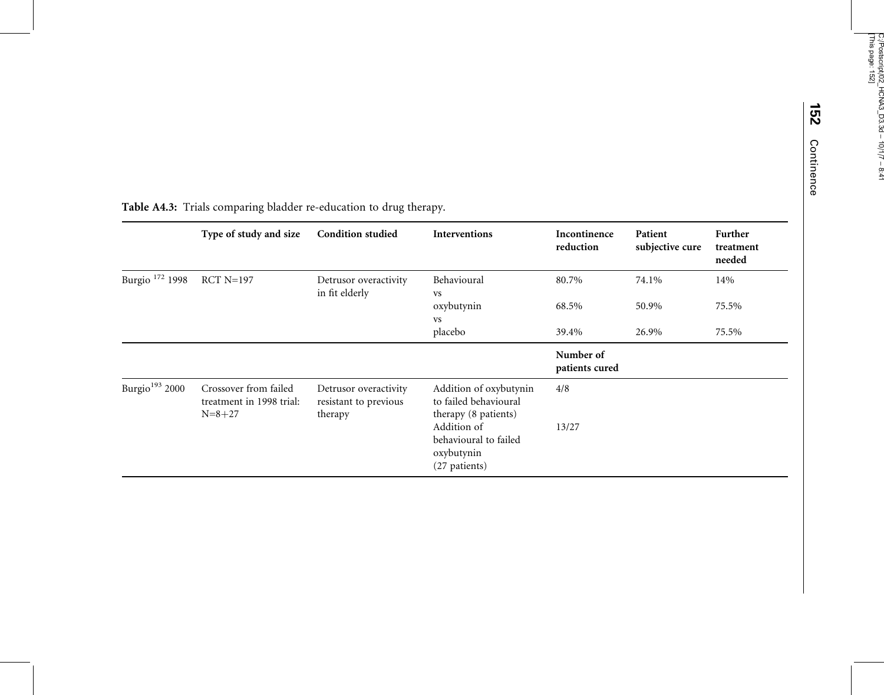| بر<br>۸  |
|----------|
| Ξ<br>ត្ត |

|                            | Type of study and size                                            | <b>Condition studied</b>                                  | <b>Interventions</b>                                                    | Incontinence<br>reduction   | Patient<br>subjective cure | Further<br>treatment<br>needed |
|----------------------------|-------------------------------------------------------------------|-----------------------------------------------------------|-------------------------------------------------------------------------|-----------------------------|----------------------------|--------------------------------|
| Burgio <sup>172</sup> 1998 | $RCT$ N=197                                                       | Detrusor overactivity<br>in fit elderly                   | Behavioural<br>VS                                                       | 80.7%                       | 74.1%                      | 14%                            |
|                            |                                                                   |                                                           | oxybutynin<br>VS                                                        | 68.5%                       | 50.9%                      | 75.5%                          |
|                            |                                                                   |                                                           | placebo                                                                 | 39.4%                       | 26.9%                      | 75.5%                          |
|                            |                                                                   |                                                           |                                                                         | Number of<br>patients cured |                            |                                |
| Burgio <sup>193</sup> 2000 | Crossover from failed<br>treatment in 1998 trial:<br>$N = 8 + 27$ | Detrusor overactivity<br>resistant to previous<br>therapy | Addition of oxybutynin<br>to failed behavioural<br>therapy (8 patients) | 4/8                         |                            |                                |
|                            |                                                                   |                                                           | Addition of<br>behavioural to failed<br>oxybutynin<br>(27 patients)     | 13/27                       |                            |                                |
|                            |                                                                   |                                                           |                                                                         |                             |                            |                                |

Table A4.3: Trials comparing bladder re-education to drug therapy.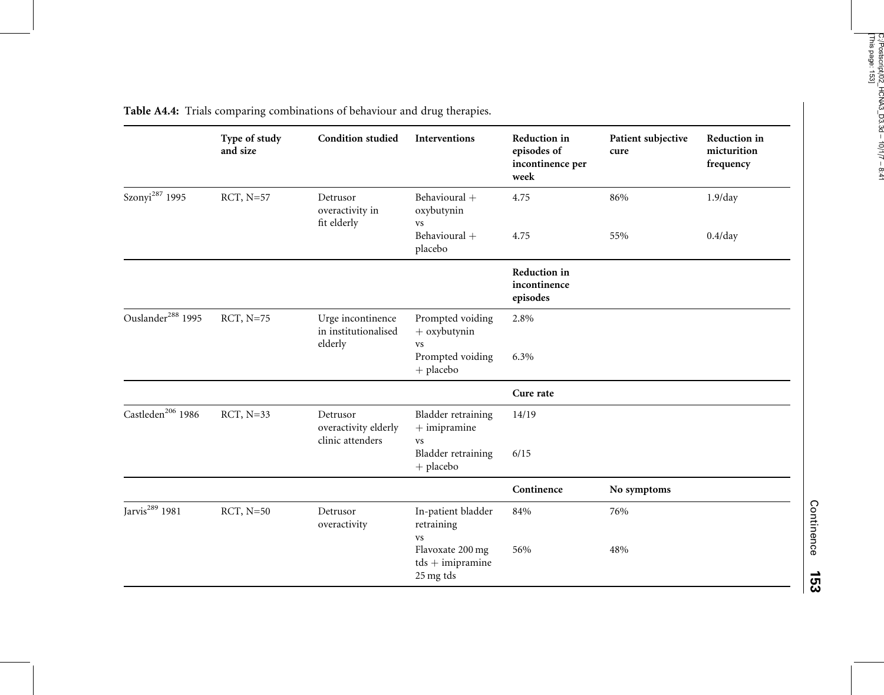|                               | Type of study<br>and size | <b>Condition studied</b>                  | <b>Interventions</b>                                | <b>Reduction</b> in<br>episodes of<br>incontinence per<br>week | Patient subjective<br>cure | <b>Reduction in</b><br>micturition<br>frequency |
|-------------------------------|---------------------------|-------------------------------------------|-----------------------------------------------------|----------------------------------------------------------------|----------------------------|-------------------------------------------------|
| Szonyi <sup>287</sup> 1995    | $RCT, N=57$               | Detrusor<br>overactivity in               | Behavioural +<br>oxybutynin                         | 4.75                                                           | 86%                        | $1.9$ /day                                      |
|                               |                           | fit elderly                               | <b>VS</b><br>Behavioural +<br>placebo               | 4.75                                                           | 55%                        | $0.4$ /day                                      |
|                               |                           |                                           |                                                     | <b>Reduction</b> in<br>incontinence<br>episodes                |                            |                                                 |
| Ouslander <sup>288</sup> 1995 | $RCT, N=75$               | Urge incontinence<br>in institutionalised | Prompted voiding<br>$+$ oxybutynin                  | 2.8%                                                           |                            |                                                 |
|                               |                           | elderly                                   | <b>VS</b><br>Prompted voiding<br>$+$ placebo        | 6.3%                                                           |                            |                                                 |
|                               |                           |                                           |                                                     | Cure rate                                                      |                            |                                                 |
| Castleden <sup>206</sup> 1986 | $RCT$ , $N=33$            | Detrusor<br>overactivity elderly          | Bladder retraining<br>$+$ imipramine                | 14/19                                                          |                            |                                                 |
|                               |                           | clinic attenders                          | <b>VS</b><br>Bladder retraining<br>+ placebo        | 6/15                                                           |                            |                                                 |
|                               |                           |                                           |                                                     | Continence                                                     | No symptoms                |                                                 |
| Jarvis <sup>289</sup> 1981    | $RCT$ , $N=50$            | Detrusor<br>overactivity                  | In-patient bladder<br>retraining<br><b>VS</b>       | 84%                                                            | 76%                        |                                                 |
|                               |                           |                                           | Flavoxate 200 mg<br>$tds + imipramine$<br>25 mg tds | 56%                                                            | 48%                        |                                                 |

Table A4.4: Trials comparing combinations of behaviour and drug therapies.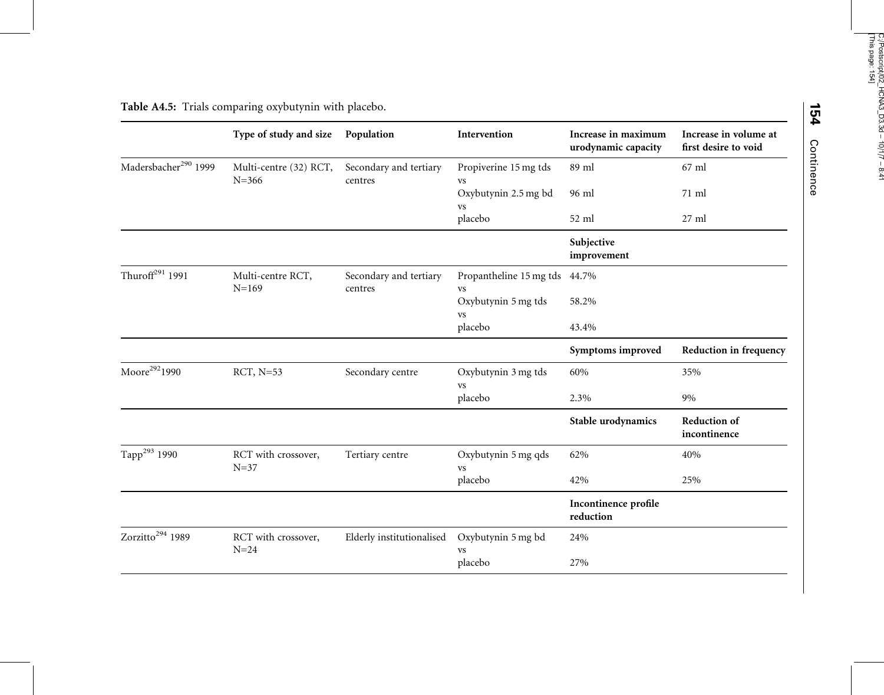|                                  | Type of study and size              | Population                        | Intervention                               | Increase in maximum<br>urodynamic capacity | Increase in volume at<br>first desire to void |
|----------------------------------|-------------------------------------|-----------------------------------|--------------------------------------------|--------------------------------------------|-----------------------------------------------|
| Madersbacher <sup>290</sup> 1999 | Multi-centre (32) RCT,<br>$N = 366$ | Secondary and tertiary<br>centres | Propiverine 15 mg tds<br>VS                | 89 ml                                      | 67 ml                                         |
|                                  |                                     |                                   | Oxybutynin 2.5 mg bd<br><b>VS</b>          | 96 ml                                      | 71 ml                                         |
|                                  |                                     |                                   | placebo                                    | 52 ml                                      | $27 \text{ ml}$                               |
|                                  |                                     |                                   |                                            | Subjective<br>improvement                  |                                               |
| Thuroff <sup>291</sup> 1991      | Multi-centre RCT,<br>$N = 169$      | Secondary and tertiary<br>centres | Propantheline 15 mg tds 44.7%<br><b>VS</b> |                                            |                                               |
|                                  |                                     |                                   | Oxybutynin 5 mg tds<br><b>VS</b>           | 58.2%                                      |                                               |
|                                  |                                     |                                   | placebo                                    | 43.4%                                      |                                               |
|                                  |                                     |                                   |                                            | Symptoms improved                          | Reduction in frequency                        |
| Moore <sup>292</sup> 1990        | $RCT$ , $N=53$                      | Secondary centre                  | Oxybutynin 3 mg tds<br><b>VS</b>           | 60%                                        | 35%                                           |
|                                  |                                     |                                   | placebo                                    | 2.3%                                       | 9%                                            |
|                                  |                                     |                                   |                                            | Stable urodynamics                         | <b>Reduction of</b><br>incontinence           |
| Tapp <sup>293</sup> 1990         | RCT with crossover,<br>$N = 37$     | Tertiary centre                   | Oxybutynin 5 mg qds<br><b>VS</b>           | 62%                                        | 40%                                           |
|                                  |                                     |                                   | placebo                                    | 42%                                        | 25%                                           |
|                                  |                                     |                                   |                                            | Incontinence profile<br>reduction          |                                               |
| Zorzitto <sup>294</sup> 1989     | RCT with crossover,<br>$N=24$       | Elderly institutionalised         | Oxybutynin 5 mg bd<br><b>VS</b>            | 24%                                        |                                               |
|                                  |                                     |                                   | placebo                                    | 27%                                        |                                               |

154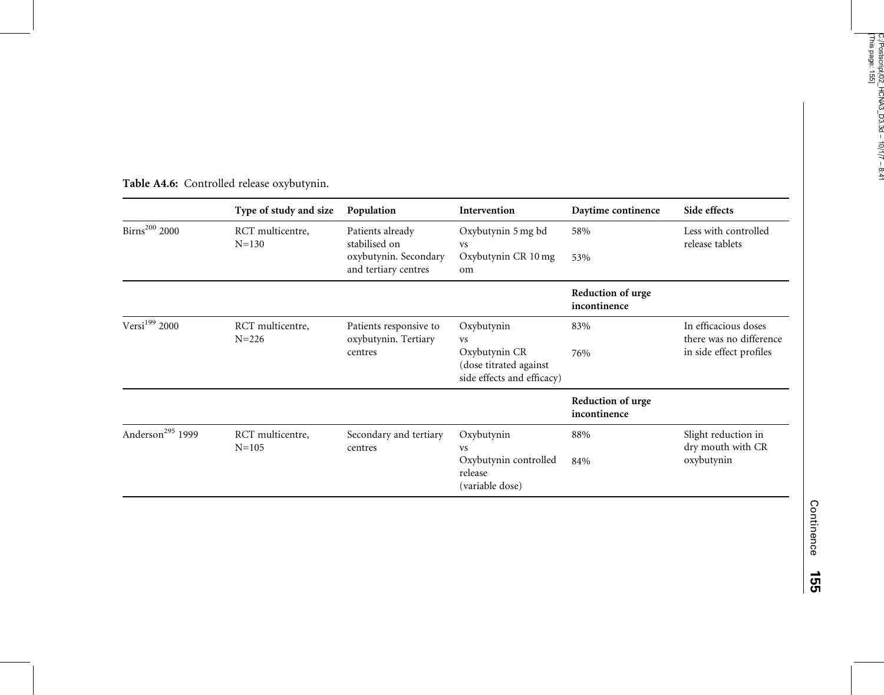|                              | Type of study and size        | Population                                                                         | Intervention                                                                                     | Daytime continence                | Side effects                                                               |
|------------------------------|-------------------------------|------------------------------------------------------------------------------------|--------------------------------------------------------------------------------------------------|-----------------------------------|----------------------------------------------------------------------------|
| Birns <sup>200</sup> 2000    | RCT multicentre,<br>$N = 130$ | Patients already<br>stabilised on<br>oxybutynin. Secondary<br>and tertiary centres | Oxybutynin 5 mg bd<br><b>VS</b><br>Oxybutynin CR 10 mg<br>om                                     | 58%<br>53%                        | Less with controlled<br>release tablets                                    |
|                              |                               |                                                                                    |                                                                                                  | Reduction of urge<br>incontinence |                                                                            |
| Versi <sup>199</sup> 2000    | RCT multicentre,<br>$N = 226$ | Patients responsive to<br>oxybutynin. Tertiary<br>centres                          | Oxybutynin<br><b>VS</b><br>Oxybutynin CR<br>(dose titrated against<br>side effects and efficacy) | 83%<br>76%                        | In efficacious doses<br>there was no difference<br>in side effect profiles |
|                              |                               |                                                                                    |                                                                                                  | Reduction of urge<br>incontinence |                                                                            |
| Anderson <sup>295</sup> 1999 | RCT multicentre,<br>$N = 105$ | Secondary and tertiary<br>centres                                                  | Oxybutynin<br><b>VS</b><br>Oxybutynin controlled<br>release<br>(variable dose)                   | 88%<br>84%                        | Slight reduction in<br>dry mouth with CR<br>oxybutynin                     |

#### Table A4.6: Controlled release oxybutynin.

Continence Continence  $\frac{1}{5}$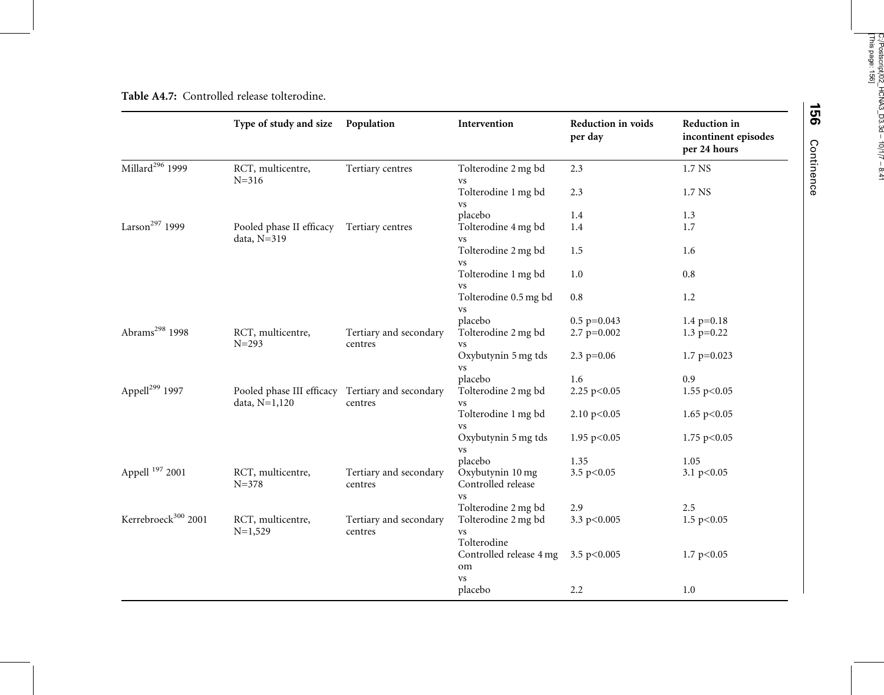Table A4.7: Controlled release tolterodine.

|                                 | Type of study and size                     | Population                        | Intervention                                    | Reduction in voids<br>per day | Reduction in<br>incontinent episodes<br>per 24 hours |
|---------------------------------|--------------------------------------------|-----------------------------------|-------------------------------------------------|-------------------------------|------------------------------------------------------|
| Millard <sup>296</sup> 1999     | RCT, multicentre,<br>$N = 316$             | Tertiary centres                  | Tolterodine 2 mg bd<br><b>VS</b>                | 2.3                           | 1.7 NS                                               |
|                                 |                                            |                                   | Tolterodine 1 mg bd<br>VS                       | 2.3                           | 1.7 NS                                               |
|                                 |                                            |                                   | placebo                                         | 1.4                           | 1.3                                                  |
| Larson <sup>297</sup> 1999      | Pooled phase II efficacy<br>data, N=319    | Tertiary centres                  | Tolterodine 4 mg bd<br><b>VS</b>                | 1.4                           | 1.7                                                  |
|                                 |                                            |                                   | Tolterodine 2 mg bd<br><b>VS</b>                | 1.5                           | 1.6                                                  |
|                                 |                                            |                                   | Tolterodine 1 mg bd<br><b>VS</b>                | 1.0                           | 0.8                                                  |
|                                 |                                            |                                   | Tolterodine 0.5 mg bd<br>VS                     | 0.8                           | 1.2                                                  |
|                                 |                                            |                                   | placebo                                         | $0.5$ p=0.043                 | $1.4 \text{ p=}0.18$                                 |
| Abrams <sup>298</sup> 1998      | RCT, multicentre,<br>$N = 293$             | Tertiary and secondary<br>centres | Tolterodine 2 mg bd<br>VS                       | 2.7 $p=0.002$                 | $1.3$ p=0.22                                         |
|                                 |                                            |                                   | Oxybutynin 5 mg tds<br><b>VS</b>                | 2.3 $p=0.06$                  | $1.7$ p=0.023                                        |
|                                 |                                            |                                   | placebo                                         | 1.6                           | 0.9                                                  |
| Appell <sup>299</sup> 1997      | Pooled phase III efficacy<br>data, N=1,120 | Tertiary and secondary<br>centres | Tolterodine 2 mg bd<br><b>VS</b>                | 2.25 p<0.05                   | 1.55 $p<0.05$                                        |
|                                 |                                            |                                   | Tolterodine 1 mg bd<br>VS                       | 2.10 $p<0.05$                 | 1.65 $p<0.05$                                        |
|                                 |                                            |                                   | Oxybutynin 5 mg tds<br><b>VS</b>                | 1.95 $p<0.05$                 | 1.75 $p<0.05$                                        |
|                                 |                                            |                                   | placebo                                         | 1.35                          | 1.05                                                 |
| Appell <sup>197</sup> 2001      | RCT, multicentre,<br>$N = 378$             | Tertiary and secondary<br>centres | Oxybutynin 10 mg<br>Controlled release          | 3.5 $p<0.05$                  | 3.1 $p<0.05$                                         |
|                                 |                                            |                                   | <b>VS</b>                                       |                               |                                                      |
|                                 |                                            |                                   | Tolterodine 2 mg bd                             | 2.9                           | 2.5                                                  |
| Kerrebroeck <sup>300</sup> 2001 | RCT, multicentre,<br>$N=1,529$             | Tertiary and secondary<br>centres | Tolterodine 2 mg bd<br><b>VS</b><br>Tolterodine | 3.3 p<0.005                   | 1.5 $p<0.05$                                         |
|                                 |                                            |                                   | Controlled release 4 mg<br>om<br><b>VS</b>      | 3.5 p<0.005                   | 1.7 $p<0.05$                                         |
|                                 |                                            |                                   | placebo                                         | 2.2                           | $1.0\,$                                              |

C :/Pos

tscr i pt/02

[This page: 156]

\_HCNA3  $^{\mathsf{B}}$ 

 $17.8 - 7/101 - 6.41$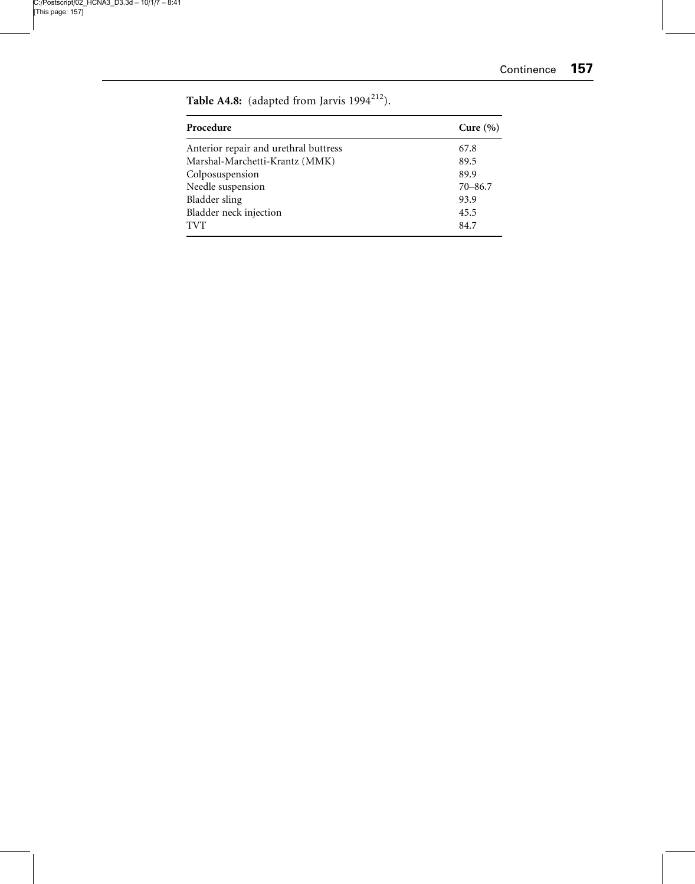Table A4.8: (adapted from Jarvis  $1994^{212}$ ).

| Procedure                             | Cure $(\% )$ |
|---------------------------------------|--------------|
| Anterior repair and urethral buttress | 67.8         |
| Marshal-Marchetti-Krantz (MMK)        | 89.5         |
| Colposuspension                       | 89.9         |
| Needle suspension                     | $70 - 86.7$  |
| Bladder sling                         | 93.9         |
| Bladder neck injection                | 45.5         |
| TVT                                   | 84.7         |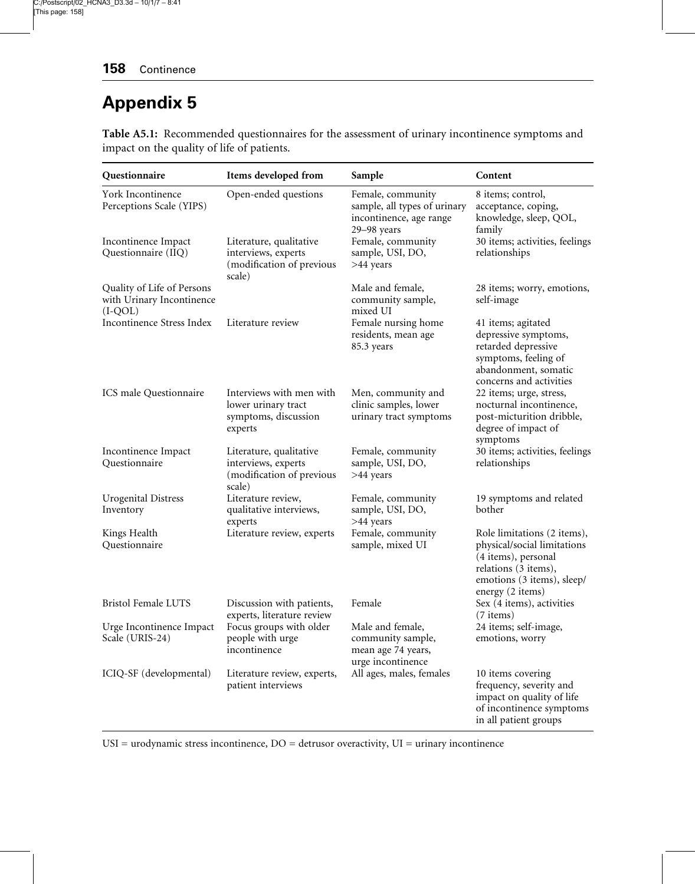### Appendix 5

Table A5.1: Recommended questionnaires for the assessment of urinary incontinence symptoms and impact on the quality of life of patients.

| Questionnaire                                                        | Items developed from                                                                  | Sample                                                                                      | Content                                                                                                                                                                  |
|----------------------------------------------------------------------|---------------------------------------------------------------------------------------|---------------------------------------------------------------------------------------------|--------------------------------------------------------------------------------------------------------------------------------------------------------------------------|
| York Incontinence<br>Perceptions Scale (YIPS)                        | Open-ended questions                                                                  | Female, community<br>sample, all types of urinary<br>incontinence, age range<br>29-98 years | 8 items; control,<br>acceptance, coping,<br>knowledge, sleep, QOL,<br>family                                                                                             |
| Incontinence Impact<br>Questionnaire (IIQ)                           | Literature, qualitative<br>interviews, experts<br>(modification of previous<br>scale) | Female, community<br>sample, USI, DO,<br>>44 years                                          | 30 items; activities, feelings<br>relationships                                                                                                                          |
| Quality of Life of Persons<br>with Urinary Incontinence<br>$(I-QOL)$ |                                                                                       | Male and female,<br>community sample,<br>mixed UI                                           | 28 items; worry, emotions,<br>self-image                                                                                                                                 |
| Incontinence Stress Index                                            | Literature review                                                                     | Female nursing home<br>residents, mean age<br>85.3 years                                    | 41 items; agitated<br>depressive symptoms,<br>retarded depressive<br>symptoms, feeling of<br>abandonment, somatic<br>concerns and activities                             |
| ICS male Questionnaire                                               | Interviews with men with<br>lower urinary tract<br>symptoms, discussion<br>experts    | Men, community and<br>clinic samples, lower<br>urinary tract symptoms                       | 22 items; urge, stress,<br>nocturnal incontinence,<br>post-micturition dribble,<br>degree of impact of<br>symptoms                                                       |
| Incontinence Impact<br>Questionnaire                                 | Literature, qualitative<br>interviews, experts<br>(modification of previous<br>scale) | Female, community<br>sample, USI, DO,<br>>44 years                                          | 30 items; activities, feelings<br>relationships                                                                                                                          |
| <b>Urogenital Distress</b><br>Inventory                              | Literature review,<br>qualitative interviews,<br>experts                              | Female, community<br>sample, USI, DO,<br>>44 years                                          | 19 symptoms and related<br>bother                                                                                                                                        |
| Kings Health<br>Ouestionnaire                                        | Literature review, experts                                                            | Female, community<br>sample, mixed UI                                                       | Role limitations (2 items),<br>physical/social limitations<br>(4 items), personal<br>relations $(\overline{3}$ items),<br>emotions (3 items), sleep/<br>energy (2 items) |
| <b>Bristol Female LUTS</b>                                           | Discussion with patients,<br>experts, literature review                               | Female                                                                                      | Sex (4 items), activities<br>$(7$ items)                                                                                                                                 |
| Urge Incontinence Impact<br>Scale (URIS-24)                          | Focus groups with older<br>people with urge<br>incontinence                           | Male and female,<br>community sample,<br>mean age 74 years,<br>urge incontinence            | 24 items; self-image,<br>emotions, worry                                                                                                                                 |
| ICIQ-SF (developmental)                                              | Literature review, experts,<br>patient interviews                                     | All ages, males, females                                                                    | 10 items covering<br>frequency, severity and<br>impact on quality of life<br>of incontinence symptoms<br>in all patient groups                                           |

USI = urodynamic stress incontinence, DO = detrusor overactivity, UI = urinary incontinence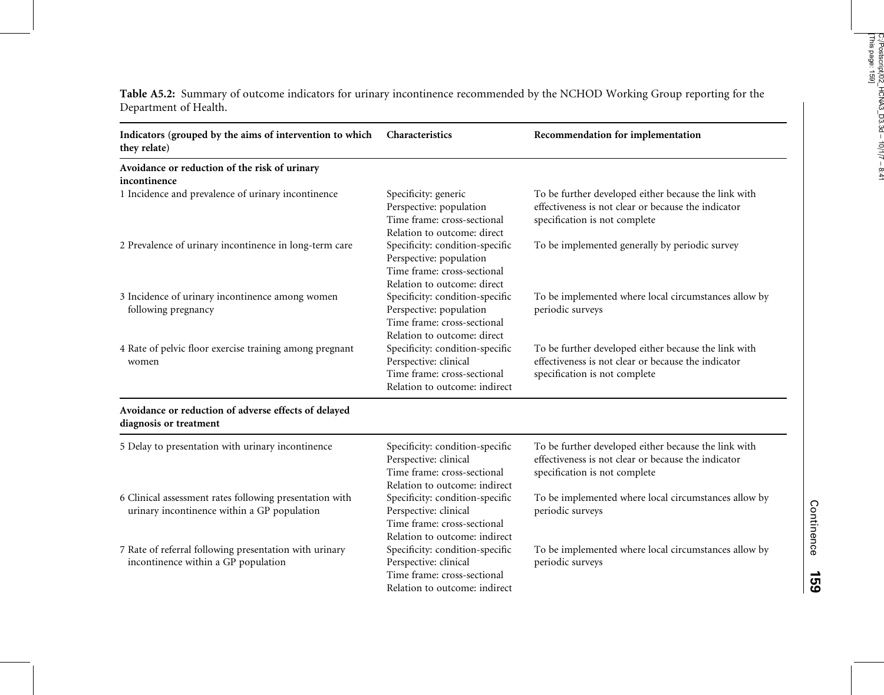| ς<br>Ξ<br>Ξ<br>$\bar{\circ}$<br>วบ |
|------------------------------------|
| Ş                                  |
|                                    |

Table A5.2: Summary of outcome indicators for urinary incontinence recommended by the NCHOD Working Group reporting for the Department of Health.

| Indicators (grouped by the aims of intervention to which<br>they relate)                               | Characteristics                                                                                                          | Recommendation for implementation                                                                                                            |
|--------------------------------------------------------------------------------------------------------|--------------------------------------------------------------------------------------------------------------------------|----------------------------------------------------------------------------------------------------------------------------------------------|
| Avoidance or reduction of the risk of urinary<br>incontinence                                          |                                                                                                                          |                                                                                                                                              |
| 1 Incidence and prevalence of urinary incontinence                                                     | Specificity: generic<br>Perspective: population<br>Time frame: cross-sectional<br>Relation to outcome: direct            | To be further developed either because the link with<br>effectiveness is not clear or because the indicator<br>specification is not complete |
| 2 Prevalence of urinary incontinence in long-term care                                                 | Specificity: condition-specific<br>Perspective: population<br>Time frame: cross-sectional<br>Relation to outcome: direct | To be implemented generally by periodic survey                                                                                               |
| 3 Incidence of urinary incontinence among women<br>following pregnancy                                 | Specificity: condition-specific<br>Perspective: population<br>Time frame: cross-sectional<br>Relation to outcome: direct | To be implemented where local circumstances allow by<br>periodic surveys                                                                     |
| 4 Rate of pelvic floor exercise training among pregnant<br>women                                       | Specificity: condition-specific<br>Perspective: clinical<br>Time frame: cross-sectional<br>Relation to outcome: indirect | To be further developed either because the link with<br>effectiveness is not clear or because the indicator<br>specification is not complete |
| Avoidance or reduction of adverse effects of delayed<br>diagnosis or treatment                         |                                                                                                                          |                                                                                                                                              |
| 5 Delay to presentation with urinary incontinence                                                      | Specificity: condition-specific<br>Perspective: clinical<br>Time frame: cross-sectional<br>Relation to outcome: indirect | To be further developed either because the link with<br>effectiveness is not clear or because the indicator<br>specification is not complete |
| 6 Clinical assessment rates following presentation with<br>urinary incontinence within a GP population | Specificity: condition-specific<br>Perspective: clinical<br>Time frame: cross-sectional<br>Relation to outcome: indirect | To be implemented where local circumstances allow by<br>periodic surveys                                                                     |
| 7 Rate of referral following presentation with urinary<br>incontinence within a GP population          | Specificity: condition-specific<br>Perspective: clinical<br>Time frame: cross-sectional<br>Relation to outcome: indirect | To be implemented where local circumstances allow by<br>periodic surveys                                                                     |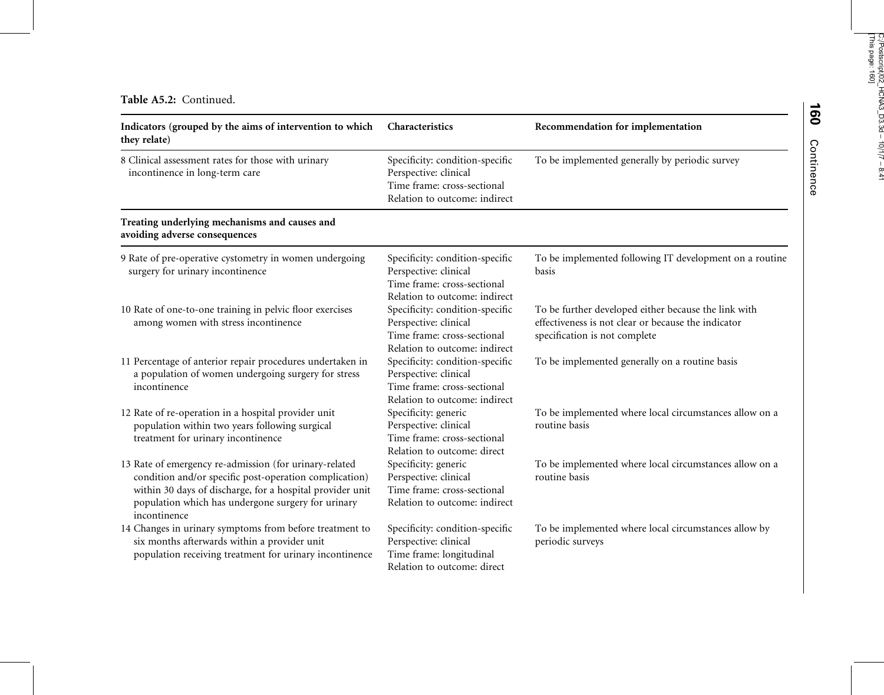160

Continence

Continence

#### Table A5.2: Continued.

| Indicators (grouped by the aims of intervention to which<br>they relate)                                                                                                                                                                            | Characteristics                                                                                                          | Recommendation for implementation                                                                                                            |
|-----------------------------------------------------------------------------------------------------------------------------------------------------------------------------------------------------------------------------------------------------|--------------------------------------------------------------------------------------------------------------------------|----------------------------------------------------------------------------------------------------------------------------------------------|
| 8 Clinical assessment rates for those with urinary<br>incontinence in long-term care                                                                                                                                                                | Specificity: condition-specific<br>Perspective: clinical<br>Time frame: cross-sectional<br>Relation to outcome: indirect | To be implemented generally by periodic survey                                                                                               |
| Treating underlying mechanisms and causes and<br>avoiding adverse consequences                                                                                                                                                                      |                                                                                                                          |                                                                                                                                              |
| 9 Rate of pre-operative cystometry in women undergoing<br>surgery for urinary incontinence                                                                                                                                                          | Specificity: condition-specific<br>Perspective: clinical<br>Time frame: cross-sectional<br>Relation to outcome: indirect | To be implemented following IT development on a routine<br>basis                                                                             |
| 10 Rate of one-to-one training in pelvic floor exercises<br>among women with stress incontinence                                                                                                                                                    | Specificity: condition-specific<br>Perspective: clinical<br>Time frame: cross-sectional<br>Relation to outcome: indirect | To be further developed either because the link with<br>effectiveness is not clear or because the indicator<br>specification is not complete |
| 11 Percentage of anterior repair procedures undertaken in<br>a population of women undergoing surgery for stress<br>incontinence                                                                                                                    | Specificity: condition-specific<br>Perspective: clinical<br>Time frame: cross-sectional<br>Relation to outcome: indirect | To be implemented generally on a routine basis                                                                                               |
| 12 Rate of re-operation in a hospital provider unit<br>population within two years following surgical<br>treatment for urinary incontinence                                                                                                         | Specificity: generic<br>Perspective: clinical<br>Time frame: cross-sectional<br>Relation to outcome: direct              | To be implemented where local circumstances allow on a<br>routine basis                                                                      |
| 13 Rate of emergency re-admission (for urinary-related<br>condition and/or specific post-operation complication)<br>within 30 days of discharge, for a hospital provider unit<br>population which has undergone surgery for urinary<br>incontinence | Specificity: generic<br>Perspective: clinical<br>Time frame: cross-sectional<br>Relation to outcome: indirect            | To be implemented where local circumstances allow on a<br>routine basis                                                                      |
| 14 Changes in urinary symptoms from before treatment to<br>six months afterwards within a provider unit<br>population receiving treatment for urinary incontinence                                                                                  | Specificity: condition-specific<br>Perspective: clinical<br>Time frame: longitudinal<br>Relation to outcome: direct      | To be implemented where local circumstances allow by<br>periodic surveys                                                                     |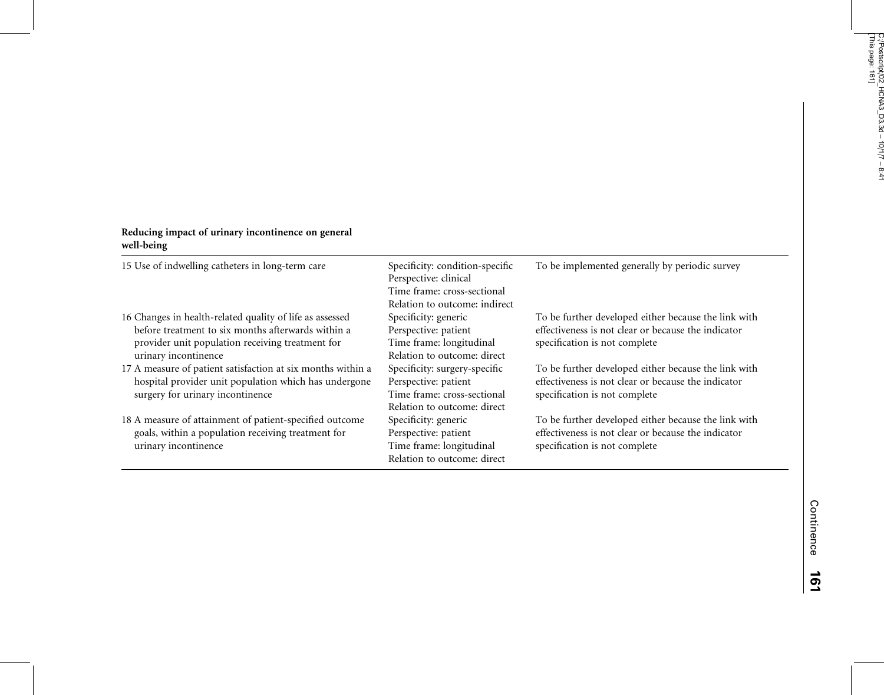#### Reducing impact of urinary incontinence on general well-being

| 15 Use of indwelling catheters in long-term care                                                                                                         | Specificity: condition-specific<br>Perspective: clinical<br>Time frame: cross-sectional<br>Relation to outcome: indirect | To be implemented generally by periodic survey                                                                                               |
|----------------------------------------------------------------------------------------------------------------------------------------------------------|--------------------------------------------------------------------------------------------------------------------------|----------------------------------------------------------------------------------------------------------------------------------------------|
| 16 Changes in health-related quality of life as assessed                                                                                                 | Specificity: generic                                                                                                     | To be further developed either because the link with                                                                                         |
| before treatment to six months afterwards within a<br>provider unit population receiving treatment for<br>urinary incontinence                           | Perspective: patient<br>Time frame: longitudinal<br>Relation to outcome: direct                                          | effectiveness is not clear or because the indicator<br>specification is not complete                                                         |
| 17 A measure of patient satisfaction at six months within a<br>hospital provider unit population which has undergone<br>surgery for urinary incontinence | Specificity: surgery-specific<br>Perspective: patient<br>Time frame: cross-sectional<br>Relation to outcome: direct      | To be further developed either because the link with<br>effectiveness is not clear or because the indicator<br>specification is not complete |
| 18 A measure of attainment of patient-specified outcome<br>goals, within a population receiving treatment for<br>urinary incontinence                    | Specificity: generic<br>Perspective: patient<br>Time frame: longitudinal<br>Relation to outcome: direct                  | To be further developed either because the link with<br>effectiveness is not clear or because the indicator<br>specification is not complete |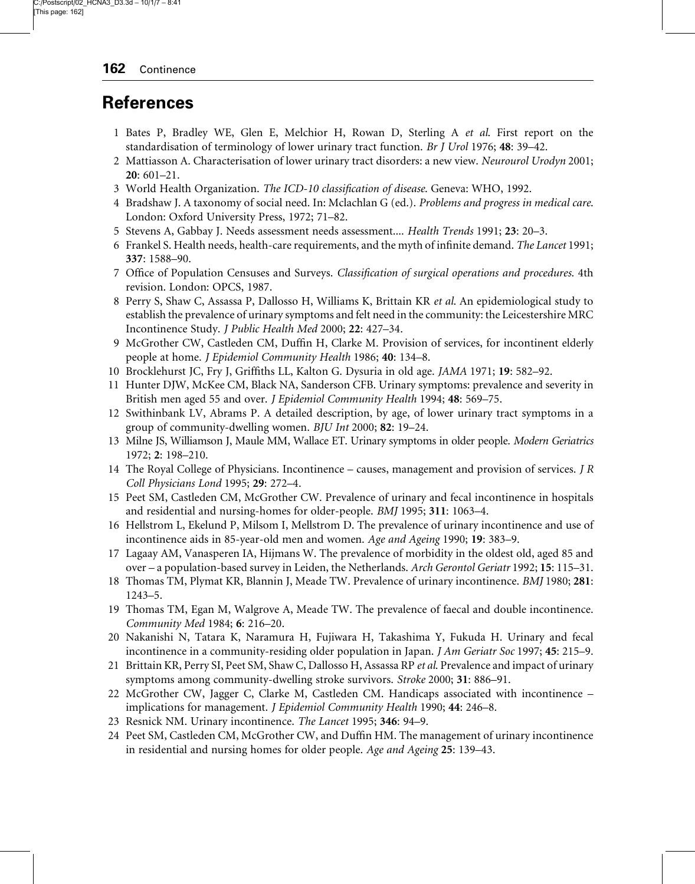#### **References**

- 1 Bates P, Bradley WE, Glen E, Melchior H, Rowan D, Sterling A et al. First report on the standardisation of terminology of lower urinary tract function. Br J Urol 1976; 48: 39–42.
- 2 Mattiasson A. Characterisation of lower urinary tract disorders: a new view. Neurourol Urodyn 2001; 20: 601–21.
- 3 World Health Organization. The ICD-10 classification of disease. Geneva: WHO, 1992.
- 4 Bradshaw J. A taxonomy of social need. In: Mclachlan G (ed.). Problems and progress in medical care. London: Oxford University Press, 1972; 71–82.
- 5 Stevens A, Gabbay J. Needs assessment needs assessment.... Health Trends 1991; 23: 20–3.
- 6 Frankel S. Health needs, health-care requirements, and the myth of infinite demand. The Lancet 1991; 337: 1588–90.
- 7 Office of Population Censuses and Surveys. Classification of surgical operations and procedures. 4th revision. London: OPCS, 1987.
- 8 Perry S, Shaw C, Assassa P, Dallosso H, Williams K, Brittain KR et al. An epidemiological study to establish the prevalence of urinary symptoms and felt need in the community: the Leicestershire MRC Incontinence Study. J Public Health Med 2000; 22: 427–34.
- 9 McGrother CW, Castleden CM, Duffin H, Clarke M. Provision of services, for incontinent elderly people at home. J Epidemiol Community Health 1986; 40: 134–8.
- 10 Brocklehurst JC, Fry J, Griffiths LL, Kalton G. Dysuria in old age. JAMA 1971; 19: 582–92.
- 11 Hunter DJW, McKee CM, Black NA, Sanderson CFB. Urinary symptoms: prevalence and severity in British men aged 55 and over. *J Epidemiol Community Health* 1994; 48: 569–75.
- 12 Swithinbank LV, Abrams P. A detailed description, by age, of lower urinary tract symptoms in a group of community-dwelling women. BJU Int 2000; 82: 19–24.
- 13 Milne JS, Williamson J, Maule MM, Wallace ET. Urinary symptoms in older people. Modern Geriatrics 1972; 2: 198–210.
- 14 The Royal College of Physicians. Incontinence causes, management and provision of services. J R Coll Physicians Lond 1995; 29: 272–4.
- 15 Peet SM, Castleden CM, McGrother CW. Prevalence of urinary and fecal incontinence in hospitals and residential and nursing-homes for older-people. BMJ 1995; 311: 1063–4.
- 16 Hellstrom L, Ekelund P, Milsom I, Mellstrom D. The prevalence of urinary incontinence and use of incontinence aids in 85-year-old men and women. Age and Ageing 1990; 19: 383–9.
- 17 Lagaay AM, Vanasperen IA, Hijmans W. The prevalence of morbidity in the oldest old, aged 85 and over – a population-based survey in Leiden, the Netherlands. Arch Gerontol Geriatr 1992; 15: 115–31.
- 18 Thomas TM, Plymat KR, Blannin J, Meade TW. Prevalence of urinary incontinence. BMJ 1980; 281: 1243–5.
- 19 Thomas TM, Egan M, Walgrove A, Meade TW. The prevalence of faecal and double incontinence. Community Med 1984; 6: 216–20.
- 20 Nakanishi N, Tatara K, Naramura H, Fujiwara H, Takashima Y, Fukuda H. Urinary and fecal incontinence in a community-residing older population in Japan. J Am Geriatr Soc 1997; 45: 215–9.
- 21 Brittain KR, Perry SI, Peet SM, Shaw C, Dallosso H, Assassa RP et al. Prevalence and impact of urinary symptoms among community-dwelling stroke survivors. Stroke 2000; 31: 886–91.
- 22 McGrother CW, Jagger C, Clarke M, Castleden CM. Handicaps associated with incontinence implications for management. J Epidemiol Community Health 1990; 44: 246–8.
- 23 Resnick NM. Urinary incontinence. The Lancet 1995; 346: 94–9.
- 24 Peet SM, Castleden CM, McGrother CW, and Duffin HM. The management of urinary incontinence in residential and nursing homes for older people. Age and Ageing 25: 139–43.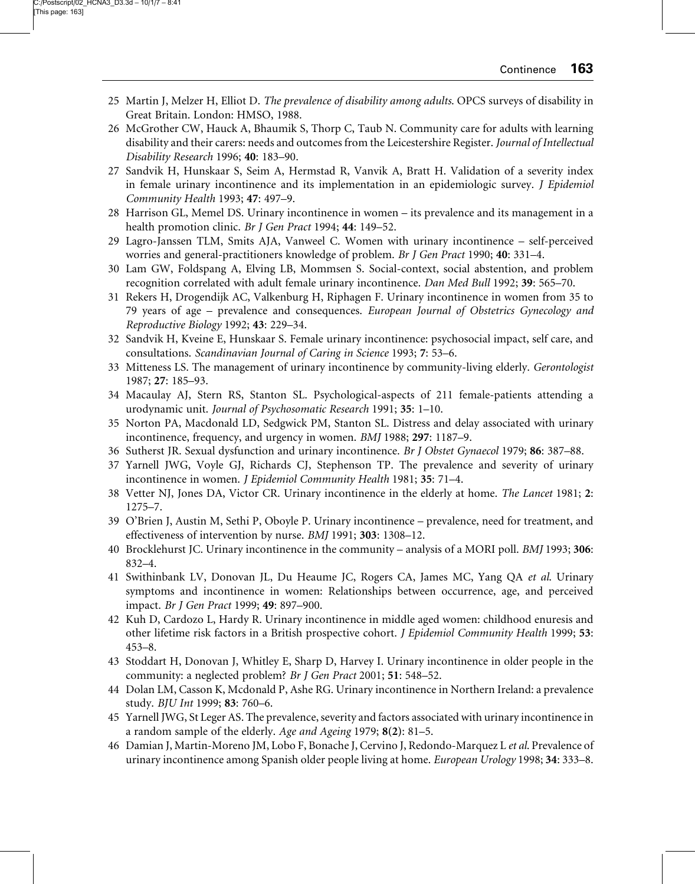- 25 Martin J, Melzer H, Elliot D. The prevalence of disability among adults. OPCS surveys of disability in Great Britain. London: HMSO, 1988.
- 26 McGrother CW, Hauck A, Bhaumik S, Thorp C, Taub N. Community care for adults with learning disability and their carers: needs and outcomes from the Leicestershire Register. Journal of Intellectual Disability Research 1996; 40: 183–90.
- 27 Sandvik H, Hunskaar S, Seim A, Hermstad R, Vanvik A, Bratt H. Validation of a severity index in female urinary incontinence and its implementation in an epidemiologic survey. J Epidemiol Community Health 1993; 47: 497–9.
- 28 Harrison GL, Memel DS. Urinary incontinence in women its prevalence and its management in a health promotion clinic. Br J Gen Pract 1994; 44: 149-52.
- 29 Lagro-Janssen TLM, Smits AJA, Vanweel C. Women with urinary incontinence self-perceived worries and general-practitioners knowledge of problem. Br J Gen Pract 1990; 40: 331–4.
- 30 Lam GW, Foldspang A, Elving LB, Mommsen S. Social-context, social abstention, and problem recognition correlated with adult female urinary incontinence. Dan Med Bull 1992; 39: 565–70.
- 31 Rekers H, Drogendijk AC, Valkenburg H, Riphagen F. Urinary incontinence in women from 35 to 79 years of age – prevalence and consequences. European Journal of Obstetrics Gynecology and Reproductive Biology 1992; 43: 229–34.
- 32 Sandvik H, Kveine E, Hunskaar S. Female urinary incontinence: psychosocial impact, self care, and consultations. Scandinavian Journal of Caring in Science 1993; 7: 53–6.
- 33 Mitteness LS. The management of urinary incontinence by community-living elderly. Gerontologist 1987; 27: 185–93.
- 34 Macaulay AJ, Stern RS, Stanton SL. Psychological-aspects of 211 female-patients attending a urodynamic unit. Journal of Psychosomatic Research 1991; 35: 1–10.
- 35 Norton PA, Macdonald LD, Sedgwick PM, Stanton SL. Distress and delay associated with urinary incontinence, frequency, and urgency in women. BMJ 1988; 297: 1187–9.
- 36 Sutherst JR. Sexual dysfunction and urinary incontinence. Br J Obstet Gynaecol 1979; 86: 387–88.
- 37 Yarnell JWG, Voyle GJ, Richards CJ, Stephenson TP. The prevalence and severity of urinary incontinence in women. J Epidemiol Community Health 1981; 35: 71–4.
- 38 Vetter NJ, Jones DA, Victor CR. Urinary incontinence in the elderly at home. The Lancet 1981; 2: 1275–7.
- 39 O'Brien J, Austin M, Sethi P, Oboyle P. Urinary incontinence prevalence, need for treatment, and effectiveness of intervention by nurse. BMJ 1991; 303: 1308–12.
- 40 Brocklehurst JC. Urinary incontinence in the community analysis of a MORI poll. BMJ 1993; 306: 832–4.
- 41 Swithinbank LV, Donovan JL, Du Heaume JC, Rogers CA, James MC, Yang QA et al. Urinary symptoms and incontinence in women: Relationships between occurrence, age, and perceived impact. Br J Gen Pract 1999; 49: 897–900.
- 42 Kuh D, Cardozo L, Hardy R. Urinary incontinence in middle aged women: childhood enuresis and other lifetime risk factors in a British prospective cohort. J Epidemiol Community Health 1999; 53: 453–8.
- 43 Stoddart H, Donovan J, Whitley E, Sharp D, Harvey I. Urinary incontinence in older people in the community: a neglected problem? Br J Gen Pract 2001; 51: 548–52.
- 44 Dolan LM, Casson K, Mcdonald P, Ashe RG. Urinary incontinence in Northern Ireland: a prevalence study. BJU Int 1999; 83: 760–6.
- 45 Yarnell JWG, St Leger AS. The prevalence, severity and factors associated with urinary incontinence in a random sample of the elderly. Age and Ageing 1979; 8(2): 81–5.
- 46 Damian J, Martin-Moreno JM, Lobo F, Bonache J, Cervino J, Redondo-Marquez L et al. Prevalence of urinary incontinence among Spanish older people living at home. European Urology 1998; 34: 333–8.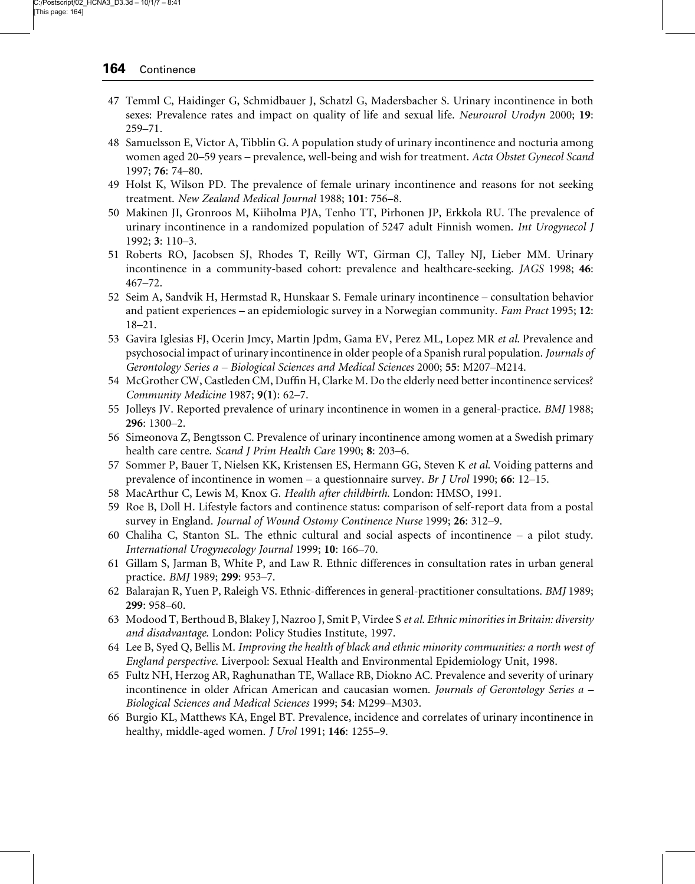- 47 Temml C, Haidinger G, Schmidbauer J, Schatzl G, Madersbacher S. Urinary incontinence in both sexes: Prevalence rates and impact on quality of life and sexual life. Neurourol Urodyn 2000; 19: 259–71.
- 48 Samuelsson E, Victor A, Tibblin G. A population study of urinary incontinence and nocturia among women aged 20–59 years – prevalence, well-being and wish for treatment. Acta Obstet Gynecol Scand 1997; 76: 74–80.
- 49 Holst K, Wilson PD. The prevalence of female urinary incontinence and reasons for not seeking treatment. New Zealand Medical Journal 1988; 101: 756–8.
- 50 Makinen JI, Gronroos M, Kiiholma PJA, Tenho TT, Pirhonen JP, Erkkola RU. The prevalence of urinary incontinence in a randomized population of 5247 adult Finnish women. Int Urogynecol J 1992; 3: 110–3.
- 51 Roberts RO, Jacobsen SJ, Rhodes T, Reilly WT, Girman CJ, Talley NJ, Lieber MM. Urinary incontinence in a community-based cohort: prevalence and healthcare-seeking. JAGS 1998; 46: 467–72.
- 52 Seim A, Sandvik H, Hermstad R, Hunskaar S. Female urinary incontinence consultation behavior and patient experiences – an epidemiologic survey in a Norwegian community. Fam Pract 1995; 12: 18–21.
- 53 Gavira Iglesias FJ, Ocerin Jmcy, Martin Jpdm, Gama EV, Perez ML, Lopez MR et al. Prevalence and psychosocial impact of urinary incontinence in older people of a Spanish rural population. Journals of Gerontology Series a – Biological Sciences and Medical Sciences 2000; 55: M207–M214.
- 54 McGrother CW, Castleden CM, Duffin H, Clarke M. Do the elderly need better incontinence services? Community Medicine 1987; 9(1): 62–7.
- 55 Jolleys JV. Reported prevalence of urinary incontinence in women in a general-practice. BMJ 1988; 296: 1300–2.
- 56 Simeonova Z, Bengtsson C. Prevalence of urinary incontinence among women at a Swedish primary health care centre. Scand J Prim Health Care 1990; 8: 203-6.
- 57 Sommer P, Bauer T, Nielsen KK, Kristensen ES, Hermann GG, Steven K et al. Voiding patterns and prevalence of incontinence in women – a questionnaire survey. Br J Urol 1990; 66: 12–15.
- 58 MacArthur C, Lewis M, Knox G. Health after childbirth. London: HMSO, 1991.
- 59 Roe B, Doll H. Lifestyle factors and continence status: comparison of self-report data from a postal survey in England. Journal of Wound Ostomy Continence Nurse 1999; 26: 312–9.
- 60 Chaliha C, Stanton SL. The ethnic cultural and social aspects of incontinence a pilot study. International Urogynecology Journal 1999; 10: 166–70.
- 61 Gillam S, Jarman B, White P, and Law R. Ethnic differences in consultation rates in urban general practice. BMJ 1989; 299: 953–7.
- 62 Balarajan R, Yuen P, Raleigh VS. Ethnic-differences in general-practitioner consultations. BMJ 1989; 299: 958–60.
- 63 Modood T, Berthoud B, Blakey J, Nazroo J, Smit P, Virdee S et al. Ethnic minorities in Britain: diversity and disadvantage. London: Policy Studies Institute, 1997.
- 64 Lee B, Syed Q, Bellis M. Improving the health of black and ethnic minority communities: a north west of England perspective. Liverpool: Sexual Health and Environmental Epidemiology Unit, 1998.
- 65 Fultz NH, Herzog AR, Raghunathan TE, Wallace RB, Diokno AC. Prevalence and severity of urinary incontinence in older African American and caucasian women. Journals of Gerontology Series a -Biological Sciences and Medical Sciences 1999; 54: M299–M303.
- 66 Burgio KL, Matthews KA, Engel BT. Prevalence, incidence and correlates of urinary incontinence in healthy, middle-aged women. *J Urol* 1991; **146**: 1255–9.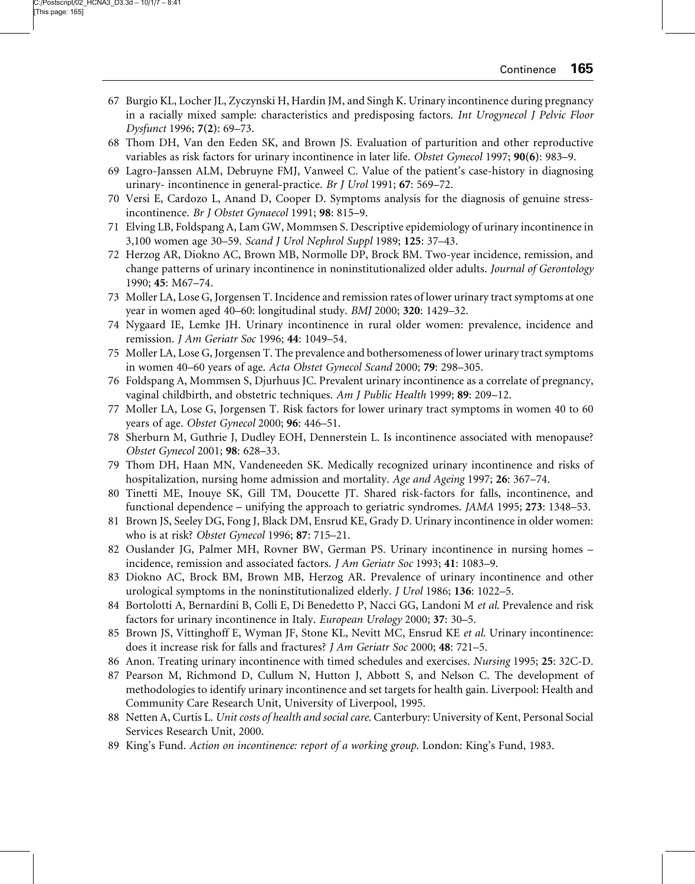- 67 Burgio KL, Locher JL, Zyczynski H, Hardin JM, and Singh K. Urinary incontinence during pregnancy in a racially mixed sample: characteristics and predisposing factors. Int Urogynecol J Pelvic Floor Dysfunct 1996; 7(2): 69–73.
- 68 Thom DH, Van den Eeden SK, and Brown JS. Evaluation of parturition and other reproductive variables as risk factors for urinary incontinence in later life. Obstet Gynecol 1997; 90(6): 983–9.
- 69 Lagro-Janssen ALM, Debruyne FMJ, Vanweel C. Value of the patient's case-history in diagnosing urinary- incontinence in general-practice. Br J Urol 1991; 67: 569–72.
- 70 Versi E, Cardozo L, Anand D, Cooper D. Symptoms analysis for the diagnosis of genuine stressincontinence. Br J Obstet Gynaecol 1991; 98: 815–9.
- 71 Elving LB, Foldspang A, Lam GW, Mommsen S. Descriptive epidemiology of urinary incontinence in 3,100 women age 30–59. Scand J Urol Nephrol Suppl 1989; 125: 37–43.
- 72 Herzog AR, Diokno AC, Brown MB, Normolle DP, Brock BM. Two-year incidence, remission, and change patterns of urinary incontinence in noninstitutionalized older adults. Journal of Gerontology 1990; 45: M67–74.
- 73 Moller LA, Lose G, Jorgensen T. Incidence and remission rates of lower urinary tract symptoms at one year in women aged 40–60: longitudinal study. BMJ 2000; 320: 1429–32.
- 74 Nygaard IE, Lemke JH. Urinary incontinence in rural older women: prevalence, incidence and remission. J Am Geriatr Soc 1996; 44: 1049–54.
- 75 Moller LA, Lose G, Jorgensen T. The prevalence and bothersomeness of lower urinary tract symptoms in women 40–60 years of age. Acta Obstet Gynecol Scand 2000; 79: 298–305.
- 76 Foldspang A, Mommsen S, Djurhuus JC. Prevalent urinary incontinence as a correlate of pregnancy, vaginal childbirth, and obstetric techniques. Am J Public Health 1999; 89: 209–12.
- 77 Moller LA, Lose G, Jorgensen T. Risk factors for lower urinary tract symptoms in women 40 to 60 years of age. Obstet Gynecol 2000; 96: 446–51.
- 78 Sherburn M, Guthrie J, Dudley EOH, Dennerstein L. Is incontinence associated with menopause? Obstet Gynecol 2001; 98: 628–33.
- 79 Thom DH, Haan MN, Vandeneeden SK. Medically recognized urinary incontinence and risks of hospitalization, nursing home admission and mortality. Age and Ageing 1997; 26: 367–74.
- 80 Tinetti ME, Inouye SK, Gill TM, Doucette JT. Shared risk-factors for falls, incontinence, and functional dependence – unifying the approach to geriatric syndromes. JAMA 1995; 273: 1348–53.
- 81 Brown JS, Seeley DG, Fong J, Black DM, Ensrud KE, Grady D. Urinary incontinence in older women: who is at risk? Obstet Gynecol 1996; 87: 715–21.
- 82 Ouslander JG, Palmer MH, Rovner BW, German PS. Urinary incontinence in nursing homes incidence, remission and associated factors. J Am Geriatr Soc 1993; 41: 1083–9.
- 83 Diokno AC, Brock BM, Brown MB, Herzog AR. Prevalence of urinary incontinence and other urological symptoms in the noninstitutionalized elderly. J Urol 1986; 136: 1022–5.
- 84 Bortolotti A, Bernardini B, Colli E, Di Benedetto P, Nacci GG, Landoni M et al. Prevalence and risk factors for urinary incontinence in Italy. European Urology 2000; 37: 30–5.
- 85 Brown JS, Vittinghoff E, Wyman JF, Stone KL, Nevitt MC, Ensrud KE et al. Urinary incontinence: does it increase risk for falls and fractures? J Am Geriatr Soc 2000; 48: 721–5.
- 86 Anon. Treating urinary incontinence with timed schedules and exercises. Nursing 1995; 25: 32C-D.
- 87 Pearson M, Richmond D, Cullum N, Hutton J, Abbott S, and Nelson C. The development of methodologies to identify urinary incontinence and set targets for health gain. Liverpool: Health and Community Care Research Unit, University of Liverpool, 1995.
- 88 Netten A, Curtis L. Unit costs of health and social care. Canterbury: University of Kent, Personal Social Services Research Unit, 2000.
- 89 King's Fund. Action on incontinence: report of a working group. London: King's Fund, 1983.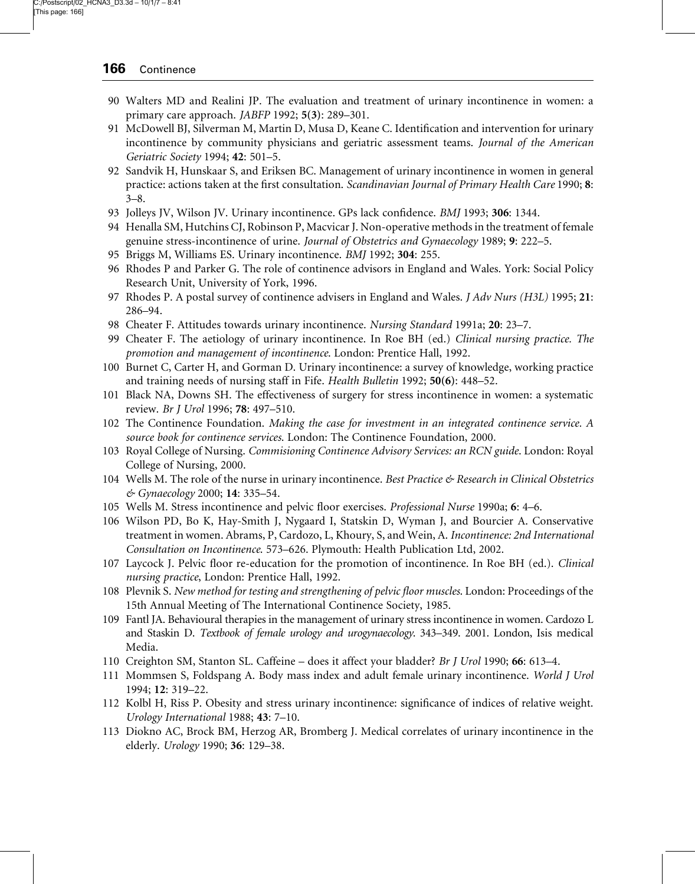- 90 Walters MD and Realini JP. The evaluation and treatment of urinary incontinence in women: a primary care approach. JABFP 1992; 5(3): 289–301.
- 91 McDowell BJ, Silverman M, Martin D, Musa D, Keane C. Identification and intervention for urinary incontinence by community physicians and geriatric assessment teams. Journal of the American Geriatric Society 1994; 42: 501–5.
- 92 Sandvik H, Hunskaar S, and Eriksen BC. Management of urinary incontinence in women in general practice: actions taken at the first consultation. Scandinavian Journal of Primary Health Care 1990; 8: 3–8.
- 93 Jolleys JV, Wilson JV. Urinary incontinence. GPs lack confidence. BMJ 1993; 306: 1344.
- 94 Henalla SM, Hutchins CJ, Robinson P, Macvicar J. Non-operative methods in the treatment of female genuine stress-incontinence of urine. Journal of Obstetrics and Gynaecology 1989; 9: 222–5.
- 95 Briggs M, Williams ES. Urinary incontinence. BMJ 1992; 304: 255.
- 96 Rhodes P and Parker G. The role of continence advisors in England and Wales. York: Social Policy Research Unit, University of York, 1996.
- 97 Rhodes P. A postal survey of continence advisers in England and Wales. J Adv Nurs (H3L) 1995; 21: 286–94.
- 98 Cheater F. Attitudes towards urinary incontinence. Nursing Standard 1991a; 20: 23–7.
- 99 Cheater F. The aetiology of urinary incontinence. In Roe BH (ed.) Clinical nursing practice. The promotion and management of incontinence. London: Prentice Hall, 1992.
- 100 Burnet C, Carter H, and Gorman D. Urinary incontinence: a survey of knowledge, working practice and training needs of nursing staff in Fife. Health Bulletin 1992; 50(6): 448–52.
- 101 Black NA, Downs SH. The effectiveness of surgery for stress incontinence in women: a systematic review. Br J Urol 1996; 78: 497–510.
- 102 The Continence Foundation. Making the case for investment in an integrated continence service. A source book for continence services. London: The Continence Foundation, 2000.
- 103 Royal College of Nursing. Commisioning Continence Advisory Services: an RCN guide. London: Royal College of Nursing, 2000.
- 104 Wells M. The role of the nurse in urinary incontinence. Best Practice & Research in Clinical Obstetrics & Gynaecology 2000; 14: 335–54.
- 105 Wells M. Stress incontinence and pelvic floor exercises. Professional Nurse 1990a; 6: 4–6.
- 106 Wilson PD, Bo K, Hay-Smith J, Nygaard I, Statskin D, Wyman J, and Bourcier A. Conservative treatment in women. Abrams, P, Cardozo, L, Khoury, S, and Wein, A. Incontinence: 2nd International Consultation on Incontinence. 573–626. Plymouth: Health Publication Ltd, 2002.
- 107 Laycock J. Pelvic floor re-education for the promotion of incontinence. In Roe BH (ed.). Clinical nursing practice, London: Prentice Hall, 1992.
- 108 Plevnik S. New method for testing and strengthening of pelvic floor muscles. London: Proceedings of the 15th Annual Meeting of The International Continence Society, 1985.
- 109 Fantl JA. Behavioural therapies in the management of urinary stress incontinence in women. Cardozo L and Staskin D. Textbook of female urology and urogynaecology. 343–349. 2001. London, Isis medical Media.
- 110 Creighton SM, Stanton SL. Caffeine does it affect your bladder? Br J Urol 1990; 66: 613–4.
- 111 Mommsen S, Foldspang A. Body mass index and adult female urinary incontinence. World J Urol 1994; 12: 319–22.
- 112 Kolbl H, Riss P. Obesity and stress urinary incontinence: significance of indices of relative weight. Urology International 1988; 43: 7–10.
- 113 Diokno AC, Brock BM, Herzog AR, Bromberg J. Medical correlates of urinary incontinence in the elderly. Urology 1990; 36: 129–38.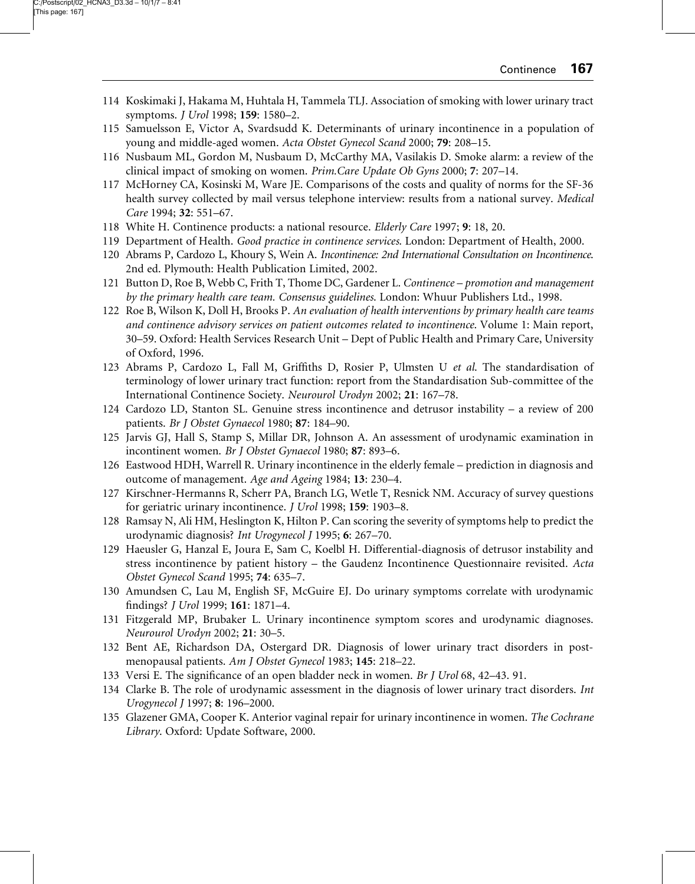- 114 Koskimaki J, Hakama M, Huhtala H, Tammela TLJ. Association of smoking with lower urinary tract symptoms. J Urol 1998; 159: 1580–2.
- 115 Samuelsson E, Victor A, Svardsudd K. Determinants of urinary incontinence in a population of young and middle-aged women. Acta Obstet Gynecol Scand 2000; 79: 208–15.
- 116 Nusbaum ML, Gordon M, Nusbaum D, McCarthy MA, Vasilakis D. Smoke alarm: a review of the clinical impact of smoking on women. Prim.Care Update Ob Gyns 2000; 7: 207–14.
- 117 McHorney CA, Kosinski M, Ware JE. Comparisons of the costs and quality of norms for the SF-36 health survey collected by mail versus telephone interview: results from a national survey. Medical Care 1994; 32: 551–67.
- 118 White H. Continence products: a national resource. Elderly Care 1997; 9: 18, 20.
- 119 Department of Health. Good practice in continence services. London: Department of Health, 2000.
- 120 Abrams P, Cardozo L, Khoury S, Wein A. Incontinence: 2nd International Consultation on Incontinence. 2nd ed. Plymouth: Health Publication Limited, 2002.
- 121 Button D, Roe B, Webb C, Frith T, Thome DC, Gardener L. Continence promotion and management by the primary health care team. Consensus guidelines. London: Whuur Publishers Ltd., 1998.
- 122 Roe B, Wilson K, Doll H, Brooks P. An evaluation of health interventions by primary health care teams and continence advisory services on patient outcomes related to incontinence. Volume 1: Main report, 30–59. Oxford: Health Services Research Unit – Dept of Public Health and Primary Care, University of Oxford, 1996.
- 123 Abrams P, Cardozo L, Fall M, Griffiths D, Rosier P, Ulmsten U et al. The standardisation of terminology of lower urinary tract function: report from the Standardisation Sub-committee of the International Continence Society. Neurourol Urodyn 2002; 21: 167–78.
- 124 Cardozo LD, Stanton SL. Genuine stress incontinence and detrusor instability a review of 200 patients. Br J Obstet Gynaecol 1980; 87: 184–90.
- 125 Jarvis GJ, Hall S, Stamp S, Millar DR, Johnson A. An assessment of urodynamic examination in incontinent women. Br J Obstet Gynaecol 1980; 87: 893–6.
- 126 Eastwood HDH, Warrell R. Urinary incontinence in the elderly female prediction in diagnosis and outcome of management. Age and Ageing 1984; 13: 230–4.
- 127 Kirschner-Hermanns R, Scherr PA, Branch LG, Wetle T, Resnick NM. Accuracy of survey questions for geriatric urinary incontinence. J Urol 1998; 159: 1903–8.
- 128 Ramsay N, Ali HM, Heslington K, Hilton P. Can scoring the severity of symptoms help to predict the urodynamic diagnosis? Int Urogynecol J 1995; 6: 267–70.
- 129 Haeusler G, Hanzal E, Joura E, Sam C, Koelbl H. Differential-diagnosis of detrusor instability and stress incontinence by patient history – the Gaudenz Incontinence Questionnaire revisited. Acta Obstet Gynecol Scand 1995; 74: 635–7.
- 130 Amundsen C, Lau M, English SF, McGuire EJ. Do urinary symptoms correlate with urodynamic findings? J Urol 1999; 161: 1871–4.
- 131 Fitzgerald MP, Brubaker L. Urinary incontinence symptom scores and urodynamic diagnoses. Neurourol Urodyn 2002; 21: 30–5.
- 132 Bent AE, Richardson DA, Ostergard DR. Diagnosis of lower urinary tract disorders in postmenopausal patients. Am J Obstet Gynecol 1983; 145: 218–22.
- 133 Versi E. The significance of an open bladder neck in women. Br J Urol 68, 42–43. 91.
- 134 Clarke B. The role of urodynamic assessment in the diagnosis of lower urinary tract disorders. Int Urogynecol J 1997; 8: 196–2000.
- 135 Glazener GMA, Cooper K. Anterior vaginal repair for urinary incontinence in women. The Cochrane Library. Oxford: Update Software, 2000.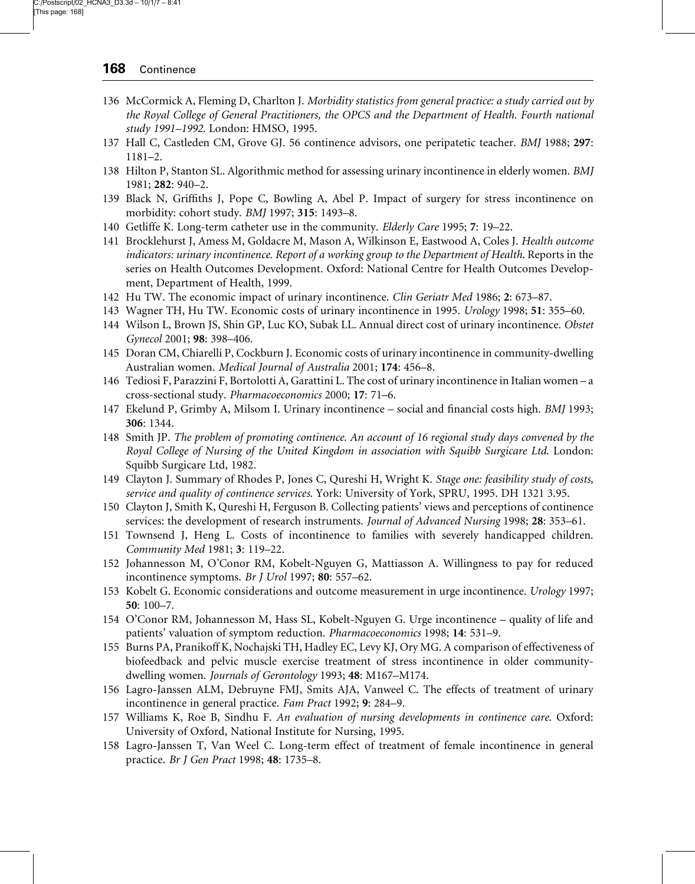- 136 McCormick A, Fleming D, Charlton J. Morbidity statistics from general practice: a study carried out by the Royal College of General Practitioners, the OPCS and the Department of Health. Fourth national study 1991–1992. London: HMSO, 1995.
- 137 Hall C, Castleden CM, Grove GJ. 56 continence advisors, one peripatetic teacher. BMJ 1988; 297: 1181–2.
- 138 Hilton P, Stanton SL. Algorithmic method for assessing urinary incontinence in elderly women. BMJ 1981; 282: 940–2.
- 139 Black N, Griffiths J, Pope C, Bowling A, Abel P. Impact of surgery for stress incontinence on morbidity: cohort study. BMJ 1997; 315: 1493–8.
- 140 Getliffe K. Long-term catheter use in the community. Elderly Care 1995; 7: 19–22.
- 141 Brocklehurst J, Amess M, Goldacre M, Mason A, Wilkinson E, Eastwood A, Coles J. Health outcome indicators: urinary incontinence. Report of a working group to the Department of Health. Reports in the series on Health Outcomes Development. Oxford: National Centre for Health Outcomes Development, Department of Health, 1999.
- 142 Hu TW. The economic impact of urinary incontinence. Clin Geriatr Med 1986; 2: 673–87.
- 143 Wagner TH, Hu TW. Economic costs of urinary incontinence in 1995. Urology 1998; 51: 355–60.
- 144 Wilson L, Brown JS, Shin GP, Luc KO, Subak LL. Annual direct cost of urinary incontinence. Obstet Gynecol 2001; 98: 398–406.
- 145 Doran CM, Chiarelli P, Cockburn J. Economic costs of urinary incontinence in community-dwelling Australian women. Medical Journal of Australia 2001; 174: 456–8.
- 146 Tediosi F, Parazzini F, Bortolotti A, Garattini L. The cost of urinary incontinence in Italian women a cross-sectional study. Pharmacoeconomics 2000; 17: 71–6.
- 147 Ekelund P, Grimby A, Milsom I. Urinary incontinence social and financial costs high. BMJ 1993; 306: 1344.
- 148 Smith JP. The problem of promoting continence. An account of 16 regional study days convened by the Royal College of Nursing of the United Kingdom in association with Squibb Surgicare Ltd. London: Squibb Surgicare Ltd, 1982.
- 149 Clayton J. Summary of Rhodes P, Jones C, Qureshi H, Wright K. Stage one: feasibility study of costs, service and quality of continence services. York: University of York, SPRU, 1995. DH 1321 3.95.
- 150 Clayton J, Smith K, Qureshi H, Ferguson B. Collecting patients' views and perceptions of continence services: the development of research instruments. Journal of Advanced Nursing 1998; 28: 353–61.
- 151 Townsend J, Heng L. Costs of incontinence to families with severely handicapped children. Community Med 1981; 3: 119–22.
- 152 Johannesson M, O'Conor RM, Kobelt-Nguyen G, Mattiasson A. Willingness to pay for reduced incontinence symptoms. Br J Urol 1997; 80: 557–62.
- 153 Kobelt G. Economic considerations and outcome measurement in urge incontinence. Urology 1997; 50: 100–7.
- 154 O'Conor RM, Johannesson M, Hass SL, Kobelt-Nguyen G. Urge incontinence quality of life and patients' valuation of symptom reduction. Pharmacoeconomics 1998; 14: 531–9.
- 155 Burns PA, Pranikoff K, Nochajski TH, Hadley EC, Levy KJ, Ory MG. A comparison of effectiveness of biofeedback and pelvic muscle exercise treatment of stress incontinence in older communitydwelling women. Journals of Gerontology 1993; 48: M167–M174.
- 156 Lagro-Janssen ALM, Debruyne FMJ, Smits AJA, Vanweel C. The effects of treatment of urinary incontinence in general practice. Fam Pract 1992; 9: 284–9.
- 157 Williams K, Roe B, Sindhu F. An evaluation of nursing developments in continence care. Oxford: University of Oxford, National Institute for Nursing, 1995.
- 158 Lagro-Janssen T, Van Weel C. Long-term effect of treatment of female incontinence in general practice. Br J Gen Pract 1998; 48: 1735–8.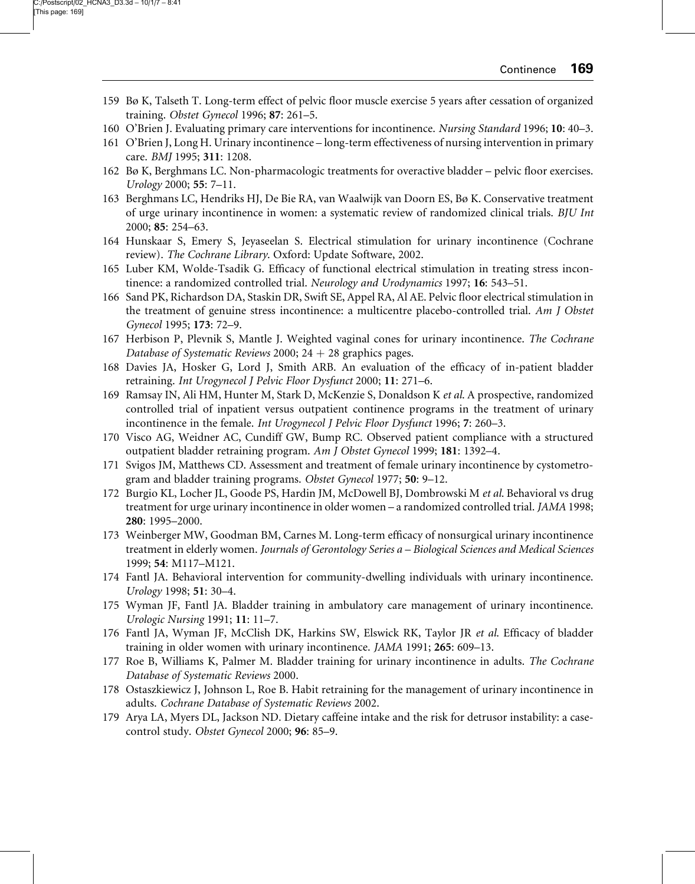- 159 Bø K, Talseth T. Long-term effect of pelvic floor muscle exercise 5 years after cessation of organized training. Obstet Gynecol 1996; 87: 261–5.
- 160 O'Brien J. Evaluating primary care interventions for incontinence. Nursing Standard 1996; 10: 40–3.
- 161 O'Brien J, Long H. Urinary incontinence long-term effectiveness of nursing intervention in primary care. BMJ 1995; 311: 1208.
- 162 Bø K, Berghmans LC. Non-pharmacologic treatments for overactive bladder pelvic floor exercises. Urology 2000; 55: 7–11.
- 163 Berghmans LC, Hendriks HJ, De Bie RA, van Waalwijk van Doorn ES, Bø K. Conservative treatment of urge urinary incontinence in women: a systematic review of randomized clinical trials. BJU Int 2000; 85: 254–63.
- 164 Hunskaar S, Emery S, Jeyaseelan S. Electrical stimulation for urinary incontinence (Cochrane review). The Cochrane Library. Oxford: Update Software, 2002.
- 165 Luber KM, Wolde-Tsadik G. Efficacy of functional electrical stimulation in treating stress incontinence: a randomized controlled trial. Neurology and Urodynamics 1997; 16: 543–51.
- 166 Sand PK, Richardson DA, Staskin DR, Swift SE, Appel RA, Al AE. Pelvic floor electrical stimulation in the treatment of genuine stress incontinence: a multicentre placebo-controlled trial. Am J Obstet Gynecol 1995; 173: 72–9.
- 167 Herbison P, Plevnik S, Mantle J. Weighted vaginal cones for urinary incontinence. The Cochrane Database of Systematic Reviews 2000;  $24 + 28$  graphics pages.
- 168 Davies JA, Hosker G, Lord J, Smith ARB. An evaluation of the efficacy of in-patient bladder retraining. Int Urogynecol J Pelvic Floor Dysfunct 2000; 11: 271–6.
- 169 Ramsay IN, Ali HM, Hunter M, Stark D, McKenzie S, Donaldson K et al. A prospective, randomized controlled trial of inpatient versus outpatient continence programs in the treatment of urinary incontinence in the female. Int Urogynecol J Pelvic Floor Dysfunct 1996; 7: 260–3.
- 170 Visco AG, Weidner AC, Cundiff GW, Bump RC. Observed patient compliance with a structured outpatient bladder retraining program. Am J Obstet Gynecol 1999; 181: 1392–4.
- 171 Svigos JM, Matthews CD. Assessment and treatment of female urinary incontinence by cystometrogram and bladder training programs. Obstet Gynecol 1977; 50: 9–12.
- 172 Burgio KL, Locher JL, Goode PS, Hardin JM, McDowell BJ, Dombrowski M et al. Behavioral vs drug treatment for urge urinary incontinence in older women – a randomized controlled trial. JAMA 1998; 280: 1995–2000.
- 173 Weinberger MW, Goodman BM, Carnes M. Long-term efficacy of nonsurgical urinary incontinence treatment in elderly women. Journals of Gerontology Series a – Biological Sciences and Medical Sciences 1999; 54: M117–M121.
- 174 Fantl JA. Behavioral intervention for community-dwelling individuals with urinary incontinence. Urology 1998; 51: 30–4.
- 175 Wyman JF, Fantl JA. Bladder training in ambulatory care management of urinary incontinence. Urologic Nursing 1991; 11: 11–7.
- 176 Fantl JA, Wyman JF, McClish DK, Harkins SW, Elswick RK, Taylor JR et al. Efficacy of bladder training in older women with urinary incontinence. JAMA 1991; 265: 609–13.
- 177 Roe B, Williams K, Palmer M. Bladder training for urinary incontinence in adults. The Cochrane Database of Systematic Reviews 2000.
- 178 Ostaszkiewicz J, Johnson L, Roe B. Habit retraining for the management of urinary incontinence in adults. Cochrane Database of Systematic Reviews 2002.
- 179 Arya LA, Myers DL, Jackson ND. Dietary caffeine intake and the risk for detrusor instability: a casecontrol study. Obstet Gynecol 2000; 96: 85–9.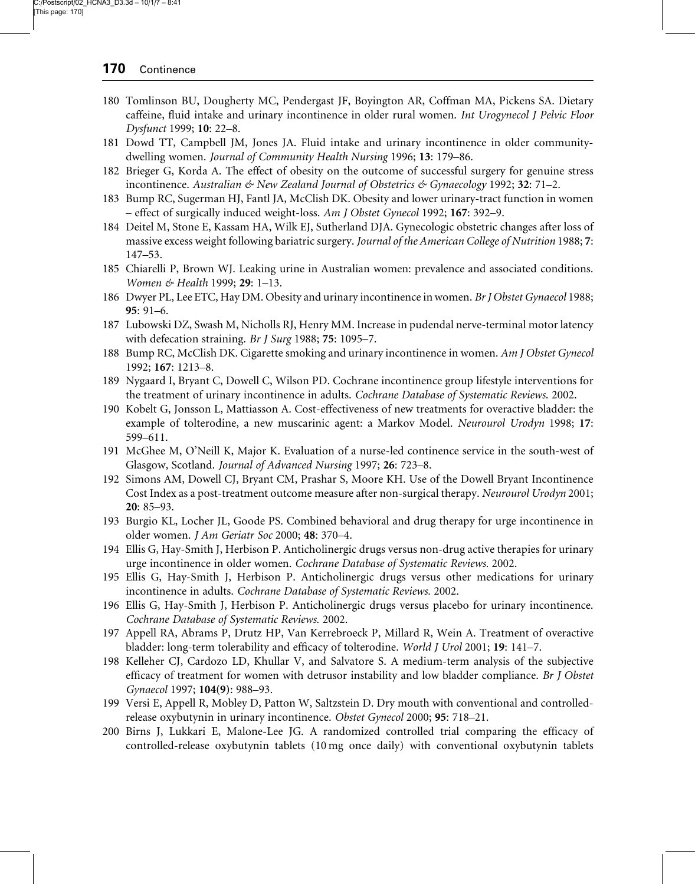- 180 Tomlinson BU, Dougherty MC, Pendergast JF, Boyington AR, Coffman MA, Pickens SA. Dietary caffeine, fluid intake and urinary incontinence in older rural women. Int Urogynecol J Pelvic Floor Dysfunct 1999; 10: 22–8.
- 181 Dowd TT, Campbell JM, Jones JA. Fluid intake and urinary incontinence in older communitydwelling women. Journal of Community Health Nursing 1996; 13: 179–86.
- 182 Brieger G, Korda A. The effect of obesity on the outcome of successful surgery for genuine stress incontinence. Australian & New Zealand Journal of Obstetrics & Gynaecology 1992; 32: 71-2.
- 183 Bump RC, Sugerman HJ, Fantl JA, McClish DK. Obesity and lower urinary-tract function in women – effect of surgically induced weight-loss. Am J Obstet Gynecol 1992; 167: 392–9.
- 184 Deitel M, Stone E, Kassam HA, Wilk EJ, Sutherland DJA. Gynecologic obstetric changes after loss of massive excess weight following bariatric surgery. Journal of the American College of Nutrition 1988; 7: 147–53.
- 185 Chiarelli P, Brown WJ. Leaking urine in Australian women: prevalence and associated conditions. Women & Health 1999; 29: 1-13.
- 186 Dwyer PL, Lee ETC, Hay DM. Obesity and urinary incontinence in women. Br J Obstet Gynaecol 1988; 95: 91–6.
- 187 Lubowski DZ, Swash M, Nicholls RJ, Henry MM. Increase in pudendal nerve-terminal motor latency with defecation straining. Br J Surg 1988; 75: 1095–7.
- 188 Bump RC, McClish DK. Cigarette smoking and urinary incontinence in women. Am J Obstet Gynecol 1992; 167: 1213–8.
- 189 Nygaard I, Bryant C, Dowell C, Wilson PD. Cochrane incontinence group lifestyle interventions for the treatment of urinary incontinence in adults. Cochrane Database of Systematic Reviews. 2002.
- 190 Kobelt G, Jonsson L, Mattiasson A. Cost-effectiveness of new treatments for overactive bladder: the example of tolterodine, a new muscarinic agent: a Markov Model. Neurourol Urodyn 1998; 17: 599–611.
- 191 McGhee M, O'Neill K, Major K. Evaluation of a nurse-led continence service in the south-west of Glasgow, Scotland. Journal of Advanced Nursing 1997; 26: 723–8.
- 192 Simons AM, Dowell CJ, Bryant CM, Prashar S, Moore KH. Use of the Dowell Bryant Incontinence Cost Index as a post-treatment outcome measure after non-surgical therapy. Neurourol Urodyn 2001; 20: 85–93.
- 193 Burgio KL, Locher JL, Goode PS. Combined behavioral and drug therapy for urge incontinence in older women. J Am Geriatr Soc 2000; 48: 370–4.
- 194 Ellis G, Hay-Smith J, Herbison P. Anticholinergic drugs versus non-drug active therapies for urinary urge incontinence in older women. Cochrane Database of Systematic Reviews. 2002.
- 195 Ellis G, Hay-Smith J, Herbison P. Anticholinergic drugs versus other medications for urinary incontinence in adults. Cochrane Database of Systematic Reviews. 2002.
- 196 Ellis G, Hay-Smith J, Herbison P. Anticholinergic drugs versus placebo for urinary incontinence. Cochrane Database of Systematic Reviews. 2002.
- 197 Appell RA, Abrams P, Drutz HP, Van Kerrebroeck P, Millard R, Wein A. Treatment of overactive bladder: long-term tolerability and efficacy of tolterodine. World J Urol 2001; 19: 141–7.
- 198 Kelleher CJ, Cardozo LD, Khullar V, and Salvatore S. A medium-term analysis of the subjective efficacy of treatment for women with detrusor instability and low bladder compliance. Br J Obstet Gynaecol 1997; 104(9): 988–93.
- 199 Versi E, Appell R, Mobley D, Patton W, Saltzstein D. Dry mouth with conventional and controlledrelease oxybutynin in urinary incontinence. Obstet Gynecol 2000; 95: 718–21.
- 200 Birns J, Lukkari E, Malone-Lee JG. A randomized controlled trial comparing the efficacy of controlled-release oxybutynin tablets (10 mg once daily) with conventional oxybutynin tablets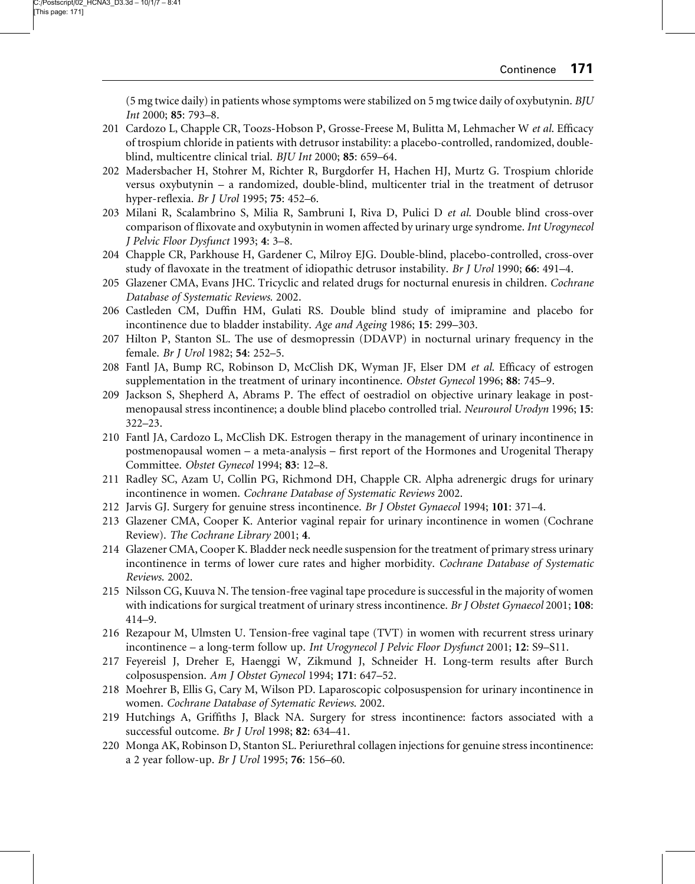(5 mg twice daily) in patients whose symptoms were stabilized on 5 mg twice daily of oxybutynin. BJU Int 2000; 85: 793–8.

- 201 Cardozo L, Chapple CR, Toozs-Hobson P, Grosse-Freese M, Bulitta M, Lehmacher W et al. Efficacy of trospium chloride in patients with detrusor instability: a placebo-controlled, randomized, doubleblind, multicentre clinical trial. BJU Int 2000; 85: 659–64.
- 202 Madersbacher H, Stohrer M, Richter R, Burgdorfer H, Hachen HJ, Murtz G. Trospium chloride versus oxybutynin – a randomized, double-blind, multicenter trial in the treatment of detrusor hyper-reflexia. Br J Urol 1995; 75: 452–6.
- 203 Milani R, Scalambrino S, Milia R, Sambruni I, Riva D, Pulici D et al. Double blind cross-over comparison of flixovate and oxybutynin in women affected by urinary urge syndrome. Int Urogynecol J Pelvic Floor Dysfunct 1993; 4: 3–8.
- 204 Chapple CR, Parkhouse H, Gardener C, Milroy EJG. Double-blind, placebo-controlled, cross-over study of flavoxate in the treatment of idiopathic detrusor instability. Br J Urol 1990; 66: 491–4.
- 205 Glazener CMA, Evans JHC. Tricyclic and related drugs for nocturnal enuresis in children. Cochrane Database of Systematic Reviews. 2002.
- 206 Castleden CM, Duffin HM, Gulati RS. Double blind study of imipramine and placebo for incontinence due to bladder instability. Age and Ageing 1986; 15: 299–303.
- 207 Hilton P, Stanton SL. The use of desmopressin (DDAVP) in nocturnal urinary frequency in the female. Br J Urol 1982; 54: 252–5.
- 208 Fantl JA, Bump RC, Robinson D, McClish DK, Wyman JF, Elser DM et al. Efficacy of estrogen supplementation in the treatment of urinary incontinence. Obstet Gynecol 1996; 88: 745–9.
- 209 Jackson S, Shepherd A, Abrams P. The effect of oestradiol on objective urinary leakage in postmenopausal stress incontinence; a double blind placebo controlled trial. Neurourol Urodyn 1996; 15: 322–23.
- 210 Fantl JA, Cardozo L, McClish DK. Estrogen therapy in the management of urinary incontinence in postmenopausal women – a meta-analysis – first report of the Hormones and Urogenital Therapy Committee. Obstet Gynecol 1994; 83: 12–8.
- 211 Radley SC, Azam U, Collin PG, Richmond DH, Chapple CR. Alpha adrenergic drugs for urinary incontinence in women. Cochrane Database of Systematic Reviews 2002.
- 212 Jarvis GJ. Surgery for genuine stress incontinence. Br J Obstet Gynaecol 1994; 101: 371–4.
- 213 Glazener CMA, Cooper K. Anterior vaginal repair for urinary incontinence in women (Cochrane Review). The Cochrane Library 2001; 4.
- 214 Glazener CMA, Cooper K. Bladder neck needle suspension for the treatment of primary stress urinary incontinence in terms of lower cure rates and higher morbidity. Cochrane Database of Systematic Reviews. 2002.
- 215 Nilsson CG, Kuuva N. The tension-free vaginal tape procedure is successful in the majority of women with indications for surgical treatment of urinary stress incontinence. Br J Obstet Gynaecol 2001; 108: 414–9.
- 216 Rezapour M, Ulmsten U. Tension-free vaginal tape (TVT) in women with recurrent stress urinary incontinence – a long-term follow up. Int Urogynecol J Pelvic Floor Dysfunct 2001; 12: S9–S11.
- 217 Feyereisl J, Dreher E, Haenggi W, Zikmund J, Schneider H. Long-term results after Burch colposuspension. Am J Obstet Gynecol 1994; 171: 647–52.
- 218 Moehrer B, Ellis G, Cary M, Wilson PD. Laparoscopic colposuspension for urinary incontinence in women. Cochrane Database of Sytematic Reviews. 2002.
- 219 Hutchings A, Griffiths J, Black NA. Surgery for stress incontinence: factors associated with a successful outcome. Br J Urol 1998; 82: 634–41.
- 220 Monga AK, Robinson D, Stanton SL. Periurethral collagen injections for genuine stress incontinence: a 2 year follow-up. Br J Urol 1995; 76: 156–60.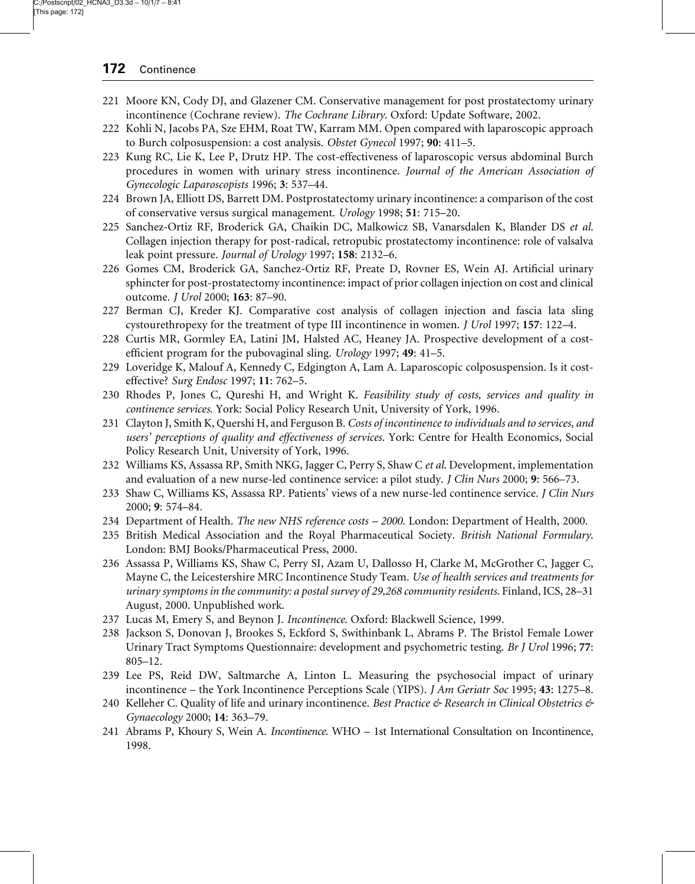- 221 Moore KN, Cody DJ, and Glazener CM. Conservative management for post prostatectomy urinary incontinence (Cochrane review). The Cochrane Library. Oxford: Update Software, 2002.
- 222 Kohli N, Jacobs PA, Sze EHM, Roat TW, Karram MM. Open compared with laparoscopic approach to Burch colposuspension: a cost analysis. Obstet Gynecol 1997; 90: 411–5.
- 223 Kung RC, Lie K, Lee P, Drutz HP. The cost-effectiveness of laparoscopic versus abdominal Burch procedures in women with urinary stress incontinence. Journal of the American Association of Gynecologic Laparoscopists 1996; 3: 537–44.
- 224 Brown JA, Elliott DS, Barrett DM. Postprostatectomy urinary incontinence: a comparison of the cost of conservative versus surgical management. Urology 1998; 51: 715–20.
- 225 Sanchez-Ortiz RF, Broderick GA, Chaikin DC, Malkowicz SB, Vanarsdalen K, Blander DS et al. Collagen injection therapy for post-radical, retropubic prostatectomy incontinence: role of valsalva leak point pressure. Journal of Urology 1997; 158: 2132–6.
- 226 Gomes CM, Broderick GA, Sanchez-Ortiz RF, Preate D, Rovner ES, Wein AJ. Artificial urinary sphincter for post-prostatectomy incontinence: impact of prior collagen injection on cost and clinical outcome. J Urol 2000; 163: 87–90.
- 227 Berman CJ, Kreder KJ. Comparative cost analysis of collagen injection and fascia lata sling cystourethropexy for the treatment of type III incontinence in women. J Urol 1997; 157: 122–4.
- 228 Curtis MR, Gormley EA, Latini JM, Halsted AC, Heaney JA. Prospective development of a costefficient program for the pubovaginal sling. Urology 1997; 49: 41–5.
- 229 Loveridge K, Malouf A, Kennedy C, Edgington A, Lam A. Laparoscopic colposuspension. Is it costeffective? Surg Endosc 1997; 11: 762–5.
- 230 Rhodes P, Jones C, Qureshi H, and Wright K. Feasibility study of costs, services and quality in continence services. York: Social Policy Research Unit, University of York, 1996.
- 231 Clayton J, Smith K, Quershi H, and Ferguson B. Costs of incontinence to individuals and to services, and users' perceptions of quality and effectiveness of services. York: Centre for Health Economics, Social Policy Research Unit, University of York, 1996.
- 232 Williams KS, Assassa RP, Smith NKG, Jagger C, Perry S, Shaw C et al. Development, implementation and evaluation of a new nurse-led continence service: a pilot study. J Clin Nurs 2000; 9: 566–73.
- 233 Shaw C, Williams KS, Assassa RP. Patients' views of a new nurse-led continence service. J Clin Nurs 2000; 9: 574–84.
- 234 Department of Health. The new NHS reference costs 2000. London: Department of Health, 2000.
- 235 British Medical Association and the Royal Pharmaceutical Society. British National Formulary. London: BMJ Books/Pharmaceutical Press, 2000.
- 236 Assassa P, Williams KS, Shaw C, Perry SI, Azam U, Dallosso H, Clarke M, McGrother C, Jagger C, Mayne C, the Leicestershire MRC Incontinence Study Team. Use of health services and treatments for urinary symptoms in the community: a postal survey of 29,268 community residents. Finland, ICS, 28–31 August, 2000. Unpublished work.
- 237 Lucas M, Emery S, and Beynon J. Incontinence. Oxford: Blackwell Science, 1999.
- 238 Jackson S, Donovan J, Brookes S, Eckford S, Swithinbank L, Abrams P. The Bristol Female Lower Urinary Tract Symptoms Questionnaire: development and psychometric testing. Br J Urol 1996; 77: 805–12.
- 239 Lee PS, Reid DW, Saltmarche A, Linton L. Measuring the psychosocial impact of urinary incontinence – the York Incontinence Perceptions Scale (YIPS). J Am Geriatr Soc 1995; 43: 1275–8.
- 240 Kelleher C. Quality of life and urinary incontinence. Best Practice & Research in Clinical Obstetrics & Gynaecology 2000; 14: 363–79.
- 241 Abrams P, Khoury S, Wein A. Incontinence. WHO 1st International Consultation on Incontinence, 1998.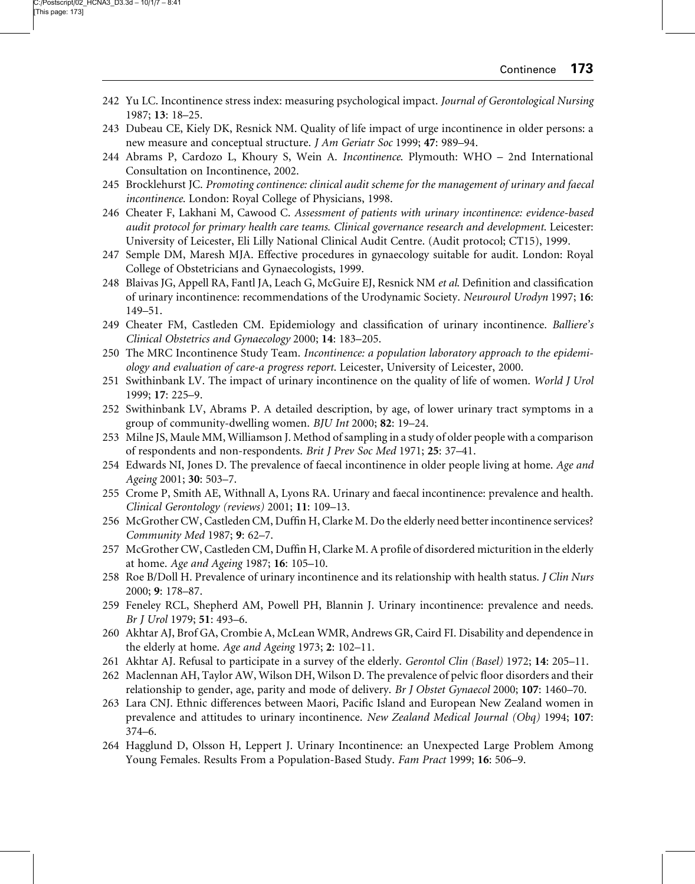- 242 Yu LC. Incontinence stress index: measuring psychological impact. Journal of Gerontological Nursing 1987; 13: 18–25.
- 243 Dubeau CE, Kiely DK, Resnick NM. Quality of life impact of urge incontinence in older persons: a new measure and conceptual structure. J Am Geriatr Soc 1999; 47: 989–94.
- 244 Abrams P, Cardozo L, Khoury S, Wein A. Incontinence. Plymouth: WHO 2nd International Consultation on Incontinence, 2002.
- 245 Brocklehurst JC. Promoting continence: clinical audit scheme for the management of urinary and faecal incontinence. London: Royal College of Physicians, 1998.
- 246 Cheater F, Lakhani M, Cawood C. Assessment of patients with urinary incontinence: evidence-based audit protocol for primary health care teams. Clinical governance research and development. Leicester: University of Leicester, Eli Lilly National Clinical Audit Centre. (Audit protocol; CT15), 1999.
- 247 Semple DM, Maresh MJA. Effective procedures in gynaecology suitable for audit. London: Royal College of Obstetricians and Gynaecologists, 1999.
- 248 Blaivas JG, Appell RA, Fantl JA, Leach G, McGuire EJ, Resnick NM et al. Definition and classification of urinary incontinence: recommendations of the Urodynamic Society. Neurourol Urodyn 1997; 16: 149–51.
- 249 Cheater FM, Castleden CM. Epidemiology and classification of urinary incontinence. Balliere's Clinical Obstetrics and Gynaecology 2000; 14: 183–205.
- 250 The MRC Incontinence Study Team. Incontinence: a population laboratory approach to the epidemiology and evaluation of care-a progress report. Leicester, University of Leicester, 2000.
- 251 Swithinbank LV. The impact of urinary incontinence on the quality of life of women. World J Urol 1999; 17: 225–9.
- 252 Swithinbank LV, Abrams P. A detailed description, by age, of lower urinary tract symptoms in a group of community-dwelling women. BJU Int 2000; 82: 19–24.
- 253 Milne JS, Maule MM, Williamson J. Method of sampling in a study of older people with a comparison of respondents and non-respondents. Brit J Prev Soc Med 1971; 25: 37–41.
- 254 Edwards NI, Jones D. The prevalence of faecal incontinence in older people living at home. Age and Ageing 2001; 30: 503–7.
- 255 Crome P, Smith AE, Withnall A, Lyons RA. Urinary and faecal incontinence: prevalence and health. Clinical Gerontology (reviews) 2001; 11: 109–13.
- 256 McGrother CW, Castleden CM, Duffin H, Clarke M. Do the elderly need better incontinence services? Community Med 1987; 9: 62–7.
- 257 McGrother CW, Castleden CM, Duffin H, Clarke M. A profile of disordered micturition in the elderly at home. Age and Ageing 1987; 16: 105–10.
- 258 Roe B/Doll H. Prevalence of urinary incontinence and its relationship with health status. J Clin Nurs 2000; 9: 178–87.
- 259 Feneley RCL, Shepherd AM, Powell PH, Blannin J. Urinary incontinence: prevalence and needs. Br J Urol 1979; 51: 493–6.
- 260 Akhtar AJ, Brof GA, Crombie A, McLean WMR, Andrews GR, Caird FI. Disability and dependence in the elderly at home. Age and Ageing 1973; 2: 102–11.
- 261 Akhtar AJ. Refusal to participate in a survey of the elderly. Gerontol Clin (Basel) 1972; 14: 205–11.
- 262 Maclennan AH, Taylor AW, Wilson DH, Wilson D. The prevalence of pelvic floor disorders and their relationship to gender, age, parity and mode of delivery. Br J Obstet Gynaecol 2000; 107: 1460–70.
- 263 Lara CNJ. Ethnic differences between Maori, Pacific Island and European New Zealand women in prevalence and attitudes to urinary incontinence. New Zealand Medical Journal (Obq) 1994; 107: 374–6.
- 264 Hagglund D, Olsson H, Leppert J. Urinary Incontinence: an Unexpected Large Problem Among Young Females. Results From a Population-Based Study. Fam Pract 1999; 16: 506–9.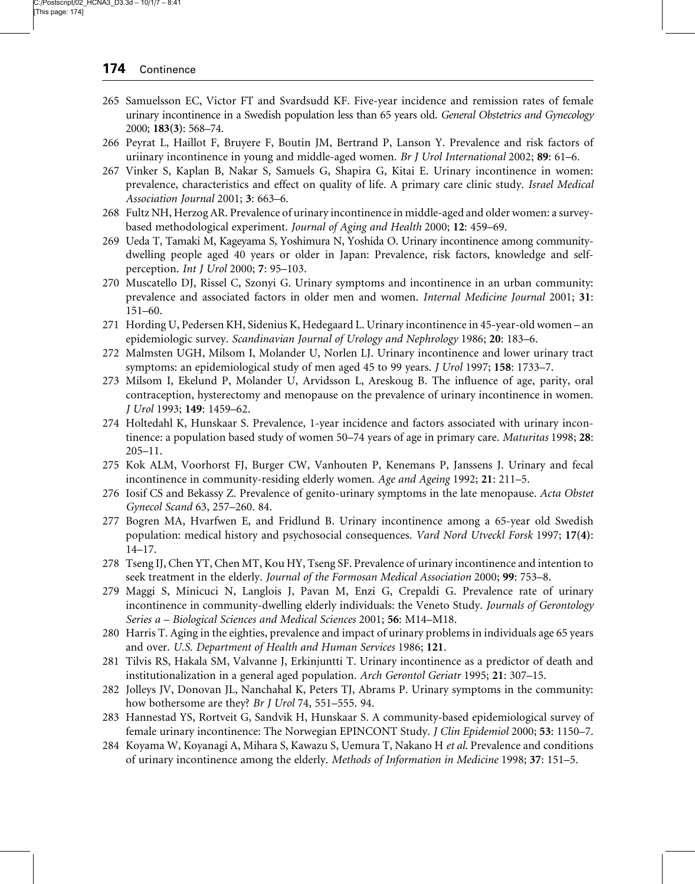- 265 Samuelsson EC, Victor FT and Svardsudd KF. Five-year incidence and remission rates of female urinary incontinence in a Swedish population less than 65 years old. General Obstetrics and Gynecology 2000; 183(3): 568–74.
- 266 Peyrat L, Haillot F, Bruyere F, Boutin JM, Bertrand P, Lanson Y. Prevalence and risk factors of uriinary incontinence in young and middle-aged women. Br J Urol International 2002; 89: 61-6.
- 267 Vinker S, Kaplan B, Nakar S, Samuels G, Shapira G, Kitai E. Urinary incontinence in women: prevalence, characteristics and effect on quality of life. A primary care clinic study. Israel Medical Association Journal 2001; 3: 663–6.
- 268 Fultz NH, Herzog AR. Prevalence of urinary incontinence in middle-aged and older women: a surveybased methodological experiment. Journal of Aging and Health 2000; 12: 459–69.
- 269 Ueda T, Tamaki M, Kageyama S, Yoshimura N, Yoshida O. Urinary incontinence among communitydwelling people aged 40 years or older in Japan: Prevalence, risk factors, knowledge and selfperception. Int J Urol 2000; 7: 95–103.
- 270 Muscatello DJ, Rissel C, Szonyi G. Urinary symptoms and incontinence in an urban community: prevalence and associated factors in older men and women. Internal Medicine Journal 2001; 31: 151–60.
- 271 Hording U, Pedersen KH, Sidenius K, Hedegaard L. Urinary incontinence in 45-year-old women an epidemiologic survey. Scandinavian Journal of Urology and Nephrology 1986; 20: 183–6.
- 272 Malmsten UGH, Milsom I, Molander U, Norlen LJ. Urinary incontinence and lower urinary tract symptoms: an epidemiological study of men aged 45 to 99 years. *J Urol* 1997; 158: 1733–7.
- 273 Milsom I, Ekelund P, Molander U, Arvidsson L, Areskoug B. The influence of age, parity, oral contraception, hysterectomy and menopause on the prevalence of urinary incontinence in women. J Urol 1993; 149: 1459–62.
- 274 Holtedahl K, Hunskaar S. Prevalence, 1-year incidence and factors associated with urinary incontinence: a population based study of women 50–74 years of age in primary care. Maturitas 1998; 28: 205–11.
- 275 Kok ALM, Voorhorst FJ, Burger CW, Vanhouten P, Kenemans P, Janssens J. Urinary and fecal incontinence in community-residing elderly women. Age and Ageing 1992; 21: 211–5.
- 276 Iosif CS and Bekassy Z. Prevalence of genito-urinary symptoms in the late menopause. Acta Obstet Gynecol Scand 63, 257–260. 84.
- 277 Bogren MA, Hvarfwen E, and Fridlund B. Urinary incontinence among a 65-year old Swedish population: medical history and psychosocial consequences. Vard Nord Utveckl Forsk 1997; 17(4): 14–17.
- 278 Tseng IJ, Chen YT, Chen MT, Kou HY, Tseng SF. Prevalence of urinary incontinence and intention to seek treatment in the elderly. Journal of the Formosan Medical Association 2000; 99: 753–8.
- 279 Maggi S, Minicuci N, Langlois J, Pavan M, Enzi G, Crepaldi G. Prevalence rate of urinary incontinence in community-dwelling elderly individuals: the Veneto Study. Journals of Gerontology Series a – Biological Sciences and Medical Sciences 2001; 56: M14–M18.
- 280 Harris T. Aging in the eighties, prevalence and impact of urinary problems in individuals age 65 years and over. U.S. Department of Health and Human Services 1986; 121.
- 281 Tilvis RS, Hakala SM, Valvanne J, Erkinjuntti T. Urinary incontinence as a predictor of death and institutionalization in a general aged population. Arch Gerontol Geriatr 1995; 21: 307–15.
- 282 Jolleys JV, Donovan JL, Nanchahal K, Peters TJ, Abrams P. Urinary symptoms in the community: how bothersome are they? Br J Urol 74, 551–555. 94.
- 283 Hannestad YS, Rortveit G, Sandvik H, Hunskaar S. A community-based epidemiological survey of female urinary incontinence: The Norwegian EPINCONT Study. J Clin Epidemiol 2000; 53: 1150–7.
- 284 Koyama W, Koyanagi A, Mihara S, Kawazu S, Uemura T, Nakano H et al. Prevalence and conditions of urinary incontinence among the elderly. Methods of Information in Medicine 1998; 37: 151–5.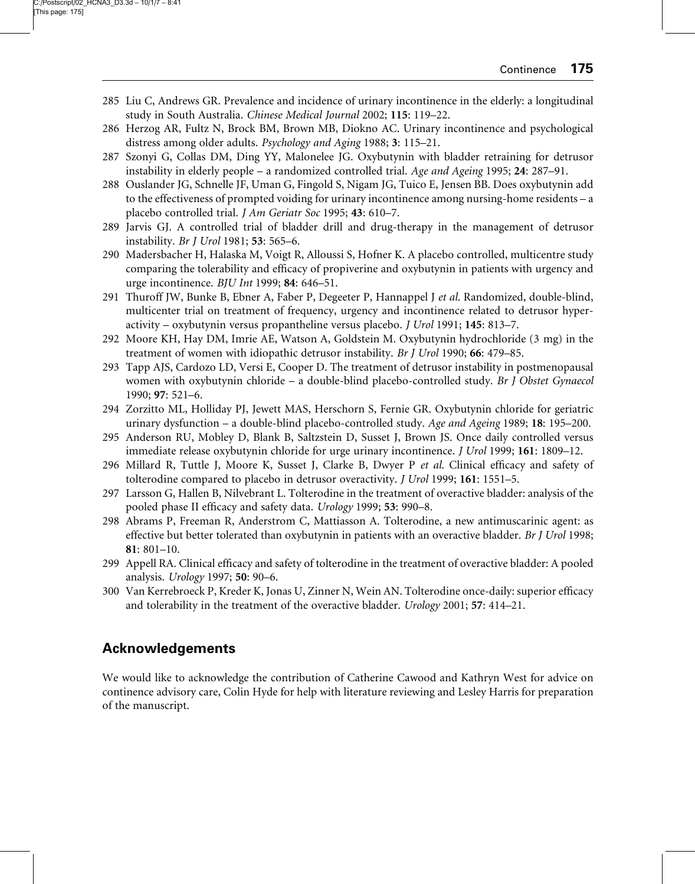- 285 Liu C, Andrews GR. Prevalence and incidence of urinary incontinence in the elderly: a longitudinal study in South Australia. Chinese Medical Journal 2002; 115: 119–22.
- 286 Herzog AR, Fultz N, Brock BM, Brown MB, Diokno AC. Urinary incontinence and psychological distress among older adults. Psychology and Aging 1988; 3: 115–21.
- 287 Szonyi G, Collas DM, Ding YY, Malonelee JG. Oxybutynin with bladder retraining for detrusor instability in elderly people – a randomized controlled trial. Age and Ageing 1995; 24: 287–91.
- 288 Ouslander JG, Schnelle JF, Uman G, Fingold S, Nigam JG, Tuico E, Jensen BB. Does oxybutynin add to the effectiveness of prompted voiding for urinary incontinence among nursing-home residents – a placebo controlled trial. J Am Geriatr Soc 1995; 43: 610–7.
- 289 Jarvis GJ. A controlled trial of bladder drill and drug-therapy in the management of detrusor instability. Br J Urol 1981; 53: 565–6.
- 290 Madersbacher H, Halaska M, Voigt R, Alloussi S, Hofner K. A placebo controlled, multicentre study comparing the tolerability and efficacy of propiverine and oxybutynin in patients with urgency and urge incontinence. BJU Int 1999; 84: 646–51.
- 291 Thuroff JW, Bunke B, Ebner A, Faber P, Degeeter P, Hannappel J et al. Randomized, double-blind, multicenter trial on treatment of frequency, urgency and incontinence related to detrusor hyperactivity – oxybutynin versus propantheline versus placebo. J Urol 1991; 145: 813–7.
- 292 Moore KH, Hay DM, Imrie AE, Watson A, Goldstein M. Oxybutynin hydrochloride (3 mg) in the treatment of women with idiopathic detrusor instability. Br J Urol 1990; 66: 479–85.
- 293 Tapp AJS, Cardozo LD, Versi E, Cooper D. The treatment of detrusor instability in postmenopausal women with oxybutynin chloride – a double-blind placebo-controlled study. Br J Obstet Gynaecol 1990; 97: 521–6.
- 294 Zorzitto ML, Holliday PJ, Jewett MAS, Herschorn S, Fernie GR. Oxybutynin chloride for geriatric urinary dysfunction – a double-blind placebo-controlled study. Age and Ageing 1989; 18: 195–200.
- 295 Anderson RU, Mobley D, Blank B, Saltzstein D, Susset J, Brown JS. Once daily controlled versus immediate release oxybutynin chloride for urge urinary incontinence. J Urol 1999; 161: 1809–12.
- 296 Millard R, Tuttle J, Moore K, Susset J, Clarke B, Dwyer P et al. Clinical efficacy and safety of tolterodine compared to placebo in detrusor overactivity. J Urol 1999; 161: 1551–5.
- 297 Larsson G, Hallen B, Nilvebrant L. Tolterodine in the treatment of overactive bladder: analysis of the pooled phase II efficacy and safety data. Urology 1999; 53: 990–8.
- 298 Abrams P, Freeman R, Anderstrom C, Mattiasson A. Tolterodine, a new antimuscarinic agent: as effective but better tolerated than oxybutynin in patients with an overactive bladder. Br J Urol 1998; 81: 801–10.
- 299 Appell RA. Clinical efficacy and safety of tolterodine in the treatment of overactive bladder: A pooled analysis. Urology 1997; 50: 90–6.
- 300 Van Kerrebroeck P, Kreder K, Jonas U, Zinner N, Wein AN. Tolterodine once-daily: superior efficacy and tolerability in the treatment of the overactive bladder. Urology 2001; 57: 414–21.

#### Acknowledgements

We would like to acknowledge the contribution of Catherine Cawood and Kathryn West for advice on continence advisory care, Colin Hyde for help with literature reviewing and Lesley Harris for preparation of the manuscript.